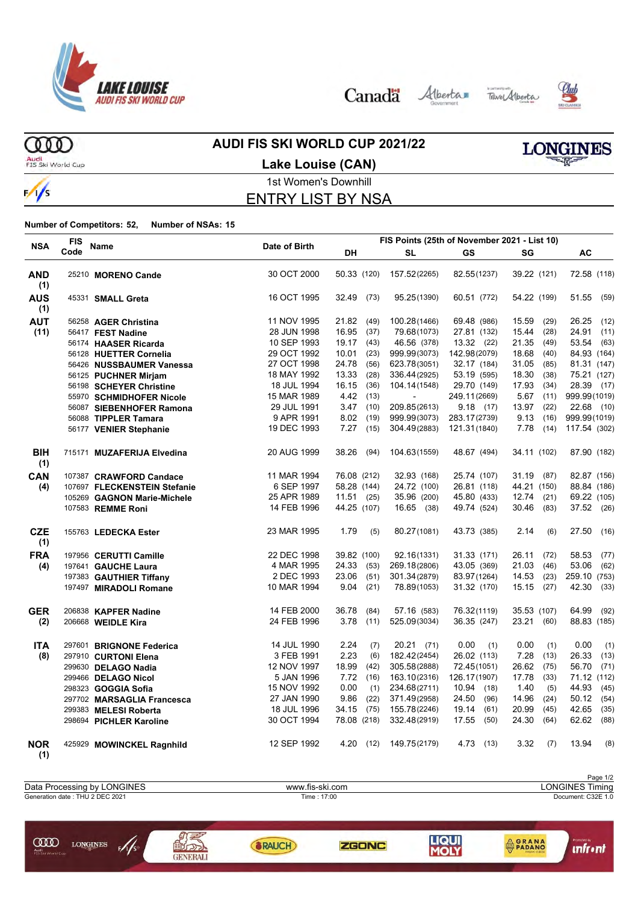

Canada Alberta Tave Alberta



**ORANA** 

**unfr** • nt



ത്ത Audi<br>FIS Ski World Cup

**COD** LONGINES

 $\sqrt{s}$ 

 $\frac{1}{s}$ 

## **AUDI FIS SKI WORLD CUP 2021/22**



**Lake Louise (CAN)**

#### 1st Women's Downhill ENTRY LIST BY NSA

**Number of Competitors: 52, Number of NSAs: 15**

|                   | <b>FIS</b> |                              |               |             |      |                |               | FIS Points (25th of November 2021 - List 10) |               |  |
|-------------------|------------|------------------------------|---------------|-------------|------|----------------|---------------|----------------------------------------------|---------------|--|
| <b>NSA</b>        | Code       | <b>Name</b>                  | Date of Birth | DH          |      | SL             | <b>GS</b>     | SG                                           | AC            |  |
| <b>AND</b><br>(1) |            | 25210 MORENO Cande           | 30 OCT 2000   | 50.33 (120) |      | 157.52(2265)   | 82.55(1237)   | 39.22 (121)                                  | 72.58 (118)   |  |
| <b>AUS</b><br>(1) |            | 45331 SMALL Greta            | 16 OCT 1995   | 32.49       | (73) | 95.25(1390)    | 60.51 (772)   | 54.22 (199)                                  | 51.55<br>(59) |  |
| <b>AUT</b>        |            | 56258 AGER Christina         | 11 NOV 1995   | 21.82       | (49) | 100.28(1466)   | 69.48 (986)   | 15.59<br>(29)                                | 26.25<br>(12) |  |
| (11)              |            | 56417 FEST Nadine            | 28 JUN 1998   | 16.95       | (37) | 79.68(1073)    | 27.81 (132)   | 15.44<br>(28)                                | 24.91<br>(11) |  |
|                   |            | 56174 HAASER Ricarda         | 10 SEP 1993   | 19.17       | (43) | 46.56 (378)    | 13.32(22)     | 21.35<br>(49)                                | 53.54<br>(63) |  |
|                   |            | 56128 HUETTER Cornelia       | 29 OCT 1992   | 10.01       | (23) | 999.99(3073)   | 142.98(2079)  | 18.68<br>(40)                                | 84.93 (164)   |  |
|                   |            | 56426 NUSSBAUMER Vanessa     | 27 OCT 1998   | 24.78       | (56) | 623.78(3051)   | 32.17 (184)   | 31.05<br>(85)                                | 81.31 (147)   |  |
|                   |            | 56125 PUCHNER Mirjam         | 18 MAY 1992   | 13.33       | (28) | 336.44(2925)   | 53.19 (595)   | 18.30<br>(38)                                | 75.21 (127)   |  |
|                   |            | 56198 SCHEYER Christine      | 18 JUL 1994   | 16.15       | (36) | 104.14(1548)   | 29.70 (149)   | 17.93<br>(34)                                | 28.39 (17)    |  |
|                   |            | 55970 SCHMIDHOFER Nicole     | 15 MAR 1989   | 4.42        | (13) | $\blacksquare$ | 249.11(2669)  | 5.67<br>(11)                                 | 999.99(1019)  |  |
|                   |            | 56087 SIEBENHOFER Ramona     | 29 JUL 1991   | 3.47        | (10) | 209.85(2613)   | 9.18(17)      | 13.97<br>(22)                                | 22.68 (10)    |  |
|                   |            | 56088 TIPPLER Tamara         | 9 APR 1991    | 8.02        | (19) | 999.99(3073)   | 283.17(2739)  | 9.13<br>(16)                                 | 999.99(1019)  |  |
|                   |            | 56177 VENIER Stephanie       | 19 DEC 1993   | 7.27        | (15) | 304.49(2883)   | 121.31(1840)  | 7.78<br>(14)                                 | 117.54 (302)  |  |
| <b>BIH</b><br>(1) |            | 715171 MUZAFERIJA Elvedina   | 20 AUG 1999   | 38.26       | (94) | 104.63(1559)   | 48.67 (494)   | 34.11 (102)                                  | 87.90 (182)   |  |
| CAN               |            | 107387 CRAWFORD Candace      | 11 MAR 1994   | 76.08 (212) |      | 32.93 (168)    | 25.74 (107)   | 31.19 (87)                                   | 82.87 (156)   |  |
| (4)               |            | 107697 FLECKENSTEIN Stefanie | 6 SEP 1997    | 58.28 (144) |      | 24.72 (100)    | 26.81 (118)   | 44.21 (150)                                  | 88.84 (186)   |  |
|                   |            | 105269 GAGNON Marie-Michele  | 25 APR 1989   | 11.51(25)   |      | 35.96 (200)    | 45.80 (433)   | 12.74 (21)                                   | 69.22 (105)   |  |
|                   |            | 107583 REMME Roni            | 14 FEB 1996   | 44.25 (107) |      | 16.65 (38)     | 49.74 (524)   | 30.46 (83)                                   | 37.52 (26)    |  |
| <b>CZE</b><br>(1) |            | 155763 LEDECKA Ester         | 23 MAR 1995   | 1.79        | (5)  | 80.27(1081)    | 43.73 (385)   | 2.14<br>(6)                                  | 27.50<br>(16) |  |
| <b>FRA</b>        |            | 197956 CERUTTI Camille       | 22 DEC 1998   | 39.82 (100) |      | 92.16(1331)    | 31.33 (171)   | 26.11<br>(72)                                | 58.53<br>(77) |  |
| (4)               |            | 197641 GAUCHE Laura          | 4 MAR 1995    | 24.33 (53)  |      | 269.18(2806)   | 43.05 (369)   | 21.03<br>(46)                                | 53.06<br>(62) |  |
|                   |            | 197383 GAUTHIER Tiffany      | 2 DEC 1993    | 23.06       | (51) | 301.34(2879)   | 83.97(1264)   | 14.53<br>(23)                                | 259.10 (753)  |  |
|                   |            | 197497 MIRADOLI Romane       | 10 MAR 1994   | 9.04        | (21) | 78.89(1053)    | 31.32 (170)   | $15.15$ (27)                                 | 42.30<br>(33) |  |
| <b>GER</b>        |            | 206838 KAPFER Nadine         | 14 FEB 2000   | 36.78       | (84) | 57.16 (583)    | 76.32(1119)   | 35.53 (107)                                  | 64.99<br>(92) |  |
| (2)               |            | 206668 WEIDLE Kira           | 24 FEB 1996   | 3.78        | (11) | 525.09(3034)   | 36.35 (247)   | 23.21 (60)                                   | 88.83 (185)   |  |
| <b>ITA</b>        |            | 297601 BRIGNONE Federica     | 14 JUL 1990   | 2.24        | (7)  | $20.21$ (71)   | 0.00<br>(1)   | 0.00<br>(1)                                  | 0.00<br>(1)   |  |
| (8)               |            | 297910 CURTONI Elena         | 3 FEB 1991    | 2.23        | (6)  | 182.42(2454)   | 26.02 (113)   | 7.28<br>(13)                                 | 26.33<br>(13) |  |
|                   |            | 299630 DELAGO Nadia          | 12 NOV 1997   | 18.99       | (42) | 305.58(2888)   | 72.45(1051)   | 26.62<br>(75)                                | 56.70<br>(71) |  |
|                   |            | 299466 DELAGO Nicol          | 5 JAN 1996    | 7.72        | (16) | 163.10(2316)   | 126.17(1907)  | 17.78<br>(33)                                | 71.12 (112)   |  |
|                   |            | 298323 GOGGIA Sofia          | 15 NOV 1992   | 0.00        | (1)  | 234.68(2711)   | 10.94<br>(18) | 1.40<br>(5)                                  | 44.93<br>(45) |  |
|                   |            | 297702 MARSAGLIA Francesca   | 27 JAN 1990   | 9.86        | (22) | 371.49(2958)   | 24.50<br>(96) | 14.96<br>(24)                                | 50.12<br>(54) |  |
|                   |            | 299383 MELESI Roberta        | 18 JUL 1996   | 34.15       | (75) | 155.78(2246)   | 19.14<br>(61) | 20.99<br>(45)                                | 42.65<br>(35) |  |
|                   |            | 298694 PICHLER Karoline      | 30 OCT 1994   | 78.08 (218) |      | 332.48(2919)   | 17.55<br>(50) | 24.30<br>(64)                                | 62.62<br>(88) |  |
| <b>NOR</b><br>(1) |            | 425929 MOWINCKEL Ragnhild    | 12 SEP 1992   | 4.20        | (12) | 149.75(2179)   | 4.73<br>(13)  | 3.32<br>(7)                                  | 13.94<br>(8)  |  |



**ZGONC** 

**SRAUCH**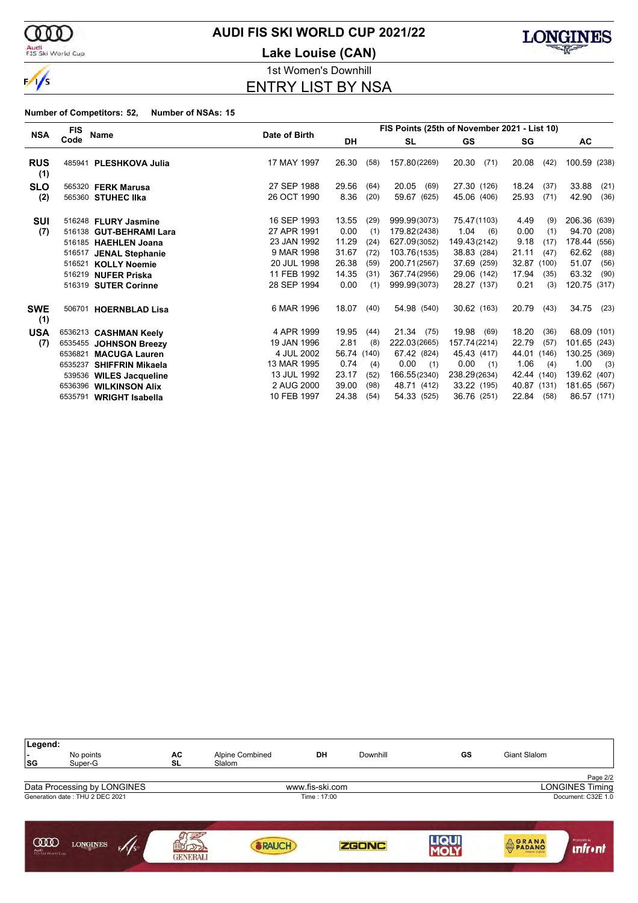

#### Audi<br>FIS Ski World Cup

### **AUDI FIS SKI WORLD CUP 2021/22**

**Lake Louise (CAN)**



1st Women's Downhill ENTRY LIST BY NSA

|                   | <b>FIS</b>       | Name                                                                                                                                                                    |                                                                                                      | FIS Points (25th of November 2021 - List 10)              |                                                    |                                                                                                              |                                                                                                        |                                                                                                            |                                                                                                                   |  |  |
|-------------------|------------------|-------------------------------------------------------------------------------------------------------------------------------------------------------------------------|------------------------------------------------------------------------------------------------------|-----------------------------------------------------------|----------------------------------------------------|--------------------------------------------------------------------------------------------------------------|--------------------------------------------------------------------------------------------------------|------------------------------------------------------------------------------------------------------------|-------------------------------------------------------------------------------------------------------------------|--|--|
| <b>NSA</b>        | Code             |                                                                                                                                                                         | Date of Birth                                                                                        | DH                                                        |                                                    | <b>SL</b>                                                                                                    | GS                                                                                                     | SG                                                                                                         | AC                                                                                                                |  |  |
| <b>RUS</b><br>(1) | 485941           | <b>PLESHKOVA Julia</b>                                                                                                                                                  | 17 MAY 1997                                                                                          | 26.30                                                     | (58)                                               | 157.80(2269)                                                                                                 | 20.30<br>(71)                                                                                          | 20.08<br>(42)                                                                                              | 100.59 (238)                                                                                                      |  |  |
| <b>SLO</b>        |                  | 565320 FERK Marusa                                                                                                                                                      | 27 SEP 1988                                                                                          | 29.56                                                     | (64)                                               | 20.05<br>(69)                                                                                                | 27.30 (126)                                                                                            | 18.24<br>(37)                                                                                              | 33.88<br>(21)                                                                                                     |  |  |
| (2)               |                  | 565360 STUHEC IIka                                                                                                                                                      | 26 OCT 1990                                                                                          | 8.36                                                      | (20)                                               | 59.67 (625)                                                                                                  | 45.06 (406)                                                                                            | 25.93<br>(71)                                                                                              | 42.90<br>(36)                                                                                                     |  |  |
| SUI<br>(7)        | 516521<br>516219 | 516248 FLURY Jasmine<br>516138 GUT-BEHRAMI Lara<br>516185 HAEHLEN Joana<br>516517 JENAL Stephanie<br><b>KOLLY Noemie</b><br><b>NUFER Priska</b><br>516319 SUTER Corinne | 16 SEP 1993<br>27 APR 1991<br>23 JAN 1992<br>9 MAR 1998<br>20 JUL 1998<br>11 FEB 1992<br>28 SEP 1994 | 13.55<br>0.00<br>11.29<br>31.67<br>26.38<br>14.35<br>0.00 | (29)<br>(1)<br>(24)<br>(72)<br>(59)<br>(31)<br>(1) | 999.99(3073)<br>179.82(2438)<br>627.09(3052)<br>103.76(1535)<br>200.71(2567)<br>367.74(2956)<br>999.99(3073) | 75.47(1103)<br>1.04<br>(6)<br>149.43(2142)<br>38.83 (284)<br>37.69 (259)<br>29.06 (142)<br>28.27 (137) | 4.49<br>(9)<br>0.00<br>(1)<br>9.18<br>(17)<br>21.11<br>(47)<br>32.87 (100)<br>17.94<br>(35)<br>0.21<br>(3) | 206.36 (639)<br>94.70 (208)<br>178.44<br>(556)<br>62.62<br>(88)<br>51.07<br>(56)<br>63.32<br>(90)<br>120.75 (317) |  |  |
| <b>SWE</b><br>(1) | 506701           | <b>HOERNBLAD Lisa</b>                                                                                                                                                   | 6 MAR 1996                                                                                           | 18.07                                                     | (40)                                               | 54.98 (540)                                                                                                  | 30.62 (163)                                                                                            | 20.79<br>(43)                                                                                              | 34.75<br>(23)                                                                                                     |  |  |
| <b>USA</b>        |                  | 6536213 CASHMAN Keely                                                                                                                                                   | 4 APR 1999                                                                                           | 19.95                                                     | (44)                                               | 21.34(75)                                                                                                    | 19.98<br>(69)                                                                                          | 18.20<br>(36)                                                                                              | 68.09 (101)                                                                                                       |  |  |
| (7)               |                  | 6535455 JOHNSON Breezy                                                                                                                                                  | 19 JAN 1996                                                                                          | 2.81                                                      | (8)                                                | 222.03(2665)                                                                                                 | 157.74(2214)                                                                                           | 22.79<br>(57)                                                                                              | 101.65 (243)                                                                                                      |  |  |
|                   | 6536821          | <b>MACUGA Lauren</b>                                                                                                                                                    | 4 JUL 2002                                                                                           | 56.74 (140)                                               |                                                    | 67.42 (824)                                                                                                  | 45.43 (417)                                                                                            | 44.01 (146)                                                                                                | 130.25 (369)                                                                                                      |  |  |
|                   | 6535237          | <b>SHIFFRIN Mikaela</b>                                                                                                                                                 | 13 MAR 1995                                                                                          | 0.74                                                      | (4)                                                | 0.00<br>(1)                                                                                                  | 0.00<br>(1)                                                                                            | 1.06<br>(4)                                                                                                | 1.00<br>(3)                                                                                                       |  |  |
|                   |                  | 539536 WILES Jacqueline                                                                                                                                                 | 13 JUL 1992                                                                                          | 23.17                                                     | (52)                                               | 166.55(2340)                                                                                                 | 238.29(2634)                                                                                           | 42.44 (140)                                                                                                | 139.62 (407)                                                                                                      |  |  |
|                   |                  | 6536396 WILKINSON Alix                                                                                                                                                  | 2 AUG 2000                                                                                           | 39.00                                                     | (98)                                               | 48.71 (412)                                                                                                  | 33.22 (195)                                                                                            | 40.87 (131)                                                                                                | 181.65 (567)                                                                                                      |  |  |
|                   | 6535791          | <b>WRIGHT Isabella</b>                                                                                                                                                  | 10 FEB 1997                                                                                          | 24.38                                                     | (54)                                               | 54.33 (525)                                                                                                  | 36.76 (251)                                                                                            | 22.84 (58)                                                                                                 | 86.57 (171)                                                                                                       |  |  |

| Legend:<br>SG                  | No points<br>Super-G            | AC<br><b>SL</b>                    | Alpine Combined<br>Slalom | DH              | Downhill     | GS   | Giant Slalom |                               |
|--------------------------------|---------------------------------|------------------------------------|---------------------------|-----------------|--------------|------|--------------|-------------------------------|
|                                |                                 |                                    |                           |                 |              |      |              | Page 2/2                      |
|                                | Data Processing by LONGINES     |                                    |                           | www.fis-ski.com |              |      |              | <b>LONGINES Timing</b>        |
|                                | Generation date: THU 2 DEC 2021 |                                    |                           | Time: 17:00     |              |      |              | Document: C32E 1.0            |
| ഝ<br>Audi<br>FIS Ski World Cup | <b>LONGINES</b><br>5/1/s        | 围<br>$\sqrt{2}$<br><b>GENERALI</b> | <b>BRAUCH</b>             |                 | <b>ZGONC</b> | LIQU | <b>ORANA</b> | Promoted by<br><b>unfront</b> |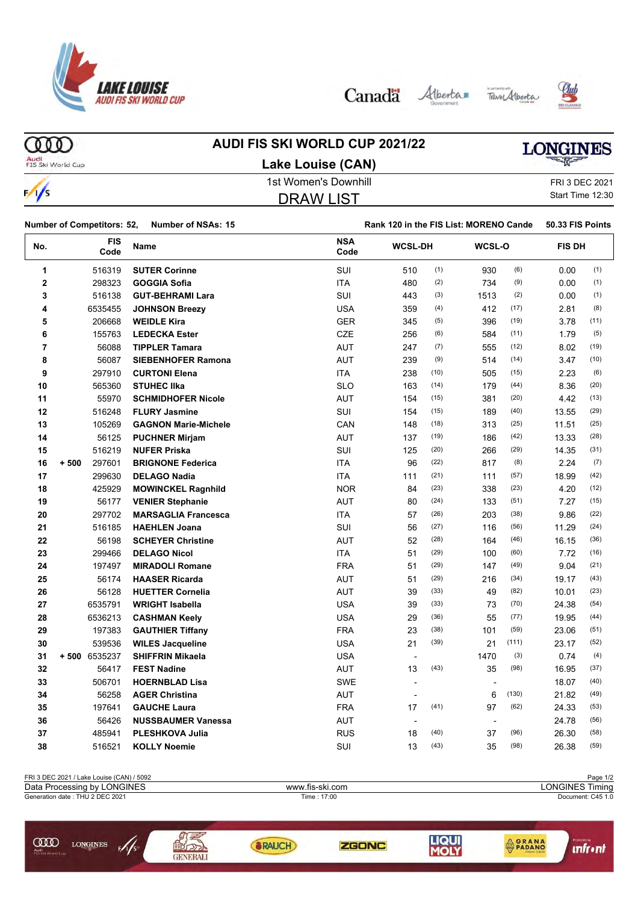

Canada Alberta Tave Alberta





ത്ത

## **AUDI FIS SKI WORLD CUP 2021/22**

## **LONGINES**

Audi<br>FIS Ski World Cup

 $\frac{1}{s}$ 

| Lake Louise (CAN)    |
|----------------------|
| 1st Women's Downhill |
| <b>DRAW LIST</b>     |

FRI 3 DEC 2021

Start Time 12:30 Number of Competitors: 52, Number of NSAs: 15 **Rank 120 in the FIS List: MORENO Cande** 50.33 FIS Points

| No.            | <b>FIS</b><br>Code | Name                        | <b>NSA</b><br>Code | <b>WCSL-DH</b>           |      | <b>WCSL-O</b>  |       | <b>FIS DH</b> |      |
|----------------|--------------------|-----------------------------|--------------------|--------------------------|------|----------------|-------|---------------|------|
| 1              | 516319             | <b>SUTER Corinne</b>        | SUI                | 510                      | (1)  | 930            | (6)   | 0.00          | (1)  |
| $\mathbf 2$    | 298323             | <b>GOGGIA Sofia</b>         | <b>ITA</b>         | 480                      | (2)  | 734            | (9)   | 0.00          | (1)  |
| 3              | 516138             | <b>GUT-BEHRAMI Lara</b>     | <b>SUI</b>         | 443                      | (3)  | 1513           | (2)   | 0.00          | (1)  |
| 4              | 6535455            | <b>JOHNSON Breezy</b>       | <b>USA</b>         | 359                      | (4)  | 412            | (17)  | 2.81          | (8)  |
| 5              | 206668             | <b>WEIDLE Kira</b>          | <b>GER</b>         | 345                      | (5)  | 396            | (19)  | 3.78          | (11) |
| 6              | 155763             | <b>LEDECKA Ester</b>        | <b>CZE</b>         | 256                      | (6)  | 584            | (11)  | 1.79          | (5)  |
| $\overline{7}$ | 56088              | <b>TIPPLER Tamara</b>       | <b>AUT</b>         | 247                      | (7)  | 555            | (12)  | 8.02          | (19) |
| 8              | 56087              | <b>SIEBENHOFER Ramona</b>   | <b>AUT</b>         | 239                      | (9)  | 514            | (14)  | 3.47          | (10) |
| 9              | 297910             | <b>CURTONI Elena</b>        | <b>ITA</b>         | 238                      | (10) | 505            | (15)  | 2.23          | (6)  |
| 10             | 565360             | <b>STUHEC IIka</b>          | <b>SLO</b>         | 163                      | (14) | 179            | (44)  | 8.36          | (20) |
| 11             | 55970              | <b>SCHMIDHOFER Nicole</b>   | <b>AUT</b>         | 154                      | (15) | 381            | (20)  | 4.42          | (13) |
| 12             | 516248             | <b>FLURY Jasmine</b>        | <b>SUI</b>         | 154                      | (15) | 189            | (40)  | 13.55         | (29) |
| 13             | 105269             | <b>GAGNON Marie-Michele</b> | CAN                | 148                      | (18) | 313            | (25)  | 11.51         | (25) |
| 14             | 56125              | <b>PUCHNER Mirjam</b>       | <b>AUT</b>         | 137                      | (19) | 186            | (42)  | 13.33         | (28) |
| 15             | 516219             | <b>NUFER Priska</b>         | SUI                | 125                      | (20) | 266            | (29)  | 14.35         | (31) |
| 16             | $+500$<br>297601   | <b>BRIGNONE Federica</b>    | <b>ITA</b>         | 96                       | (22) | 817            | (8)   | 2.24          | (7)  |
| 17             | 299630             | <b>DELAGO Nadia</b>         | <b>ITA</b>         | 111                      | (21) | 111            | (57)  | 18.99         | (42) |
| 18             | 425929             | <b>MOWINCKEL Ragnhild</b>   | <b>NOR</b>         | 84                       | (23) | 338            | (23)  | 4.20          | (12) |
| 19             | 56177              | <b>VENIER Stephanie</b>     | <b>AUT</b>         | 80                       | (24) | 133            | (51)  | 7.27          | (15) |
| 20             | 297702             | <b>MARSAGLIA Francesca</b>  | <b>ITA</b>         | 57                       | (26) | 203            | (38)  | 9.86          | (22) |
| 21             | 516185             | <b>HAEHLEN Joana</b>        | <b>SUI</b>         | 56                       | (27) | 116            | (56)  | 11.29         | (24) |
| 22             | 56198              | <b>SCHEYER Christine</b>    | <b>AUT</b>         | 52                       | (28) | 164            | (46)  | 16.15         | (36) |
| 23             | 299466             | <b>DELAGO Nicol</b>         | <b>ITA</b>         | 51                       | (29) | 100            | (60)  | 7.72          | (16) |
| 24             | 197497             | <b>MIRADOLI Romane</b>      | <b>FRA</b>         | 51                       | (29) | 147            | (49)  | 9.04          | (21) |
| 25             | 56174              | <b>HAASER Ricarda</b>       | <b>AUT</b>         | 51                       | (29) | 216            | (34)  | 19.17         | (43) |
| 26             | 56128              | <b>HUETTER Cornelia</b>     | <b>AUT</b>         | 39                       | (33) | 49             | (82)  | 10.01         | (23) |
| 27             | 6535791            | <b>WRIGHT Isabella</b>      | <b>USA</b>         | 39                       | (33) | 73             | (70)  | 24.38         | (54) |
| 28             | 6536213            | <b>CASHMAN Keely</b>        | <b>USA</b>         | 29                       | (36) | 55             | (77)  | 19.95         | (44) |
| 29             | 197383             | <b>GAUTHIER Tiffany</b>     | <b>FRA</b>         | 23                       | (38) | 101            | (59)  | 23.06         | (51) |
| 30             | 539536             | <b>WILES Jacqueline</b>     | <b>USA</b>         | 21                       | (39) | 21             | (111) | 23.17         | (52) |
| 31             | +500 6535237       | <b>SHIFFRIN Mikaela</b>     | <b>USA</b>         | $\overline{\phantom{a}}$ |      | 1470           | (3)   | 0.74          | (4)  |
| 32             | 56417              | <b>FEST Nadine</b>          | <b>AUT</b>         | 13                       | (43) | 35             | (98)  | 16.95         | (37) |
| 33             | 506701             | <b>HOERNBLAD Lisa</b>       | <b>SWE</b>         | ÷,                       |      | $\overline{a}$ |       | 18.07         | (40) |
| 34             | 56258              | <b>AGER Christina</b>       | <b>AUT</b>         |                          |      | 6              | (130) | 21.82         | (49) |
| 35             | 197641             | <b>GAUCHE Laura</b>         | <b>FRA</b>         | 17                       | (41) | 97             | (62)  | 24.33         | (53) |
| 36             | 56426              | <b>NUSSBAUMER Vanessa</b>   | <b>AUT</b>         |                          |      |                |       | 24.78         | (56) |
| 37             | 485941             | <b>PLESHKOVA Julia</b>      | <b>RUS</b>         | 18                       | (40) | 37             | (96)  | 26.30         | (58) |
| 38             | 516521             | <b>KOLLY Noemie</b>         | SUI                | 13                       | (43) | 35             | (98)  | 26.38         | (59) |

| FRI 3 DEC 2021 / Lake Louise (CAN) / 5092                  |                 |                 |              |            |                                | Page 1/2          |  |  |
|------------------------------------------------------------|-----------------|-----------------|--------------|------------|--------------------------------|-------------------|--|--|
| Data Processing by LONGINES                                |                 | www.fis-ski.com |              |            | <b>LONGINES Timing</b>         |                   |  |  |
| Generation date: THU 2 DEC 2021                            |                 |                 | Time : 17:00 |            |                                | Document: C45 1.0 |  |  |
| ŒŒ<br><b>LONGINES</b><br>F/JS<br>Audi<br>FIS Ski World Cup | <b>GENERALI</b> | RAUCH           | ZGONC        | <b>JQU</b> | <b>AGRANA</b><br><b>PADANO</b> |                   |  |  |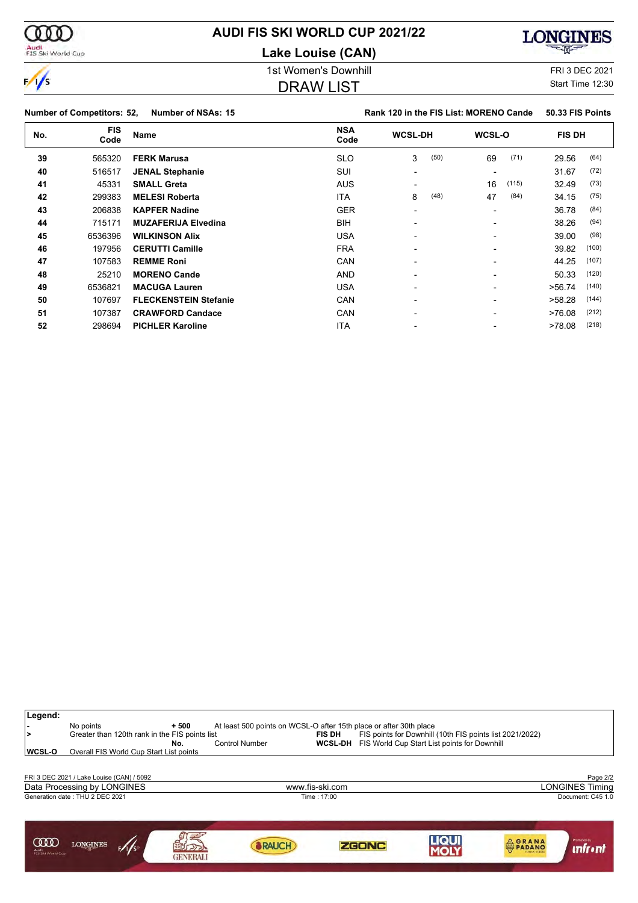

**Lake Louise (CAN)**

#### 1st Women's Downhill **FRI** 3 DEC 2021

#### DRAW LIST

Start Time 12:30

**Number of Competitors: 52, Number of NSAs: 15 Rank 120 in the FIS List: MORENO Cande** 50.33 FIS Points **No. FIS Code Name NSA Code WCSL-DH WCSL-O FIS DH** 565320 **FERK Marusa** SLO 3 (50) 69 (71) 29.56 (64) 516517 **JENAL Stephanie** SUI - - 31.67 (72) 45331 **SMALL Greta** AUS - 16 (115) 32.49 (73) 299383 **MELESI Roberta** ITA 8 (48) 47 (84) 34.15 (75) 206838 **KAPFER Nadine** GER - - 36.78 (84) 715171 **MUZAFERIJA Elvedina** BIH - - 38.26 (94) 6536396 **WILKINSON Alix** USA - - 39.00 (98) 197956 **CERUTTI Camille** FRA - - 39.82 (100) 107583 **REMME Roni** CAN - - 44.25 (107) 25210 **MORENO Cande** AND - - 50.33 (120) 6536821 **MACUGA Lauren** USA - - >56.74 (140) 107697 **FLECKENSTEIN Stefanie** CAN - - >58.28 (144) 107387 **CRAWFORD Candace** CAN - - >76.08 (212) 298694 **PICHLER Karoline** ITA - - >78.08 (218)





000

**Legend:**

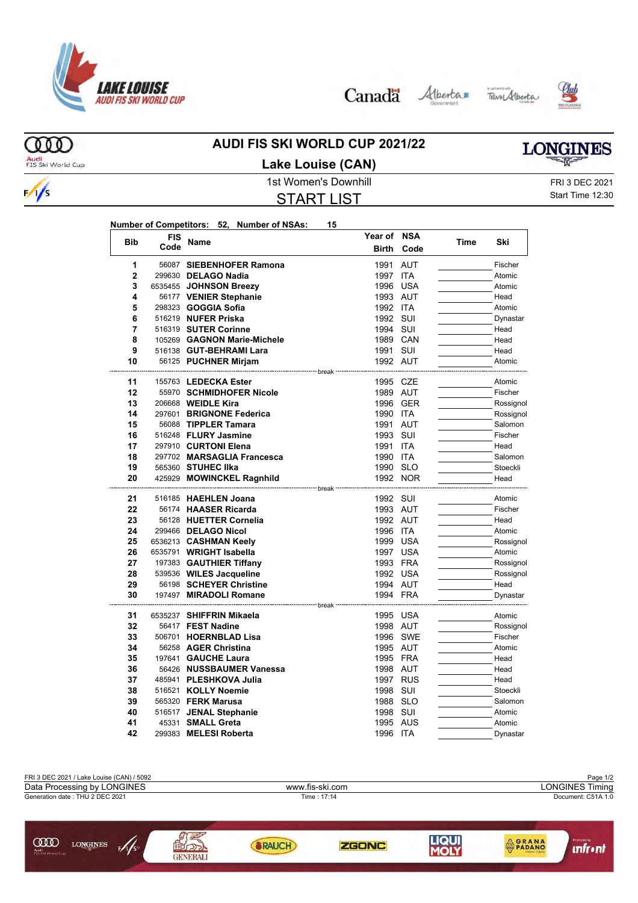

Canada Alberta Tave Alberta





ത്ത Audi<br>FIS Ski World Cup

 $\frac{1}{s}$ 

#### **AUDI FIS SKI WORLD CUP 2021/22 Lake Louise (CAN)**

# **LONGINES**

1st Women's Downhill FRI 3 DEC 2021 START LIST

Start Time 12:30

| Number of Competitors: 52, Number of NSAs: |  | 15 |
|--------------------------------------------|--|----|
|                                            |  |    |

| <b>Bib</b>     | <b>FIS</b> |                                                       | Year of NSA          |          |      |                      |
|----------------|------------|-------------------------------------------------------|----------------------|----------|------|----------------------|
|                | Code       | Name                                                  | <b>Birth</b>         | Code     | Time | Ski                  |
| 1              |            | 56087 SIEBENHOFER Ramona                              | 1991                 | AUT      |      | Fischer              |
| $\overline{2}$ |            | 299630 DELAGO Nadia                                   | 1997 ITA             |          |      | Atomic               |
| 3              |            | 6535455 JOHNSON Breezy                                |                      | 1996 USA |      | Atomic               |
| 4              |            | 56177 VENIER Stephanie                                | 1993 AUT             |          |      | Head                 |
| 5              |            | 298323 <b>GOGGIA Sofia</b>                            | 1992 ITA             |          |      | Atomic               |
| 6              |            | 516219 NUFER Priska                                   | 1992 SUI             |          |      | Dynastar             |
| 7              |            | 516319 SUTER Corinne                                  | 1994 SUI             |          |      | Head                 |
| 8              |            | 105269 GAGNON Marie-Michele                           |                      | 1989 CAN |      | Head                 |
| 9              |            | 516138 GUT-BEHRAMI Lara                               | 1991 SUI             |          |      | Head                 |
| 10             |            | 56125 PUCHNER Mirjam                                  | 1992 AUT             |          |      | Atomic               |
|                |            | ------------------- break                             |                      |          |      |                      |
| 11             |            | 155763 LEDECKA Ester                                  | 1995 CZE             |          |      | Atomic               |
| 12             |            | 55970 SCHMIDHOFER Nicole                              | 1989 AUT             |          |      | Fischer              |
| 13<br>14       |            | 206668 <b>WEIDLE Kira</b><br>297601 BRIGNONE Federica | 1990 ITA             | 1996 GER |      | Rossignol            |
| 15             |            | 56088 TIPPLER Tamara                                  | 1991 AUT             |          |      | Rossignol<br>Salomon |
| 16             |            | 516248 FLURY Jasmine                                  | 1993 SUI             |          |      | Fischer              |
| 17             |            | 297910 CURTONI Elena                                  | 1991                 | ITA      |      | Head                 |
| 18             |            | 297702 MARSAGLIA Francesca                            | 1990 ITA             |          |      | Salomon              |
| 19             |            | 565360 STUHEC IIka                                    | 1990 SLO             |          |      | Stoeckli             |
| 20             |            | 425929 MOWINCKEL Ragnhild                             |                      | 1992 NOR |      | Head                 |
|                |            | -------------- break                                  |                      |          |      |                      |
| 21             |            | 516185 HAEHLEN Joana                                  | 1992 SUI             |          |      | Atomic               |
| 22             |            | 56174 HAASER Ricarda                                  | 1993 AUT             |          |      | Fischer              |
| 23             |            | 56128 HUETTER Cornelia                                | 1992 AUT             |          |      | Head                 |
| 24             |            | 299466 DELAGO Nicol                                   | 1996 ITA             |          |      | Atomic               |
| 25             |            | 6536213 CASHMAN Keely                                 |                      | 1999 USA |      | Rossignol            |
| 26             |            | 6535791 WRIGHT Isabella                               | 1997 USA             |          |      | Atomic               |
| 27             |            | 197383 GAUTHIER Tiffany                               | 1993 FRA             |          |      | Rossignol            |
| 28             |            | 539536 WILES Jacqueline                               | 1992 USA             |          |      | Rossignol            |
| 29             |            | 56198 SCHEYER Christine                               | 1994 AUT             |          |      | Head                 |
| 30             |            | 197497 MIRADOLI Romane                                | 1994 FRA             |          |      | Dynastar             |
|                |            | ------ break                                          |                      |          |      |                      |
| 31             |            | 6535237 SHIFFRIN Mikaela                              |                      | 1995 USA |      | Atomic               |
| 32             |            | 56417 FEST Nadine                                     | 1998 AUT             |          |      | Rossignol            |
| 33             |            | 506701 HOERNBLAD Lisa                                 |                      | 1996 SWE |      | Fischer              |
| 34             |            | 56258 AGER Christina                                  | 1995 AUT             |          |      | Atomic               |
| 35             |            | 197641 GAUCHE Laura                                   | 1995 FRA             |          |      | Head                 |
| 36             |            | 56426 NUSSBAUMER Vanessa                              | 1998 AUT             |          |      | Head                 |
| 37             |            | 485941 PLESHKOVA Julia                                |                      | 1997 RUS |      | Head                 |
| 38             |            | 516521 KOLLY Noemie                                   | 1998 SUI             |          |      | Stoeckli             |
| 39<br>40       |            | 565320 <b>FERK Marusa</b>                             | 1988 SLO             |          |      | Salomon              |
| 41             |            | 516517 JENAL Stephanie<br>45331 SMALL Greta           | 1998 SUI<br>1995 AUS |          |      | Atomic<br>Atomic     |
| 42             |            | 299383 MELESI Roberta                                 | 1996 ITA             |          |      | Dynastar             |
|                |            |                                                       |                      |          |      |                      |

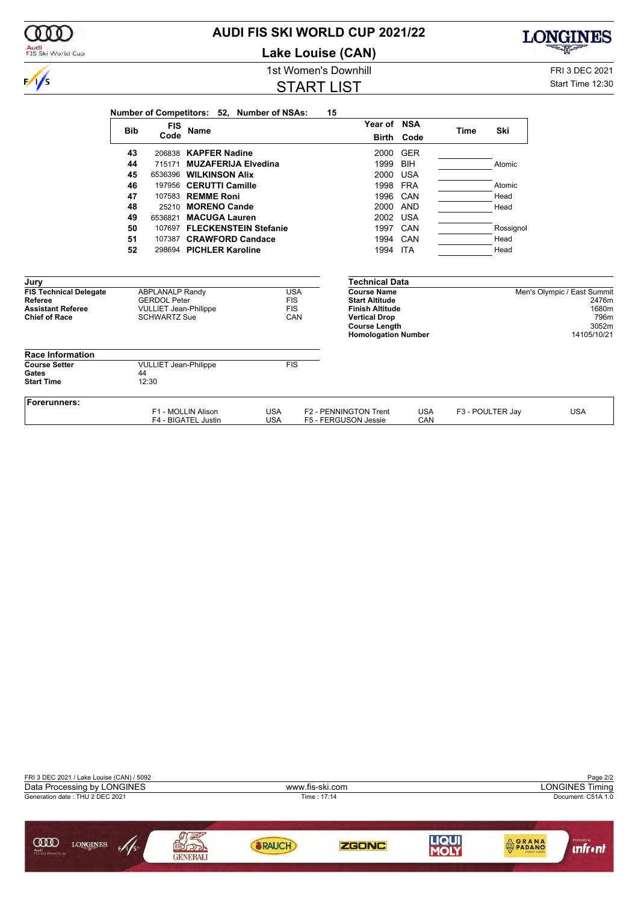| Audi<br>FIS Ski World Cup                                                                    |                                                                                                      | Lake Louise (CAN)                             |                                                                                                                                                     |                          |                  |              | <b>CONTROLL</b>                                                               |
|----------------------------------------------------------------------------------------------|------------------------------------------------------------------------------------------------------|-----------------------------------------------|-----------------------------------------------------------------------------------------------------------------------------------------------------|--------------------------|------------------|--------------|-------------------------------------------------------------------------------|
|                                                                                              |                                                                                                      | 1st Women's Downhill                          |                                                                                                                                                     |                          |                  |              | FRI 3 DEC 2021                                                                |
| $\frac{1}{s}$                                                                                |                                                                                                      | <b>START LIST</b>                             |                                                                                                                                                     |                          |                  |              | Start Time 12:30                                                              |
|                                                                                              | Number of Competitors: 52, Number of NSAs:<br><b>FIS</b><br><b>Bib</b><br><b>Name</b>                |                                               | 15<br>Year of NSA                                                                                                                                   |                          | <b>Time</b>      | Ski          |                                                                               |
|                                                                                              | Code                                                                                                 |                                               | <b>Birth</b>                                                                                                                                        | Code                     |                  |              |                                                                               |
|                                                                                              | 206838 KAPFER Nadine<br>43<br>44<br><b>MUZAFERIJA Elvedina</b><br>715171                             |                                               | 2000<br>1999                                                                                                                                        | <b>GER</b><br><b>BIH</b> |                  | Atomic       |                                                                               |
|                                                                                              | 45<br>6536396 WILKINSON Alix<br>46<br>197956 CERUTTI Camille                                         |                                               | 2000<br>1998 FRA                                                                                                                                    | <b>USA</b>               |                  | Atomic       |                                                                               |
|                                                                                              | 47<br>107583 REMME Roni<br>48<br>25210 MORENO Cande                                                  |                                               | 1996<br>2000 AND                                                                                                                                    | CAN                      |                  | Head<br>Head |                                                                               |
|                                                                                              | 49<br>6536821<br><b>MACUGA Lauren</b><br>50<br>107697 FLECKENSTEIN Stefanie                          |                                               | 2002<br>1997 CAN                                                                                                                                    | <b>USA</b>               |                  | Rossignol    |                                                                               |
|                                                                                              | 51<br>107387 CRAWFORD Candace<br>52<br>298694 PICHLER Karoline                                       |                                               | 1994<br>1994 ITA                                                                                                                                    | CAN                      |                  | Head<br>Head |                                                                               |
| Jury                                                                                         |                                                                                                      |                                               | <b>Technical Data</b>                                                                                                                               |                          |                  |              |                                                                               |
| <b>FIS Technical Delegate</b><br>Referee<br><b>Assistant Referee</b><br><b>Chief of Race</b> | <b>ABPLANALP Randy</b><br><b>GERDOL Peter</b><br><b>VULLIET Jean-Philippe</b><br><b>SCHWARTZ Sue</b> | <b>USA</b><br><b>FIS</b><br><b>FIS</b><br>CAN | <b>Course Name</b><br><b>Start Altitude</b><br><b>Finish Altitude</b><br><b>Vertical Drop</b><br><b>Course Length</b><br><b>Homologation Number</b> |                          |                  |              | Men's Olympic / East Summit<br>2476m<br>1680m<br>796m<br>3052m<br>14105/10/21 |
| <b>Race Information</b>                                                                      |                                                                                                      |                                               |                                                                                                                                                     |                          |                  |              |                                                                               |
| <b>Course Setter</b><br>Gates<br><b>Start Time</b>                                           | <b>VULLIET Jean-Philippe</b><br>44<br>12:30                                                          | FIS                                           |                                                                                                                                                     |                          |                  |              |                                                                               |
| Forerunners:                                                                                 | F1 - MOLLIN Alison<br>F4 - BIGATEL Justin                                                            | <b>USA</b><br><b>USA</b>                      | F2 - PENNINGTON Trent<br>F5 - FERGUSON Jessie                                                                                                       | <b>USA</b><br>CAN        | F3 - POULTER Jay |              | <b>USA</b>                                                                    |

**AUDI FIS SKI WORLD CUP 2021/22**

000

LONGINES

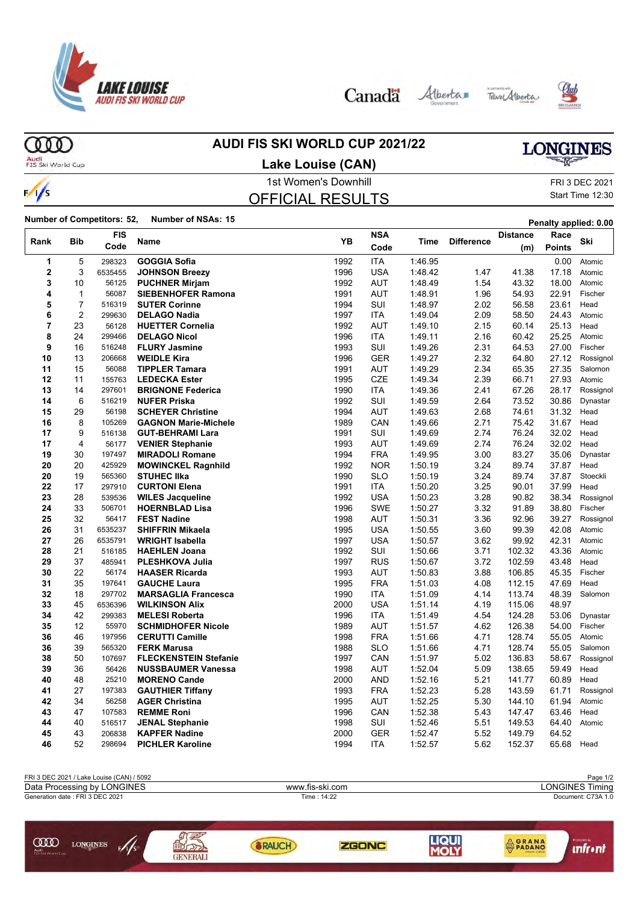

Canada Alberta Tave Alberta





ന്ത

### **AUDI FIS SKI WORLD CUP 2021/22**

## **LONGINES**

Audi<br>FIS Ski World Cup

 $\frac{1}{s}$ 

#### 1st Women's Downhill FRI 3 DEC 2021 **Lake Louise (CAN)**

#### OFFICIAL RESULTS

Start Time 12:30

**Number of Competitors: 52, Number of NSAs: 15 Penalty applied: 0.00**

|                |                | FIS     |                              | YB   | <b>NSA</b> |         |                   | <b>Distance</b> | Race   | Ski       |
|----------------|----------------|---------|------------------------------|------|------------|---------|-------------------|-----------------|--------|-----------|
| Rank           | <b>Bib</b>     | Code    | Name                         |      | Code       | Time    | <b>Difference</b> | (m)             | Points |           |
| 1              | 5              | 298323  | <b>GOGGIA Sofia</b>          | 1992 | <b>ITA</b> | 1:46.95 |                   |                 | 0.00   | Atomic    |
| 2              | 3              | 6535455 | <b>JOHNSON Breezy</b>        | 1996 | <b>USA</b> | 1.48.42 | 1.47              | 41.38           | 17.18  | Atomic    |
| 3              | 10             | 56125   | <b>PUCHNER Mirjam</b>        | 1992 | <b>AUT</b> | 1.48.49 | 1.54              | 43.32           | 18.00  | Atomic    |
| 4              | $\mathbf{1}$   | 56087   | <b>SIEBENHOFER Ramona</b>    | 1991 | <b>AUT</b> | 1:48.91 | 1.96              | 54.93           | 22.91  | Fischer   |
| 5              | $\overline{7}$ | 516319  | <b>SUTER Corinne</b>         | 1994 | SUI        | 1:48.97 | 2.02              | 56.58           | 23.61  | Head      |
| 6              | $\overline{c}$ | 299630  | <b>DELAGO Nadia</b>          | 1997 | <b>ITA</b> | 1:49.04 | 2.09              | 58.50           | 24.43  | Atomic    |
| $\overline{7}$ | 23             | 56128   | <b>HUETTER Cornelia</b>      | 1992 | <b>AUT</b> | 1:49.10 | 2.15              | 60.14           | 25.13  | Head      |
| 8              | 24             | 299466  | <b>DELAGO Nicol</b>          | 1996 | <b>ITA</b> | 1:49.11 | 2.16              | 60.42           | 25.25  | Atomic    |
| 9              | 16             | 516248  | <b>FLURY Jasmine</b>         | 1993 | SUI        | 1.49.26 | 2.31              | 64.53           | 27.00  | Fischer   |
| 10             | 13             | 206668  | <b>WEIDLE Kira</b>           | 1996 | <b>GER</b> | 1:49.27 | 2.32              | 64.80           | 27.12  | Rossignol |
| 11             | 15             | 56088   | <b>TIPPLER Tamara</b>        | 1991 | <b>AUT</b> | 1.49.29 | 2.34              | 65.35           | 27.35  | Salomon   |
| 12             | 11             | 155763  | <b>LEDECKA Ester</b>         | 1995 | <b>CZE</b> | 1:49.34 | 2.39              | 66.71           | 27.93  | Atomic    |
| 13             | 14             | 297601  | <b>BRIGNONE Federica</b>     | 1990 | <b>ITA</b> | 1.49.36 | 2.41              | 67.26           | 28.17  | Rossignol |
| 14             | 6              | 516219  | <b>NUFER Priska</b>          | 1992 | SUI        | 1:49.59 | 2.64              | 73.52           | 30.86  | Dynastar  |
| 15             | 29             | 56198   | <b>SCHEYER Christine</b>     | 1994 | <b>AUT</b> | 1.49.63 | 2.68              | 74.61           | 31.32  | Head      |
| 16             | 8              | 105269  | <b>GAGNON Marie-Michele</b>  | 1989 | CAN        | 1.49.66 | 2.71              | 75.42           | 31.67  | Head      |
| 17             | 9              | 516138  | <b>GUT-BEHRAMI Lara</b>      | 1991 | SUI        | 1:49.69 | 2.74              | 76.24           | 32.02  | Head      |
| 17             | 4              | 56177   | <b>VENIER Stephanie</b>      | 1993 | AUT        | 1.49.69 | 2.74              | 76.24           | 32.02  | Head      |
| 19             | 30             | 197497  | <b>MIRADOLI Romane</b>       | 1994 | <b>FRA</b> | 1:49.95 | 3.00              | 83.27           | 35.06  | Dynastar  |
| 20             | 20             | 425929  | <b>MOWINCKEL Ragnhild</b>    | 1992 | <b>NOR</b> | 1:50.19 | 3.24              | 89.74           | 37.87  | Head      |
| 20             | 19             | 565360  | <b>STUHEC IIka</b>           | 1990 | <b>SLO</b> | 1:50.19 | 3.24              | 89.74           | 37.87  | Stoeckli  |
| 22             | 17             | 297910  | <b>CURTONI Elena</b>         | 1991 | <b>ITA</b> | 1:50.20 | 3.25              | 90.01           | 37.99  | Head      |
| 23             | 28             | 539536  | <b>WILES Jacqueline</b>      | 1992 | <b>USA</b> | 1:50.23 | 3.28              | 90.82           | 38.34  | Rossignol |
| 24             | 33             | 506701  | <b>HOERNBLAD Lisa</b>        | 1996 | <b>SWE</b> | 1:50.27 | 3.32              | 91.89           | 38.80  | Fischer   |
| 25             | 32             | 56417   | <b>FEST Nadine</b>           | 1998 | <b>AUT</b> | 1:50.31 | 3.36              | 92.96           | 39.27  | Rossignol |
| 26             | 31             | 6535237 | <b>SHIFFRIN Mikaela</b>      | 1995 | <b>USA</b> | 1:50.55 | 3.60              | 99.39           | 42.08  | Atomic    |
| 27             | 26             | 6535791 | <b>WRIGHT Isabella</b>       | 1997 | <b>USA</b> | 1:50.57 | 3.62              | 99.92           | 42.31  | Atomic    |
| 28             | 21             | 516185  | <b>HAEHLEN Joana</b>         | 1992 | SUI        | 1:50.66 | 3.71              | 102.32          | 43.36  | Atomic    |
| 29             | 37             | 485941  | <b>PLESHKOVA Julia</b>       | 1997 | <b>RUS</b> | 1:50.67 | 3.72              | 102.59          | 43.48  | Head      |
| 30             | 22             | 56174   | <b>HAASER Ricarda</b>        | 1993 | <b>AUT</b> | 1:50.83 | 3.88              | 106.85          | 45.35  | Fischer   |
| 31             | 35             | 197641  | <b>GAUCHE Laura</b>          | 1995 | <b>FRA</b> | 1.51.03 | 4.08              | 112.15          | 47.69  | Head      |
| 32             | 18             | 297702  | <b>MARSAGLIA Francesca</b>   | 1990 | <b>ITA</b> | 1.51.09 | 4.14              | 113.74          | 48.39  | Salomon   |
| 33             | 45             | 6536396 | <b>WILKINSON Alix</b>        | 2000 | <b>USA</b> | 1:51.14 | 4.19              | 115.06          | 48.97  |           |
| 34             | 42             | 299383  | <b>MELESI Roberta</b>        | 1996 | <b>ITA</b> | 1:51.49 | 4.54              | 124.28          | 53.06  | Dynastar  |
| 35             | 12             | 55970   | <b>SCHMIDHOFER Nicole</b>    | 1989 | <b>AUT</b> | 1:51.57 | 4.62              | 126.38          | 54.00  | Fischer   |
| 36             | 46             | 197956  | <b>CERUTTI Camille</b>       | 1998 | <b>FRA</b> | 1.51.66 | 4.71              | 128.74          | 55.05  | Atomic    |
| 36             | 39             | 565320  | <b>FERK Marusa</b>           | 1988 | <b>SLO</b> | 1:51.66 | 4.71              | 128.74          | 55.05  | Salomon   |
| 38             | 50             | 107697  | <b>FLECKENSTEIN Stefanie</b> | 1997 | CAN        | 1:51.97 | 5.02              | 136.83          | 58.67  | Rossignol |
| 39             | 36             | 56426   | <b>NUSSBAUMER Vanessa</b>    | 1998 | AUT        | 1:52.04 | 5.09              | 138.65          | 59.49  | Head      |
| 40             | 48             | 25210   | <b>MORENO Cande</b>          | 2000 | <b>AND</b> | 1:52.16 | 5.21              | 141.77          | 60.89  | Head      |
| 41             | 27             | 197383  | <b>GAUTHIER Tiffany</b>      | 1993 | <b>FRA</b> | 1:52.23 | 5.28              | 143.59          | 61.71  | Rossignol |
| 42             | 34             | 56258   | <b>AGER Christina</b>        | 1995 | AUT        | 1:52.25 | 5.30              | 144.10          | 61.94  | Atomic    |
| 43             | 47             | 107583  | <b>REMME Roni</b>            | 1996 | CAN        | 1:52.38 | 5.43              | 147.47          | 63.46  | Head      |
| 44             | 40             | 516517  | <b>JENAL Stephanie</b>       | 1998 | SUI        | 1.52.46 | 5.51              | 149.53          | 64.40  | Atomic    |
| 45             | 43             | 206838  | <b>KAPFER Nadine</b>         | 2000 | <b>GER</b> | 1:52.47 | 5.52              | 149.79          | 64.52  |           |
| 46             | 52             | 298694  | <b>PICHLER Karoline</b>      | 1994 | <b>ITA</b> | 1:52.57 | 5.62              | 152.37          | 65.68  | Head      |
|                |                |         |                              |      |            |         |                   |                 |        |           |

| FRI 3 DEC 2021 / Lake Louise (CAN) / 5092                             |                 |                 |              |       |                                | Page 1/2               |
|-----------------------------------------------------------------------|-----------------|-----------------|--------------|-------|--------------------------------|------------------------|
| Data Processing by LONGINES                                           |                 | www.fis-ski.com |              |       |                                | <b>LONGINES Timing</b> |
| Generation date: FRI 3 DEC 2021                                       |                 |                 | Time: 14:22  |       |                                | Document: C73A 1.0     |
| ŒŒ<br>$\mathscr{N}_s$<br><b>LONGINES</b><br>Audi<br>FIS Ski World Cup | <b>GENERALI</b> | <b>BRAUCH</b>   | <b>ZGONC</b> | LIQUI | <b>AGRANA</b><br><b>PADANO</b> | ıntr ınt               |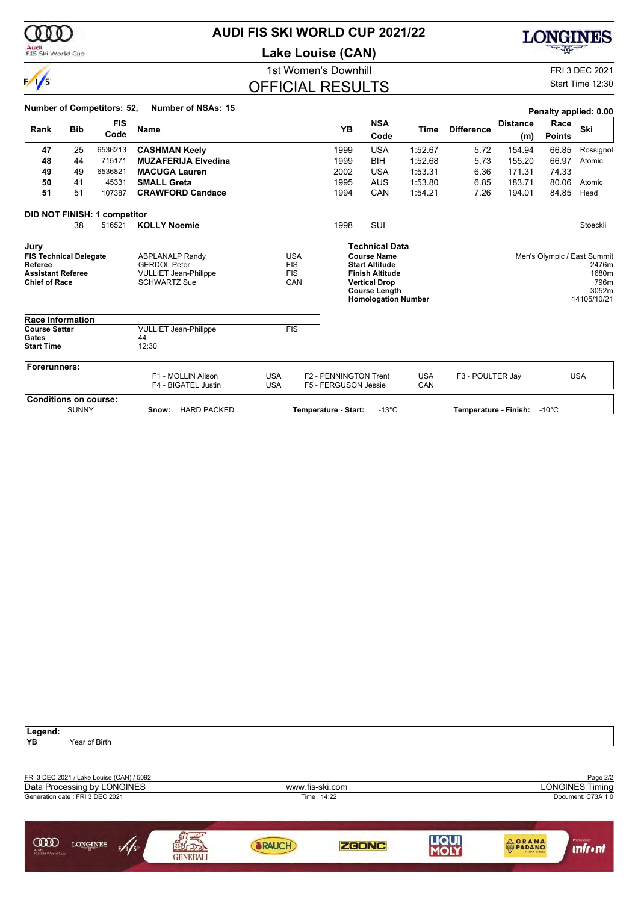

### **AUDI FIS SKI WORLD CUP 2021/22**

**Lake Louise (CAN)**



### OFFICIAL RESULTS

**LONGINES** 

池

#### Start Time 12:30

|                                                                                              |              | <b>Number of Competitors: 52,</b> | Number of NSAs: 15                                                                                   |                          |                   |                                               |                                                                                                                                                     |                   |                       |                        |                       | Penalty applied: 0.00                                                         |
|----------------------------------------------------------------------------------------------|--------------|-----------------------------------|------------------------------------------------------------------------------------------------------|--------------------------|-------------------|-----------------------------------------------|-----------------------------------------------------------------------------------------------------------------------------------------------------|-------------------|-----------------------|------------------------|-----------------------|-------------------------------------------------------------------------------|
| Rank                                                                                         | <b>Bib</b>   | <b>FIS</b><br>Code                | <b>Name</b>                                                                                          |                          |                   | <b>YB</b>                                     | <b>NSA</b><br>Code                                                                                                                                  | Time              | <b>Difference</b>     | <b>Distance</b><br>(m) | Race<br><b>Points</b> | Ski                                                                           |
| 47                                                                                           | 25           | 6536213                           | <b>CASHMAN Keely</b>                                                                                 |                          |                   | 1999                                          | <b>USA</b>                                                                                                                                          | 1:52.67           | 5.72                  | 154.94                 | 66.85                 | Rossignol                                                                     |
| 48                                                                                           | 44           | 715171                            | <b>MUZAFERIJA Elvedina</b>                                                                           |                          |                   | 1999                                          | BIH                                                                                                                                                 | 1:52.68           | 5.73                  | 155.20                 | 66.97                 | Atomic                                                                        |
| 49                                                                                           | 49           | 6536821                           | <b>MACUGA Lauren</b>                                                                                 |                          |                   | 2002                                          | <b>USA</b>                                                                                                                                          | 1:53.31           | 6.36                  | 171.31                 | 74.33                 |                                                                               |
| 50                                                                                           | 41           | 45331                             | <b>SMALL Greta</b>                                                                                   |                          |                   | 1995                                          | AUS                                                                                                                                                 | 1:53.80           | 6.85                  | 183.71                 | 80.06                 | Atomic                                                                        |
| 51                                                                                           | 51           | 107387                            | <b>CRAWFORD Candace</b>                                                                              |                          |                   | 1994                                          | CAN                                                                                                                                                 | 1:54.21           | 7.26                  | 194.01                 | 84.85                 | Head                                                                          |
|                                                                                              |              | DID NOT FINISH: 1 competitor      |                                                                                                      |                          |                   |                                               |                                                                                                                                                     |                   |                       |                        |                       |                                                                               |
|                                                                                              | 38           | 516521                            | <b>KOLLY Noemie</b>                                                                                  |                          |                   | 1998                                          | SUI                                                                                                                                                 |                   |                       |                        |                       | Stoeckli                                                                      |
| Jury                                                                                         |              |                                   |                                                                                                      |                          |                   |                                               | <b>Technical Data</b>                                                                                                                               |                   |                       |                        |                       |                                                                               |
| <b>FIS Technical Delegate</b><br>Referee<br><b>Assistant Referee</b><br><b>Chief of Race</b> |              |                                   | <b>ABPLANALP Randy</b><br><b>GERDOL Peter</b><br><b>VULLIET Jean-Philippe</b><br><b>SCHWARTZ Sue</b> | <b>FIS</b><br><b>FIS</b> | <b>USA</b><br>CAN |                                               | <b>Course Name</b><br><b>Start Altitude</b><br><b>Finish Altitude</b><br><b>Vertical Drop</b><br><b>Course Length</b><br><b>Homologation Number</b> |                   |                       |                        |                       | Men's Olympic / East Summit<br>2476m<br>1680m<br>796m<br>3052m<br>14105/10/21 |
| <b>Race Information</b>                                                                      |              |                                   |                                                                                                      |                          |                   |                                               |                                                                                                                                                     |                   |                       |                        |                       |                                                                               |
| <b>Course Setter</b><br>Gates<br><b>Start Time</b>                                           |              |                                   | <b>VULLIET Jean-Philippe</b><br>44<br>12:30                                                          | <b>FIS</b>               |                   |                                               |                                                                                                                                                     |                   |                       |                        |                       |                                                                               |
| <b>Forerunners:</b>                                                                          |              |                                   |                                                                                                      |                          |                   |                                               |                                                                                                                                                     |                   |                       |                        |                       |                                                                               |
|                                                                                              |              |                                   | F1 - MOLLIN Alison<br>F4 - BIGATEL Justin                                                            | <b>USA</b><br><b>USA</b> |                   | F2 - PENNINGTON Trent<br>F5 - FERGUSON Jessie |                                                                                                                                                     | <b>USA</b><br>CAN | F3 - POULTER Jay      |                        |                       | <b>USA</b>                                                                    |
| <b>Conditions on course:</b>                                                                 |              |                                   |                                                                                                      |                          |                   |                                               |                                                                                                                                                     |                   |                       |                        |                       |                                                                               |
|                                                                                              | <b>SUNNY</b> |                                   | <b>HARD PACKED</b><br>Snow:                                                                          |                          |                   | Temperature - Start:                          | $-13^{\circ}$ C                                                                                                                                     |                   | Temperature - Finish: |                        | $-10^{\circ}$ C       |                                                                               |

| Legend:<br>YB<br>Year of Birth                                           |                 |                 |              |      |              |                                    |
|--------------------------------------------------------------------------|-----------------|-----------------|--------------|------|--------------|------------------------------------|
| FRI 3 DEC 2021 / Lake Louise (CAN) / 5092<br>Data Processing by LONGINES |                 | www.fis-ski.com |              |      |              | Page 2/2<br><b>LONGINES Timing</b> |
| Generation date: FRI 3 DEC 2021                                          |                 |                 | Time: 14:22  |      |              | Document: C73A 1.0                 |
| <b>COD</b><br><b>LONGINES</b><br>F/1/s<br>Audi<br>FIS Ski World Cup      | <b>GENERALI</b> | <b>BRAUCH</b>   | <b>ZGONC</b> | LIQU | <b>ORANA</b> | Promoted by<br><b>unfr</b> • nt    |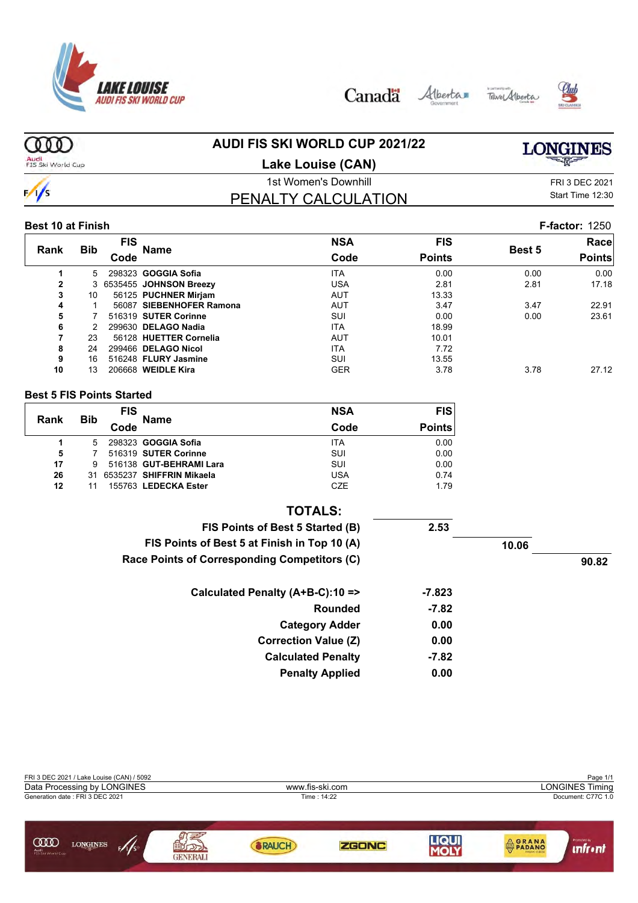

Canada





#### **AUDI FIS SKI WORLD CUP 2021/22**  $000$ **LONGINES** Audi<br>FIS Ski World Cup **Lake Louise (CAN)** 1st Women's Downhill FRI 3 DEC 2021  $\frac{1}{s}$ Start Time 12:30 PENALTY CALCULATION **Best 10 at Finish F-factor:** 1250 **FIS NSA FIS Race Rank Bib Name Best 5 Code Code Points Points 1** 5 298323 **GOGGIA Sofia** ITA 0.00 0.00 0.00 **2** 3 6535455 **JOHNSON Breezy** USA 2.81 2.81 17.18 **3** 10 56125 **PUCHNER Mirjam** AUT 13.33 **4** 1 56087 **SIEBENHOFER Ramona** AUT 3.47 3.47 22.91 **7 516319 SUTER Corinne 6** 2 299630 **DELAGO Nadia** 18.99<br> **18.99 18.99 18.99 18.99 18.99 18.99 18.99 18.99 18.99 18.01 18.01 18.01 18.01 56128 HUETTER Cornelia 8** 24 299466 **DELAGO Nicol** ITA 7.72 **9** 16 516248 **FLURY Jasmine 13.55** SUI 13.55<br>**10** 13 206668 WEIDLE Kira **13.55** SER 3.78 **10** 13 206668 **WEIDLE Kira** GER 3.78 3.78 27.12 **Best 5 FIS Points Started NSA FIS FIS Rank Bib Name Code Code Points 1** 5 298323 **GOGGIA Sofia** ITA 0.00 **5** 7 516319 **SUTER Corinne** SUI 0.00 **516138 GUT-BEHRAMI Lara 26** 31 6535237 **SHIFFRIN Mikaela** USA 0.74 **12** 11 155763 **LEDECKA Ester** CZE 1.79 **TOTALS: FIS Points of Best 5 Started (B) 2.53 FIS Points of Best 5 at Finish in Top 10 (A) 10.06 Race Points of Corresponding Competitors (C) 90.82 Calculated Penalty (A+B-C):10 => -7.823 Rounded -7.82 Category Adder 0.00 Correction Value (Z) 0.00 Calculated Penalty -7.82 Penalty Applied 0.00**

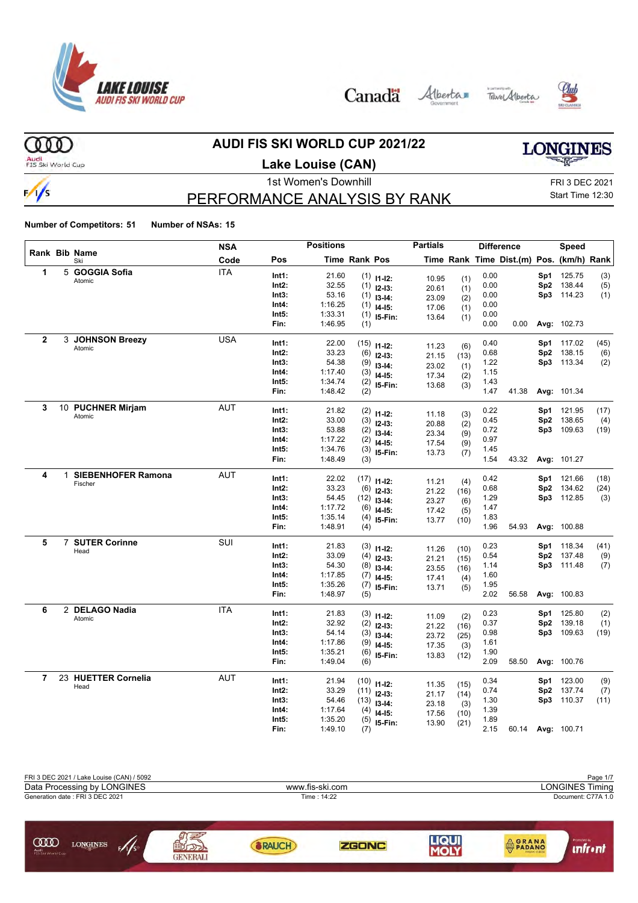

Canada Alberta Tave Alberta





**AUDI FIS SKI WORLD CUP 2021/22**

Audi<br>FIS Ski World Cup

 $000$ 

 $\frac{1}{s}$ 

### **Lake Louise (CAN)**

## **LONGINES**

### 1st Women's Downhill FRI 3 DEC 2021

### PERFORMANCE ANALYSIS BY RANK

Start Time 12:30

|              |              |                           | <b>NSA</b> |       | <b>Positions</b> |                      |                              | <b>Partials</b> |      |      | <b>Difference</b>                        |                 | Speed                    |              |
|--------------|--------------|---------------------------|------------|-------|------------------|----------------------|------------------------------|-----------------|------|------|------------------------------------------|-----------------|--------------------------|--------------|
|              |              | Rank Bib Name<br>Ski      | Code       | Pos   |                  | <b>Time Rank Pos</b> |                              |                 |      |      | Time Rank Time Dist.(m) Pos. (km/h) Rank |                 |                          |              |
| 1            |              | 5 GOGGIA Sofia            | <b>ITA</b> | Int1: | 21.60            |                      | $(1)$ 11-12:                 | 10.95           | (1)  | 0.00 |                                          | Sp1             | 125.75                   | (3)          |
|              |              | Atomic                    |            | Int2: | 32.55            |                      | $(1)$ 12-13:                 | 20.61           | (1)  | 0.00 |                                          | Sp2             | 138.44                   | (5)          |
|              |              |                           |            | Int3: | 53.16            | (1)                  | $13 - 14:$                   | 23.09           | (2)  | 0.00 |                                          |                 | Sp3 114.23               | (1)          |
|              |              |                           |            | Int4: | 1:16.25          |                      | $(1)$ 14-15:                 | 17.06           | (1)  | 0.00 |                                          |                 |                          |              |
|              |              |                           |            | Int5: | 1:33.31          |                      | $(1)$ 15-Fin:                | 13.64           | (1)  | 0.00 |                                          |                 |                          |              |
|              |              |                           |            | Fin:  | 1:46.95          | (1)                  |                              |                 |      | 0.00 | 0.00                                     |                 | Avg: 102.73              |              |
| $\mathbf{2}$ |              | 3 JOHNSON Breezy          | <b>USA</b> | Int1: | 22.00            |                      | $(15)$ 11-12:                |                 |      | 0.40 |                                          | Sp1             | 117.02                   | (45)         |
|              |              | Atomic                    |            | Int2: | 33.23            |                      | $(6)$ 12-13:                 | 11.23           | (6)  | 0.68 |                                          | Sp2             | 138.15                   | (6)          |
|              |              |                           |            | Int3: | 54.38            | (9)                  | $13-14:$                     | 21.15           | (13) | 1.22 |                                          |                 | Sp3 113.34               | (2)          |
|              |              |                           |            | Int4: | 1:17.40          | (3)                  | $14 - 15$ :                  | 23.02<br>17.34  | (1)  | 1.15 |                                          |                 |                          |              |
|              |              |                           |            | Int5: | 1:34.74          |                      | $(2)$ 15-Fin:                | 13.68           | (2)  | 1.43 |                                          |                 |                          |              |
|              |              |                           |            | Fin:  | 1:48.42          | (2)                  |                              |                 | (3)  | 1.47 | 41.38                                    |                 | Avg: 101.34              |              |
| 3            |              | 10 PUCHNER Mirjam         | <b>AUT</b> | Int1: | 21.82            |                      |                              |                 |      | 0.22 |                                          | Sp1             | 121.95                   | (17)         |
|              |              | Atomic                    |            | Int2: | 33.00            |                      | $(2)$ 11-12:                 | 11.18           | (3)  | 0.45 |                                          | Sp <sub>2</sub> | 138.65                   | (4)          |
|              |              |                           |            | Int3: | 53.88            |                      | $(3)$ 12-13:<br>$(2)$ 13-14: | 20.88           | (2)  | 0.72 |                                          |                 | Sp3 109.63               | (19)         |
|              |              |                           |            | Int4: | 1:17.22          |                      | $(2)$ 14-15:                 | 23.34           | (9)  | 0.97 |                                          |                 |                          |              |
|              |              |                           |            | Int5: | 1:34.76          | (3)                  | 15-Fin:                      | 17.54           | (9)  | 1.45 |                                          |                 |                          |              |
|              |              |                           |            | Fin:  | 1:48.49          | (3)                  |                              | 13.73           | (7)  | 1.54 | 43.32                                    |                 | Avg: 101.27              |              |
| 4            | $\mathbf{1}$ | <b>SIEBENHOFER Ramona</b> | <b>AUT</b> | Int1: | 22.02            |                      |                              |                 |      | 0.42 |                                          |                 |                          |              |
|              |              | Fischer                   |            | Int2: | 33.23            |                      | $(17)$ 11-12:                | 11.21           | (4)  | 0.68 |                                          |                 | Sp1 121.66<br>Sp2 134.62 | (18)<br>(24) |
|              |              |                           |            | Int3: | 54.45            |                      | $(6)$ 12-13:                 | 21.22           | (16) | 1.29 |                                          |                 | Sp3 112.85               |              |
|              |              |                           |            | Int4: | 1:17.72          | (6)                  | $(12)$ 13-14:                | 23.27           | (6)  | 1.47 |                                          |                 |                          | (3)          |
|              |              |                           |            | Int5: | 1:35.14          |                      | $14-15:$                     | 17.42           | (5)  | 1.83 |                                          |                 |                          |              |
|              |              |                           |            | Fin:  | 1:48.91          | (4)<br>(4)           | 15-Fin:                      | 13.77           | (10) | 1.96 | 54.93                                    |                 | Avg: 100.88              |              |
|              |              |                           |            |       |                  |                      |                              |                 |      |      |                                          |                 |                          |              |
| 5            |              | 7 SUTER Corinne<br>Head   | SUI        | Int1: | 21.83            |                      | $(3)$ 11-12:                 | 11.26           | (10) | 0.23 |                                          | Sp1             | 118.34                   | (41)         |
|              |              |                           |            | Int2: | 33.09            | (4)                  | $12-13:$                     | 21.21           | (15) | 0.54 |                                          |                 | Sp2 137.48               | (9)          |
|              |              |                           |            | Int3: | 54.30            | (8)                  | $13-14:$                     | 23.55           | (16) | 1.14 |                                          |                 | Sp3 111.48               | (7)          |
|              |              |                           |            | Int4: | 1:17.85          |                      | $(7)$ 14-15:                 | 17.41           | (4)  | 1.60 |                                          |                 |                          |              |
|              |              |                           |            | Int5: | 1:35.26          | (7)                  | 15-Fin:                      | 13.71           | (5)  | 1.95 |                                          |                 |                          |              |
|              |              |                           |            | Fin:  | 1:48.97          | (5)                  |                              |                 |      | 2.02 | 56.58                                    |                 | Avg: 100.83              |              |
| 6            |              | 2 DELAGO Nadia            | <b>ITA</b> | Int1: | 21.83            |                      | $(3)$ 11-12:                 | 11.09           | (2)  | 0.23 |                                          | Sp1             | 125.80                   | (2)          |
|              |              | Atomic                    |            | Int2: | 32.92            |                      | $(2)$ 12-13:                 | 21.22           | (16) | 0.37 |                                          | Sp2             | 139.18                   | (1)          |
|              |              |                           |            | Int3: | 54.14            |                      | $(3)$ 13-14:                 | 23.72           | (25) | 0.98 |                                          |                 | Sp3 109.63               | (19)         |
|              |              |                           |            | Int4: | 1:17.86          |                      | $(9)$ 14-15:                 | 17.35           | (3)  | 1.61 |                                          |                 |                          |              |
|              |              |                           |            | Int5: | 1:35.21          | (6)                  | 15-Fin:                      | 13.83           | (12) | 1.90 |                                          |                 |                          |              |
|              |              |                           |            | Fin:  | 1:49.04          | (6)                  |                              |                 |      | 2.09 | 58.50                                    |                 | Avg: 100.76              |              |
| 7            |              | 23 HUETTER Cornelia       | <b>AUT</b> | Int1: | 21.94            |                      | $(10)$ 11-12:                |                 | (15) | 0.34 |                                          | Sp1             | 123.00                   | (9)          |
|              |              | Head                      |            | Int2: | 33.29            |                      | $(11)$ 12-13:                | 11.35<br>21.17  | (14) | 0.74 |                                          | Sp2             | 137.74                   | (7)          |
|              |              |                           |            | Int3: | 54.46            |                      | $(13)$ 13-14:                | 23.18           | (3)  | 1.30 |                                          | Sp3             | 110.37                   | (11)         |
|              |              |                           |            | Int4: | 1:17.64          | (4)                  | $14 - 15$ :                  | 17.56           | (10) | 1.39 |                                          |                 |                          |              |
|              |              |                           |            | Int5: | 1:35.20          | (5)                  | 15-Fin:                      | 13.90           | (21) | 1.89 |                                          |                 |                          |              |
|              |              |                           |            | Fin:  | 1:49.10          | (7)                  |                              |                 |      | 2.15 | 60.14                                    |                 | Avg: 100.71              |              |

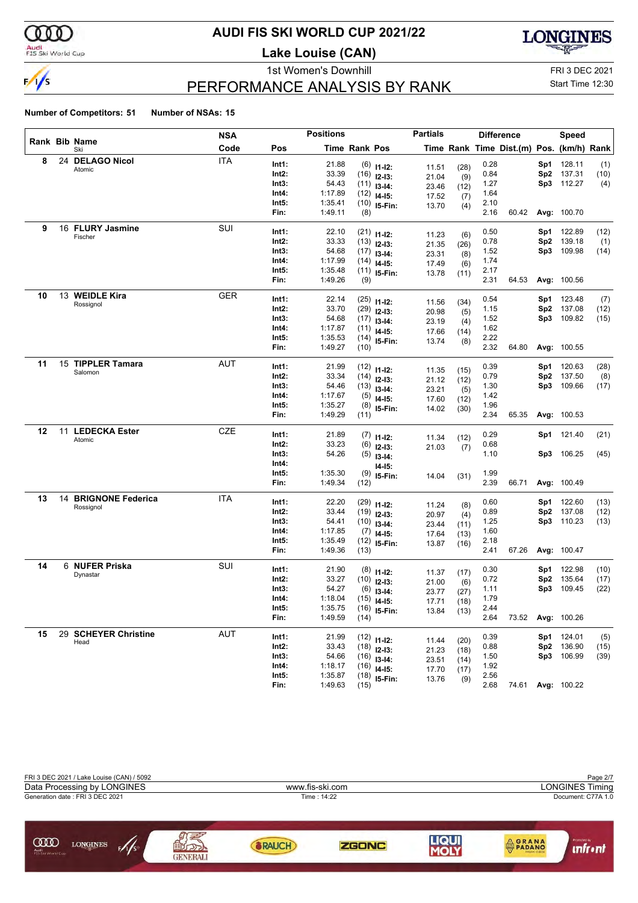

#### **AUDI FIS SKI WORLD CUP 2021/22**

**Lake Louise (CAN)**



### PERFORMANCE ANALYSIS BY RANK

1st Women's Downhill FRI 3 DEC 2021 Start Time 12:30

|    |    |                             | <b>NSA</b> |                | <b>Positions</b>   |                      |                                 | <b>Partials</b> |              |              | <b>Difference</b>                        |                 | Speed              |              |
|----|----|-----------------------------|------------|----------------|--------------------|----------------------|---------------------------------|-----------------|--------------|--------------|------------------------------------------|-----------------|--------------------|--------------|
|    |    | <b>Rank Bib Name</b><br>Ski | Code       | Pos            |                    | <b>Time Rank Pos</b> |                                 |                 |              |              | Time Rank Time Dist.(m) Pos. (km/h) Rank |                 |                    |              |
| 8  | 24 | <b>DELAGO Nicol</b>         | <b>ITA</b> | Int1:          | 21.88              |                      | $(6)$ 11-12:                    | 11.51           | (28)         | 0.28         |                                          | Sp1             | 128.11             | (1)          |
|    |    | Atomic                      |            | Int2:          | 33.39              |                      | $(16)$ 12-13:                   | 21.04           | (9)          | 0.84         |                                          | Sp <sub>2</sub> | 137.31             | (10)         |
|    |    |                             |            | Int3:          | 54.43              |                      | $(11)$ 13-14:                   | 23.46           | (12)         | 1.27         |                                          | Sp3             | 112.27             | (4)          |
|    |    |                             |            | Int4:          | 1:17.89            |                      | $(12)$ 14-15:                   | 17.52           | (7)          | 1.64         |                                          |                 |                    |              |
|    |    |                             |            | Int5:          | 1:35.41            |                      | $(10)$ 15-Fin:                  | 13.70           | (4)          | 2.10         |                                          |                 |                    |              |
|    |    |                             |            | Fin:           | 1:49.11            | (8)                  |                                 |                 |              | 2.16         | 60.42                                    |                 | Avg: 100.70        |              |
| 9  |    | 16 FLURY Jasmine            | SUI        | Int1:          | 22.10              |                      |                                 |                 |              | 0.50         |                                          | Sp1             | 122.89             | (12)         |
|    |    | Fischer                     |            | Int2:          | 33.33              |                      | $(21)$ 11-12:<br>$(13)$ 12-13:  | 11.23           | (6)          | 0.78         |                                          | Sp <sub>2</sub> | 139.18             | (1)          |
|    |    |                             |            | Int3:          | 54.68              |                      | $(17)$ 13-14:                   | 21.35           | (26)         | 1.52         |                                          | Sp3             | 109.98             | (14)         |
|    |    |                             |            | Int4:          | 1:17.99            |                      |                                 | 23.31           | (8)          | 1.74         |                                          |                 |                    |              |
|    |    |                             |            | Int5:          | 1:35.48            |                      | $(14)$ 14-15:<br>$(11)$ 15-Fin: | 17.49           | (6)          | 2.17         |                                          |                 |                    |              |
|    |    |                             |            | Fin:           | 1:49.26            | (9)                  |                                 | 13.78           | (11)         | 2.31         | 64.53                                    |                 | Avg: 100.56        |              |
| 10 |    | 13 WEIDLE Kira              | <b>GER</b> |                |                    |                      |                                 |                 |              |              |                                          |                 |                    |              |
|    |    | Rossignol                   |            | Int1:<br>Int2: | 22.14              |                      | $(25)$ 11-12:                   | 11.56           | (34)         | 0.54         |                                          | Sp1             | 123.48             | (7)          |
|    |    |                             |            |                | 33.70              |                      | $(29)$ 12-13:                   | 20.98           | (5)          | 1.15         |                                          | Sp <sub>2</sub> | 137.08             | (12)         |
|    |    |                             |            | Int3:          | 54.68              |                      | $(17)$ 13-14:                   | 23.19           | (4)          | 1.52         |                                          | Sp3             | 109.82             | (15)         |
|    |    |                             |            | Int4:          | 1:17.87            |                      | $(11)$ 14-15:                   | 17.66           | (14)         | 1.62         |                                          |                 |                    |              |
|    |    |                             |            | Int5:<br>Fin:  | 1:35.53<br>1:49.27 |                      | $(14)$ 15-Fin:                  | 13.74           | (8)          | 2.22<br>2.32 |                                          |                 |                    |              |
|    |    |                             |            |                |                    | (10)                 |                                 |                 |              |              | 64.80                                    |                 | Avg: 100.55        |              |
| 11 |    | 15 TIPPLER Tamara           | <b>AUT</b> | Int1:          | 21.99              |                      | $(12)$ 11-12:                   | 11.35           | (15)         | 0.39         |                                          | Sp1             | 120.63             | (28)         |
|    |    | Salomon                     |            | Int2:          | 33.34              |                      | $(14)$ 12-13:                   | 21.12           | (12)         | 0.79         |                                          | Sp <sub>2</sub> | 137.50             | (8)          |
|    |    |                             |            | Int3:          | 54.46              |                      | $(13)$ 13-14:                   | 23.21           | (5)          | 1.30         |                                          | Sp3             | 109.66             | (17)         |
|    |    |                             |            | Int4:          | 1:17.67            | (5)                  | $14 - 15$ :                     | 17.60           |              | 1.42         |                                          |                 |                    |              |
|    |    |                             |            | Int5:          | 1:35.27            | (8)                  | 15-Fin:                         | 14.02           | (12)<br>(30) | 1.96         |                                          |                 |                    |              |
|    |    |                             |            | Fin:           | 1:49.29            | (11)                 |                                 |                 |              | 2.34         | 65.35                                    |                 | Avg: 100.53        |              |
| 12 | 11 | <b>LEDECKA Ester</b>        | CZE        | Int1:          | 21.89              |                      | $(7)$ 11-12:                    |                 |              | 0.29         |                                          | Sp1             | 121.40             | (21)         |
|    |    | Atomic                      |            | Int2:          | 33.23              | (6)                  | $12-13:$                        | 11.34           | (12)         | 0.68         |                                          |                 |                    |              |
|    |    |                             |            | Int3:          | 54.26              |                      | $(5)$ 13-14:                    | 21.03           | (7)          | 1.10         |                                          | Sp3             | 106.25             | (45)         |
|    |    |                             |            | Int4:          |                    |                      |                                 |                 |              |              |                                          |                 |                    |              |
|    |    |                             |            | Int5:          | 1:35.30            | (9)                  | $14-15:$<br>15-Fin:             |                 |              | 1.99         |                                          |                 |                    |              |
|    |    |                             |            | Fin:           | 1:49.34            | (12)                 |                                 | 14.04           | (31)         | 2.39         | 66.71                                    |                 | Avg: 100.49        |              |
| 13 |    | 14 BRIGNONE Federica        | <b>ITA</b> | Int1:          | 22.20              |                      |                                 |                 |              | 0.60         |                                          | Sp1             | 122.60             |              |
|    |    | Rossignol                   |            | Int2:          | 33.44              |                      | $(29)$ 11-12:                   | 11.24           | (8)          | 0.89         |                                          | Sp <sub>2</sub> | 137.08             | (13)<br>(12) |
|    |    |                             |            | Int3:          | 54.41              |                      | $(19)$ 12-13:                   | 20.97           | (4)          | 1.25         |                                          | Sp3             | 110.23             | (13)         |
|    |    |                             |            | Int4:          | 1:17.85            |                      | $(10)$ 13-14:                   | 23.44           | (11)         | 1.60         |                                          |                 |                    |              |
|    |    |                             |            | Int5:          | 1:35.49            | (7)                  | $14-15:$                        | 17.64           | (13)         | 2.18         |                                          |                 |                    |              |
|    |    |                             |            | Fin:           | 1:49.36            | (13)                 | $(12)$ 15-Fin:                  | 13.87           | (16)         | 2.41         | 67.26                                    |                 | Avg: 100.47        |              |
| 14 |    | 6 NUFER Priska              | SUI        |                |                    |                      |                                 |                 |              |              |                                          |                 |                    |              |
|    |    | Dynastar                    |            | Int1:          | 21.90              |                      | $(8)$ 11-12:                    | 11.37           | (17)         | 0.30         |                                          | Sp1             | 122.98             | (10)         |
|    |    |                             |            | Int2:          | 33.27              |                      | $(10)$ 12-13:                   | 21.00           | (6)          | 0.72         |                                          | Sp <sub>2</sub> | 135.64             | (17)         |
|    |    |                             |            | Int3:<br>Int4: | 54.27<br>1:18.04   | (6)                  | $13 - 14:$                      | 23.77           | (27)         | 1.11<br>1.79 |                                          | Sp3             | 109.45             | (22)         |
|    |    |                             |            |                |                    |                      | $(15)$ 14-15:                   | 17.71           | (18)         |              |                                          |                 |                    |              |
|    |    |                             |            | Int5:<br>Fin:  | 1:35.75<br>1:49.59 | (14)                 | $(16)$ 15-Fin:                  | 13.84           | (13)         | 2.44<br>2.64 | 73.52                                    |                 | <b>Avg: 100.26</b> |              |
| 15 |    | 29 SCHEYER Christine        | AUT        |                |                    |                      |                                 |                 |              |              |                                          |                 |                    |              |
|    |    | Head                        |            | Int1:          | 21.99              |                      | $(12)$ 11-12:                   | 11.44           | (20)         | 0.39         |                                          | Sp1             | 124.01             | (5)          |
|    |    |                             |            | Int2:          | 33.43              |                      | $(18)$ 12-13:                   | 21.23           | (18)         | 0.88         |                                          |                 | Sp2 136.90         | (15)         |
|    |    |                             |            | Int3:          | 54.66              |                      | $(16)$ 13-14:                   | 23.51           | (14)         | 1.50         |                                          |                 | Sp3 106.99         | (39)         |
|    |    |                             |            | Int4:          | 1:18.17            |                      | $(16)$ 14-15:                   | 17.70           | (17)         | 1.92         |                                          |                 |                    |              |
|    |    |                             |            | Int5:          | 1:35.87            |                      | $(18)$ 15-Fin:                  | 13.76           | (9)          | 2.56         |                                          |                 |                    |              |
|    |    |                             |            | Fin:           | 1:49.63            | (15)                 |                                 |                 |              | 2.68         |                                          |                 | 74.61 Avg: 100.22  |              |

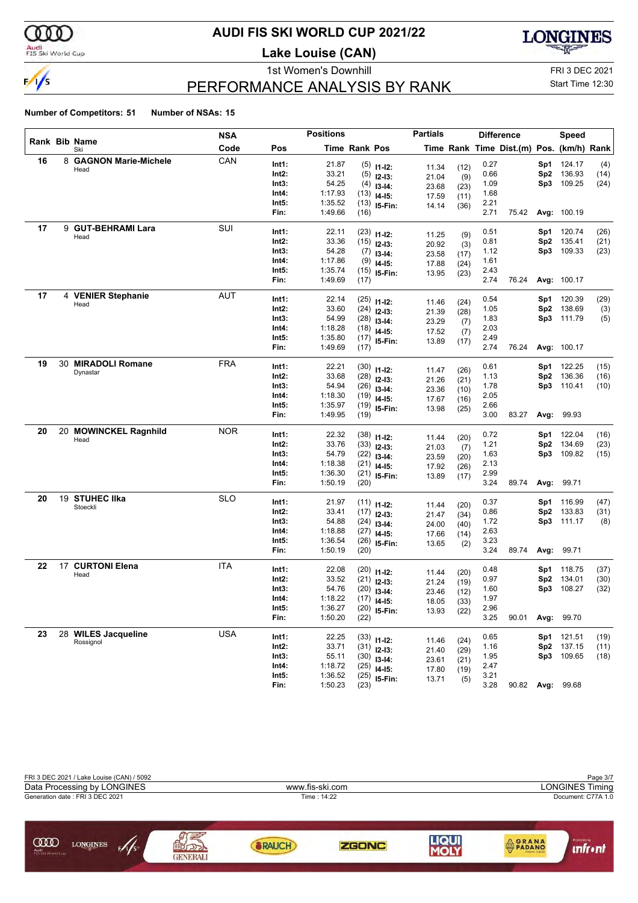

#### **AUDI FIS SKI WORLD CUP 2021/22**

**Lake Louise (CAN)**



### PERFORMANCE ANALYSIS BY RANK

1st Women's Downhill FRI 3 DEC 2021 Start Time 12:30

| Rank Bib Name<br>Code<br>Time Rank Pos<br>Time Rank Time Dist.(m) Pos. (km/h) Rank<br>Pos<br>Ski<br>CAN<br>16<br>8 GAGNON Marie-Michele<br>21.87<br>0.27<br>Int1:<br>Sp1<br>124.17<br>$(5)$ 11-12:<br>(12)<br>11.34<br>Head<br>33.21<br>Int2:<br>0.66<br>Sp2<br>136.93<br>$(5)$ 12-13:<br>(9)<br>21.04<br>54.25<br>1.09<br>109.25<br>Int3:<br>Sp3<br>$(4)$ 13-14:<br>23.68<br>(23)<br>1:17.93<br>Int4:<br>1.68<br>$(13)$ 14-15:<br>17.59<br>(11)<br>1:35.52<br>2.21<br>Int5:<br>$(13)$ 15-Fin:<br>14.14<br>(36)<br>1:49.66<br>2.71<br>75.42<br>Avg: 100.19<br>Fin:<br>(16)<br>9 GUT-BEHRAMI Lara<br>SUI<br>17<br>22.11<br>0.51<br>Int1:<br>Sp1<br>120.74<br>$(23)$ 11-12:<br>11.25<br>(9)<br>Head<br>Int2:<br>33.36<br>0.81<br>135.41<br>Sp2<br>$(15)$ 12-13:<br>20.92<br>(3)<br>54.28<br>Int3:<br>1.12<br>Sp3 109.33<br>$(7)$ 13-14:<br>23.58<br>(17)<br>1:17.86<br>1.61<br>Int4:<br>$(9)$ 14-15:<br>17.88<br>(24)<br>1:35.74<br>Int5:<br>2.43<br>$(15)$ 15-Fin:<br>13.95<br>(23)<br>2.74<br>Fin:<br>1:49.69<br>76.24<br>(17)<br><b>Avg: 100.17</b><br>17<br>4 VENIER Stephanie<br>AUT<br>22.14<br>Int1:<br>0.54<br>120.39<br>(29)<br>$(25)$ 11-12:<br>Sp1<br>11.46<br>(24)<br>Head<br>33.60<br>1.05<br>Int2:<br>Sp2<br>138.69<br>$(24)$ 12-13:<br>(3)<br>21.39<br>(28)<br>54.99<br>1.83<br>Int3:<br>Sp3 111.79<br>$(28)$ 13-14:<br>23.29<br>(7)<br>1:18.28<br>2.03<br>Int4:<br>$(18)$ 14-15:<br>17.52<br>(7)<br>1:35.80<br>2.49<br>Int5:<br>$(17)$ 15-Fin:<br>13.89<br>(17)<br>2.74<br>Fin:<br>1:49.69<br>76.24<br>Avg: 100.17<br>(17)<br>30 MIRADOLI Romane<br><b>FRA</b><br>19<br>22.21<br>0.61<br>Sp1 122.25<br>Int1:<br>(15)<br>$(30)$ 11-12:<br>(26)<br>11.47<br>Dynastar<br>Int2:<br>33.68<br>1.13<br>136.36<br>Sp2<br>(16)<br>$(28)$ 12-13:<br>21.26<br>(21)<br>54.94<br>Int3:<br>1.78<br>Sp3 110.41<br>(10)<br>$(26)$ 13-14:<br>23.36<br>(10)<br>2.05<br>Int4:<br>1:18.30<br>$(19)$ 14-15:<br>17.67<br>(16)<br>Int5:<br>1:35.97<br>2.66<br>$(19)$ 15-Fin:<br>13.98<br>(25)<br>Fin:<br>1:49.95<br>3.00<br>83.27<br>Avg: 99.93<br>(19)<br>20<br>20 MOWINCKEL Ragnhild<br><b>NOR</b><br>22.32<br>0.72<br>122.04<br>Int1:<br>$(38)$ 11-12:<br>Sp1<br>(16)<br>(20)<br>11.44<br>Head<br>33.76<br>1.21<br>Int2:<br>Sp2<br>134.69<br>(23)<br>$(33)$ 12-13:<br>21.03<br>(7)<br>54.79<br>109.82<br>Int3:<br>1.63<br>Sp3<br>(15)<br>$(22)$ 13-14:<br>23.59<br>(20)<br>2.13<br>Int4:<br>1:18.38<br>$(21)$ 14-15:<br>17.92<br>(26)<br>1:36.30<br>2.99<br>Int5:<br>$(21)$ 15-Fin:<br>13.89<br>(17)<br>1:50.19<br>3.24<br>89.74<br>Avg: 99.71<br>Fin:<br>(20)<br>19 STUHEC IIka<br><b>SLO</b><br>20<br>21.97<br>0.37<br>Int1:<br>Sp1<br>116.99<br>$(11)$ 11-12:<br>(20)<br>11.44<br>Stoeckli<br>Int2:<br>33.41<br>0.86<br>133.83<br>Sp2<br>(31)<br>$(17)$ 12-13:<br>21.47<br>(34)<br>54.88<br>Int3:<br>1.72<br>Sp3 111.17<br>$(24)$ 13-14:<br>(8)<br>24.00<br>(40)<br>2.63<br>1:18.88<br>Int4:<br>$(27)$ 14-15:<br>17.66<br>(14)<br>Int5:<br>1:36.54<br>3.23<br>$(26)$ 15-Fin:<br>13.65<br>(2)<br>Fin:<br>1:50.19<br>3.24<br>89.74<br>Avg: 99.71<br>(20)<br>17 CURTONI Elena<br><b>ITA</b><br>22<br>22.08<br>Int1:<br>0.48<br>118.75<br>$(20)$ 11-12:<br>Sp1<br>11.44<br>(20)<br>Head<br>33.52<br>0.97<br>Int2:<br>Sp2<br>134.01<br>$(21)$ 12-13:<br>21.24<br>(19)<br>54.76<br>Int3:<br>1.60<br>Sp3<br>108.27<br>(32)<br>$(20)$ 13-14:<br>23.46<br>(12)<br>1:18.22<br>1.97<br>Int4:<br>$(17)$ 14-15:<br>18.05<br>(33)<br>1:36.27<br>2.96<br>Int5:<br>$(20)$ 15-Fin:<br>13.93<br>(22)<br>1:50.20<br>3.25<br>Avg: 99.70<br>90.01<br>Fin:<br>(22)<br><b>USA</b><br>23<br>28 WILES Jacqueline<br>Int1:<br>22.25<br>0.65<br><b>Sp1</b> 121.51<br>$(33)$ 11-12:<br>11.46<br>(24)<br>Rossignol<br>33.71<br>137.15<br>Int2:<br>1.16<br>Sp2<br>(11)<br>$(31)$ 12-13:<br>21.40<br>(29)<br>55.11<br>Sp3 109.65<br>Int3:<br>1.95<br>(18)<br>$(30)$ 13-14:<br>23.61<br>(21)<br>1:18.72<br>Int4:<br>2.47<br>$(25)$ 14-15:<br>17.80<br>(19)<br>Int5:<br>1:36.52<br>3.21<br>$(25)$ 15-Fin:<br>13.71<br>(5)<br>90.82 Avg: 99.68 |  | NSA |      | <b>Positions</b> |      | <b>Partials</b> |      | <b>Difference</b> | Speed |      |
|-----------------------------------------------------------------------------------------------------------------------------------------------------------------------------------------------------------------------------------------------------------------------------------------------------------------------------------------------------------------------------------------------------------------------------------------------------------------------------------------------------------------------------------------------------------------------------------------------------------------------------------------------------------------------------------------------------------------------------------------------------------------------------------------------------------------------------------------------------------------------------------------------------------------------------------------------------------------------------------------------------------------------------------------------------------------------------------------------------------------------------------------------------------------------------------------------------------------------------------------------------------------------------------------------------------------------------------------------------------------------------------------------------------------------------------------------------------------------------------------------------------------------------------------------------------------------------------------------------------------------------------------------------------------------------------------------------------------------------------------------------------------------------------------------------------------------------------------------------------------------------------------------------------------------------------------------------------------------------------------------------------------------------------------------------------------------------------------------------------------------------------------------------------------------------------------------------------------------------------------------------------------------------------------------------------------------------------------------------------------------------------------------------------------------------------------------------------------------------------------------------------------------------------------------------------------------------------------------------------------------------------------------------------------------------------------------------------------------------------------------------------------------------------------------------------------------------------------------------------------------------------------------------------------------------------------------------------------------------------------------------------------------------------------------------------------------------------------------------------------------------------------------------------------------------------------------------------------------------------------------------------------------------------------------------------------------------------------------------------------------------------------------------------------------------------------------------------------------------------------------------------------------------------------------------------------------------------------------------------------------------------------------------------------------------------------------------------------------------------------------------------------------------------------------------------------------------------------------------------------------------------------------------------------------------------------------------------------------------------------------------------|--|-----|------|------------------|------|-----------------|------|-------------------|-------|------|
|                                                                                                                                                                                                                                                                                                                                                                                                                                                                                                                                                                                                                                                                                                                                                                                                                                                                                                                                                                                                                                                                                                                                                                                                                                                                                                                                                                                                                                                                                                                                                                                                                                                                                                                                                                                                                                                                                                                                                                                                                                                                                                                                                                                                                                                                                                                                                                                                                                                                                                                                                                                                                                                                                                                                                                                                                                                                                                                                                                                                                                                                                                                                                                                                                                                                                                                                                                                                                                                                                                                                                                                                                                                                                                                                                                                                                                                                                                                                                                                                           |  |     |      |                  |      |                 |      |                   |       |      |
|                                                                                                                                                                                                                                                                                                                                                                                                                                                                                                                                                                                                                                                                                                                                                                                                                                                                                                                                                                                                                                                                                                                                                                                                                                                                                                                                                                                                                                                                                                                                                                                                                                                                                                                                                                                                                                                                                                                                                                                                                                                                                                                                                                                                                                                                                                                                                                                                                                                                                                                                                                                                                                                                                                                                                                                                                                                                                                                                                                                                                                                                                                                                                                                                                                                                                                                                                                                                                                                                                                                                                                                                                                                                                                                                                                                                                                                                                                                                                                                                           |  |     |      |                  |      |                 |      |                   |       | (4)  |
|                                                                                                                                                                                                                                                                                                                                                                                                                                                                                                                                                                                                                                                                                                                                                                                                                                                                                                                                                                                                                                                                                                                                                                                                                                                                                                                                                                                                                                                                                                                                                                                                                                                                                                                                                                                                                                                                                                                                                                                                                                                                                                                                                                                                                                                                                                                                                                                                                                                                                                                                                                                                                                                                                                                                                                                                                                                                                                                                                                                                                                                                                                                                                                                                                                                                                                                                                                                                                                                                                                                                                                                                                                                                                                                                                                                                                                                                                                                                                                                                           |  |     |      |                  |      |                 |      |                   |       | (14) |
|                                                                                                                                                                                                                                                                                                                                                                                                                                                                                                                                                                                                                                                                                                                                                                                                                                                                                                                                                                                                                                                                                                                                                                                                                                                                                                                                                                                                                                                                                                                                                                                                                                                                                                                                                                                                                                                                                                                                                                                                                                                                                                                                                                                                                                                                                                                                                                                                                                                                                                                                                                                                                                                                                                                                                                                                                                                                                                                                                                                                                                                                                                                                                                                                                                                                                                                                                                                                                                                                                                                                                                                                                                                                                                                                                                                                                                                                                                                                                                                                           |  |     |      |                  |      |                 |      |                   |       | (24) |
|                                                                                                                                                                                                                                                                                                                                                                                                                                                                                                                                                                                                                                                                                                                                                                                                                                                                                                                                                                                                                                                                                                                                                                                                                                                                                                                                                                                                                                                                                                                                                                                                                                                                                                                                                                                                                                                                                                                                                                                                                                                                                                                                                                                                                                                                                                                                                                                                                                                                                                                                                                                                                                                                                                                                                                                                                                                                                                                                                                                                                                                                                                                                                                                                                                                                                                                                                                                                                                                                                                                                                                                                                                                                                                                                                                                                                                                                                                                                                                                                           |  |     |      |                  |      |                 |      |                   |       |      |
|                                                                                                                                                                                                                                                                                                                                                                                                                                                                                                                                                                                                                                                                                                                                                                                                                                                                                                                                                                                                                                                                                                                                                                                                                                                                                                                                                                                                                                                                                                                                                                                                                                                                                                                                                                                                                                                                                                                                                                                                                                                                                                                                                                                                                                                                                                                                                                                                                                                                                                                                                                                                                                                                                                                                                                                                                                                                                                                                                                                                                                                                                                                                                                                                                                                                                                                                                                                                                                                                                                                                                                                                                                                                                                                                                                                                                                                                                                                                                                                                           |  |     |      |                  |      |                 |      |                   |       |      |
|                                                                                                                                                                                                                                                                                                                                                                                                                                                                                                                                                                                                                                                                                                                                                                                                                                                                                                                                                                                                                                                                                                                                                                                                                                                                                                                                                                                                                                                                                                                                                                                                                                                                                                                                                                                                                                                                                                                                                                                                                                                                                                                                                                                                                                                                                                                                                                                                                                                                                                                                                                                                                                                                                                                                                                                                                                                                                                                                                                                                                                                                                                                                                                                                                                                                                                                                                                                                                                                                                                                                                                                                                                                                                                                                                                                                                                                                                                                                                                                                           |  |     |      |                  |      |                 |      |                   |       |      |
|                                                                                                                                                                                                                                                                                                                                                                                                                                                                                                                                                                                                                                                                                                                                                                                                                                                                                                                                                                                                                                                                                                                                                                                                                                                                                                                                                                                                                                                                                                                                                                                                                                                                                                                                                                                                                                                                                                                                                                                                                                                                                                                                                                                                                                                                                                                                                                                                                                                                                                                                                                                                                                                                                                                                                                                                                                                                                                                                                                                                                                                                                                                                                                                                                                                                                                                                                                                                                                                                                                                                                                                                                                                                                                                                                                                                                                                                                                                                                                                                           |  |     |      |                  |      |                 |      |                   |       | (26) |
|                                                                                                                                                                                                                                                                                                                                                                                                                                                                                                                                                                                                                                                                                                                                                                                                                                                                                                                                                                                                                                                                                                                                                                                                                                                                                                                                                                                                                                                                                                                                                                                                                                                                                                                                                                                                                                                                                                                                                                                                                                                                                                                                                                                                                                                                                                                                                                                                                                                                                                                                                                                                                                                                                                                                                                                                                                                                                                                                                                                                                                                                                                                                                                                                                                                                                                                                                                                                                                                                                                                                                                                                                                                                                                                                                                                                                                                                                                                                                                                                           |  |     |      |                  |      |                 |      |                   |       | (21) |
|                                                                                                                                                                                                                                                                                                                                                                                                                                                                                                                                                                                                                                                                                                                                                                                                                                                                                                                                                                                                                                                                                                                                                                                                                                                                                                                                                                                                                                                                                                                                                                                                                                                                                                                                                                                                                                                                                                                                                                                                                                                                                                                                                                                                                                                                                                                                                                                                                                                                                                                                                                                                                                                                                                                                                                                                                                                                                                                                                                                                                                                                                                                                                                                                                                                                                                                                                                                                                                                                                                                                                                                                                                                                                                                                                                                                                                                                                                                                                                                                           |  |     |      |                  |      |                 |      |                   |       | (23) |
|                                                                                                                                                                                                                                                                                                                                                                                                                                                                                                                                                                                                                                                                                                                                                                                                                                                                                                                                                                                                                                                                                                                                                                                                                                                                                                                                                                                                                                                                                                                                                                                                                                                                                                                                                                                                                                                                                                                                                                                                                                                                                                                                                                                                                                                                                                                                                                                                                                                                                                                                                                                                                                                                                                                                                                                                                                                                                                                                                                                                                                                                                                                                                                                                                                                                                                                                                                                                                                                                                                                                                                                                                                                                                                                                                                                                                                                                                                                                                                                                           |  |     |      |                  |      |                 |      |                   |       |      |
|                                                                                                                                                                                                                                                                                                                                                                                                                                                                                                                                                                                                                                                                                                                                                                                                                                                                                                                                                                                                                                                                                                                                                                                                                                                                                                                                                                                                                                                                                                                                                                                                                                                                                                                                                                                                                                                                                                                                                                                                                                                                                                                                                                                                                                                                                                                                                                                                                                                                                                                                                                                                                                                                                                                                                                                                                                                                                                                                                                                                                                                                                                                                                                                                                                                                                                                                                                                                                                                                                                                                                                                                                                                                                                                                                                                                                                                                                                                                                                                                           |  |     |      |                  |      |                 |      |                   |       |      |
|                                                                                                                                                                                                                                                                                                                                                                                                                                                                                                                                                                                                                                                                                                                                                                                                                                                                                                                                                                                                                                                                                                                                                                                                                                                                                                                                                                                                                                                                                                                                                                                                                                                                                                                                                                                                                                                                                                                                                                                                                                                                                                                                                                                                                                                                                                                                                                                                                                                                                                                                                                                                                                                                                                                                                                                                                                                                                                                                                                                                                                                                                                                                                                                                                                                                                                                                                                                                                                                                                                                                                                                                                                                                                                                                                                                                                                                                                                                                                                                                           |  |     |      |                  |      |                 |      |                   |       |      |
|                                                                                                                                                                                                                                                                                                                                                                                                                                                                                                                                                                                                                                                                                                                                                                                                                                                                                                                                                                                                                                                                                                                                                                                                                                                                                                                                                                                                                                                                                                                                                                                                                                                                                                                                                                                                                                                                                                                                                                                                                                                                                                                                                                                                                                                                                                                                                                                                                                                                                                                                                                                                                                                                                                                                                                                                                                                                                                                                                                                                                                                                                                                                                                                                                                                                                                                                                                                                                                                                                                                                                                                                                                                                                                                                                                                                                                                                                                                                                                                                           |  |     |      |                  |      |                 |      |                   |       |      |
|                                                                                                                                                                                                                                                                                                                                                                                                                                                                                                                                                                                                                                                                                                                                                                                                                                                                                                                                                                                                                                                                                                                                                                                                                                                                                                                                                                                                                                                                                                                                                                                                                                                                                                                                                                                                                                                                                                                                                                                                                                                                                                                                                                                                                                                                                                                                                                                                                                                                                                                                                                                                                                                                                                                                                                                                                                                                                                                                                                                                                                                                                                                                                                                                                                                                                                                                                                                                                                                                                                                                                                                                                                                                                                                                                                                                                                                                                                                                                                                                           |  |     |      |                  |      |                 |      |                   |       |      |
|                                                                                                                                                                                                                                                                                                                                                                                                                                                                                                                                                                                                                                                                                                                                                                                                                                                                                                                                                                                                                                                                                                                                                                                                                                                                                                                                                                                                                                                                                                                                                                                                                                                                                                                                                                                                                                                                                                                                                                                                                                                                                                                                                                                                                                                                                                                                                                                                                                                                                                                                                                                                                                                                                                                                                                                                                                                                                                                                                                                                                                                                                                                                                                                                                                                                                                                                                                                                                                                                                                                                                                                                                                                                                                                                                                                                                                                                                                                                                                                                           |  |     |      |                  |      |                 |      |                   |       | (5)  |
|                                                                                                                                                                                                                                                                                                                                                                                                                                                                                                                                                                                                                                                                                                                                                                                                                                                                                                                                                                                                                                                                                                                                                                                                                                                                                                                                                                                                                                                                                                                                                                                                                                                                                                                                                                                                                                                                                                                                                                                                                                                                                                                                                                                                                                                                                                                                                                                                                                                                                                                                                                                                                                                                                                                                                                                                                                                                                                                                                                                                                                                                                                                                                                                                                                                                                                                                                                                                                                                                                                                                                                                                                                                                                                                                                                                                                                                                                                                                                                                                           |  |     |      |                  |      |                 |      |                   |       |      |
|                                                                                                                                                                                                                                                                                                                                                                                                                                                                                                                                                                                                                                                                                                                                                                                                                                                                                                                                                                                                                                                                                                                                                                                                                                                                                                                                                                                                                                                                                                                                                                                                                                                                                                                                                                                                                                                                                                                                                                                                                                                                                                                                                                                                                                                                                                                                                                                                                                                                                                                                                                                                                                                                                                                                                                                                                                                                                                                                                                                                                                                                                                                                                                                                                                                                                                                                                                                                                                                                                                                                                                                                                                                                                                                                                                                                                                                                                                                                                                                                           |  |     |      |                  |      |                 |      |                   |       |      |
|                                                                                                                                                                                                                                                                                                                                                                                                                                                                                                                                                                                                                                                                                                                                                                                                                                                                                                                                                                                                                                                                                                                                                                                                                                                                                                                                                                                                                                                                                                                                                                                                                                                                                                                                                                                                                                                                                                                                                                                                                                                                                                                                                                                                                                                                                                                                                                                                                                                                                                                                                                                                                                                                                                                                                                                                                                                                                                                                                                                                                                                                                                                                                                                                                                                                                                                                                                                                                                                                                                                                                                                                                                                                                                                                                                                                                                                                                                                                                                                                           |  |     |      |                  |      |                 |      |                   |       |      |
|                                                                                                                                                                                                                                                                                                                                                                                                                                                                                                                                                                                                                                                                                                                                                                                                                                                                                                                                                                                                                                                                                                                                                                                                                                                                                                                                                                                                                                                                                                                                                                                                                                                                                                                                                                                                                                                                                                                                                                                                                                                                                                                                                                                                                                                                                                                                                                                                                                                                                                                                                                                                                                                                                                                                                                                                                                                                                                                                                                                                                                                                                                                                                                                                                                                                                                                                                                                                                                                                                                                                                                                                                                                                                                                                                                                                                                                                                                                                                                                                           |  |     |      |                  |      |                 |      |                   |       |      |
|                                                                                                                                                                                                                                                                                                                                                                                                                                                                                                                                                                                                                                                                                                                                                                                                                                                                                                                                                                                                                                                                                                                                                                                                                                                                                                                                                                                                                                                                                                                                                                                                                                                                                                                                                                                                                                                                                                                                                                                                                                                                                                                                                                                                                                                                                                                                                                                                                                                                                                                                                                                                                                                                                                                                                                                                                                                                                                                                                                                                                                                                                                                                                                                                                                                                                                                                                                                                                                                                                                                                                                                                                                                                                                                                                                                                                                                                                                                                                                                                           |  |     |      |                  |      |                 |      |                   |       |      |
|                                                                                                                                                                                                                                                                                                                                                                                                                                                                                                                                                                                                                                                                                                                                                                                                                                                                                                                                                                                                                                                                                                                                                                                                                                                                                                                                                                                                                                                                                                                                                                                                                                                                                                                                                                                                                                                                                                                                                                                                                                                                                                                                                                                                                                                                                                                                                                                                                                                                                                                                                                                                                                                                                                                                                                                                                                                                                                                                                                                                                                                                                                                                                                                                                                                                                                                                                                                                                                                                                                                                                                                                                                                                                                                                                                                                                                                                                                                                                                                                           |  |     |      |                  |      |                 |      |                   |       |      |
|                                                                                                                                                                                                                                                                                                                                                                                                                                                                                                                                                                                                                                                                                                                                                                                                                                                                                                                                                                                                                                                                                                                                                                                                                                                                                                                                                                                                                                                                                                                                                                                                                                                                                                                                                                                                                                                                                                                                                                                                                                                                                                                                                                                                                                                                                                                                                                                                                                                                                                                                                                                                                                                                                                                                                                                                                                                                                                                                                                                                                                                                                                                                                                                                                                                                                                                                                                                                                                                                                                                                                                                                                                                                                                                                                                                                                                                                                                                                                                                                           |  |     |      |                  |      |                 |      |                   |       |      |
|                                                                                                                                                                                                                                                                                                                                                                                                                                                                                                                                                                                                                                                                                                                                                                                                                                                                                                                                                                                                                                                                                                                                                                                                                                                                                                                                                                                                                                                                                                                                                                                                                                                                                                                                                                                                                                                                                                                                                                                                                                                                                                                                                                                                                                                                                                                                                                                                                                                                                                                                                                                                                                                                                                                                                                                                                                                                                                                                                                                                                                                                                                                                                                                                                                                                                                                                                                                                                                                                                                                                                                                                                                                                                                                                                                                                                                                                                                                                                                                                           |  |     |      |                  |      |                 |      |                   |       |      |
|                                                                                                                                                                                                                                                                                                                                                                                                                                                                                                                                                                                                                                                                                                                                                                                                                                                                                                                                                                                                                                                                                                                                                                                                                                                                                                                                                                                                                                                                                                                                                                                                                                                                                                                                                                                                                                                                                                                                                                                                                                                                                                                                                                                                                                                                                                                                                                                                                                                                                                                                                                                                                                                                                                                                                                                                                                                                                                                                                                                                                                                                                                                                                                                                                                                                                                                                                                                                                                                                                                                                                                                                                                                                                                                                                                                                                                                                                                                                                                                                           |  |     |      |                  |      |                 |      |                   |       |      |
|                                                                                                                                                                                                                                                                                                                                                                                                                                                                                                                                                                                                                                                                                                                                                                                                                                                                                                                                                                                                                                                                                                                                                                                                                                                                                                                                                                                                                                                                                                                                                                                                                                                                                                                                                                                                                                                                                                                                                                                                                                                                                                                                                                                                                                                                                                                                                                                                                                                                                                                                                                                                                                                                                                                                                                                                                                                                                                                                                                                                                                                                                                                                                                                                                                                                                                                                                                                                                                                                                                                                                                                                                                                                                                                                                                                                                                                                                                                                                                                                           |  |     |      |                  |      |                 |      |                   |       |      |
|                                                                                                                                                                                                                                                                                                                                                                                                                                                                                                                                                                                                                                                                                                                                                                                                                                                                                                                                                                                                                                                                                                                                                                                                                                                                                                                                                                                                                                                                                                                                                                                                                                                                                                                                                                                                                                                                                                                                                                                                                                                                                                                                                                                                                                                                                                                                                                                                                                                                                                                                                                                                                                                                                                                                                                                                                                                                                                                                                                                                                                                                                                                                                                                                                                                                                                                                                                                                                                                                                                                                                                                                                                                                                                                                                                                                                                                                                                                                                                                                           |  |     |      |                  |      |                 |      |                   |       |      |
|                                                                                                                                                                                                                                                                                                                                                                                                                                                                                                                                                                                                                                                                                                                                                                                                                                                                                                                                                                                                                                                                                                                                                                                                                                                                                                                                                                                                                                                                                                                                                                                                                                                                                                                                                                                                                                                                                                                                                                                                                                                                                                                                                                                                                                                                                                                                                                                                                                                                                                                                                                                                                                                                                                                                                                                                                                                                                                                                                                                                                                                                                                                                                                                                                                                                                                                                                                                                                                                                                                                                                                                                                                                                                                                                                                                                                                                                                                                                                                                                           |  |     |      |                  |      |                 |      |                   |       |      |
|                                                                                                                                                                                                                                                                                                                                                                                                                                                                                                                                                                                                                                                                                                                                                                                                                                                                                                                                                                                                                                                                                                                                                                                                                                                                                                                                                                                                                                                                                                                                                                                                                                                                                                                                                                                                                                                                                                                                                                                                                                                                                                                                                                                                                                                                                                                                                                                                                                                                                                                                                                                                                                                                                                                                                                                                                                                                                                                                                                                                                                                                                                                                                                                                                                                                                                                                                                                                                                                                                                                                                                                                                                                                                                                                                                                                                                                                                                                                                                                                           |  |     |      |                  |      |                 |      |                   |       |      |
|                                                                                                                                                                                                                                                                                                                                                                                                                                                                                                                                                                                                                                                                                                                                                                                                                                                                                                                                                                                                                                                                                                                                                                                                                                                                                                                                                                                                                                                                                                                                                                                                                                                                                                                                                                                                                                                                                                                                                                                                                                                                                                                                                                                                                                                                                                                                                                                                                                                                                                                                                                                                                                                                                                                                                                                                                                                                                                                                                                                                                                                                                                                                                                                                                                                                                                                                                                                                                                                                                                                                                                                                                                                                                                                                                                                                                                                                                                                                                                                                           |  |     |      |                  |      |                 |      |                   |       |      |
|                                                                                                                                                                                                                                                                                                                                                                                                                                                                                                                                                                                                                                                                                                                                                                                                                                                                                                                                                                                                                                                                                                                                                                                                                                                                                                                                                                                                                                                                                                                                                                                                                                                                                                                                                                                                                                                                                                                                                                                                                                                                                                                                                                                                                                                                                                                                                                                                                                                                                                                                                                                                                                                                                                                                                                                                                                                                                                                                                                                                                                                                                                                                                                                                                                                                                                                                                                                                                                                                                                                                                                                                                                                                                                                                                                                                                                                                                                                                                                                                           |  |     |      |                  |      |                 |      |                   |       |      |
|                                                                                                                                                                                                                                                                                                                                                                                                                                                                                                                                                                                                                                                                                                                                                                                                                                                                                                                                                                                                                                                                                                                                                                                                                                                                                                                                                                                                                                                                                                                                                                                                                                                                                                                                                                                                                                                                                                                                                                                                                                                                                                                                                                                                                                                                                                                                                                                                                                                                                                                                                                                                                                                                                                                                                                                                                                                                                                                                                                                                                                                                                                                                                                                                                                                                                                                                                                                                                                                                                                                                                                                                                                                                                                                                                                                                                                                                                                                                                                                                           |  |     |      |                  |      |                 |      |                   |       |      |
|                                                                                                                                                                                                                                                                                                                                                                                                                                                                                                                                                                                                                                                                                                                                                                                                                                                                                                                                                                                                                                                                                                                                                                                                                                                                                                                                                                                                                                                                                                                                                                                                                                                                                                                                                                                                                                                                                                                                                                                                                                                                                                                                                                                                                                                                                                                                                                                                                                                                                                                                                                                                                                                                                                                                                                                                                                                                                                                                                                                                                                                                                                                                                                                                                                                                                                                                                                                                                                                                                                                                                                                                                                                                                                                                                                                                                                                                                                                                                                                                           |  |     |      |                  |      |                 |      |                   |       | (47) |
|                                                                                                                                                                                                                                                                                                                                                                                                                                                                                                                                                                                                                                                                                                                                                                                                                                                                                                                                                                                                                                                                                                                                                                                                                                                                                                                                                                                                                                                                                                                                                                                                                                                                                                                                                                                                                                                                                                                                                                                                                                                                                                                                                                                                                                                                                                                                                                                                                                                                                                                                                                                                                                                                                                                                                                                                                                                                                                                                                                                                                                                                                                                                                                                                                                                                                                                                                                                                                                                                                                                                                                                                                                                                                                                                                                                                                                                                                                                                                                                                           |  |     |      |                  |      |                 |      |                   |       |      |
|                                                                                                                                                                                                                                                                                                                                                                                                                                                                                                                                                                                                                                                                                                                                                                                                                                                                                                                                                                                                                                                                                                                                                                                                                                                                                                                                                                                                                                                                                                                                                                                                                                                                                                                                                                                                                                                                                                                                                                                                                                                                                                                                                                                                                                                                                                                                                                                                                                                                                                                                                                                                                                                                                                                                                                                                                                                                                                                                                                                                                                                                                                                                                                                                                                                                                                                                                                                                                                                                                                                                                                                                                                                                                                                                                                                                                                                                                                                                                                                                           |  |     |      |                  |      |                 |      |                   |       |      |
|                                                                                                                                                                                                                                                                                                                                                                                                                                                                                                                                                                                                                                                                                                                                                                                                                                                                                                                                                                                                                                                                                                                                                                                                                                                                                                                                                                                                                                                                                                                                                                                                                                                                                                                                                                                                                                                                                                                                                                                                                                                                                                                                                                                                                                                                                                                                                                                                                                                                                                                                                                                                                                                                                                                                                                                                                                                                                                                                                                                                                                                                                                                                                                                                                                                                                                                                                                                                                                                                                                                                                                                                                                                                                                                                                                                                                                                                                                                                                                                                           |  |     |      |                  |      |                 |      |                   |       |      |
|                                                                                                                                                                                                                                                                                                                                                                                                                                                                                                                                                                                                                                                                                                                                                                                                                                                                                                                                                                                                                                                                                                                                                                                                                                                                                                                                                                                                                                                                                                                                                                                                                                                                                                                                                                                                                                                                                                                                                                                                                                                                                                                                                                                                                                                                                                                                                                                                                                                                                                                                                                                                                                                                                                                                                                                                                                                                                                                                                                                                                                                                                                                                                                                                                                                                                                                                                                                                                                                                                                                                                                                                                                                                                                                                                                                                                                                                                                                                                                                                           |  |     |      |                  |      |                 |      |                   |       |      |
|                                                                                                                                                                                                                                                                                                                                                                                                                                                                                                                                                                                                                                                                                                                                                                                                                                                                                                                                                                                                                                                                                                                                                                                                                                                                                                                                                                                                                                                                                                                                                                                                                                                                                                                                                                                                                                                                                                                                                                                                                                                                                                                                                                                                                                                                                                                                                                                                                                                                                                                                                                                                                                                                                                                                                                                                                                                                                                                                                                                                                                                                                                                                                                                                                                                                                                                                                                                                                                                                                                                                                                                                                                                                                                                                                                                                                                                                                                                                                                                                           |  |     |      |                  |      |                 |      |                   |       |      |
|                                                                                                                                                                                                                                                                                                                                                                                                                                                                                                                                                                                                                                                                                                                                                                                                                                                                                                                                                                                                                                                                                                                                                                                                                                                                                                                                                                                                                                                                                                                                                                                                                                                                                                                                                                                                                                                                                                                                                                                                                                                                                                                                                                                                                                                                                                                                                                                                                                                                                                                                                                                                                                                                                                                                                                                                                                                                                                                                                                                                                                                                                                                                                                                                                                                                                                                                                                                                                                                                                                                                                                                                                                                                                                                                                                                                                                                                                                                                                                                                           |  |     |      |                  |      |                 |      |                   |       | (37) |
|                                                                                                                                                                                                                                                                                                                                                                                                                                                                                                                                                                                                                                                                                                                                                                                                                                                                                                                                                                                                                                                                                                                                                                                                                                                                                                                                                                                                                                                                                                                                                                                                                                                                                                                                                                                                                                                                                                                                                                                                                                                                                                                                                                                                                                                                                                                                                                                                                                                                                                                                                                                                                                                                                                                                                                                                                                                                                                                                                                                                                                                                                                                                                                                                                                                                                                                                                                                                                                                                                                                                                                                                                                                                                                                                                                                                                                                                                                                                                                                                           |  |     |      |                  |      |                 |      |                   |       | (30) |
|                                                                                                                                                                                                                                                                                                                                                                                                                                                                                                                                                                                                                                                                                                                                                                                                                                                                                                                                                                                                                                                                                                                                                                                                                                                                                                                                                                                                                                                                                                                                                                                                                                                                                                                                                                                                                                                                                                                                                                                                                                                                                                                                                                                                                                                                                                                                                                                                                                                                                                                                                                                                                                                                                                                                                                                                                                                                                                                                                                                                                                                                                                                                                                                                                                                                                                                                                                                                                                                                                                                                                                                                                                                                                                                                                                                                                                                                                                                                                                                                           |  |     |      |                  |      |                 |      |                   |       |      |
|                                                                                                                                                                                                                                                                                                                                                                                                                                                                                                                                                                                                                                                                                                                                                                                                                                                                                                                                                                                                                                                                                                                                                                                                                                                                                                                                                                                                                                                                                                                                                                                                                                                                                                                                                                                                                                                                                                                                                                                                                                                                                                                                                                                                                                                                                                                                                                                                                                                                                                                                                                                                                                                                                                                                                                                                                                                                                                                                                                                                                                                                                                                                                                                                                                                                                                                                                                                                                                                                                                                                                                                                                                                                                                                                                                                                                                                                                                                                                                                                           |  |     |      |                  |      |                 |      |                   |       |      |
|                                                                                                                                                                                                                                                                                                                                                                                                                                                                                                                                                                                                                                                                                                                                                                                                                                                                                                                                                                                                                                                                                                                                                                                                                                                                                                                                                                                                                                                                                                                                                                                                                                                                                                                                                                                                                                                                                                                                                                                                                                                                                                                                                                                                                                                                                                                                                                                                                                                                                                                                                                                                                                                                                                                                                                                                                                                                                                                                                                                                                                                                                                                                                                                                                                                                                                                                                                                                                                                                                                                                                                                                                                                                                                                                                                                                                                                                                                                                                                                                           |  |     |      |                  |      |                 |      |                   |       |      |
|                                                                                                                                                                                                                                                                                                                                                                                                                                                                                                                                                                                                                                                                                                                                                                                                                                                                                                                                                                                                                                                                                                                                                                                                                                                                                                                                                                                                                                                                                                                                                                                                                                                                                                                                                                                                                                                                                                                                                                                                                                                                                                                                                                                                                                                                                                                                                                                                                                                                                                                                                                                                                                                                                                                                                                                                                                                                                                                                                                                                                                                                                                                                                                                                                                                                                                                                                                                                                                                                                                                                                                                                                                                                                                                                                                                                                                                                                                                                                                                                           |  |     |      |                  |      |                 |      |                   |       |      |
|                                                                                                                                                                                                                                                                                                                                                                                                                                                                                                                                                                                                                                                                                                                                                                                                                                                                                                                                                                                                                                                                                                                                                                                                                                                                                                                                                                                                                                                                                                                                                                                                                                                                                                                                                                                                                                                                                                                                                                                                                                                                                                                                                                                                                                                                                                                                                                                                                                                                                                                                                                                                                                                                                                                                                                                                                                                                                                                                                                                                                                                                                                                                                                                                                                                                                                                                                                                                                                                                                                                                                                                                                                                                                                                                                                                                                                                                                                                                                                                                           |  |     |      |                  |      |                 |      |                   |       | (19) |
|                                                                                                                                                                                                                                                                                                                                                                                                                                                                                                                                                                                                                                                                                                                                                                                                                                                                                                                                                                                                                                                                                                                                                                                                                                                                                                                                                                                                                                                                                                                                                                                                                                                                                                                                                                                                                                                                                                                                                                                                                                                                                                                                                                                                                                                                                                                                                                                                                                                                                                                                                                                                                                                                                                                                                                                                                                                                                                                                                                                                                                                                                                                                                                                                                                                                                                                                                                                                                                                                                                                                                                                                                                                                                                                                                                                                                                                                                                                                                                                                           |  |     |      |                  |      |                 |      |                   |       |      |
|                                                                                                                                                                                                                                                                                                                                                                                                                                                                                                                                                                                                                                                                                                                                                                                                                                                                                                                                                                                                                                                                                                                                                                                                                                                                                                                                                                                                                                                                                                                                                                                                                                                                                                                                                                                                                                                                                                                                                                                                                                                                                                                                                                                                                                                                                                                                                                                                                                                                                                                                                                                                                                                                                                                                                                                                                                                                                                                                                                                                                                                                                                                                                                                                                                                                                                                                                                                                                                                                                                                                                                                                                                                                                                                                                                                                                                                                                                                                                                                                           |  |     |      |                  |      |                 |      |                   |       |      |
|                                                                                                                                                                                                                                                                                                                                                                                                                                                                                                                                                                                                                                                                                                                                                                                                                                                                                                                                                                                                                                                                                                                                                                                                                                                                                                                                                                                                                                                                                                                                                                                                                                                                                                                                                                                                                                                                                                                                                                                                                                                                                                                                                                                                                                                                                                                                                                                                                                                                                                                                                                                                                                                                                                                                                                                                                                                                                                                                                                                                                                                                                                                                                                                                                                                                                                                                                                                                                                                                                                                                                                                                                                                                                                                                                                                                                                                                                                                                                                                                           |  |     |      |                  |      |                 |      |                   |       |      |
|                                                                                                                                                                                                                                                                                                                                                                                                                                                                                                                                                                                                                                                                                                                                                                                                                                                                                                                                                                                                                                                                                                                                                                                                                                                                                                                                                                                                                                                                                                                                                                                                                                                                                                                                                                                                                                                                                                                                                                                                                                                                                                                                                                                                                                                                                                                                                                                                                                                                                                                                                                                                                                                                                                                                                                                                                                                                                                                                                                                                                                                                                                                                                                                                                                                                                                                                                                                                                                                                                                                                                                                                                                                                                                                                                                                                                                                                                                                                                                                                           |  |     | Fin: | 1:50.23          | (23) |                 | 3.28 |                   |       |      |

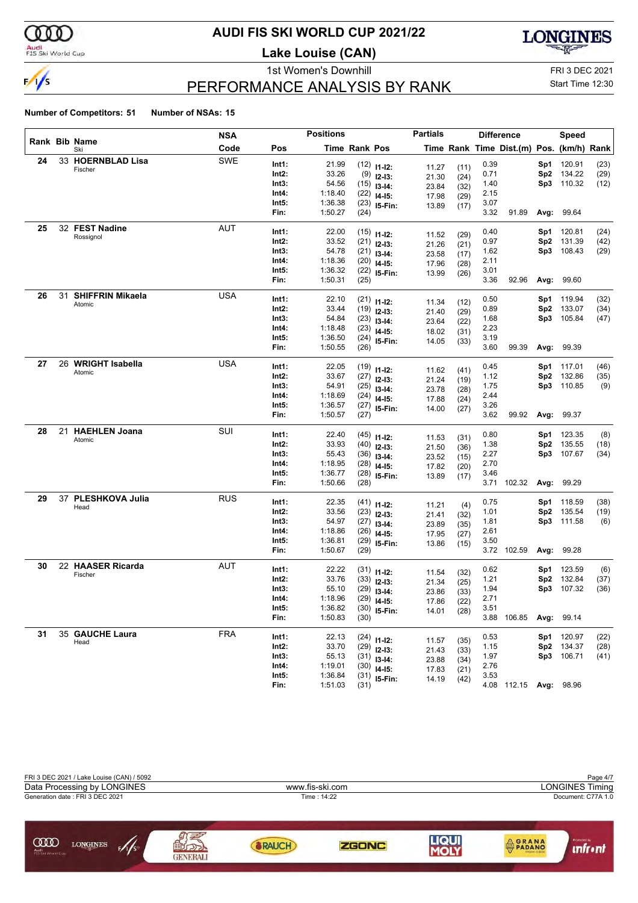

#### **AUDI FIS SKI WORLD CUP 2021/22**

**Lake Louise (CAN)**



### PERFORMANCE ANALYSIS BY RANK

1st Women's Downhill FRI 3 DEC 2021 Start Time 12:30

| Rank Bib Name<br>Code<br><b>Time Rank Pos</b><br>Time Rank Time Dist.(m) Pos. (km/h) Rank<br>Pos<br>Ski<br><b>SWE</b><br>24<br>33 HOERNBLAD Lisa<br>Int1:<br>21.99<br>0.39<br>120.91<br>(23)<br>$(12)$ 11-12:<br>Sp1<br>11.27<br>(11)<br>Fischer<br>33.26<br>134.22<br>(29)<br>Int2:<br>$(9)$ 12-13:<br>0.71<br>Sp <sub>2</sub><br>21.30<br>(24)<br>54.56<br>1.40<br>Sp3<br>110.32<br>Int3:<br>(12)<br>$(15)$ 13-14:<br>23.84<br>(32)<br>1:18.40<br>Int4:<br>2.15<br>$(22)$ 14-15:<br>17.98<br>(29)<br>3.07<br>Int5:<br>1:36.38<br>$(23)$ 15-Fin:<br>13.89<br>(17)<br>1:50.27<br>3.32<br>Fin:<br>(24)<br>91.89<br>Avg:<br>99.64<br>25<br>32 FEST Nadine<br>AUT<br>Int1:<br>22.00<br>0.40<br>120.81<br>(24)<br>Sp1<br>$(15)$ 11-12:<br>(29)<br>11.52<br>Rossignol<br>Int2:<br>33.52<br>0.97<br>Sp <sub>2</sub><br>131.39<br>(42)<br>$(21)$ 12-13:<br>21.26<br>(21)<br>54.78<br>108.43<br>Int3:<br>1.62<br>Sp3<br>(29)<br>$(21)$ 13-14:<br>23.58<br>(17)<br>Int4:<br>1:18.36<br>2.11<br>$(20)$ 14-15:<br>17.96<br>(28)<br>1:36.32<br>Int5:<br>3.01<br>$(22)$ 15-Fin:<br>13.99<br>(26)<br>3.36<br>Fin:<br>1:50.31<br>92.96<br>99.60<br>(25)<br>Avg:<br><b>SHIFFRIN Mikaela</b><br>26<br>31<br><b>USA</b><br>22.10<br>Int1:<br>0.50<br>119.94<br>(32)<br>$(21)$ 11-12:<br>Sp1<br>11.34<br>(12)<br>Atomic<br>33.44<br>0.89<br>133.07<br>Int2:<br>$(19)$ 12-13:<br>Sp <sub>2</sub><br>(34)<br>21.40<br>(29)<br>54.84<br>1.68<br>Int3:<br>Sp3<br>105.84<br>(47)<br>$(23)$ 13-14:<br>23.64<br>(22)<br>1:18.48<br>Int4:<br>2.23<br>$(23)$ 14-15:<br>18.02<br>(31)<br>3.19<br>Int5:<br>1:36.50<br>(24)<br>15-Fin:<br>14.05<br>(33)<br>1:50.55<br>3.60<br>Fin:<br>(26)<br>99.39<br>Avg:<br>99.39<br>26 WRIGHT Isabella<br><b>USA</b><br>27<br>22.05<br>Int1:<br>0.45<br>117.01<br>(46)<br>$(19)$ 11-12:<br>Sp1<br>11.62<br>(41)<br>Atomic<br>33.67<br>132.86<br>Int2:<br>1.12<br>Sp <sub>2</sub><br>(35)<br>$(27)$ 12-13:<br>21.24<br>(19)<br>54.91<br>Int3:<br>1.75<br>Sp3<br>110.85<br>(9)<br>$(25)$ 13-14:<br>23.78<br>(28)<br>2.44<br>Int4:<br>1:18.69<br>(24)<br>$14 - 15$ :<br>17.88<br>(24)<br>3.26<br>Int5:<br>1:36.57<br>$(27)$ 15-Fin:<br>14.00<br>(27)<br>3.62<br>Fin:<br>1:50.57<br>99.92<br>Avg:<br>99.37<br>(27)<br>21 HAEHLEN Joana<br>SUI<br>28<br>22.40<br>0.80<br>Int1:<br>123.35<br>(8)<br>$(45)$ 11-12:<br>Sp1<br>11.53<br>(31)<br>Atomic<br>33.93<br>135.55<br>Int2:<br>$(40)$ 12-13:<br>1.38<br>Sp <sub>2</sub><br>(18)<br>21.50<br>(36)<br>55.43<br>2.27<br>107.67<br>Int3:<br>Sp3<br>(34)<br>(36)<br>$13-14:$<br>23.52<br>(15)<br>1:18.95<br>Int4:<br>2.70<br>$(28)$ 14-15:<br>17.82<br>(20)<br>Int5:<br>1:36.77<br>3.46<br>(28)<br>15-Fin:<br>13.89<br>(17)<br>1:50.66<br>Fin:<br>(28)<br>3.71<br>102.32<br>Avg:<br>99.29<br>37 PLESHKOVA Julia<br>29<br><b>RUS</b><br>Int1:<br>22.35<br>0.75<br>118.59<br>(38)<br>$(41)$ 11-12:<br>Sp1<br>11.21<br>(4)<br>Head<br>Int2:<br>33.56<br>1.01<br>135.54<br>Sp <sub>2</sub><br>(19)<br>$(23)$ 12-13:<br>21.41<br>(32)<br>54.97<br>Int3:<br>1.81<br>Sp3<br>111.58<br>$(27)$ 13-14:<br>(6)<br>23.89<br>(35)<br>2.61<br>Int4:<br>1:18.86<br>(26)<br>$14 - 15$ :<br>17.95<br>(27)<br>1:36.81<br>Int5:<br>3.50<br>$(29)$ 15-Fin:<br>13.86<br>(15)<br>Fin:<br>1:50.67<br>3.72 102.59<br>99.28<br>(29)<br>Avg:<br>22 HAASER Ricarda<br>30<br>AUT<br>Int1:<br>22.22<br>0.62<br>123.59<br>(6)<br>$(31)$ 11-12:<br>Sp1<br>11.54<br>(32)<br>Fischer<br>33.76<br>132.84<br>Int2:<br>1.21<br>Sp <sub>2</sub><br>(37)<br>$(33)$ 12-13:<br>21.34<br>(25)<br>55.10<br>Int3:<br>1.94<br>Sp3<br>107.32<br>(36)<br>(29)<br>$13-14:$<br>23.86<br>(33)<br>1:18.96<br>Int4:<br>2.71<br>$(29)$ 14-15:<br>17.86<br>(22)<br>3.51<br>1:36.82<br>$(30)$ 15-Fin:<br>Int5:<br>14.01<br>(28)<br>1:50.83<br>Fin:<br>(30)<br>3.88 106.85<br>Avg:<br>99.14<br>35 GAUCHE Laura<br><b>FRA</b><br>31<br>22.13<br>Int1:<br>0.53<br>120.97<br>Sp1<br>(22)<br>$(24)$ 11-12:<br>11.57<br>(35)<br>Head<br>Int2:<br>33.70<br>Sp2 134.37<br>1.15<br>(28)<br>$(29)$ 12-13:<br>21.43<br>(33)<br>55.13<br>Sp3 106.71<br>Int3:<br>1.97<br>(41)<br>$(31)$ 13-14:<br>23.88<br>(34)<br>1:19.01<br>Int4:<br>2.76<br>$(30)$ 14-15:<br>17.83<br>(21)<br>1:36.84<br>Int5:<br>3.53<br>$(31)$ 15-Fin:<br>14.19<br>(42)<br>4.08 112.15 Avg: 98.96<br>Fin:<br>1:51.03<br>(31) |  | <b>NSA</b> | <b>Positions</b> |  | <b>Partials</b> |  | <b>Difference</b> | <b>Speed</b> |  |
|------------------------------------------------------------------------------------------------------------------------------------------------------------------------------------------------------------------------------------------------------------------------------------------------------------------------------------------------------------------------------------------------------------------------------------------------------------------------------------------------------------------------------------------------------------------------------------------------------------------------------------------------------------------------------------------------------------------------------------------------------------------------------------------------------------------------------------------------------------------------------------------------------------------------------------------------------------------------------------------------------------------------------------------------------------------------------------------------------------------------------------------------------------------------------------------------------------------------------------------------------------------------------------------------------------------------------------------------------------------------------------------------------------------------------------------------------------------------------------------------------------------------------------------------------------------------------------------------------------------------------------------------------------------------------------------------------------------------------------------------------------------------------------------------------------------------------------------------------------------------------------------------------------------------------------------------------------------------------------------------------------------------------------------------------------------------------------------------------------------------------------------------------------------------------------------------------------------------------------------------------------------------------------------------------------------------------------------------------------------------------------------------------------------------------------------------------------------------------------------------------------------------------------------------------------------------------------------------------------------------------------------------------------------------------------------------------------------------------------------------------------------------------------------------------------------------------------------------------------------------------------------------------------------------------------------------------------------------------------------------------------------------------------------------------------------------------------------------------------------------------------------------------------------------------------------------------------------------------------------------------------------------------------------------------------------------------------------------------------------------------------------------------------------------------------------------------------------------------------------------------------------------------------------------------------------------------------------------------------------------------------------------------------------------------------------------------------------------------------------------------------------------------------------------------------------------------------------------------------------------------------------------------------------------------------------------------------------------------------------------------------------------------------------------------------------------------------------------------------------------------------------------------------------------------------------------------------------------------------------------------------------------------|--|------------|------------------|--|-----------------|--|-------------------|--------------|--|
|                                                                                                                                                                                                                                                                                                                                                                                                                                                                                                                                                                                                                                                                                                                                                                                                                                                                                                                                                                                                                                                                                                                                                                                                                                                                                                                                                                                                                                                                                                                                                                                                                                                                                                                                                                                                                                                                                                                                                                                                                                                                                                                                                                                                                                                                                                                                                                                                                                                                                                                                                                                                                                                                                                                                                                                                                                                                                                                                                                                                                                                                                                                                                                                                                                                                                                                                                                                                                                                                                                                                                                                                                                                                                                                                                                                                                                                                                                                                                                                                                                                                                                                                                                                                                                                                              |  |            |                  |  |                 |  |                   |              |  |
|                                                                                                                                                                                                                                                                                                                                                                                                                                                                                                                                                                                                                                                                                                                                                                                                                                                                                                                                                                                                                                                                                                                                                                                                                                                                                                                                                                                                                                                                                                                                                                                                                                                                                                                                                                                                                                                                                                                                                                                                                                                                                                                                                                                                                                                                                                                                                                                                                                                                                                                                                                                                                                                                                                                                                                                                                                                                                                                                                                                                                                                                                                                                                                                                                                                                                                                                                                                                                                                                                                                                                                                                                                                                                                                                                                                                                                                                                                                                                                                                                                                                                                                                                                                                                                                                              |  |            |                  |  |                 |  |                   |              |  |
|                                                                                                                                                                                                                                                                                                                                                                                                                                                                                                                                                                                                                                                                                                                                                                                                                                                                                                                                                                                                                                                                                                                                                                                                                                                                                                                                                                                                                                                                                                                                                                                                                                                                                                                                                                                                                                                                                                                                                                                                                                                                                                                                                                                                                                                                                                                                                                                                                                                                                                                                                                                                                                                                                                                                                                                                                                                                                                                                                                                                                                                                                                                                                                                                                                                                                                                                                                                                                                                                                                                                                                                                                                                                                                                                                                                                                                                                                                                                                                                                                                                                                                                                                                                                                                                                              |  |            |                  |  |                 |  |                   |              |  |
|                                                                                                                                                                                                                                                                                                                                                                                                                                                                                                                                                                                                                                                                                                                                                                                                                                                                                                                                                                                                                                                                                                                                                                                                                                                                                                                                                                                                                                                                                                                                                                                                                                                                                                                                                                                                                                                                                                                                                                                                                                                                                                                                                                                                                                                                                                                                                                                                                                                                                                                                                                                                                                                                                                                                                                                                                                                                                                                                                                                                                                                                                                                                                                                                                                                                                                                                                                                                                                                                                                                                                                                                                                                                                                                                                                                                                                                                                                                                                                                                                                                                                                                                                                                                                                                                              |  |            |                  |  |                 |  |                   |              |  |
|                                                                                                                                                                                                                                                                                                                                                                                                                                                                                                                                                                                                                                                                                                                                                                                                                                                                                                                                                                                                                                                                                                                                                                                                                                                                                                                                                                                                                                                                                                                                                                                                                                                                                                                                                                                                                                                                                                                                                                                                                                                                                                                                                                                                                                                                                                                                                                                                                                                                                                                                                                                                                                                                                                                                                                                                                                                                                                                                                                                                                                                                                                                                                                                                                                                                                                                                                                                                                                                                                                                                                                                                                                                                                                                                                                                                                                                                                                                                                                                                                                                                                                                                                                                                                                                                              |  |            |                  |  |                 |  |                   |              |  |
|                                                                                                                                                                                                                                                                                                                                                                                                                                                                                                                                                                                                                                                                                                                                                                                                                                                                                                                                                                                                                                                                                                                                                                                                                                                                                                                                                                                                                                                                                                                                                                                                                                                                                                                                                                                                                                                                                                                                                                                                                                                                                                                                                                                                                                                                                                                                                                                                                                                                                                                                                                                                                                                                                                                                                                                                                                                                                                                                                                                                                                                                                                                                                                                                                                                                                                                                                                                                                                                                                                                                                                                                                                                                                                                                                                                                                                                                                                                                                                                                                                                                                                                                                                                                                                                                              |  |            |                  |  |                 |  |                   |              |  |
|                                                                                                                                                                                                                                                                                                                                                                                                                                                                                                                                                                                                                                                                                                                                                                                                                                                                                                                                                                                                                                                                                                                                                                                                                                                                                                                                                                                                                                                                                                                                                                                                                                                                                                                                                                                                                                                                                                                                                                                                                                                                                                                                                                                                                                                                                                                                                                                                                                                                                                                                                                                                                                                                                                                                                                                                                                                                                                                                                                                                                                                                                                                                                                                                                                                                                                                                                                                                                                                                                                                                                                                                                                                                                                                                                                                                                                                                                                                                                                                                                                                                                                                                                                                                                                                                              |  |            |                  |  |                 |  |                   |              |  |
|                                                                                                                                                                                                                                                                                                                                                                                                                                                                                                                                                                                                                                                                                                                                                                                                                                                                                                                                                                                                                                                                                                                                                                                                                                                                                                                                                                                                                                                                                                                                                                                                                                                                                                                                                                                                                                                                                                                                                                                                                                                                                                                                                                                                                                                                                                                                                                                                                                                                                                                                                                                                                                                                                                                                                                                                                                                                                                                                                                                                                                                                                                                                                                                                                                                                                                                                                                                                                                                                                                                                                                                                                                                                                                                                                                                                                                                                                                                                                                                                                                                                                                                                                                                                                                                                              |  |            |                  |  |                 |  |                   |              |  |
|                                                                                                                                                                                                                                                                                                                                                                                                                                                                                                                                                                                                                                                                                                                                                                                                                                                                                                                                                                                                                                                                                                                                                                                                                                                                                                                                                                                                                                                                                                                                                                                                                                                                                                                                                                                                                                                                                                                                                                                                                                                                                                                                                                                                                                                                                                                                                                                                                                                                                                                                                                                                                                                                                                                                                                                                                                                                                                                                                                                                                                                                                                                                                                                                                                                                                                                                                                                                                                                                                                                                                                                                                                                                                                                                                                                                                                                                                                                                                                                                                                                                                                                                                                                                                                                                              |  |            |                  |  |                 |  |                   |              |  |
|                                                                                                                                                                                                                                                                                                                                                                                                                                                                                                                                                                                                                                                                                                                                                                                                                                                                                                                                                                                                                                                                                                                                                                                                                                                                                                                                                                                                                                                                                                                                                                                                                                                                                                                                                                                                                                                                                                                                                                                                                                                                                                                                                                                                                                                                                                                                                                                                                                                                                                                                                                                                                                                                                                                                                                                                                                                                                                                                                                                                                                                                                                                                                                                                                                                                                                                                                                                                                                                                                                                                                                                                                                                                                                                                                                                                                                                                                                                                                                                                                                                                                                                                                                                                                                                                              |  |            |                  |  |                 |  |                   |              |  |
|                                                                                                                                                                                                                                                                                                                                                                                                                                                                                                                                                                                                                                                                                                                                                                                                                                                                                                                                                                                                                                                                                                                                                                                                                                                                                                                                                                                                                                                                                                                                                                                                                                                                                                                                                                                                                                                                                                                                                                                                                                                                                                                                                                                                                                                                                                                                                                                                                                                                                                                                                                                                                                                                                                                                                                                                                                                                                                                                                                                                                                                                                                                                                                                                                                                                                                                                                                                                                                                                                                                                                                                                                                                                                                                                                                                                                                                                                                                                                                                                                                                                                                                                                                                                                                                                              |  |            |                  |  |                 |  |                   |              |  |
|                                                                                                                                                                                                                                                                                                                                                                                                                                                                                                                                                                                                                                                                                                                                                                                                                                                                                                                                                                                                                                                                                                                                                                                                                                                                                                                                                                                                                                                                                                                                                                                                                                                                                                                                                                                                                                                                                                                                                                                                                                                                                                                                                                                                                                                                                                                                                                                                                                                                                                                                                                                                                                                                                                                                                                                                                                                                                                                                                                                                                                                                                                                                                                                                                                                                                                                                                                                                                                                                                                                                                                                                                                                                                                                                                                                                                                                                                                                                                                                                                                                                                                                                                                                                                                                                              |  |            |                  |  |                 |  |                   |              |  |
|                                                                                                                                                                                                                                                                                                                                                                                                                                                                                                                                                                                                                                                                                                                                                                                                                                                                                                                                                                                                                                                                                                                                                                                                                                                                                                                                                                                                                                                                                                                                                                                                                                                                                                                                                                                                                                                                                                                                                                                                                                                                                                                                                                                                                                                                                                                                                                                                                                                                                                                                                                                                                                                                                                                                                                                                                                                                                                                                                                                                                                                                                                                                                                                                                                                                                                                                                                                                                                                                                                                                                                                                                                                                                                                                                                                                                                                                                                                                                                                                                                                                                                                                                                                                                                                                              |  |            |                  |  |                 |  |                   |              |  |
|                                                                                                                                                                                                                                                                                                                                                                                                                                                                                                                                                                                                                                                                                                                                                                                                                                                                                                                                                                                                                                                                                                                                                                                                                                                                                                                                                                                                                                                                                                                                                                                                                                                                                                                                                                                                                                                                                                                                                                                                                                                                                                                                                                                                                                                                                                                                                                                                                                                                                                                                                                                                                                                                                                                                                                                                                                                                                                                                                                                                                                                                                                                                                                                                                                                                                                                                                                                                                                                                                                                                                                                                                                                                                                                                                                                                                                                                                                                                                                                                                                                                                                                                                                                                                                                                              |  |            |                  |  |                 |  |                   |              |  |
|                                                                                                                                                                                                                                                                                                                                                                                                                                                                                                                                                                                                                                                                                                                                                                                                                                                                                                                                                                                                                                                                                                                                                                                                                                                                                                                                                                                                                                                                                                                                                                                                                                                                                                                                                                                                                                                                                                                                                                                                                                                                                                                                                                                                                                                                                                                                                                                                                                                                                                                                                                                                                                                                                                                                                                                                                                                                                                                                                                                                                                                                                                                                                                                                                                                                                                                                                                                                                                                                                                                                                                                                                                                                                                                                                                                                                                                                                                                                                                                                                                                                                                                                                                                                                                                                              |  |            |                  |  |                 |  |                   |              |  |
|                                                                                                                                                                                                                                                                                                                                                                                                                                                                                                                                                                                                                                                                                                                                                                                                                                                                                                                                                                                                                                                                                                                                                                                                                                                                                                                                                                                                                                                                                                                                                                                                                                                                                                                                                                                                                                                                                                                                                                                                                                                                                                                                                                                                                                                                                                                                                                                                                                                                                                                                                                                                                                                                                                                                                                                                                                                                                                                                                                                                                                                                                                                                                                                                                                                                                                                                                                                                                                                                                                                                                                                                                                                                                                                                                                                                                                                                                                                                                                                                                                                                                                                                                                                                                                                                              |  |            |                  |  |                 |  |                   |              |  |
|                                                                                                                                                                                                                                                                                                                                                                                                                                                                                                                                                                                                                                                                                                                                                                                                                                                                                                                                                                                                                                                                                                                                                                                                                                                                                                                                                                                                                                                                                                                                                                                                                                                                                                                                                                                                                                                                                                                                                                                                                                                                                                                                                                                                                                                                                                                                                                                                                                                                                                                                                                                                                                                                                                                                                                                                                                                                                                                                                                                                                                                                                                                                                                                                                                                                                                                                                                                                                                                                                                                                                                                                                                                                                                                                                                                                                                                                                                                                                                                                                                                                                                                                                                                                                                                                              |  |            |                  |  |                 |  |                   |              |  |
|                                                                                                                                                                                                                                                                                                                                                                                                                                                                                                                                                                                                                                                                                                                                                                                                                                                                                                                                                                                                                                                                                                                                                                                                                                                                                                                                                                                                                                                                                                                                                                                                                                                                                                                                                                                                                                                                                                                                                                                                                                                                                                                                                                                                                                                                                                                                                                                                                                                                                                                                                                                                                                                                                                                                                                                                                                                                                                                                                                                                                                                                                                                                                                                                                                                                                                                                                                                                                                                                                                                                                                                                                                                                                                                                                                                                                                                                                                                                                                                                                                                                                                                                                                                                                                                                              |  |            |                  |  |                 |  |                   |              |  |
|                                                                                                                                                                                                                                                                                                                                                                                                                                                                                                                                                                                                                                                                                                                                                                                                                                                                                                                                                                                                                                                                                                                                                                                                                                                                                                                                                                                                                                                                                                                                                                                                                                                                                                                                                                                                                                                                                                                                                                                                                                                                                                                                                                                                                                                                                                                                                                                                                                                                                                                                                                                                                                                                                                                                                                                                                                                                                                                                                                                                                                                                                                                                                                                                                                                                                                                                                                                                                                                                                                                                                                                                                                                                                                                                                                                                                                                                                                                                                                                                                                                                                                                                                                                                                                                                              |  |            |                  |  |                 |  |                   |              |  |
|                                                                                                                                                                                                                                                                                                                                                                                                                                                                                                                                                                                                                                                                                                                                                                                                                                                                                                                                                                                                                                                                                                                                                                                                                                                                                                                                                                                                                                                                                                                                                                                                                                                                                                                                                                                                                                                                                                                                                                                                                                                                                                                                                                                                                                                                                                                                                                                                                                                                                                                                                                                                                                                                                                                                                                                                                                                                                                                                                                                                                                                                                                                                                                                                                                                                                                                                                                                                                                                                                                                                                                                                                                                                                                                                                                                                                                                                                                                                                                                                                                                                                                                                                                                                                                                                              |  |            |                  |  |                 |  |                   |              |  |
|                                                                                                                                                                                                                                                                                                                                                                                                                                                                                                                                                                                                                                                                                                                                                                                                                                                                                                                                                                                                                                                                                                                                                                                                                                                                                                                                                                                                                                                                                                                                                                                                                                                                                                                                                                                                                                                                                                                                                                                                                                                                                                                                                                                                                                                                                                                                                                                                                                                                                                                                                                                                                                                                                                                                                                                                                                                                                                                                                                                                                                                                                                                                                                                                                                                                                                                                                                                                                                                                                                                                                                                                                                                                                                                                                                                                                                                                                                                                                                                                                                                                                                                                                                                                                                                                              |  |            |                  |  |                 |  |                   |              |  |
|                                                                                                                                                                                                                                                                                                                                                                                                                                                                                                                                                                                                                                                                                                                                                                                                                                                                                                                                                                                                                                                                                                                                                                                                                                                                                                                                                                                                                                                                                                                                                                                                                                                                                                                                                                                                                                                                                                                                                                                                                                                                                                                                                                                                                                                                                                                                                                                                                                                                                                                                                                                                                                                                                                                                                                                                                                                                                                                                                                                                                                                                                                                                                                                                                                                                                                                                                                                                                                                                                                                                                                                                                                                                                                                                                                                                                                                                                                                                                                                                                                                                                                                                                                                                                                                                              |  |            |                  |  |                 |  |                   |              |  |
|                                                                                                                                                                                                                                                                                                                                                                                                                                                                                                                                                                                                                                                                                                                                                                                                                                                                                                                                                                                                                                                                                                                                                                                                                                                                                                                                                                                                                                                                                                                                                                                                                                                                                                                                                                                                                                                                                                                                                                                                                                                                                                                                                                                                                                                                                                                                                                                                                                                                                                                                                                                                                                                                                                                                                                                                                                                                                                                                                                                                                                                                                                                                                                                                                                                                                                                                                                                                                                                                                                                                                                                                                                                                                                                                                                                                                                                                                                                                                                                                                                                                                                                                                                                                                                                                              |  |            |                  |  |                 |  |                   |              |  |
|                                                                                                                                                                                                                                                                                                                                                                                                                                                                                                                                                                                                                                                                                                                                                                                                                                                                                                                                                                                                                                                                                                                                                                                                                                                                                                                                                                                                                                                                                                                                                                                                                                                                                                                                                                                                                                                                                                                                                                                                                                                                                                                                                                                                                                                                                                                                                                                                                                                                                                                                                                                                                                                                                                                                                                                                                                                                                                                                                                                                                                                                                                                                                                                                                                                                                                                                                                                                                                                                                                                                                                                                                                                                                                                                                                                                                                                                                                                                                                                                                                                                                                                                                                                                                                                                              |  |            |                  |  |                 |  |                   |              |  |
|                                                                                                                                                                                                                                                                                                                                                                                                                                                                                                                                                                                                                                                                                                                                                                                                                                                                                                                                                                                                                                                                                                                                                                                                                                                                                                                                                                                                                                                                                                                                                                                                                                                                                                                                                                                                                                                                                                                                                                                                                                                                                                                                                                                                                                                                                                                                                                                                                                                                                                                                                                                                                                                                                                                                                                                                                                                                                                                                                                                                                                                                                                                                                                                                                                                                                                                                                                                                                                                                                                                                                                                                                                                                                                                                                                                                                                                                                                                                                                                                                                                                                                                                                                                                                                                                              |  |            |                  |  |                 |  |                   |              |  |
|                                                                                                                                                                                                                                                                                                                                                                                                                                                                                                                                                                                                                                                                                                                                                                                                                                                                                                                                                                                                                                                                                                                                                                                                                                                                                                                                                                                                                                                                                                                                                                                                                                                                                                                                                                                                                                                                                                                                                                                                                                                                                                                                                                                                                                                                                                                                                                                                                                                                                                                                                                                                                                                                                                                                                                                                                                                                                                                                                                                                                                                                                                                                                                                                                                                                                                                                                                                                                                                                                                                                                                                                                                                                                                                                                                                                                                                                                                                                                                                                                                                                                                                                                                                                                                                                              |  |            |                  |  |                 |  |                   |              |  |
|                                                                                                                                                                                                                                                                                                                                                                                                                                                                                                                                                                                                                                                                                                                                                                                                                                                                                                                                                                                                                                                                                                                                                                                                                                                                                                                                                                                                                                                                                                                                                                                                                                                                                                                                                                                                                                                                                                                                                                                                                                                                                                                                                                                                                                                                                                                                                                                                                                                                                                                                                                                                                                                                                                                                                                                                                                                                                                                                                                                                                                                                                                                                                                                                                                                                                                                                                                                                                                                                                                                                                                                                                                                                                                                                                                                                                                                                                                                                                                                                                                                                                                                                                                                                                                                                              |  |            |                  |  |                 |  |                   |              |  |
|                                                                                                                                                                                                                                                                                                                                                                                                                                                                                                                                                                                                                                                                                                                                                                                                                                                                                                                                                                                                                                                                                                                                                                                                                                                                                                                                                                                                                                                                                                                                                                                                                                                                                                                                                                                                                                                                                                                                                                                                                                                                                                                                                                                                                                                                                                                                                                                                                                                                                                                                                                                                                                                                                                                                                                                                                                                                                                                                                                                                                                                                                                                                                                                                                                                                                                                                                                                                                                                                                                                                                                                                                                                                                                                                                                                                                                                                                                                                                                                                                                                                                                                                                                                                                                                                              |  |            |                  |  |                 |  |                   |              |  |
|                                                                                                                                                                                                                                                                                                                                                                                                                                                                                                                                                                                                                                                                                                                                                                                                                                                                                                                                                                                                                                                                                                                                                                                                                                                                                                                                                                                                                                                                                                                                                                                                                                                                                                                                                                                                                                                                                                                                                                                                                                                                                                                                                                                                                                                                                                                                                                                                                                                                                                                                                                                                                                                                                                                                                                                                                                                                                                                                                                                                                                                                                                                                                                                                                                                                                                                                                                                                                                                                                                                                                                                                                                                                                                                                                                                                                                                                                                                                                                                                                                                                                                                                                                                                                                                                              |  |            |                  |  |                 |  |                   |              |  |
|                                                                                                                                                                                                                                                                                                                                                                                                                                                                                                                                                                                                                                                                                                                                                                                                                                                                                                                                                                                                                                                                                                                                                                                                                                                                                                                                                                                                                                                                                                                                                                                                                                                                                                                                                                                                                                                                                                                                                                                                                                                                                                                                                                                                                                                                                                                                                                                                                                                                                                                                                                                                                                                                                                                                                                                                                                                                                                                                                                                                                                                                                                                                                                                                                                                                                                                                                                                                                                                                                                                                                                                                                                                                                                                                                                                                                                                                                                                                                                                                                                                                                                                                                                                                                                                                              |  |            |                  |  |                 |  |                   |              |  |
|                                                                                                                                                                                                                                                                                                                                                                                                                                                                                                                                                                                                                                                                                                                                                                                                                                                                                                                                                                                                                                                                                                                                                                                                                                                                                                                                                                                                                                                                                                                                                                                                                                                                                                                                                                                                                                                                                                                                                                                                                                                                                                                                                                                                                                                                                                                                                                                                                                                                                                                                                                                                                                                                                                                                                                                                                                                                                                                                                                                                                                                                                                                                                                                                                                                                                                                                                                                                                                                                                                                                                                                                                                                                                                                                                                                                                                                                                                                                                                                                                                                                                                                                                                                                                                                                              |  |            |                  |  |                 |  |                   |              |  |
|                                                                                                                                                                                                                                                                                                                                                                                                                                                                                                                                                                                                                                                                                                                                                                                                                                                                                                                                                                                                                                                                                                                                                                                                                                                                                                                                                                                                                                                                                                                                                                                                                                                                                                                                                                                                                                                                                                                                                                                                                                                                                                                                                                                                                                                                                                                                                                                                                                                                                                                                                                                                                                                                                                                                                                                                                                                                                                                                                                                                                                                                                                                                                                                                                                                                                                                                                                                                                                                                                                                                                                                                                                                                                                                                                                                                                                                                                                                                                                                                                                                                                                                                                                                                                                                                              |  |            |                  |  |                 |  |                   |              |  |
|                                                                                                                                                                                                                                                                                                                                                                                                                                                                                                                                                                                                                                                                                                                                                                                                                                                                                                                                                                                                                                                                                                                                                                                                                                                                                                                                                                                                                                                                                                                                                                                                                                                                                                                                                                                                                                                                                                                                                                                                                                                                                                                                                                                                                                                                                                                                                                                                                                                                                                                                                                                                                                                                                                                                                                                                                                                                                                                                                                                                                                                                                                                                                                                                                                                                                                                                                                                                                                                                                                                                                                                                                                                                                                                                                                                                                                                                                                                                                                                                                                                                                                                                                                                                                                                                              |  |            |                  |  |                 |  |                   |              |  |
|                                                                                                                                                                                                                                                                                                                                                                                                                                                                                                                                                                                                                                                                                                                                                                                                                                                                                                                                                                                                                                                                                                                                                                                                                                                                                                                                                                                                                                                                                                                                                                                                                                                                                                                                                                                                                                                                                                                                                                                                                                                                                                                                                                                                                                                                                                                                                                                                                                                                                                                                                                                                                                                                                                                                                                                                                                                                                                                                                                                                                                                                                                                                                                                                                                                                                                                                                                                                                                                                                                                                                                                                                                                                                                                                                                                                                                                                                                                                                                                                                                                                                                                                                                                                                                                                              |  |            |                  |  |                 |  |                   |              |  |
|                                                                                                                                                                                                                                                                                                                                                                                                                                                                                                                                                                                                                                                                                                                                                                                                                                                                                                                                                                                                                                                                                                                                                                                                                                                                                                                                                                                                                                                                                                                                                                                                                                                                                                                                                                                                                                                                                                                                                                                                                                                                                                                                                                                                                                                                                                                                                                                                                                                                                                                                                                                                                                                                                                                                                                                                                                                                                                                                                                                                                                                                                                                                                                                                                                                                                                                                                                                                                                                                                                                                                                                                                                                                                                                                                                                                                                                                                                                                                                                                                                                                                                                                                                                                                                                                              |  |            |                  |  |                 |  |                   |              |  |
|                                                                                                                                                                                                                                                                                                                                                                                                                                                                                                                                                                                                                                                                                                                                                                                                                                                                                                                                                                                                                                                                                                                                                                                                                                                                                                                                                                                                                                                                                                                                                                                                                                                                                                                                                                                                                                                                                                                                                                                                                                                                                                                                                                                                                                                                                                                                                                                                                                                                                                                                                                                                                                                                                                                                                                                                                                                                                                                                                                                                                                                                                                                                                                                                                                                                                                                                                                                                                                                                                                                                                                                                                                                                                                                                                                                                                                                                                                                                                                                                                                                                                                                                                                                                                                                                              |  |            |                  |  |                 |  |                   |              |  |
|                                                                                                                                                                                                                                                                                                                                                                                                                                                                                                                                                                                                                                                                                                                                                                                                                                                                                                                                                                                                                                                                                                                                                                                                                                                                                                                                                                                                                                                                                                                                                                                                                                                                                                                                                                                                                                                                                                                                                                                                                                                                                                                                                                                                                                                                                                                                                                                                                                                                                                                                                                                                                                                                                                                                                                                                                                                                                                                                                                                                                                                                                                                                                                                                                                                                                                                                                                                                                                                                                                                                                                                                                                                                                                                                                                                                                                                                                                                                                                                                                                                                                                                                                                                                                                                                              |  |            |                  |  |                 |  |                   |              |  |
|                                                                                                                                                                                                                                                                                                                                                                                                                                                                                                                                                                                                                                                                                                                                                                                                                                                                                                                                                                                                                                                                                                                                                                                                                                                                                                                                                                                                                                                                                                                                                                                                                                                                                                                                                                                                                                                                                                                                                                                                                                                                                                                                                                                                                                                                                                                                                                                                                                                                                                                                                                                                                                                                                                                                                                                                                                                                                                                                                                                                                                                                                                                                                                                                                                                                                                                                                                                                                                                                                                                                                                                                                                                                                                                                                                                                                                                                                                                                                                                                                                                                                                                                                                                                                                                                              |  |            |                  |  |                 |  |                   |              |  |
|                                                                                                                                                                                                                                                                                                                                                                                                                                                                                                                                                                                                                                                                                                                                                                                                                                                                                                                                                                                                                                                                                                                                                                                                                                                                                                                                                                                                                                                                                                                                                                                                                                                                                                                                                                                                                                                                                                                                                                                                                                                                                                                                                                                                                                                                                                                                                                                                                                                                                                                                                                                                                                                                                                                                                                                                                                                                                                                                                                                                                                                                                                                                                                                                                                                                                                                                                                                                                                                                                                                                                                                                                                                                                                                                                                                                                                                                                                                                                                                                                                                                                                                                                                                                                                                                              |  |            |                  |  |                 |  |                   |              |  |
|                                                                                                                                                                                                                                                                                                                                                                                                                                                                                                                                                                                                                                                                                                                                                                                                                                                                                                                                                                                                                                                                                                                                                                                                                                                                                                                                                                                                                                                                                                                                                                                                                                                                                                                                                                                                                                                                                                                                                                                                                                                                                                                                                                                                                                                                                                                                                                                                                                                                                                                                                                                                                                                                                                                                                                                                                                                                                                                                                                                                                                                                                                                                                                                                                                                                                                                                                                                                                                                                                                                                                                                                                                                                                                                                                                                                                                                                                                                                                                                                                                                                                                                                                                                                                                                                              |  |            |                  |  |                 |  |                   |              |  |
|                                                                                                                                                                                                                                                                                                                                                                                                                                                                                                                                                                                                                                                                                                                                                                                                                                                                                                                                                                                                                                                                                                                                                                                                                                                                                                                                                                                                                                                                                                                                                                                                                                                                                                                                                                                                                                                                                                                                                                                                                                                                                                                                                                                                                                                                                                                                                                                                                                                                                                                                                                                                                                                                                                                                                                                                                                                                                                                                                                                                                                                                                                                                                                                                                                                                                                                                                                                                                                                                                                                                                                                                                                                                                                                                                                                                                                                                                                                                                                                                                                                                                                                                                                                                                                                                              |  |            |                  |  |                 |  |                   |              |  |
|                                                                                                                                                                                                                                                                                                                                                                                                                                                                                                                                                                                                                                                                                                                                                                                                                                                                                                                                                                                                                                                                                                                                                                                                                                                                                                                                                                                                                                                                                                                                                                                                                                                                                                                                                                                                                                                                                                                                                                                                                                                                                                                                                                                                                                                                                                                                                                                                                                                                                                                                                                                                                                                                                                                                                                                                                                                                                                                                                                                                                                                                                                                                                                                                                                                                                                                                                                                                                                                                                                                                                                                                                                                                                                                                                                                                                                                                                                                                                                                                                                                                                                                                                                                                                                                                              |  |            |                  |  |                 |  |                   |              |  |
|                                                                                                                                                                                                                                                                                                                                                                                                                                                                                                                                                                                                                                                                                                                                                                                                                                                                                                                                                                                                                                                                                                                                                                                                                                                                                                                                                                                                                                                                                                                                                                                                                                                                                                                                                                                                                                                                                                                                                                                                                                                                                                                                                                                                                                                                                                                                                                                                                                                                                                                                                                                                                                                                                                                                                                                                                                                                                                                                                                                                                                                                                                                                                                                                                                                                                                                                                                                                                                                                                                                                                                                                                                                                                                                                                                                                                                                                                                                                                                                                                                                                                                                                                                                                                                                                              |  |            |                  |  |                 |  |                   |              |  |
|                                                                                                                                                                                                                                                                                                                                                                                                                                                                                                                                                                                                                                                                                                                                                                                                                                                                                                                                                                                                                                                                                                                                                                                                                                                                                                                                                                                                                                                                                                                                                                                                                                                                                                                                                                                                                                                                                                                                                                                                                                                                                                                                                                                                                                                                                                                                                                                                                                                                                                                                                                                                                                                                                                                                                                                                                                                                                                                                                                                                                                                                                                                                                                                                                                                                                                                                                                                                                                                                                                                                                                                                                                                                                                                                                                                                                                                                                                                                                                                                                                                                                                                                                                                                                                                                              |  |            |                  |  |                 |  |                   |              |  |
|                                                                                                                                                                                                                                                                                                                                                                                                                                                                                                                                                                                                                                                                                                                                                                                                                                                                                                                                                                                                                                                                                                                                                                                                                                                                                                                                                                                                                                                                                                                                                                                                                                                                                                                                                                                                                                                                                                                                                                                                                                                                                                                                                                                                                                                                                                                                                                                                                                                                                                                                                                                                                                                                                                                                                                                                                                                                                                                                                                                                                                                                                                                                                                                                                                                                                                                                                                                                                                                                                                                                                                                                                                                                                                                                                                                                                                                                                                                                                                                                                                                                                                                                                                                                                                                                              |  |            |                  |  |                 |  |                   |              |  |
|                                                                                                                                                                                                                                                                                                                                                                                                                                                                                                                                                                                                                                                                                                                                                                                                                                                                                                                                                                                                                                                                                                                                                                                                                                                                                                                                                                                                                                                                                                                                                                                                                                                                                                                                                                                                                                                                                                                                                                                                                                                                                                                                                                                                                                                                                                                                                                                                                                                                                                                                                                                                                                                                                                                                                                                                                                                                                                                                                                                                                                                                                                                                                                                                                                                                                                                                                                                                                                                                                                                                                                                                                                                                                                                                                                                                                                                                                                                                                                                                                                                                                                                                                                                                                                                                              |  |            |                  |  |                 |  |                   |              |  |
|                                                                                                                                                                                                                                                                                                                                                                                                                                                                                                                                                                                                                                                                                                                                                                                                                                                                                                                                                                                                                                                                                                                                                                                                                                                                                                                                                                                                                                                                                                                                                                                                                                                                                                                                                                                                                                                                                                                                                                                                                                                                                                                                                                                                                                                                                                                                                                                                                                                                                                                                                                                                                                                                                                                                                                                                                                                                                                                                                                                                                                                                                                                                                                                                                                                                                                                                                                                                                                                                                                                                                                                                                                                                                                                                                                                                                                                                                                                                                                                                                                                                                                                                                                                                                                                                              |  |            |                  |  |                 |  |                   |              |  |
|                                                                                                                                                                                                                                                                                                                                                                                                                                                                                                                                                                                                                                                                                                                                                                                                                                                                                                                                                                                                                                                                                                                                                                                                                                                                                                                                                                                                                                                                                                                                                                                                                                                                                                                                                                                                                                                                                                                                                                                                                                                                                                                                                                                                                                                                                                                                                                                                                                                                                                                                                                                                                                                                                                                                                                                                                                                                                                                                                                                                                                                                                                                                                                                                                                                                                                                                                                                                                                                                                                                                                                                                                                                                                                                                                                                                                                                                                                                                                                                                                                                                                                                                                                                                                                                                              |  |            |                  |  |                 |  |                   |              |  |
|                                                                                                                                                                                                                                                                                                                                                                                                                                                                                                                                                                                                                                                                                                                                                                                                                                                                                                                                                                                                                                                                                                                                                                                                                                                                                                                                                                                                                                                                                                                                                                                                                                                                                                                                                                                                                                                                                                                                                                                                                                                                                                                                                                                                                                                                                                                                                                                                                                                                                                                                                                                                                                                                                                                                                                                                                                                                                                                                                                                                                                                                                                                                                                                                                                                                                                                                                                                                                                                                                                                                                                                                                                                                                                                                                                                                                                                                                                                                                                                                                                                                                                                                                                                                                                                                              |  |            |                  |  |                 |  |                   |              |  |

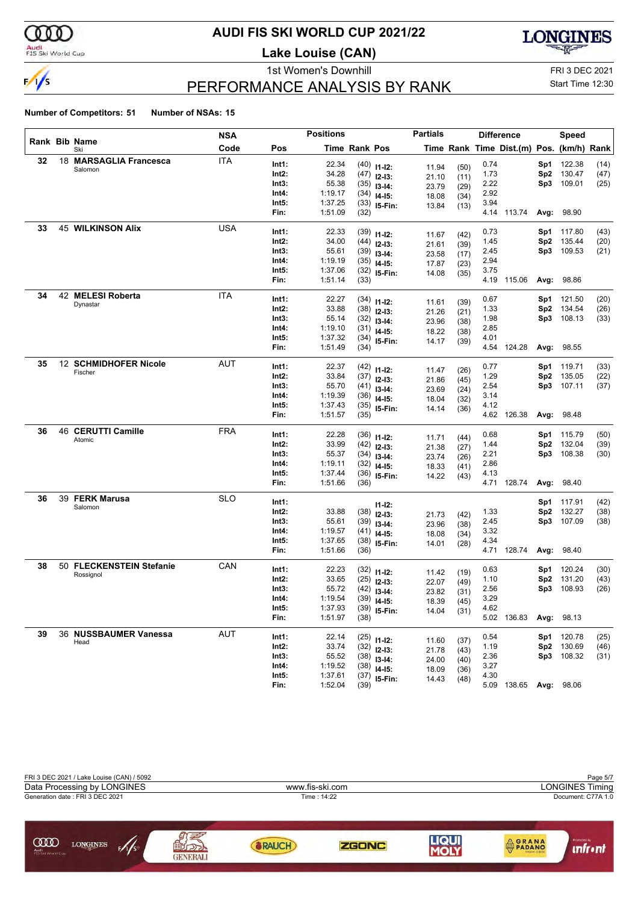

#### Audi<br>FIS Ski World Cup

#### **AUDI FIS SKI WORLD CUP 2021/22**

**Lake Louise (CAN)**



### PERFORMANCE ANALYSIS BY RANK

1st Women's Downhill FRI 3 DEC 2021 Start Time 12:30

| Rank Bib Name<br>Code<br>Time Rank Pos<br>Time Rank Time Dist.(m) Pos. (km/h) Rank<br>Pos<br>Ski<br><b>ITA</b><br>32<br>18 MARSAGLIA Francesca<br>22.34<br>Int1:<br>0.74<br>122.38<br>$(40)$ 11-12:<br>Sp1<br>(14)<br>11.94<br>(50)<br>Salomon<br>34.28<br>Int2:<br>1.73<br>Sp2<br>130.47<br>(47)<br>$(47)$ 12-13:<br>21.10<br>(11)<br>55.38<br>2.22<br>109.01<br>Int3:<br>Sp3<br>(25)<br>$(35)$ 13-14:<br>23.79<br>(29)<br>1:19.17<br>2.92<br>Int4:<br>$(34)$ 14-15:<br>18.08<br>(34)<br>3.94<br>Int5:<br>1:37.25<br>$(33)$ 15-Fin:<br>13.84<br>(13)<br>1:51.09<br>Fin:<br>4.14 113.74<br>98.90<br>(32)<br>Avg:<br><b>USA</b><br><b>45 WILKINSON Alix</b><br>33<br>Int1:<br>22.33<br>0.73<br>Sp1<br>117.80<br>(43)<br>$(39)$ 11-12:<br>(42)<br>11.67<br>34.00<br>1.45<br>Int2:<br>Sp2<br>135.44<br>(20)<br>$(44)$ 12-13:<br>21.61<br>(39)<br>55.61<br>2.45<br>Int3:<br>109.53<br>Sp3.<br>(21)<br>$(39)$ 13-14:<br>23.58<br>(17)<br>1:19.19<br>2.94<br>Int4:<br>$(35)$ 14-15:<br>17.87<br>(23)<br>Int5:<br>1:37.06<br>3.75<br>$(32)$ 15-Fin:<br>14.08<br>(35)<br>1:51.14<br>Fin:<br>4.19 115.06<br>98.86<br>(33)<br>Avg:<br>42 MELESI Roberta<br>34<br>ITA<br>22.27<br>0.67<br>Int1:<br>121.50<br>(20)<br>$(34)$ 11-12:<br>Sp1<br>11.61<br>(39)<br>Dynastar<br>33.88<br>1.33<br>Int2:<br>Sp2<br>134.54<br>(26)<br>$(38)$ 12-13:<br>21.26<br>(21)<br>55.14<br>1.98<br>Int3:<br>Sp3<br>108.13<br>$(32)$ 13-14:<br>(33)<br>23.96<br>(38)<br>1:19.10<br>2.85<br>Int4:<br>$(31)$ 14-15:<br>18.22<br>(38)<br>4.01<br>Int5:<br>1:37.32<br>$(34)$ 15-Fin:<br>14.17<br>(39)<br>1:51.49<br>Fin:<br>4.54 124.28<br>Avg: 98.55<br>(34)<br>12 SCHMIDHOFER Nicole<br><b>AUT</b><br>35<br>22.37<br>Int1:<br>0.77<br>$(42)$ 11-12:<br>Sp1<br>119.71<br>(33)<br>11.47<br>(26)<br>Fischer<br>Int2:<br>33.84<br>1.29<br>135.05<br>Sp2<br>(22)<br>$(37)$ 12-13:<br>21.86<br>(45)<br>55.70<br>Int3:<br>2.54<br>107.11<br>Sp3.<br>(37)<br>$(41)$ 13-14:<br>23.69<br>(24)<br>1:19.39<br>3.14<br>Int4:<br>$(36)$ 14-15:<br>18.04<br>(32)<br>Int5:<br>1:37.43<br>4.12<br>$(35)$ 15-Fin:<br>14.14<br>(36)<br>1:51.57<br>4.62 126.38<br>Fin:<br>98.48<br>Avg:<br>(35)<br>46 CERUTTI Camille<br><b>FRA</b><br>36<br>22.28<br>Int1:<br>0.68<br>115.79<br>(50)<br>$(36)$ 11-12:<br>Sp1<br>11.71<br>(44)<br>Atomic<br>33.99<br>132.04<br>Int2:<br>1.44<br>Sp2<br>(39)<br>$(42)$ 12-13:<br>21.38<br>(27)<br>55.37<br>2.21<br>108.38<br>Int3:<br>Sp3<br>(30)<br>$(34)$ 13-14:<br>23.74<br>(26)<br>1:19.11<br>Int4:<br>2.86<br>$(32)$ 14-15:<br>18.33<br>(41)<br>Int5:<br>1:37.44<br>4.13<br>$(36)$ 15-Fin:<br>14.22<br>(43)<br>4.71 128.74<br>Fin:<br>1:51.66<br>98.40<br>Avg:<br>(36)<br><b>SLO</b><br>39 FERK Marusa<br>36<br>Int1:<br>117.91<br>(42)<br>Sp1<br>$11 - 12$ :<br>Salomon<br>132.27<br>Int2:<br>33.88<br>1.33<br>Sp2<br>(38)<br>(38)<br>$12 - 13:$<br>21.73<br>(42)<br>55.61<br>2.45<br>Int3:<br>107.09<br>Sp3.<br>(38)<br>$(39)$ 13-14:<br>23.96<br>(38)<br>3.32<br>1:19.57<br>Int4:<br>$(41)$ 14-15:<br>18.08<br>(34)<br>Int5:<br>1:37.65<br>4.34<br>$(38)$ 15-Fin:<br>14.01<br>(28)<br>Fin:<br>1:51.66<br>4.71 128.74<br>Avg:<br>98.40<br>(36)<br>50 FLECKENSTEIN Stefanie<br>38<br>CAN<br>22.23<br>Int1:<br>0.63<br>120.24<br>(30)<br>$(32)$ 11-12:<br>Sp1<br>11.42<br>(19)<br>Rossignol<br>33.65<br>Int2:<br>1.10<br>Sp2<br>131.20<br>$(25)$ 12-13:<br>(43)<br>22.07<br>(49)<br>55.72<br>108.93<br>Int3:<br>2.56<br>Sp3<br>(26)<br>$(42)$ 13-14:<br>23.82<br>(31)<br>1:19.54<br>3.29<br>Int4:<br>$(39)$ 14-15:<br>18.39<br>(45)<br>1:37.93<br>Int5:<br>$(39)$ 15-Fin:<br>4.62<br>14.04<br>(31)<br>5.02 136.83<br>1:51.97<br>Avg: 98.13<br>Fin:<br>(38)<br>AUT<br>39<br>36 NUSSBAUMER Vanessa<br>22.14<br>Int1:<br>0.54<br>Sp1 120.78<br>(25)<br>$(25)$ 11-12:<br>11.60<br>(37)<br>Head<br>33.74<br>130.69<br>Int2:<br>1.19<br>Sp2<br>$(32)$ 12-13:<br>(46)<br>21.78<br>(43)<br>55.52<br>Sp3 108.32<br>Int3:<br>2.36<br>(31)<br>$(38)$ 13-14:<br>24.00<br>(40)<br>1:19.52<br>3.27<br>Int4:<br>$(38)$ 14-15:<br>18.09<br>(36)<br>1:37.61<br>Int5:<br>4.30<br>$(37)$ 15-Fin:<br>14.43<br>(48)<br>5.09 138.65 Avg: 98.06 |  | <b>NSA</b> |      | <b>Positions</b> |      | <b>Partials</b> |  | <b>Difference</b> | Speed |  |
|---------------------------------------------------------------------------------------------------------------------------------------------------------------------------------------------------------------------------------------------------------------------------------------------------------------------------------------------------------------------------------------------------------------------------------------------------------------------------------------------------------------------------------------------------------------------------------------------------------------------------------------------------------------------------------------------------------------------------------------------------------------------------------------------------------------------------------------------------------------------------------------------------------------------------------------------------------------------------------------------------------------------------------------------------------------------------------------------------------------------------------------------------------------------------------------------------------------------------------------------------------------------------------------------------------------------------------------------------------------------------------------------------------------------------------------------------------------------------------------------------------------------------------------------------------------------------------------------------------------------------------------------------------------------------------------------------------------------------------------------------------------------------------------------------------------------------------------------------------------------------------------------------------------------------------------------------------------------------------------------------------------------------------------------------------------------------------------------------------------------------------------------------------------------------------------------------------------------------------------------------------------------------------------------------------------------------------------------------------------------------------------------------------------------------------------------------------------------------------------------------------------------------------------------------------------------------------------------------------------------------------------------------------------------------------------------------------------------------------------------------------------------------------------------------------------------------------------------------------------------------------------------------------------------------------------------------------------------------------------------------------------------------------------------------------------------------------------------------------------------------------------------------------------------------------------------------------------------------------------------------------------------------------------------------------------------------------------------------------------------------------------------------------------------------------------------------------------------------------------------------------------------------------------------------------------------------------------------------------------------------------------------------------------------------------------------------------------------------------------------------------------------------------------------------------------------------------------------------------------------------------------------------------------------------------------------------------------------------------------------------------------------------------------------------------------------------------------------------------|--|------------|------|------------------|------|-----------------|--|-------------------|-------|--|
|                                                                                                                                                                                                                                                                                                                                                                                                                                                                                                                                                                                                                                                                                                                                                                                                                                                                                                                                                                                                                                                                                                                                                                                                                                                                                                                                                                                                                                                                                                                                                                                                                                                                                                                                                                                                                                                                                                                                                                                                                                                                                                                                                                                                                                                                                                                                                                                                                                                                                                                                                                                                                                                                                                                                                                                                                                                                                                                                                                                                                                                                                                                                                                                                                                                                                                                                                                                                                                                                                                                                                                                                                                                                                                                                                                                                                                                                                                                                                                                                                                                                                                         |  |            |      |                  |      |                 |  |                   |       |  |
|                                                                                                                                                                                                                                                                                                                                                                                                                                                                                                                                                                                                                                                                                                                                                                                                                                                                                                                                                                                                                                                                                                                                                                                                                                                                                                                                                                                                                                                                                                                                                                                                                                                                                                                                                                                                                                                                                                                                                                                                                                                                                                                                                                                                                                                                                                                                                                                                                                                                                                                                                                                                                                                                                                                                                                                                                                                                                                                                                                                                                                                                                                                                                                                                                                                                                                                                                                                                                                                                                                                                                                                                                                                                                                                                                                                                                                                                                                                                                                                                                                                                                                         |  |            |      |                  |      |                 |  |                   |       |  |
|                                                                                                                                                                                                                                                                                                                                                                                                                                                                                                                                                                                                                                                                                                                                                                                                                                                                                                                                                                                                                                                                                                                                                                                                                                                                                                                                                                                                                                                                                                                                                                                                                                                                                                                                                                                                                                                                                                                                                                                                                                                                                                                                                                                                                                                                                                                                                                                                                                                                                                                                                                                                                                                                                                                                                                                                                                                                                                                                                                                                                                                                                                                                                                                                                                                                                                                                                                                                                                                                                                                                                                                                                                                                                                                                                                                                                                                                                                                                                                                                                                                                                                         |  |            |      |                  |      |                 |  |                   |       |  |
|                                                                                                                                                                                                                                                                                                                                                                                                                                                                                                                                                                                                                                                                                                                                                                                                                                                                                                                                                                                                                                                                                                                                                                                                                                                                                                                                                                                                                                                                                                                                                                                                                                                                                                                                                                                                                                                                                                                                                                                                                                                                                                                                                                                                                                                                                                                                                                                                                                                                                                                                                                                                                                                                                                                                                                                                                                                                                                                                                                                                                                                                                                                                                                                                                                                                                                                                                                                                                                                                                                                                                                                                                                                                                                                                                                                                                                                                                                                                                                                                                                                                                                         |  |            |      |                  |      |                 |  |                   |       |  |
|                                                                                                                                                                                                                                                                                                                                                                                                                                                                                                                                                                                                                                                                                                                                                                                                                                                                                                                                                                                                                                                                                                                                                                                                                                                                                                                                                                                                                                                                                                                                                                                                                                                                                                                                                                                                                                                                                                                                                                                                                                                                                                                                                                                                                                                                                                                                                                                                                                                                                                                                                                                                                                                                                                                                                                                                                                                                                                                                                                                                                                                                                                                                                                                                                                                                                                                                                                                                                                                                                                                                                                                                                                                                                                                                                                                                                                                                                                                                                                                                                                                                                                         |  |            |      |                  |      |                 |  |                   |       |  |
|                                                                                                                                                                                                                                                                                                                                                                                                                                                                                                                                                                                                                                                                                                                                                                                                                                                                                                                                                                                                                                                                                                                                                                                                                                                                                                                                                                                                                                                                                                                                                                                                                                                                                                                                                                                                                                                                                                                                                                                                                                                                                                                                                                                                                                                                                                                                                                                                                                                                                                                                                                                                                                                                                                                                                                                                                                                                                                                                                                                                                                                                                                                                                                                                                                                                                                                                                                                                                                                                                                                                                                                                                                                                                                                                                                                                                                                                                                                                                                                                                                                                                                         |  |            |      |                  |      |                 |  |                   |       |  |
|                                                                                                                                                                                                                                                                                                                                                                                                                                                                                                                                                                                                                                                                                                                                                                                                                                                                                                                                                                                                                                                                                                                                                                                                                                                                                                                                                                                                                                                                                                                                                                                                                                                                                                                                                                                                                                                                                                                                                                                                                                                                                                                                                                                                                                                                                                                                                                                                                                                                                                                                                                                                                                                                                                                                                                                                                                                                                                                                                                                                                                                                                                                                                                                                                                                                                                                                                                                                                                                                                                                                                                                                                                                                                                                                                                                                                                                                                                                                                                                                                                                                                                         |  |            |      |                  |      |                 |  |                   |       |  |
|                                                                                                                                                                                                                                                                                                                                                                                                                                                                                                                                                                                                                                                                                                                                                                                                                                                                                                                                                                                                                                                                                                                                                                                                                                                                                                                                                                                                                                                                                                                                                                                                                                                                                                                                                                                                                                                                                                                                                                                                                                                                                                                                                                                                                                                                                                                                                                                                                                                                                                                                                                                                                                                                                                                                                                                                                                                                                                                                                                                                                                                                                                                                                                                                                                                                                                                                                                                                                                                                                                                                                                                                                                                                                                                                                                                                                                                                                                                                                                                                                                                                                                         |  |            |      |                  |      |                 |  |                   |       |  |
|                                                                                                                                                                                                                                                                                                                                                                                                                                                                                                                                                                                                                                                                                                                                                                                                                                                                                                                                                                                                                                                                                                                                                                                                                                                                                                                                                                                                                                                                                                                                                                                                                                                                                                                                                                                                                                                                                                                                                                                                                                                                                                                                                                                                                                                                                                                                                                                                                                                                                                                                                                                                                                                                                                                                                                                                                                                                                                                                                                                                                                                                                                                                                                                                                                                                                                                                                                                                                                                                                                                                                                                                                                                                                                                                                                                                                                                                                                                                                                                                                                                                                                         |  |            |      |                  |      |                 |  |                   |       |  |
|                                                                                                                                                                                                                                                                                                                                                                                                                                                                                                                                                                                                                                                                                                                                                                                                                                                                                                                                                                                                                                                                                                                                                                                                                                                                                                                                                                                                                                                                                                                                                                                                                                                                                                                                                                                                                                                                                                                                                                                                                                                                                                                                                                                                                                                                                                                                                                                                                                                                                                                                                                                                                                                                                                                                                                                                                                                                                                                                                                                                                                                                                                                                                                                                                                                                                                                                                                                                                                                                                                                                                                                                                                                                                                                                                                                                                                                                                                                                                                                                                                                                                                         |  |            |      |                  |      |                 |  |                   |       |  |
|                                                                                                                                                                                                                                                                                                                                                                                                                                                                                                                                                                                                                                                                                                                                                                                                                                                                                                                                                                                                                                                                                                                                                                                                                                                                                                                                                                                                                                                                                                                                                                                                                                                                                                                                                                                                                                                                                                                                                                                                                                                                                                                                                                                                                                                                                                                                                                                                                                                                                                                                                                                                                                                                                                                                                                                                                                                                                                                                                                                                                                                                                                                                                                                                                                                                                                                                                                                                                                                                                                                                                                                                                                                                                                                                                                                                                                                                                                                                                                                                                                                                                                         |  |            |      |                  |      |                 |  |                   |       |  |
|                                                                                                                                                                                                                                                                                                                                                                                                                                                                                                                                                                                                                                                                                                                                                                                                                                                                                                                                                                                                                                                                                                                                                                                                                                                                                                                                                                                                                                                                                                                                                                                                                                                                                                                                                                                                                                                                                                                                                                                                                                                                                                                                                                                                                                                                                                                                                                                                                                                                                                                                                                                                                                                                                                                                                                                                                                                                                                                                                                                                                                                                                                                                                                                                                                                                                                                                                                                                                                                                                                                                                                                                                                                                                                                                                                                                                                                                                                                                                                                                                                                                                                         |  |            |      |                  |      |                 |  |                   |       |  |
|                                                                                                                                                                                                                                                                                                                                                                                                                                                                                                                                                                                                                                                                                                                                                                                                                                                                                                                                                                                                                                                                                                                                                                                                                                                                                                                                                                                                                                                                                                                                                                                                                                                                                                                                                                                                                                                                                                                                                                                                                                                                                                                                                                                                                                                                                                                                                                                                                                                                                                                                                                                                                                                                                                                                                                                                                                                                                                                                                                                                                                                                                                                                                                                                                                                                                                                                                                                                                                                                                                                                                                                                                                                                                                                                                                                                                                                                                                                                                                                                                                                                                                         |  |            |      |                  |      |                 |  |                   |       |  |
|                                                                                                                                                                                                                                                                                                                                                                                                                                                                                                                                                                                                                                                                                                                                                                                                                                                                                                                                                                                                                                                                                                                                                                                                                                                                                                                                                                                                                                                                                                                                                                                                                                                                                                                                                                                                                                                                                                                                                                                                                                                                                                                                                                                                                                                                                                                                                                                                                                                                                                                                                                                                                                                                                                                                                                                                                                                                                                                                                                                                                                                                                                                                                                                                                                                                                                                                                                                                                                                                                                                                                                                                                                                                                                                                                                                                                                                                                                                                                                                                                                                                                                         |  |            |      |                  |      |                 |  |                   |       |  |
|                                                                                                                                                                                                                                                                                                                                                                                                                                                                                                                                                                                                                                                                                                                                                                                                                                                                                                                                                                                                                                                                                                                                                                                                                                                                                                                                                                                                                                                                                                                                                                                                                                                                                                                                                                                                                                                                                                                                                                                                                                                                                                                                                                                                                                                                                                                                                                                                                                                                                                                                                                                                                                                                                                                                                                                                                                                                                                                                                                                                                                                                                                                                                                                                                                                                                                                                                                                                                                                                                                                                                                                                                                                                                                                                                                                                                                                                                                                                                                                                                                                                                                         |  |            |      |                  |      |                 |  |                   |       |  |
|                                                                                                                                                                                                                                                                                                                                                                                                                                                                                                                                                                                                                                                                                                                                                                                                                                                                                                                                                                                                                                                                                                                                                                                                                                                                                                                                                                                                                                                                                                                                                                                                                                                                                                                                                                                                                                                                                                                                                                                                                                                                                                                                                                                                                                                                                                                                                                                                                                                                                                                                                                                                                                                                                                                                                                                                                                                                                                                                                                                                                                                                                                                                                                                                                                                                                                                                                                                                                                                                                                                                                                                                                                                                                                                                                                                                                                                                                                                                                                                                                                                                                                         |  |            |      |                  |      |                 |  |                   |       |  |
|                                                                                                                                                                                                                                                                                                                                                                                                                                                                                                                                                                                                                                                                                                                                                                                                                                                                                                                                                                                                                                                                                                                                                                                                                                                                                                                                                                                                                                                                                                                                                                                                                                                                                                                                                                                                                                                                                                                                                                                                                                                                                                                                                                                                                                                                                                                                                                                                                                                                                                                                                                                                                                                                                                                                                                                                                                                                                                                                                                                                                                                                                                                                                                                                                                                                                                                                                                                                                                                                                                                                                                                                                                                                                                                                                                                                                                                                                                                                                                                                                                                                                                         |  |            |      |                  |      |                 |  |                   |       |  |
|                                                                                                                                                                                                                                                                                                                                                                                                                                                                                                                                                                                                                                                                                                                                                                                                                                                                                                                                                                                                                                                                                                                                                                                                                                                                                                                                                                                                                                                                                                                                                                                                                                                                                                                                                                                                                                                                                                                                                                                                                                                                                                                                                                                                                                                                                                                                                                                                                                                                                                                                                                                                                                                                                                                                                                                                                                                                                                                                                                                                                                                                                                                                                                                                                                                                                                                                                                                                                                                                                                                                                                                                                                                                                                                                                                                                                                                                                                                                                                                                                                                                                                         |  |            |      |                  |      |                 |  |                   |       |  |
|                                                                                                                                                                                                                                                                                                                                                                                                                                                                                                                                                                                                                                                                                                                                                                                                                                                                                                                                                                                                                                                                                                                                                                                                                                                                                                                                                                                                                                                                                                                                                                                                                                                                                                                                                                                                                                                                                                                                                                                                                                                                                                                                                                                                                                                                                                                                                                                                                                                                                                                                                                                                                                                                                                                                                                                                                                                                                                                                                                                                                                                                                                                                                                                                                                                                                                                                                                                                                                                                                                                                                                                                                                                                                                                                                                                                                                                                                                                                                                                                                                                                                                         |  |            |      |                  |      |                 |  |                   |       |  |
|                                                                                                                                                                                                                                                                                                                                                                                                                                                                                                                                                                                                                                                                                                                                                                                                                                                                                                                                                                                                                                                                                                                                                                                                                                                                                                                                                                                                                                                                                                                                                                                                                                                                                                                                                                                                                                                                                                                                                                                                                                                                                                                                                                                                                                                                                                                                                                                                                                                                                                                                                                                                                                                                                                                                                                                                                                                                                                                                                                                                                                                                                                                                                                                                                                                                                                                                                                                                                                                                                                                                                                                                                                                                                                                                                                                                                                                                                                                                                                                                                                                                                                         |  |            |      |                  |      |                 |  |                   |       |  |
|                                                                                                                                                                                                                                                                                                                                                                                                                                                                                                                                                                                                                                                                                                                                                                                                                                                                                                                                                                                                                                                                                                                                                                                                                                                                                                                                                                                                                                                                                                                                                                                                                                                                                                                                                                                                                                                                                                                                                                                                                                                                                                                                                                                                                                                                                                                                                                                                                                                                                                                                                                                                                                                                                                                                                                                                                                                                                                                                                                                                                                                                                                                                                                                                                                                                                                                                                                                                                                                                                                                                                                                                                                                                                                                                                                                                                                                                                                                                                                                                                                                                                                         |  |            |      |                  |      |                 |  |                   |       |  |
|                                                                                                                                                                                                                                                                                                                                                                                                                                                                                                                                                                                                                                                                                                                                                                                                                                                                                                                                                                                                                                                                                                                                                                                                                                                                                                                                                                                                                                                                                                                                                                                                                                                                                                                                                                                                                                                                                                                                                                                                                                                                                                                                                                                                                                                                                                                                                                                                                                                                                                                                                                                                                                                                                                                                                                                                                                                                                                                                                                                                                                                                                                                                                                                                                                                                                                                                                                                                                                                                                                                                                                                                                                                                                                                                                                                                                                                                                                                                                                                                                                                                                                         |  |            |      |                  |      |                 |  |                   |       |  |
|                                                                                                                                                                                                                                                                                                                                                                                                                                                                                                                                                                                                                                                                                                                                                                                                                                                                                                                                                                                                                                                                                                                                                                                                                                                                                                                                                                                                                                                                                                                                                                                                                                                                                                                                                                                                                                                                                                                                                                                                                                                                                                                                                                                                                                                                                                                                                                                                                                                                                                                                                                                                                                                                                                                                                                                                                                                                                                                                                                                                                                                                                                                                                                                                                                                                                                                                                                                                                                                                                                                                                                                                                                                                                                                                                                                                                                                                                                                                                                                                                                                                                                         |  |            |      |                  |      |                 |  |                   |       |  |
|                                                                                                                                                                                                                                                                                                                                                                                                                                                                                                                                                                                                                                                                                                                                                                                                                                                                                                                                                                                                                                                                                                                                                                                                                                                                                                                                                                                                                                                                                                                                                                                                                                                                                                                                                                                                                                                                                                                                                                                                                                                                                                                                                                                                                                                                                                                                                                                                                                                                                                                                                                                                                                                                                                                                                                                                                                                                                                                                                                                                                                                                                                                                                                                                                                                                                                                                                                                                                                                                                                                                                                                                                                                                                                                                                                                                                                                                                                                                                                                                                                                                                                         |  |            |      |                  |      |                 |  |                   |       |  |
|                                                                                                                                                                                                                                                                                                                                                                                                                                                                                                                                                                                                                                                                                                                                                                                                                                                                                                                                                                                                                                                                                                                                                                                                                                                                                                                                                                                                                                                                                                                                                                                                                                                                                                                                                                                                                                                                                                                                                                                                                                                                                                                                                                                                                                                                                                                                                                                                                                                                                                                                                                                                                                                                                                                                                                                                                                                                                                                                                                                                                                                                                                                                                                                                                                                                                                                                                                                                                                                                                                                                                                                                                                                                                                                                                                                                                                                                                                                                                                                                                                                                                                         |  |            |      |                  |      |                 |  |                   |       |  |
|                                                                                                                                                                                                                                                                                                                                                                                                                                                                                                                                                                                                                                                                                                                                                                                                                                                                                                                                                                                                                                                                                                                                                                                                                                                                                                                                                                                                                                                                                                                                                                                                                                                                                                                                                                                                                                                                                                                                                                                                                                                                                                                                                                                                                                                                                                                                                                                                                                                                                                                                                                                                                                                                                                                                                                                                                                                                                                                                                                                                                                                                                                                                                                                                                                                                                                                                                                                                                                                                                                                                                                                                                                                                                                                                                                                                                                                                                                                                                                                                                                                                                                         |  |            |      |                  |      |                 |  |                   |       |  |
|                                                                                                                                                                                                                                                                                                                                                                                                                                                                                                                                                                                                                                                                                                                                                                                                                                                                                                                                                                                                                                                                                                                                                                                                                                                                                                                                                                                                                                                                                                                                                                                                                                                                                                                                                                                                                                                                                                                                                                                                                                                                                                                                                                                                                                                                                                                                                                                                                                                                                                                                                                                                                                                                                                                                                                                                                                                                                                                                                                                                                                                                                                                                                                                                                                                                                                                                                                                                                                                                                                                                                                                                                                                                                                                                                                                                                                                                                                                                                                                                                                                                                                         |  |            |      |                  |      |                 |  |                   |       |  |
|                                                                                                                                                                                                                                                                                                                                                                                                                                                                                                                                                                                                                                                                                                                                                                                                                                                                                                                                                                                                                                                                                                                                                                                                                                                                                                                                                                                                                                                                                                                                                                                                                                                                                                                                                                                                                                                                                                                                                                                                                                                                                                                                                                                                                                                                                                                                                                                                                                                                                                                                                                                                                                                                                                                                                                                                                                                                                                                                                                                                                                                                                                                                                                                                                                                                                                                                                                                                                                                                                                                                                                                                                                                                                                                                                                                                                                                                                                                                                                                                                                                                                                         |  |            |      |                  |      |                 |  |                   |       |  |
|                                                                                                                                                                                                                                                                                                                                                                                                                                                                                                                                                                                                                                                                                                                                                                                                                                                                                                                                                                                                                                                                                                                                                                                                                                                                                                                                                                                                                                                                                                                                                                                                                                                                                                                                                                                                                                                                                                                                                                                                                                                                                                                                                                                                                                                                                                                                                                                                                                                                                                                                                                                                                                                                                                                                                                                                                                                                                                                                                                                                                                                                                                                                                                                                                                                                                                                                                                                                                                                                                                                                                                                                                                                                                                                                                                                                                                                                                                                                                                                                                                                                                                         |  |            |      |                  |      |                 |  |                   |       |  |
|                                                                                                                                                                                                                                                                                                                                                                                                                                                                                                                                                                                                                                                                                                                                                                                                                                                                                                                                                                                                                                                                                                                                                                                                                                                                                                                                                                                                                                                                                                                                                                                                                                                                                                                                                                                                                                                                                                                                                                                                                                                                                                                                                                                                                                                                                                                                                                                                                                                                                                                                                                                                                                                                                                                                                                                                                                                                                                                                                                                                                                                                                                                                                                                                                                                                                                                                                                                                                                                                                                                                                                                                                                                                                                                                                                                                                                                                                                                                                                                                                                                                                                         |  |            |      |                  |      |                 |  |                   |       |  |
|                                                                                                                                                                                                                                                                                                                                                                                                                                                                                                                                                                                                                                                                                                                                                                                                                                                                                                                                                                                                                                                                                                                                                                                                                                                                                                                                                                                                                                                                                                                                                                                                                                                                                                                                                                                                                                                                                                                                                                                                                                                                                                                                                                                                                                                                                                                                                                                                                                                                                                                                                                                                                                                                                                                                                                                                                                                                                                                                                                                                                                                                                                                                                                                                                                                                                                                                                                                                                                                                                                                                                                                                                                                                                                                                                                                                                                                                                                                                                                                                                                                                                                         |  |            |      |                  |      |                 |  |                   |       |  |
|                                                                                                                                                                                                                                                                                                                                                                                                                                                                                                                                                                                                                                                                                                                                                                                                                                                                                                                                                                                                                                                                                                                                                                                                                                                                                                                                                                                                                                                                                                                                                                                                                                                                                                                                                                                                                                                                                                                                                                                                                                                                                                                                                                                                                                                                                                                                                                                                                                                                                                                                                                                                                                                                                                                                                                                                                                                                                                                                                                                                                                                                                                                                                                                                                                                                                                                                                                                                                                                                                                                                                                                                                                                                                                                                                                                                                                                                                                                                                                                                                                                                                                         |  |            |      |                  |      |                 |  |                   |       |  |
|                                                                                                                                                                                                                                                                                                                                                                                                                                                                                                                                                                                                                                                                                                                                                                                                                                                                                                                                                                                                                                                                                                                                                                                                                                                                                                                                                                                                                                                                                                                                                                                                                                                                                                                                                                                                                                                                                                                                                                                                                                                                                                                                                                                                                                                                                                                                                                                                                                                                                                                                                                                                                                                                                                                                                                                                                                                                                                                                                                                                                                                                                                                                                                                                                                                                                                                                                                                                                                                                                                                                                                                                                                                                                                                                                                                                                                                                                                                                                                                                                                                                                                         |  |            |      |                  |      |                 |  |                   |       |  |
|                                                                                                                                                                                                                                                                                                                                                                                                                                                                                                                                                                                                                                                                                                                                                                                                                                                                                                                                                                                                                                                                                                                                                                                                                                                                                                                                                                                                                                                                                                                                                                                                                                                                                                                                                                                                                                                                                                                                                                                                                                                                                                                                                                                                                                                                                                                                                                                                                                                                                                                                                                                                                                                                                                                                                                                                                                                                                                                                                                                                                                                                                                                                                                                                                                                                                                                                                                                                                                                                                                                                                                                                                                                                                                                                                                                                                                                                                                                                                                                                                                                                                                         |  |            |      |                  |      |                 |  |                   |       |  |
|                                                                                                                                                                                                                                                                                                                                                                                                                                                                                                                                                                                                                                                                                                                                                                                                                                                                                                                                                                                                                                                                                                                                                                                                                                                                                                                                                                                                                                                                                                                                                                                                                                                                                                                                                                                                                                                                                                                                                                                                                                                                                                                                                                                                                                                                                                                                                                                                                                                                                                                                                                                                                                                                                                                                                                                                                                                                                                                                                                                                                                                                                                                                                                                                                                                                                                                                                                                                                                                                                                                                                                                                                                                                                                                                                                                                                                                                                                                                                                                                                                                                                                         |  |            |      |                  |      |                 |  |                   |       |  |
|                                                                                                                                                                                                                                                                                                                                                                                                                                                                                                                                                                                                                                                                                                                                                                                                                                                                                                                                                                                                                                                                                                                                                                                                                                                                                                                                                                                                                                                                                                                                                                                                                                                                                                                                                                                                                                                                                                                                                                                                                                                                                                                                                                                                                                                                                                                                                                                                                                                                                                                                                                                                                                                                                                                                                                                                                                                                                                                                                                                                                                                                                                                                                                                                                                                                                                                                                                                                                                                                                                                                                                                                                                                                                                                                                                                                                                                                                                                                                                                                                                                                                                         |  |            |      |                  |      |                 |  |                   |       |  |
|                                                                                                                                                                                                                                                                                                                                                                                                                                                                                                                                                                                                                                                                                                                                                                                                                                                                                                                                                                                                                                                                                                                                                                                                                                                                                                                                                                                                                                                                                                                                                                                                                                                                                                                                                                                                                                                                                                                                                                                                                                                                                                                                                                                                                                                                                                                                                                                                                                                                                                                                                                                                                                                                                                                                                                                                                                                                                                                                                                                                                                                                                                                                                                                                                                                                                                                                                                                                                                                                                                                                                                                                                                                                                                                                                                                                                                                                                                                                                                                                                                                                                                         |  |            |      |                  |      |                 |  |                   |       |  |
|                                                                                                                                                                                                                                                                                                                                                                                                                                                                                                                                                                                                                                                                                                                                                                                                                                                                                                                                                                                                                                                                                                                                                                                                                                                                                                                                                                                                                                                                                                                                                                                                                                                                                                                                                                                                                                                                                                                                                                                                                                                                                                                                                                                                                                                                                                                                                                                                                                                                                                                                                                                                                                                                                                                                                                                                                                                                                                                                                                                                                                                                                                                                                                                                                                                                                                                                                                                                                                                                                                                                                                                                                                                                                                                                                                                                                                                                                                                                                                                                                                                                                                         |  |            |      |                  |      |                 |  |                   |       |  |
|                                                                                                                                                                                                                                                                                                                                                                                                                                                                                                                                                                                                                                                                                                                                                                                                                                                                                                                                                                                                                                                                                                                                                                                                                                                                                                                                                                                                                                                                                                                                                                                                                                                                                                                                                                                                                                                                                                                                                                                                                                                                                                                                                                                                                                                                                                                                                                                                                                                                                                                                                                                                                                                                                                                                                                                                                                                                                                                                                                                                                                                                                                                                                                                                                                                                                                                                                                                                                                                                                                                                                                                                                                                                                                                                                                                                                                                                                                                                                                                                                                                                                                         |  |            |      |                  |      |                 |  |                   |       |  |
|                                                                                                                                                                                                                                                                                                                                                                                                                                                                                                                                                                                                                                                                                                                                                                                                                                                                                                                                                                                                                                                                                                                                                                                                                                                                                                                                                                                                                                                                                                                                                                                                                                                                                                                                                                                                                                                                                                                                                                                                                                                                                                                                                                                                                                                                                                                                                                                                                                                                                                                                                                                                                                                                                                                                                                                                                                                                                                                                                                                                                                                                                                                                                                                                                                                                                                                                                                                                                                                                                                                                                                                                                                                                                                                                                                                                                                                                                                                                                                                                                                                                                                         |  |            |      |                  |      |                 |  |                   |       |  |
|                                                                                                                                                                                                                                                                                                                                                                                                                                                                                                                                                                                                                                                                                                                                                                                                                                                                                                                                                                                                                                                                                                                                                                                                                                                                                                                                                                                                                                                                                                                                                                                                                                                                                                                                                                                                                                                                                                                                                                                                                                                                                                                                                                                                                                                                                                                                                                                                                                                                                                                                                                                                                                                                                                                                                                                                                                                                                                                                                                                                                                                                                                                                                                                                                                                                                                                                                                                                                                                                                                                                                                                                                                                                                                                                                                                                                                                                                                                                                                                                                                                                                                         |  |            |      |                  |      |                 |  |                   |       |  |
|                                                                                                                                                                                                                                                                                                                                                                                                                                                                                                                                                                                                                                                                                                                                                                                                                                                                                                                                                                                                                                                                                                                                                                                                                                                                                                                                                                                                                                                                                                                                                                                                                                                                                                                                                                                                                                                                                                                                                                                                                                                                                                                                                                                                                                                                                                                                                                                                                                                                                                                                                                                                                                                                                                                                                                                                                                                                                                                                                                                                                                                                                                                                                                                                                                                                                                                                                                                                                                                                                                                                                                                                                                                                                                                                                                                                                                                                                                                                                                                                                                                                                                         |  |            |      |                  |      |                 |  |                   |       |  |
|                                                                                                                                                                                                                                                                                                                                                                                                                                                                                                                                                                                                                                                                                                                                                                                                                                                                                                                                                                                                                                                                                                                                                                                                                                                                                                                                                                                                                                                                                                                                                                                                                                                                                                                                                                                                                                                                                                                                                                                                                                                                                                                                                                                                                                                                                                                                                                                                                                                                                                                                                                                                                                                                                                                                                                                                                                                                                                                                                                                                                                                                                                                                                                                                                                                                                                                                                                                                                                                                                                                                                                                                                                                                                                                                                                                                                                                                                                                                                                                                                                                                                                         |  |            |      |                  |      |                 |  |                   |       |  |
|                                                                                                                                                                                                                                                                                                                                                                                                                                                                                                                                                                                                                                                                                                                                                                                                                                                                                                                                                                                                                                                                                                                                                                                                                                                                                                                                                                                                                                                                                                                                                                                                                                                                                                                                                                                                                                                                                                                                                                                                                                                                                                                                                                                                                                                                                                                                                                                                                                                                                                                                                                                                                                                                                                                                                                                                                                                                                                                                                                                                                                                                                                                                                                                                                                                                                                                                                                                                                                                                                                                                                                                                                                                                                                                                                                                                                                                                                                                                                                                                                                                                                                         |  |            |      |                  |      |                 |  |                   |       |  |
|                                                                                                                                                                                                                                                                                                                                                                                                                                                                                                                                                                                                                                                                                                                                                                                                                                                                                                                                                                                                                                                                                                                                                                                                                                                                                                                                                                                                                                                                                                                                                                                                                                                                                                                                                                                                                                                                                                                                                                                                                                                                                                                                                                                                                                                                                                                                                                                                                                                                                                                                                                                                                                                                                                                                                                                                                                                                                                                                                                                                                                                                                                                                                                                                                                                                                                                                                                                                                                                                                                                                                                                                                                                                                                                                                                                                                                                                                                                                                                                                                                                                                                         |  |            |      |                  |      |                 |  |                   |       |  |
|                                                                                                                                                                                                                                                                                                                                                                                                                                                                                                                                                                                                                                                                                                                                                                                                                                                                                                                                                                                                                                                                                                                                                                                                                                                                                                                                                                                                                                                                                                                                                                                                                                                                                                                                                                                                                                                                                                                                                                                                                                                                                                                                                                                                                                                                                                                                                                                                                                                                                                                                                                                                                                                                                                                                                                                                                                                                                                                                                                                                                                                                                                                                                                                                                                                                                                                                                                                                                                                                                                                                                                                                                                                                                                                                                                                                                                                                                                                                                                                                                                                                                                         |  |            |      |                  |      |                 |  |                   |       |  |
|                                                                                                                                                                                                                                                                                                                                                                                                                                                                                                                                                                                                                                                                                                                                                                                                                                                                                                                                                                                                                                                                                                                                                                                                                                                                                                                                                                                                                                                                                                                                                                                                                                                                                                                                                                                                                                                                                                                                                                                                                                                                                                                                                                                                                                                                                                                                                                                                                                                                                                                                                                                                                                                                                                                                                                                                                                                                                                                                                                                                                                                                                                                                                                                                                                                                                                                                                                                                                                                                                                                                                                                                                                                                                                                                                                                                                                                                                                                                                                                                                                                                                                         |  |            |      |                  |      |                 |  |                   |       |  |
|                                                                                                                                                                                                                                                                                                                                                                                                                                                                                                                                                                                                                                                                                                                                                                                                                                                                                                                                                                                                                                                                                                                                                                                                                                                                                                                                                                                                                                                                                                                                                                                                                                                                                                                                                                                                                                                                                                                                                                                                                                                                                                                                                                                                                                                                                                                                                                                                                                                                                                                                                                                                                                                                                                                                                                                                                                                                                                                                                                                                                                                                                                                                                                                                                                                                                                                                                                                                                                                                                                                                                                                                                                                                                                                                                                                                                                                                                                                                                                                                                                                                                                         |  |            |      |                  |      |                 |  |                   |       |  |
|                                                                                                                                                                                                                                                                                                                                                                                                                                                                                                                                                                                                                                                                                                                                                                                                                                                                                                                                                                                                                                                                                                                                                                                                                                                                                                                                                                                                                                                                                                                                                                                                                                                                                                                                                                                                                                                                                                                                                                                                                                                                                                                                                                                                                                                                                                                                                                                                                                                                                                                                                                                                                                                                                                                                                                                                                                                                                                                                                                                                                                                                                                                                                                                                                                                                                                                                                                                                                                                                                                                                                                                                                                                                                                                                                                                                                                                                                                                                                                                                                                                                                                         |  |            | Fin: | 1:52.04          | (39) |                 |  |                   |       |  |

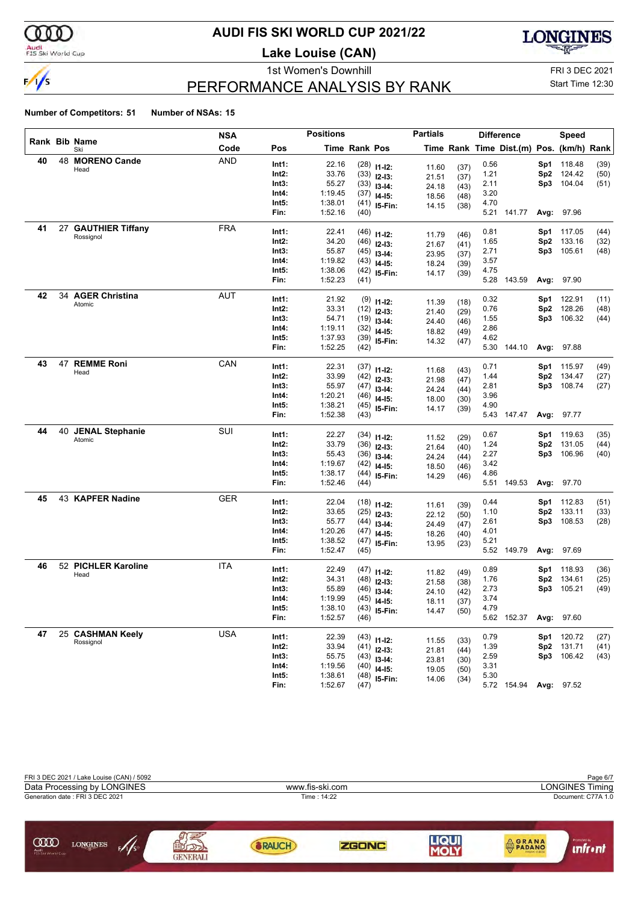

#### **AUDI FIS SKI WORLD CUP 2021/22**

**Lake Louise (CAN)**



### PERFORMANCE ANALYSIS BY RANK

1st Women's Downhill FRI 3 DEC 2021 Start Time 12:30

|    |    |                         | <b>NSA</b> |       | <b>Positions</b> |               |                | <b>Partials</b> |              |      | <b>Difference</b>                        |                 | Speed      |      |
|----|----|-------------------------|------------|-------|------------------|---------------|----------------|-----------------|--------------|------|------------------------------------------|-----------------|------------|------|
|    |    | Rank Bib Name<br>Ski    | Code       | Pos   |                  | Time Rank Pos |                |                 |              |      | Time Rank Time Dist.(m) Pos. (km/h) Rank |                 |            |      |
| 40 |    | 48 MORENO Cande         | <b>AND</b> | Int1: | 22.16            |               | $(28)$ 11-12:  | 11.60           |              | 0.56 |                                          | Sp1             | 118.48     | (39) |
|    |    | Head                    |            | Int2: | 33.76            |               | $(33)$ 12-13:  | 21.51           | (37)<br>(37) | 1.21 |                                          | Sp2             | 124.42     | (50) |
|    |    |                         |            | Int3: | 55.27            |               | $(33)$ 13-14:  | 24.18           | (43)         | 2.11 |                                          | Sp3             | 104.04     | (51) |
|    |    |                         |            | Int4: | 1:19.45          |               | $(37)$ 14-15:  | 18.56           | (48)         | 3.20 |                                          |                 |            |      |
|    |    |                         |            | Int5: | 1:38.01          |               | $(41)$ 15-Fin: | 14.15           | (38)         | 4.70 |                                          |                 |            |      |
|    |    |                         |            | Fin:  | 1:52.16          | (40)          |                |                 |              |      | 5.21 141.77                              |                 | Avg: 97.96 |      |
| 41 | 27 | <b>GAUTHIER Tiffany</b> | <b>FRA</b> | Int1: | 22.41            |               | $(46)$ 11-12:  | 11.79           | (46)         | 0.81 |                                          | Sp1             | 117.05     | (44) |
|    |    | Rossignol               |            | Int2: | 34.20            |               | $(46)$ 12-13:  | 21.67           | (41)         | 1.65 |                                          | Sp <sub>2</sub> | 133.16     | (32) |
|    |    |                         |            | Int3: | 55.87            |               | $(45)$ 13-14:  | 23.95           | (37)         | 2.71 |                                          | Sp3             | 105.61     | (48) |
|    |    |                         |            | Int4: | 1:19.82          |               | $(43)$ 14-15:  | 18.24           | (39)         | 3.57 |                                          |                 |            |      |
|    |    |                         |            | Int5: | 1:38.06          |               | $(42)$ 15-Fin: | 14.17           | (39)         | 4.75 |                                          |                 |            |      |
|    |    |                         |            | Fin:  | 1:52.23          | (41)          |                |                 |              | 5.28 | 143.59                                   |                 | Avg: 97.90 |      |
| 42 | 34 | <b>AGER Christina</b>   | AUT        | Int1: | 21.92            |               | $(9)$ 11-12:   |                 |              | 0.32 |                                          | Sp1             | 122.91     | (11) |
|    |    | Atomic                  |            | Int2: | 33.31            |               | $(12)$ 12-13:  | 11.39           | (18)         | 0.76 |                                          | Sp <sub>2</sub> | 128.26     | (48) |
|    |    |                         |            | Int3: | 54.71            |               | $(19)$ 13-14:  | 21.40<br>24.40  | (29)<br>(46) | 1.55 |                                          | Sp3             | 106.32     | (44) |
|    |    |                         |            | Int4: | 1:19.11          |               | $(32)$ 14-15:  | 18.82           | (49)         | 2.86 |                                          |                 |            |      |
|    |    |                         |            | Int5: | 1:37.93          |               | $(39)$ 15-Fin: | 14.32           | (47)         | 4.62 |                                          |                 |            |      |
|    |    |                         |            | Fin:  | 1:52.25          | (42)          |                |                 |              |      | 5.30 144.10                              |                 | Avg: 97.88 |      |
| 43 | 47 | <b>REMME Roni</b>       | CAN        | Int1: | 22.31            |               | $(37)$ 11-12:  |                 |              | 0.71 |                                          | Sp1             | 115.97     | (49) |
|    |    | Head                    |            | Int2: | 33.99            |               | $(42)$ 12-13:  | 11.68           | (43)         | 1.44 |                                          | Sp2             | 134.47     | (27) |
|    |    |                         |            | Int3: | 55.97            |               | $(47)$ 13-14:  | 21.98           | (47)         | 2.81 |                                          | Sp3             | 108.74     | (27) |
|    |    |                         |            | Int4: | 1:20.21          |               | $(46)$ 14-15:  | 24.24<br>18.00  | (44)         | 3.96 |                                          |                 |            |      |
|    |    |                         |            | Int5: | 1:38.21          |               | $(45)$ 15-Fin: | 14.17           | (30)<br>(39) | 4.90 |                                          |                 |            |      |
|    |    |                         |            | Fin:  | 1:52.38          | (43)          |                |                 |              |      | 5.43 147.47                              | Avg:            | 97.77      |      |
| 44 |    | 40 JENAL Stephanie      | SUI        | Int1: | 22.27            |               | $(34)$ 11-12:  |                 |              | 0.67 |                                          | Sp1             | 119.63     | (35) |
|    |    | Atomic                  |            | Int2: | 33.79            |               | $(36)$ 12-13:  | 11.52           | (29)         | 1.24 |                                          | Sp <sub>2</sub> | 131.05     | (44) |
|    |    |                         |            | Int3: | 55.43            |               | $(36)$ 13-14:  | 21.64           | (40)         | 2.27 |                                          | Sp3             | 106.96     | (40) |
|    |    |                         |            | Int4: | 1:19.67          |               | $(42)$ 14-15:  | 24.24<br>18.50  | (44)<br>(46) | 3.42 |                                          |                 |            |      |
|    |    |                         |            | Int5: | 1:38.17          |               | $(44)$ 15-Fin: | 14.29           | (46)         | 4.86 |                                          |                 |            |      |
|    |    |                         |            | Fin:  | 1:52.46          | (44)          |                |                 |              |      | 5.51 149.53                              |                 | Avg: 97.70 |      |
| 45 |    | 43 KAPFER Nadine        | <b>GER</b> | Int1: | 22.04            |               | $(18)$ 11-12:  |                 |              | 0.44 |                                          | Sp1             | 112.83     | (51) |
|    |    |                         |            | Int2: | 33.65            |               | $(25)$ 12-13:  | 11.61           | (39)         | 1.10 |                                          | Sp <sub>2</sub> | 133.11     | (33) |
|    |    |                         |            | Int3: | 55.77            |               | $(44)$ 13-14:  | 22.12           | (50)         | 2.61 |                                          | Sp3             | 108.53     | (28) |
|    |    |                         |            | Int4: | 1:20.26          |               | $(47)$ 14-15:  | 24.49<br>18.26  | (47)         | 4.01 |                                          |                 |            |      |
|    |    |                         |            | Int5: | 1:38.52          |               | $(47)$ 15-Fin: | 13.95           | (40)<br>(23) | 5.21 |                                          |                 |            |      |
|    |    |                         |            | Fin:  | 1:52.47          | (45)          |                |                 |              |      | 5.52 149.79                              | Avg:            | 97.69      |      |
| 46 |    | 52 PICHLER Karoline     | ITA        | Int1: | 22.49            |               | $(47)$ 11-12:  |                 |              | 0.89 |                                          | Sp1             | 118.93     | (36) |
|    |    | Head                    |            | Int2: | 34.31            |               | $(48)$ 12-13:  | 11.82           | (49)         | 1.76 |                                          | Sp2             | 134.61     | (25) |
|    |    |                         |            | Int3: | 55.89            |               | $(46)$ 13-14:  | 21.58           | (38)         | 2.73 |                                          | Sp3             | 105.21     | (49) |
|    |    |                         |            | Int4: | 1:19.99          |               | $(45)$ 14-15:  | 24.10<br>18.11  | (42)<br>(37) | 3.74 |                                          |                 |            |      |
|    |    |                         |            | Int5: | 1:38.10          |               | $(43)$ 15-Fin: | 14.47           | (50)         | 4.79 |                                          |                 |            |      |
|    |    |                         |            | Fin:  | 1:52.57          | (46)          |                |                 |              |      | 5.62 152.37                              |                 | Avg: 97.60 |      |
| 47 |    | 25 CASHMAN Keely        | <b>USA</b> | Int1: | 22.39            |               | $(43)$ 11-12:  |                 |              | 0.79 |                                          | Sp1             | 120.72     | (27) |
|    |    | Rossignol               |            | Int2: | 33.94            |               | $(41)$ 12-13:  | 11.55           | (33)         | 1.39 |                                          | Sp2             | 131.71     | (41) |
|    |    |                         |            | Int3: | 55.75            |               | $(43)$ 13-14:  | 21.81           | (44)         | 2.59 |                                          |                 | Sp3 106.42 | (43) |
|    |    |                         |            | Int4: | 1:19.56          |               | $(40)$ 14-15:  | 23.81<br>19.05  | (30)         | 3.31 |                                          |                 |            |      |
|    |    |                         |            | Int5: | 1:38.61          |               | $(48)$ 15-Fin: | 14.06           | (50)<br>(34) | 5.30 |                                          |                 |            |      |
|    |    |                         |            | Fin:  | 1:52.67          | (47)          |                |                 |              |      | 5.72 154.94 Avg: 97.52                   |                 |            |      |

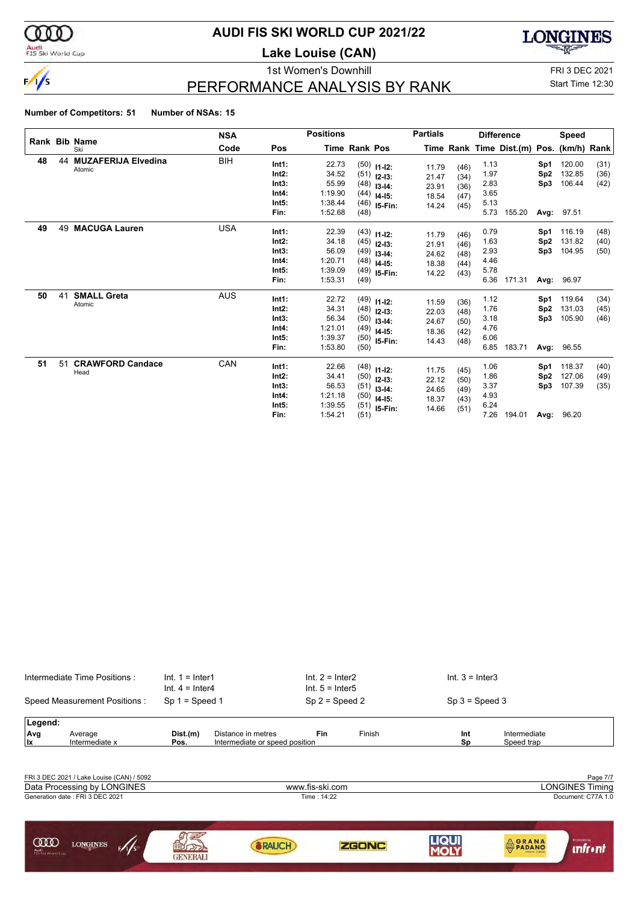

#### Audi<br>FIS Ski World Cup

#### **AUDI FIS SKI WORLD CUP 2021/22**

**Lake Louise (CAN)**





PERFORMANCE ANALYSIS BY RANK

1st Women's Downhill FRI 3 DEC 2021 Start Time 12:30

|    |    |                                      | <b>NSA</b> |                                                   | <b>Positions</b>                                         |                      |                                                                                    | <b>Partials</b>                           |                                      |                                              | <b>Difference</b>                        |                                       | <b>Speed</b>                             |                      |
|----|----|--------------------------------------|------------|---------------------------------------------------|----------------------------------------------------------|----------------------|------------------------------------------------------------------------------------|-------------------------------------------|--------------------------------------|----------------------------------------------|------------------------------------------|---------------------------------------|------------------------------------------|----------------------|
|    |    | Rank Bib Name<br>Ski                 | Code       | Pos                                               |                                                          | <b>Time Rank Pos</b> |                                                                                    |                                           |                                      |                                              | Time Rank Time Dist.(m) Pos. (km/h) Rank |                                       |                                          |                      |
| 48 | 44 | <b>MUZAFERIJA Elvedina</b><br>Atomic | BIH        | Int1:<br>Int2:<br>Int3:<br>Int4:<br>Int5:<br>Fin: | 22.73<br>34.52<br>55.99<br>1:19.90<br>1:38.44<br>1:52.68 | (48)                 | $(50)$ 11-12:<br>$(51)$ 12-13:<br>$(48)$ 13-14:<br>$(44)$ 14-15:<br>$(46)$ 15-Fin: | 11.79<br>21.47<br>23.91<br>18.54<br>14.24 | (46)<br>(34)<br>(36)<br>(47)<br>(45) | 1.13<br>1.97<br>2.83<br>3.65<br>5.13<br>5.73 | 155.20                                   | Sp1<br>Sp <sub>2</sub><br>Sp3         | 120.00<br>132.85<br>106.44<br>Avg: 97.51 | (31)<br>(36)<br>(42) |
| 49 | 49 | <b>MACUGA Lauren</b>                 | <b>USA</b> | Int1:<br>Int2:<br>Int3:<br>Int4:<br>Int5:<br>Fin: | 22.39<br>34.18<br>56.09<br>1:20.71<br>1:39.09<br>1:53.31 | (49)                 | $(43)$ 11-12:<br>$(45)$ 12-13:<br>$(49)$ 13-14:<br>$(48)$ 14-15:<br>$(49)$ 15-Fin: | 11.79<br>21.91<br>24.62<br>18.38<br>14.22 | (46)<br>(46)<br>(48)<br>(44)<br>(43) | 0.79<br>1.63<br>2.93<br>4.46<br>5.78<br>6.36 | 171.31                                   | Sp1<br>Sp <sub>2</sub><br>Sp3<br>Avg: | 116.19<br>131.82<br>104.95<br>96.97      | (48)<br>(40)<br>(50) |
| 50 | 41 | <b>SMALL Greta</b><br>Atomic         | <b>AUS</b> | Int1:<br>Int2:<br>Int3:<br>Int4:<br>Int5:<br>Fin: | 22.72<br>34.31<br>56.34<br>1:21.01<br>1:39.37<br>1:53.80 | (50)                 | $(49)$ 11-12:<br>$(48)$ 12-13:<br>$(50)$ 13-14:<br>$(49)$ 14-15:<br>$(50)$ 15-Fin: | 11.59<br>22.03<br>24.67<br>18.36<br>14.43 | (36)<br>(48)<br>(50)<br>(42)<br>(48) | 1.12<br>1.76<br>3.18<br>4.76<br>6.06<br>6.85 | 183.71                                   | Sp1<br>Sp <sub>2</sub><br>Sp3         | 119.64<br>131.03<br>105.90<br>Avg: 96.55 | (34)<br>(45)<br>(46) |
| 51 | 51 | <b>CRAWFORD Candace</b><br>Head      | CAN        | Int1:<br>Int2:<br>Int3:<br>Int4:<br>Int5:<br>Fin: | 22.66<br>34.41<br>56.53<br>1:21.18<br>1:39.55<br>1:54.21 | (51)                 | $(48)$ 11-12:<br>$(50)$ 12-13:<br>$(51)$ 13-14:<br>$(50)$ 14-15:<br>$(51)$ 15-Fin: | 11.75<br>22.12<br>24.65<br>18.37<br>14.66 | (45)<br>(50)<br>(49)<br>(43)<br>(51) | 1.06<br>1.86<br>3.37<br>4.93<br>6.24<br>7.26 | 194.01                                   | Sp1<br>Sp <sub>2</sub><br>Sp3         | 118.37<br>127.06<br>107.39<br>Avg: 96.20 | (40)<br>(49)<br>(35) |

| Intermediate Time Positions:                                   |                                           | $Int. 1 = Inter1$<br>$Int. 4 = Inter4$ |                                | $Int. 2 = Inter2$<br>$Int. 5 = Inter5$ |              | $Int. 3 = Inter3$ |                                      |                                                          |
|----------------------------------------------------------------|-------------------------------------------|----------------------------------------|--------------------------------|----------------------------------------|--------------|-------------------|--------------------------------------|----------------------------------------------------------|
| Speed Measurement Positions:                                   |                                           | $Sp 1 = Speed 1$                       |                                | $Sp 2 = Speed 2$                       |              | $Sp 3 = Speed 3$  |                                      |                                                          |
| Legend:<br>Avg<br>Average                                      |                                           | Dist.(m)                               | Distance in metres             | Fin                                    | Finish       | Int               | Intermediate                         |                                                          |
| llx                                                            | Intermediate x                            | Pos.                                   | Intermediate or speed position |                                        |              | Sp                | Speed trap                           |                                                          |
| Data Processing by LONGINES<br>Generation date: FRI 3 DEC 2021 | FRI 3 DEC 2021 / Lake Louise (CAN) / 5092 |                                        |                                | www.fis-ski.com<br>Time: 14:22         |              |                   |                                      | Page 7/7<br><b>LONGINES Timing</b><br>Document: C77A 1.0 |
| <b>COOD</b><br>Audi<br>FIS Ski World Cup                       | <b>LONGINES</b><br>5/1/s                  | ורנרז<br><b>GENERALI</b>               | <b>BRAUCH</b>                  |                                        | <b>ZGONC</b> | <b>LIQUI</b>      | <b>ORANA</b><br><b>ITALIAN CHEES</b> | Promoted by<br><i><b><u>infront</u></b></i>              |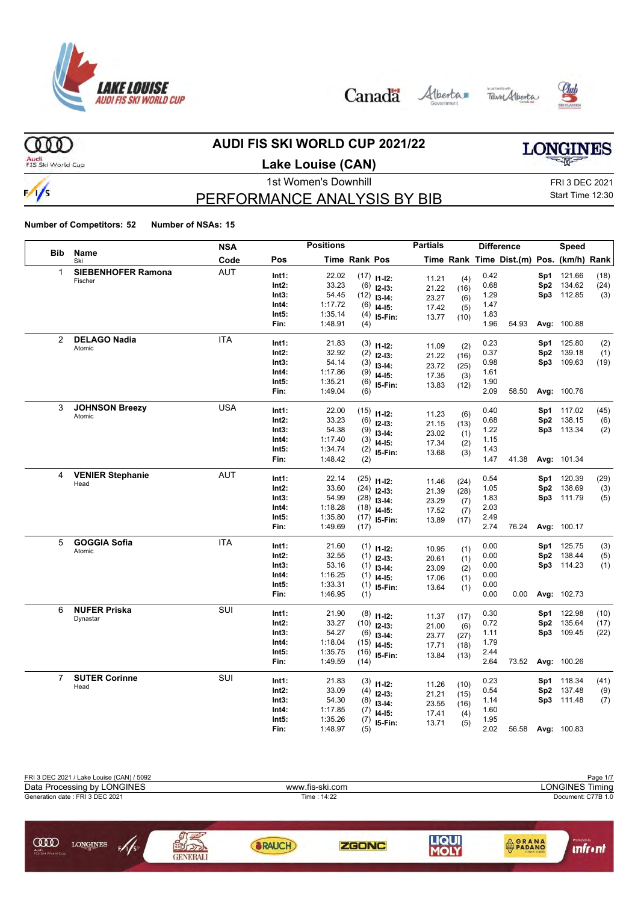







 $000$ Audi<br>FIS Ski World Cup

 $\frac{1}{s}$ 

#### **AUDI FIS SKI WORLD CUP 2021/22**

**Lake Louise (CAN)**

# **LONGINES**

### PERFORMANCE ANALYSIS BY BIB

1st Women's Downhill FRI 3 DEC 2021 Start Time 12:30

|                |                                 | <b>NSA</b> |       | <b>Positions</b> |                      |                         | <b>Partials</b> |              |      | <b>Difference</b>                        |     | Speed       |      |
|----------------|---------------------------------|------------|-------|------------------|----------------------|-------------------------|-----------------|--------------|------|------------------------------------------|-----|-------------|------|
| <b>Bib</b>     | <b>Name</b><br>Ski              | Code       | Pos   |                  | <b>Time Rank Pos</b> |                         |                 |              |      | Time Rank Time Dist.(m) Pos. (km/h) Rank |     |             |      |
| 1              | <b>SIEBENHOFER Ramona</b>       | <b>AUT</b> | Int1: | 22.02            |                      | $(17)$ 11-12:           | 11.21           | (4)          | 0.42 |                                          | Sp1 | 121.66      | (18) |
|                | Fischer                         |            | Int2: | 33.23            | (6)                  | $12-13:$                | 21.22           | (16)         | 0.68 |                                          |     | Sp2 134.62  | (24) |
|                |                                 |            | Int3: | 54.45            | (12)                 | $13-14:$                | 23.27           | (6)          | 1.29 |                                          |     | Sp3 112.85  | (3)  |
|                |                                 |            | Int4: | 1:17.72          | (6)                  | $14-15:$                | 17.42           | (5)          | 1.47 |                                          |     |             |      |
|                |                                 |            | Int5: | 1:35.14          | (4)                  | 15-Fin:                 | 13.77           | (10)         | 1.83 |                                          |     |             |      |
|                |                                 |            | Fin:  | 1:48.91          | (4)                  |                         |                 |              | 1.96 | 54.93                                    |     | Avg: 100.88 |      |
| 2              | <b>DELAGO Nadia</b>             | <b>ITA</b> | Int1: | 21.83            | (3)                  |                         |                 |              | 0.23 |                                          | Sp1 | 125.80      | (2)  |
|                | Atomic                          |            | Int2: | 32.92            | (2)                  | $11 - 12$ :<br>$12-13:$ | 11.09           | (2)          | 0.37 |                                          | Sp2 | 139.18      | (1)  |
|                |                                 |            | Int3: | 54.14            | (3)                  | $13-14:$                | 21.22           | (16)         | 0.98 |                                          | Sp3 | 109.63      | (19) |
|                |                                 |            | Int4: | 1:17.86          | (9)                  | $14-15:$                | 23.72           | (25)         | 1.61 |                                          |     |             |      |
|                |                                 |            | Int5: | 1:35.21          | (6)                  | 15-Fin:                 | 17.35           | (3)          | 1.90 |                                          |     |             |      |
|                |                                 |            | Fin:  | 1:49.04          | (6)                  |                         | 13.83           | (12)         | 2.09 | 58.50                                    |     | Avg: 100.76 |      |
| 3              | <b>JOHNSON Breezy</b>           | <b>USA</b> | Int1: | 22.00            |                      |                         |                 |              | 0.40 |                                          | Sp1 | 117.02      | (45) |
|                | Atomic                          |            | Int2: | 33.23            | (15)<br>(6)          | $11 - 12$ :             | 11.23           | (6)          | 0.68 |                                          |     | Sp2 138.15  | (6)  |
|                |                                 |            | Int3: | 54.38            | (9)                  | $12-13:$                | 21.15           | (13)         | 1.22 |                                          |     | Sp3 113.34  | (2)  |
|                |                                 |            | Int4: | 1:17.40          | (3)                  | $13 - 14$ :             | 23.02           | (1)          | 1.15 |                                          |     |             |      |
|                |                                 |            | Int5: | 1:34.74          | (2)                  | $14 - 15$ :             | 17.34           | (2)          | 1.43 |                                          |     |             |      |
|                |                                 |            | Fin:  | 1:48.42          | (2)                  | I5-Fin:                 | 13.68           | (3)          | 1.47 | 41.38                                    |     | Avg: 101.34 |      |
|                |                                 |            |       |                  |                      |                         |                 |              |      |                                          |     |             |      |
| 4              | <b>VENIER Stephanie</b><br>Head | <b>AUT</b> | Int1: | 22.14            | (25)                 | $11 - 12$ :             | 11.46           | (24)         | 0.54 |                                          | Sp1 | 120.39      | (29) |
|                |                                 |            | Int2: | 33.60            | (24)                 | $12-13:$                | 21.39           | (28)         | 1.05 |                                          | Sp2 | 138.69      | (3)  |
|                |                                 |            | Int3: | 54.99            | (28)                 | $13-14:$                | 23.29           | (7)          | 1.83 |                                          |     | Sp3 111.79  | (5)  |
|                |                                 |            | Int4: | 1:18.28          | (18)                 | $14-15:$                | 17.52           | (7)          | 2.03 |                                          |     |             |      |
|                |                                 |            | Int5: | 1:35.80          | (17)                 | 15-Fin:                 | 13.89           | (17)         | 2.49 |                                          |     |             |      |
|                |                                 |            | Fin:  | 1:49.69          | (17)                 |                         |                 |              | 2.74 | 76.24                                    |     | Avg: 100.17 |      |
| 5              | <b>GOGGIA Sofia</b>             | <b>ITA</b> | Int1: | 21.60            | (1)                  | $11 - 12$ :             | 10.95           | (1)          | 0.00 |                                          | Sp1 | 125.75      | (3)  |
|                | Atomic                          |            | Int2: | 32.55            | (1)                  | $12-13:$                | 20.61           | (1)          | 0.00 |                                          | Sp2 | 138.44      | (5)  |
|                |                                 |            | Int3: | 53.16            | (1)                  | $13-14:$                | 23.09           | (2)          | 0.00 |                                          |     | Sp3 114.23  | (1)  |
|                |                                 |            | Int4: | 1:16.25          | (1)                  | $14-15:$                | 17.06           | (1)          | 0.00 |                                          |     |             |      |
|                |                                 |            | Int5: | 1:33.31          | (1)                  | 15-Fin:                 | 13.64           | (1)          | 0.00 |                                          |     |             |      |
|                |                                 |            | Fin:  | 1:46.95          | (1)                  |                         |                 |              | 0.00 | 0.00                                     |     | Avg: 102.73 |      |
| 6              | <b>NUFER Priska</b>             | SUI        | Int1: | 21.90            |                      | $(8)$ 11-12:            |                 |              | 0.30 |                                          | Sp1 | 122.98      | (10) |
|                | Dynastar                        |            | Int2: | 33.27            | (10)                 | $12-13:$                | 11.37           | (17)         | 0.72 |                                          | Sp2 | 135.64      | (17) |
|                |                                 |            | Int3: | 54.27            | (6)                  | $13 - 14$ :             | 21.00<br>23.77  | (6)          | 1.11 |                                          | Sp3 | 109.45      | (22) |
|                |                                 |            | Int4: | 1:18.04          | (15)                 | $14-15:$                | 17.71           | (27)<br>(18) | 1.79 |                                          |     |             |      |
|                |                                 |            | Int5: | 1:35.75          | (16)                 | 15-Fin:                 | 13.84           | (13)         | 2.44 |                                          |     |             |      |
|                |                                 |            | Fin:  | 1:49.59          | (14)                 |                         |                 |              | 2.64 | 73.52                                    |     | Avg: 100.26 |      |
| $\overline{7}$ | <b>SUTER Corinne</b>            | SUI        | Int1: | 21.83            | (3)                  |                         |                 |              | 0.23 |                                          | Sp1 | 118.34      | (41) |
|                | Head                            |            | Int2: | 33.09            | (4)                  | $11 - 12$ :             | 11.26           | (10)         | 0.54 |                                          |     | Sp2 137.48  | (9)  |
|                |                                 |            | Int3: | 54.30            | (8)                  | $12-13:$<br>$13-14:$    | 21.21           | (15)         | 1.14 |                                          |     | Sp3 111.48  | (7)  |
|                |                                 |            | Int4: | 1:17.85          | (7)                  | $14-15:$                | 23.55           | (16)         | 1.60 |                                          |     |             |      |
|                |                                 |            | Int5: | 1:35.26          | (7)                  |                         | 17.41           | (4)          | 1.95 |                                          |     |             |      |
|                |                                 |            | Fin:  | 1:48.97          | (5)                  | 15-Fin:                 | 13.71           | (5)          | 2.02 | 56.58                                    |     | Avg: 100.83 |      |

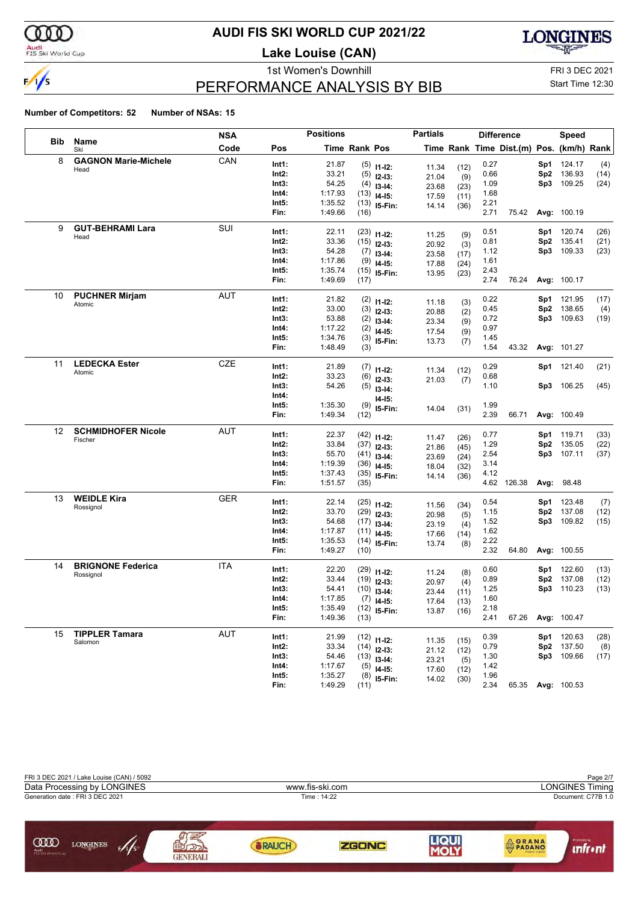

#### Audi<br>FIS Ski World Cup

#### **AUDI FIS SKI WORLD CUP 2021/22**

**Lake Louise (CAN)**



### PERFORMANCE ANALYSIS BY BIB

1st Women's Downhill FRI 3 DEC 2021 Start Time 12:30

|                   |                                 | <b>NSA</b> |                | <b>Positions</b>   |               |                                | <b>Partials</b> |      |              | <b>Difference</b>                        |                 | <b>Speed</b>         |             |
|-------------------|---------------------------------|------------|----------------|--------------------|---------------|--------------------------------|-----------------|------|--------------|------------------------------------------|-----------------|----------------------|-------------|
| <b>Bib</b>        | Name<br>Ski                     | Code       | Pos            |                    | Time Rank Pos |                                |                 |      |              | Time Rank Time Dist.(m) Pos. (km/h) Rank |                 |                      |             |
| 8                 | <b>GAGNON Marie-Michele</b>     | CAN        | Int1:          | 21.87              |               | $(5)$ 11-12:                   | 11.34           | (12) | 0.27         |                                          | Sp1             | 124.17               | (4)         |
|                   | Head                            |            | Int2:          | 33.21              | (5)           | $12-13:$                       | 21.04           | (9)  | 0.66         |                                          | Sp <sub>2</sub> | 136.93               | (14)        |
|                   |                                 |            | Int3:          | 54.25              | (4)           | $13-14:$                       | 23.68           | (23) | 1.09         |                                          | Sp3             | 109.25               | (24)        |
|                   |                                 |            | Int4:          | 1:17.93            | (13)          | $14 - 15$ :                    | 17.59           | (11) | 1.68         |                                          |                 |                      |             |
|                   |                                 |            | Int5:          | 1:35.52            |               | $(13)$ 15-Fin:                 | 14.14           | (36) | 2.21         |                                          |                 |                      |             |
|                   |                                 |            | Fin:           | 1:49.66            | (16)          |                                |                 |      | 2.71         | 75.42                                    |                 | Avg: 100.19          |             |
| 9                 | <b>GUT-BEHRAMI Lara</b>         | SUI        | Int1:          | 22.11              |               | $(23)$ 11-12:                  | 11.25           | (9)  | 0.51         |                                          | Sp1             | 120.74               | (26)        |
|                   | Head                            |            | Int2:          | 33.36              |               | $(15)$ 12-13:                  | 20.92           | (3)  | 0.81         |                                          | Sp <sub>2</sub> | 135.41               | (21)        |
|                   |                                 |            | Int3:          | 54.28              |               | $(7)$ 13-14:                   | 23.58           | (17) | 1.12         |                                          | Sp3             | 109.33               | (23)        |
|                   |                                 |            | Int4:          | 1:17.86            | (9)           | $14-15:$                       | 17.88           | (24) | 1.61         |                                          |                 |                      |             |
|                   |                                 |            | Int5:<br>Fin:  | 1:35.74<br>1:49.69 |               | $(15)$ 15-Fin:                 | 13.95           | (23) | 2.43<br>2.74 | 76.24                                    |                 |                      |             |
|                   |                                 |            |                |                    | (17)          |                                |                 |      |              |                                          |                 | Avg: 100.17          |             |
| 10                | <b>PUCHNER Mirjam</b><br>Atomic | AUT        | Int1:          | 21.82              |               | $(2)$ 11-12:                   | 11.18           | (3)  | 0.22         |                                          | Sp1             | 121.95               | (17)        |
|                   |                                 |            | Int2:          | 33.00              | (3)           | $12 - 13:$                     | 20.88           | (2)  | 0.45         |                                          | Sp <sub>2</sub> | 138.65               | (4)         |
|                   |                                 |            | Int3:          | 53.88              | (2)           | $13-14:$                       | 23.34           | (9)  | 0.72         |                                          | Sp3             | 109.63               | (19)        |
|                   |                                 |            | Int4:          | 1:17.22            | (2)           | $14 - 15$ :                    | 17.54           | (9)  | 0.97         |                                          |                 |                      |             |
|                   |                                 |            | Int5:<br>Fin:  | 1:34.76<br>1:48.49 | (3)<br>(3)    | 15-Fin:                        | 13.73           | (7)  | 1.45<br>1.54 | 43.32                                    |                 | Avg: 101.27          |             |
|                   |                                 |            |                |                    |               |                                |                 |      |              |                                          |                 |                      |             |
| 11                | <b>LEDECKA Ester</b><br>Atomic  | <b>CZE</b> | Int1:          | 21.89              |               | $(7)$ 11-12:                   | 11.34           | (12) | 0.29         |                                          |                 | Sp1 121.40           | (21)        |
|                   |                                 |            | Int2:          | 33.23              | (6)           | $12 - 13:$                     | 21.03           | (7)  | 0.68         |                                          |                 |                      |             |
|                   |                                 |            | Int3:          | 54.26              |               | $(5)$ 13-14:                   |                 |      | 1.10         |                                          |                 | Sp3 106.25           | (45)        |
|                   |                                 |            | Int4:          |                    |               | $14 - 15$ :                    |                 |      |              |                                          |                 |                      |             |
|                   |                                 |            | Int5:<br>Fin:  | 1:35.30<br>1:49.34 | (9)           | 15-Fin:                        | 14.04           | (31) | 1.99<br>2.39 | 66.71                                    |                 | Avg: 100.49          |             |
|                   |                                 |            |                |                    | (12)          |                                |                 |      |              |                                          |                 |                      |             |
| $12 \overline{ }$ | <b>SCHMIDHOFER Nicole</b>       | AUT        | Int1:          | 22.37              |               | $(42)$ 11-12:                  | 11.47           | (26) | 0.77         |                                          | Sp1             | 119.71               | (33)        |
|                   | Fischer                         |            | Int2:          | 33.84              |               | $(37)$ 12-13:                  | 21.86           | (45) | 1.29         |                                          | Sp <sub>2</sub> | 135.05               | (22)        |
|                   |                                 |            | Int3:          | 55.70              |               | $(41)$ 13-14:                  | 23.69           | (24) | 2.54         |                                          | Sp3             | 107.11               | (37)        |
|                   |                                 |            | Int4:          | 1:19.39            | (36)          | $14 - 15$ :                    | 18.04           | (32) | 3.14         |                                          |                 |                      |             |
|                   |                                 |            | Int5:          | 1:37.43            |               | $(35)$ 15-Fin:                 | 14.14           | (36) | 4.12         |                                          |                 |                      |             |
|                   |                                 |            | Fin:           | 1:51.57            | (35)          |                                |                 |      |              | 4.62 126.38                              | Avg:            | 98.48                |             |
| 13                | <b>WEIDLE Kira</b>              | <b>GER</b> | Int1:          | 22.14              |               | $(25)$ 11-12:                  | 11.56           | (34) | 0.54         |                                          | Sp1             | 123.48               | (7)         |
|                   | Rossignol                       |            | Int2:          | 33.70              |               | $(29)$ 12-13:                  | 20.98           | (5)  | 1.15         |                                          | Sp <sub>2</sub> | 137.08               | (12)        |
|                   |                                 |            | Int3:          | 54.68              |               | $(17)$ 13-14:                  | 23.19           | (4)  | 1.52         |                                          | Sp3             | 109.82               | (15)        |
|                   |                                 |            | Int4:          | 1:17.87            |               | $(11)$ 14-15:                  | 17.66           | (14) | 1.62         |                                          |                 |                      |             |
|                   |                                 |            | Int5:<br>Fin:  | 1:35.53<br>1:49.27 | (10)          | $(14)$ 15-Fin:                 | 13.74           | (8)  | 2.22<br>2.32 | 64.80                                    |                 | Avg: 100.55          |             |
| 14                | <b>BRIGNONE Federica</b>        | <b>ITA</b> |                |                    |               |                                |                 |      |              |                                          |                 |                      |             |
|                   | Rossignol                       |            | Int1:          | 22.20              |               | $(29)$ 11-12:                  | 11.24           | (8)  | 0.60         |                                          | Sp1             | 122.60               | (13)        |
|                   |                                 |            | Int2:          | 33.44              |               | $(19)$ 12-13:                  | 20.97           | (4)  | 0.89         |                                          | Sp <sub>2</sub> | 137.08               | (12)        |
|                   |                                 |            | Int3:<br>Int4: | 54.41<br>1:17.85   |               | $(10)$ 13-14:                  | 23.44           | (11) | 1.25<br>1.60 |                                          | Sp3             | 110.23               | (13)        |
|                   |                                 |            | Int5:          | 1:35.49            |               | $(7)$ 14-15:<br>$(12)$ 15-Fin: | 17.64           | (13) | 2.18         |                                          |                 |                      |             |
|                   |                                 |            | Fin:           | 1:49.36            | (13)          |                                | 13.87           | (16) | 2.41         | 67.26                                    |                 | Avg: 100.47          |             |
| 15                | <b>TIPPLER Tamara</b>           | AUT        |                |                    |               |                                |                 |      |              |                                          |                 |                      |             |
|                   | Salomon                         |            | Int1:          | 21.99              |               | $(12)$ 11-12:                  | 11.35           | (15) | 0.39         |                                          |                 | Sp1 120.63           | (28)        |
|                   |                                 |            | Int2:<br>Int3: | 33.34<br>54.46     |               | $(14)$ 12-13:                  | 21.12           | (12) | 0.79<br>1.30 |                                          | Sp2             | 137.50<br>Sp3 109.66 | (8)<br>(17) |
|                   |                                 |            | Int4:          | 1:17.67            |               | $(13)$ 13-14:<br>$(5)$ 14-15:  | 23.21           | (5)  | 1.42         |                                          |                 |                      |             |
|                   |                                 |            | Int5:          | 1:35.27            |               | $(8)$ 15-Fin:                  | 17.60           | (12) | 1.96         |                                          |                 |                      |             |
|                   |                                 |            | Fin:           | 1:49.29            | (11)          |                                | 14.02           | (30) | 2.34         | 65.35                                    |                 | <b>Avg: 100.53</b>   |             |

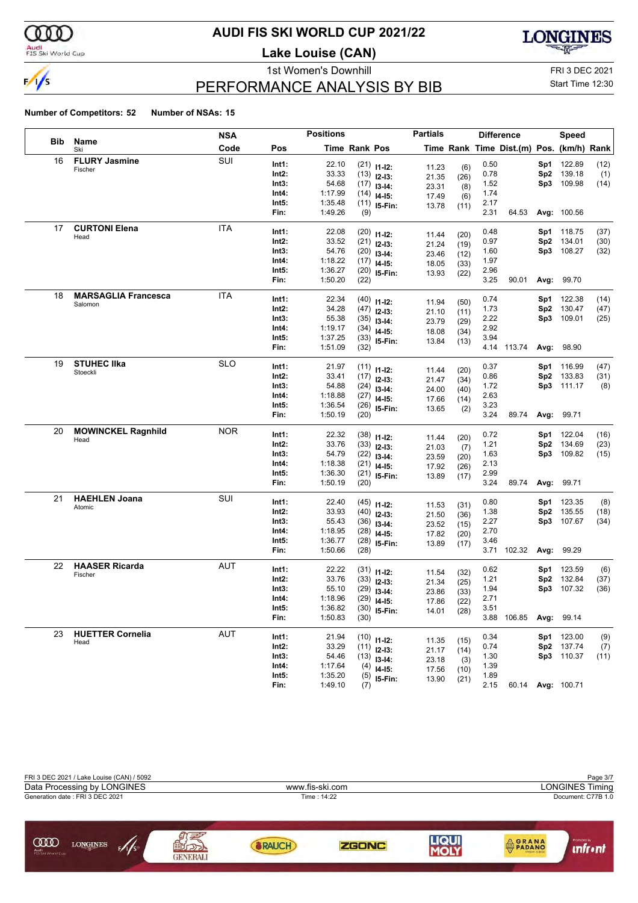

#### Audi<br>FIS Ski World Cup

#### **AUDI FIS SKI WORLD CUP 2021/22**

**Lake Louise (CAN)**



### PERFORMANCE ANALYSIS BY BIB

1st Women's Downhill FRI 3 DEC 2021 Start Time 12:30

|     |                                       | <b>NSA</b> |       | <b>Positions</b> |               |                | <b>Partials</b> |             |      | <b>Difference</b>                        |      | Speed              |      |
|-----|---------------------------------------|------------|-------|------------------|---------------|----------------|-----------------|-------------|------|------------------------------------------|------|--------------------|------|
| Bib | Name<br>Ski                           | Code       | Pos   |                  | Time Rank Pos |                |                 |             |      | Time Rank Time Dist.(m) Pos. (km/h) Rank |      |                    |      |
| 16  | <b>FLURY Jasmine</b>                  | SUI        | Int1: | 22.10            |               | $(21)$ 11-12:  | 11.23           | (6)         | 0.50 |                                          | Sp1  | 122.89             | (12) |
|     | Fischer                               |            | Int2: | 33.33            |               | $(13)$ 12-13:  | 21.35           | (26)        | 0.78 |                                          | Sp2  | 139.18             | (1)  |
|     |                                       |            | Int3: | 54.68            |               | $(17)$ 13-14:  | 23.31           | (8)         | 1.52 |                                          | Sp3  | 109.98             | (14) |
|     |                                       |            | Int4: | 1:17.99          |               | $(14)$ 14-15:  | 17.49           | (6)         | 1.74 |                                          |      |                    |      |
|     |                                       |            | Int5: | 1:35.48          |               | $(11)$ 15-Fin: | 13.78           | (11)        | 2.17 |                                          |      |                    |      |
|     |                                       |            | Fin:  | 1:49.26          | (9)           |                |                 |             | 2.31 | 64.53                                    |      | Avg: 100.56        |      |
| 17  | <b>CURTONI Elena</b>                  | <b>ITA</b> | Int1: | 22.08            |               | $(20)$ 11-12:  | 11.44           | (20)        | 0.48 |                                          | Sp1. | 118.75             | (37) |
|     | Head                                  |            | Int2: | 33.52            |               | $(21)$ 12-13:  | 21.24           | (19)        | 0.97 |                                          | Sp2  | 134.01             | (30) |
|     |                                       |            | Int3: | 54.76            |               | $(20)$ 13-14:  | 23.46           | (12)        | 1.60 |                                          | Sp3  | 108.27             | (32) |
|     |                                       |            | Int4: | 1:18.22          |               | $(17)$ 14-15:  | 18.05           | (33)        | 1.97 |                                          |      |                    |      |
|     |                                       |            | Int5: | 1:36.27          |               | $(20)$ 15-Fin: | 13.93           | (22)        | 2.96 |                                          |      |                    |      |
|     |                                       |            | Fin:  | 1:50.20          | (22)          |                |                 |             | 3.25 | 90.01                                    | Avg: | 99.70              |      |
| 18  | <b>MARSAGLIA Francesca</b><br>Salomon | ITA        | Int1: | 22.34            |               | $(40)$ 11-12:  | 11.94           | (50)        | 0.74 |                                          | Sp1  | 122.38             | (14) |
|     |                                       |            | Int2: | 34.28            |               | $(47)$ 12-13:  | 21.10           | (11)        | 1.73 |                                          | Sp2  | 130.47             | (47) |
|     |                                       |            | Int3: | 55.38            |               | $(35)$ 13-14:  | 23.79           | (29)        | 2.22 |                                          | Sp3  | 109.01             | (25) |
|     |                                       |            | Int4: | 1:19.17          |               | $(34)$ 14-15:  | 18.08           | (34)        | 2.92 |                                          |      |                    |      |
|     |                                       |            | Int5: | 1:37.25          |               | $(33)$ 15-Fin: | 13.84           | (13)        | 3.94 |                                          |      |                    |      |
|     |                                       |            | Fin:  | 1:51.09          | (32)          |                |                 |             |      | 4.14 113.74                              |      | Avg: 98.90         |      |
| 19  | <b>STUHEC IIka</b>                    | <b>SLO</b> | Int1: | 21.97            |               | $(11)$ 11-12:  | 11.44           | (20)        | 0.37 |                                          | Sp1  | 116.99             | (47) |
|     | Stoeckli                              |            | Int2: | 33.41            |               | $(17)$ 12-13:  | 21.47           | (34)        | 0.86 |                                          | Sp2  | 133.83             | (31) |
|     |                                       |            | Int3: | 54.88            |               | $(24)$ 13-14:  | 24.00           | (40)        | 1.72 |                                          |      | Sp3 111.17         | (8)  |
|     |                                       |            | Int4: | 1:18.88          |               | $(27)$ 14-15:  | 17.66           | (14)        | 2.63 |                                          |      |                    |      |
|     |                                       |            | Int5: | 1:36.54          |               | $(26)$ 15-Fin: | 13.65           | (2)         | 3.23 |                                          |      |                    |      |
|     |                                       |            | Fin:  | 1:50.19          | (20)          |                |                 |             | 3.24 | 89.74                                    | Avg: | 99.71              |      |
| 20  | <b>MOWINCKEL Ragnhild</b>             | <b>NOR</b> | Int1: | 22.32            |               | $(38)$ 11-12:  |                 |             | 0.72 |                                          | Sp1  | 122.04             | (16) |
|     | Head                                  |            | Int2: | 33.76            |               | $(33)$ 12-13:  | 11.44<br>21.03  | (20)<br>(7) | 1.21 |                                          | Sp2  | 134.69             | (23) |
|     |                                       |            | Int3: | 54.79            |               | $(22)$ 13-14:  | 23.59           | (20)        | 1.63 |                                          | Sp3  | 109.82             | (15) |
|     |                                       |            | Int4: | 1:18.38          |               | $(21)$ 14-15:  | 17.92           | (26)        | 2.13 |                                          |      |                    |      |
|     |                                       |            | Int5: | 1:36.30          |               | $(21)$ 15-Fin: | 13.89           | (17)        | 2.99 |                                          |      |                    |      |
|     |                                       |            | Fin:  | 1:50.19          | (20)          |                |                 |             | 3.24 | 89.74                                    | Avg: | 99.71              |      |
| 21  | <b>HAEHLEN Joana</b>                  | SUI        | Int1: | 22.40            |               | $(45)$ 11-12:  | 11.53           | (31)        | 0.80 |                                          | Sp1  | 123.35             | (8)  |
|     | Atomic                                |            | Int2: | 33.93            |               | $(40)$ 12-13:  | 21.50           | (36)        | 1.38 |                                          | Sp2  | 135.55             | (18) |
|     |                                       |            | Int3: | 55.43            |               | $(36)$ 13-14:  | 23.52           | (15)        | 2.27 |                                          | Sp3  | 107.67             | (34) |
|     |                                       |            | Int4: | 1:18.95          |               | $(28)$ 14-15:  | 17.82           | (20)        | 2.70 |                                          |      |                    |      |
|     |                                       |            | Int5: | 1:36.77          |               | $(28)$ 15-Fin: | 13.89           | (17)        | 3.46 |                                          |      |                    |      |
|     |                                       |            | Fin:  | 1:50.66          | (28)          |                |                 |             | 3.71 | 102.32                                   | Avg: | 99.29              |      |
| 22  | <b>HAASER Ricarda</b>                 | AUT        | Int1: | 22.22            |               | $(31)$ 11-12:  | 11.54           | (32)        | 0.62 |                                          | Sp1  | 123.59             | (6)  |
|     | Fischer                               |            | Int2: | 33.76            |               | $(33)$ 12-13:  | 21.34           | (25)        | 1.21 |                                          | Sp2  | 132.84             | (37) |
|     |                                       |            | Int3: | 55.10            |               | $(29)$ 13-14:  | 23.86           | (33)        | 1.94 |                                          | Sp3  | 107.32             | (36) |
|     |                                       |            | Int4: | 1:18.96          |               | $(29)$ 14-15:  | 17.86           | (22)        | 2.71 |                                          |      |                    |      |
|     |                                       |            | Int5: | 1:36.82          |               | $(30)$ 15-Fin: | 14.01           | (28)        | 3.51 |                                          |      |                    |      |
|     |                                       |            | Fin:  | 1:50.83          | (30)          |                |                 |             |      | 3.88 106.85                              |      | Avg: 99.14         |      |
| 23  | <b>HUETTER Cornelia</b>               | <b>AUT</b> | Int1: | 21.94            |               | $(10)$ 11-12:  | 11.35           | (15)        | 0.34 |                                          |      | Sp1 123.00         | (9)  |
|     | Head                                  |            | Int2: | 33.29            |               | $(11)$ 12-13:  | 21.17           | (14)        | 0.74 |                                          | Sp2  | 137.74             | (7)  |
|     |                                       |            | Int3: | 54.46            |               | $(13)$ 13-14:  | 23.18           | (3)         | 1.30 |                                          |      | Sp3 110.37         | (11) |
|     |                                       |            | Int4: | 1:17.64          |               | $(4)$ 14-15:   | 17.56           | (10)        | 1.39 |                                          |      |                    |      |
|     |                                       |            | Int5: | 1:35.20          |               | $(5)$ 15-Fin:  | 13.90           | (21)        | 1.89 |                                          |      |                    |      |
|     |                                       |            | Fin:  | 1:49.10          | (7)           |                |                 |             | 2.15 | 60.14                                    |      | <b>Avg: 100.71</b> |      |

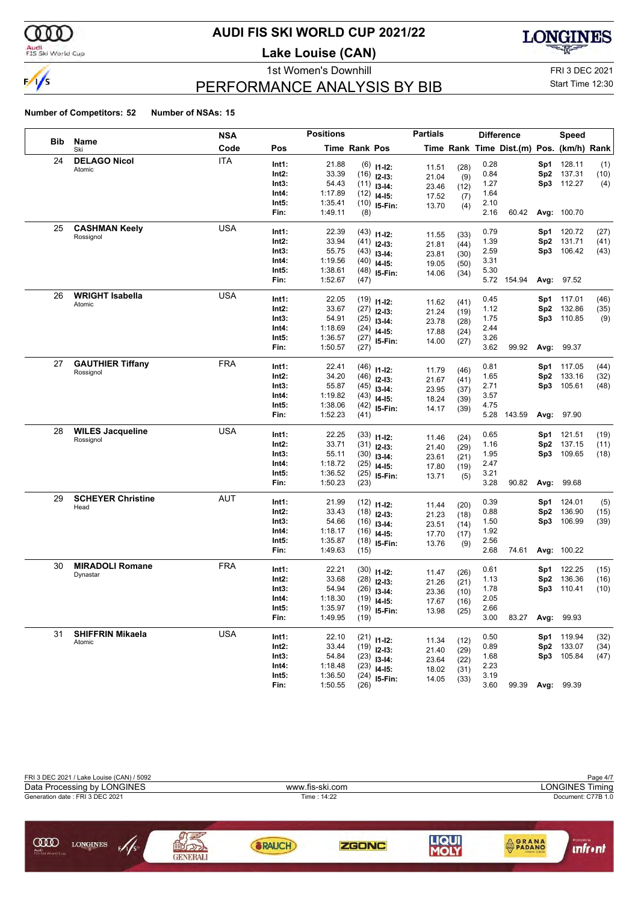

#### Audi<br>FIS Ski World Cup

#### **AUDI FIS SKI WORLD CUP 2021/22**

**Lake Louise (CAN)**



### PERFORMANCE ANALYSIS BY BIB

1st Women's Downhill FRI 3 DEC 2021 Start Time 12:30

|            |                          | <b>NSA</b> |                | <b>Positions</b> |                      |                                 | <b>Partials</b> |              |              | <b>Difference</b>                        |                 | <b>Speed</b>             |              |
|------------|--------------------------|------------|----------------|------------------|----------------------|---------------------------------|-----------------|--------------|--------------|------------------------------------------|-----------------|--------------------------|--------------|
| <b>Bib</b> | Name<br>Ski              | Code       | Pos            |                  | <b>Time Rank Pos</b> |                                 |                 |              |              | Time Rank Time Dist.(m) Pos. (km/h) Rank |                 |                          |              |
| 24         | <b>DELAGO Nicol</b>      | <b>ITA</b> | Int1:          | 21.88            |                      | $(6)$ 11-12:                    |                 |              | 0.28         |                                          | Sp1             | 128.11                   | (1)          |
|            | Atomic                   |            | Int2:          | 33.39            |                      | $(16)$ 12-13:                   | 11.51<br>21.04  | (28)<br>(9)  | 0.84         |                                          | Sp2             | 137.31                   | (10)         |
|            |                          |            | Int3:          | 54.43            |                      | $(11)$ 13-14:                   | 23.46           | (12)         | 1.27         |                                          | Sp3             | 112.27                   | (4)          |
|            |                          |            | Int4:          | 1:17.89          |                      | $(12)$ 14-15:                   | 17.52           | (7)          | 1.64         |                                          |                 |                          |              |
|            |                          |            | Int5:          | 1:35.41          |                      | $(10)$ 15-Fin:                  | 13.70           | (4)          | 2.10         |                                          |                 |                          |              |
|            |                          |            | Fin:           | 1:49.11          | (8)                  |                                 |                 |              | 2.16         | 60.42                                    |                 | Avg: 100.70              |              |
| 25         | <b>CASHMAN Keely</b>     | <b>USA</b> | Int1:          | 22.39            |                      | $(43)$ 11-12:                   |                 |              | 0.79         |                                          |                 | Sp1 120.72               | (27)         |
|            | Rossignol                |            | Int2:          | 33.94            |                      | $(41)$ 12-13:                   | 11.55           | (33)         | 1.39         |                                          | Sp <sub>2</sub> | 131.71                   | (41)         |
|            |                          |            | Int3:          | 55.75            |                      | $(43)$ 13-14:                   | 21.81<br>23.81  | (44)<br>(30) | 2.59         |                                          | Sp3             | 106.42                   | (43)         |
|            |                          |            | Int4:          | 1:19.56          |                      | $(40)$ 14-15:                   | 19.05           | (50)         | 3.31         |                                          |                 |                          |              |
|            |                          |            | Int5:          | 1:38.61          |                      | $(48)$ 15-Fin:                  | 14.06           | (34)         | 5.30         |                                          |                 |                          |              |
|            |                          |            | Fin:           | 1:52.67          | (47)                 |                                 |                 |              |              | 5.72 154.94                              |                 | Avg: 97.52               |              |
| 26         | <b>WRIGHT Isabella</b>   | USA        | Int1:          | 22.05            |                      | $(19)$ 11-12:                   |                 |              | 0.45         |                                          | Sp1.            | 117.01                   | (46)         |
|            | Atomic                   |            | Int2:          | 33.67            |                      | $(27)$ 12-13:                   | 11.62           | (41)         | 1.12         |                                          | Sp2             | 132.86                   | (35)         |
|            |                          |            | Int3:          | 54.91            |                      | $(25)$ 13-14:                   | 21.24           | (19)         | 1.75         |                                          | Sp3             | 110.85                   | (9)          |
|            |                          |            | Int4:          | 1:18.69          |                      | $(24)$ 14-15:                   | 23.78<br>17.88  | (28)<br>(24) | 2.44         |                                          |                 |                          |              |
|            |                          |            | Int5:          | 1:36.57          |                      | $(27)$ 15-Fin:                  | 14.00           | (27)         | 3.26         |                                          |                 |                          |              |
|            |                          |            | Fin:           | 1:50.57          | (27)                 |                                 |                 |              | 3.62         | 99.92                                    |                 | Avg: 99.37               |              |
| 27         | <b>GAUTHIER Tiffany</b>  | <b>FRA</b> | Int1:          | 22.41            |                      |                                 |                 |              | 0.81         |                                          |                 | <b>Sp1</b> 117.05        | (44)         |
|            | Rossignol                |            | Int2:          | 34.20            |                      | $(46)$ 11-12:<br>$(46)$ 12-13:  | 11.79           | (46)         | 1.65         |                                          | Sp <sub>2</sub> | 133.16                   | (32)         |
|            |                          |            | Int3:          | 55.87            |                      | $(45)$ 13-14:                   | 21.67           | (41)         | 2.71         |                                          |                 | Sp3 105.61               | (48)         |
|            |                          |            | Int4:          | 1:19.82          |                      | $(43)$ 14-15:                   | 23.95           | (37)         | 3.57         |                                          |                 |                          |              |
|            |                          |            | Int5:          | 1:38.06          |                      | $(42)$ 15-Fin:                  | 18.24           | (39)         | 4.75         |                                          |                 |                          |              |
|            |                          |            | Fin:           | 1:52.23          | (41)                 |                                 | 14.17           | (39)         | 5.28         | 143.59                                   |                 | Avg: 97.90               |              |
| 28         | <b>WILES Jacqueline</b>  | <b>USA</b> | Int1:          | 22.25            |                      |                                 |                 |              | 0.65         |                                          | Sp1             | 121.51                   | (19)         |
|            | Rossignol                |            | Int2:          | 33.71            |                      | $(33)$ 11-12:                   | 11.46           | (24)         | 1.16         |                                          | Sp2             | 137.15                   | (11)         |
|            |                          |            | Int3:          | 55.11            |                      | $(31)$ 12-13:<br>$(30)$ 13-14:  | 21.40           | (29)         | 1.95         |                                          | Sp3             | 109.65                   | (18)         |
|            |                          |            | Int4:          | 1:18.72          |                      | $(25)$ 14-15:                   | 23.61           | (21)         | 2.47         |                                          |                 |                          |              |
|            |                          |            | Int5:          | 1:36.52          |                      | $(25)$ 15-Fin:                  | 17.80           | (19)         | 3.21         |                                          |                 |                          |              |
|            |                          |            | Fin:           | 1:50.23          | (23)                 |                                 | 13.71           | (5)          | 3.28         | 90.82                                    | Avg:            | 99.68                    |              |
| 29         | <b>SCHEYER Christine</b> | <b>AUT</b> | Int1:          | 21.99            |                      |                                 |                 |              | 0.39         |                                          | Sp1             | 124.01                   | (5)          |
|            | Head                     |            | Int2:          | 33.43            |                      | $(12)$ 11-12:                   | 11.44           | (20)         | 0.88         |                                          | Sp <sub>2</sub> | 136.90                   | (15)         |
|            |                          |            | Int3:          | 54.66            |                      | $(18)$ 12-13:                   | 21.23           | (18)         | 1.50         |                                          | Sp3             | 106.99                   | (39)         |
|            |                          |            | Int4:          | 1:18.17          |                      | $(16)$ 13-14:<br>$(16)$ 14-15:  | 23.51           | (14)         | 1.92         |                                          |                 |                          |              |
|            |                          |            | Int5:          | 1:35.87          |                      | $(18)$ 15-Fin:                  | 17.70           | (17)         | 2.56         |                                          |                 |                          |              |
|            |                          |            | Fin:           | 1:49.63          | (15)                 |                                 | 13.76           | (9)          | 2.68         | 74.61                                    |                 | Avg: 100.22              |              |
| 30         | <b>MIRADOLI Romane</b>   | <b>FRA</b> | Int1:          | 22.21            |                      |                                 |                 |              | 0.61         |                                          |                 | 122.25                   | (15)         |
|            | Dynastar                 |            | Int2:          | 33.68            |                      | $(30)$ 11-12:                   | 11.47           | (26)         | 1.13         |                                          | Sp1<br>Sp2      | 136.36                   | (16)         |
|            |                          |            | Int3:          | 54.94            |                      | $(28)$ 12-13:                   | 21.26           | (21)         | 1.78         |                                          | Sp3             | 110.41                   | (10)         |
|            |                          |            | Int4:          | 1:18.30          |                      | $(26)$ 13-14:<br>$(19)$ 14-15:  | 23.36           | (10)         | 2.05         |                                          |                 |                          |              |
|            |                          |            | Int5:          | 1:35.97          |                      | $(19)$ 15-Fin:                  | 17.67           | (16)         | 2.66         |                                          |                 |                          |              |
|            |                          |            | Fin:           | 1:49.95          | (19)                 |                                 | 13.98           | (25)         | 3.00         | 83.27                                    |                 | Avg: 99.93               |              |
| 31         | <b>SHIFFRIN Mikaela</b>  | <b>USA</b> |                |                  |                      |                                 |                 |              |              |                                          |                 |                          |              |
|            | Atomic                   |            | Int1:<br>Int2: | 22.10<br>33.44   |                      | $(21)$ 11-12:                   | 11.34           | (12)         | 0.50<br>0.89 |                                          |                 | Sp1 119.94<br>Sp2 133.07 | (32)<br>(34) |
|            |                          |            | Int3:          | 54.84            |                      | $(19)$ 12-13:                   | 21.40           | (29)         | 1.68         |                                          |                 | Sp3 105.84               | (47)         |
|            |                          |            | Int4:          | 1:18.48          |                      | $(23)$ 13-14:                   | 23.64           | (22)         | 2.23         |                                          |                 |                          |              |
|            |                          |            | Int5:          | 1:36.50          |                      | $(23)$ 14-15:<br>$(24)$ 15-Fin: | 18.02           | (31)         | 3.19         |                                          |                 |                          |              |
|            |                          |            | Fin:           | 1:50.55          | (26)                 |                                 | 14.05           | (33)         | 3.60         | 99.39                                    |                 | <b>Avg: 99.39</b>        |              |
|            |                          |            |                |                  |                      |                                 |                 |              |              |                                          |                 |                          |              |

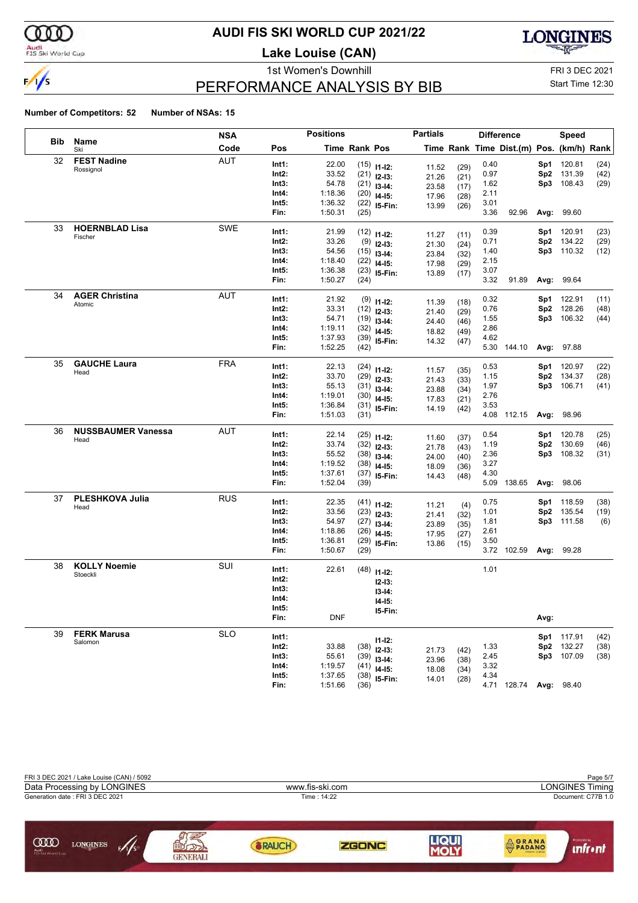

#### Audi<br>FIS Ski World Cup

#### **AUDI FIS SKI WORLD CUP 2021/22**

**Lake Louise (CAN)**



### PERFORMANCE ANALYSIS BY BIB

1st Women's Downhill FRI 3 DEC 2021 Start Time 12:30

|     |                           | NSA        |       | <b>Positions</b> |               |                                | <b>Partials</b> |      |      | <b>Difference</b>                        |                 | <b>Speed</b>      |              |
|-----|---------------------------|------------|-------|------------------|---------------|--------------------------------|-----------------|------|------|------------------------------------------|-----------------|-------------------|--------------|
| Bib | Name<br>Ski               | Code       | Pos   |                  | Time Rank Pos |                                |                 |      |      | Time Rank Time Dist.(m) Pos. (km/h) Rank |                 |                   |              |
| 32  | <b>FEST Nadine</b>        | <b>AUT</b> | Int1: | 22.00            |               | $(15)$ 11-12:                  | 11.52           | (29) | 0.40 |                                          |                 | Sp1 120.81        | (24)         |
|     | Rossignol                 |            | Int2: | 33.52            |               | $(21)$ 12-13:                  | 21.26           | (21) | 0.97 |                                          |                 | Sp2 131.39        | (42)         |
|     |                           |            | Int3: | 54.78            |               | $(21)$ 13-14:                  | 23.58           | (17) | 1.62 |                                          | Sp3             | 108.43            | (29)         |
|     |                           |            | Int4: | 1:18.36          |               | $(20)$ 14-15:                  | 17.96           | (28) | 2.11 |                                          |                 |                   |              |
|     |                           |            | Int5: | 1:36.32          |               | $(22)$ 15-Fin:                 | 13.99           | (26) | 3.01 |                                          |                 |                   |              |
|     |                           |            | Fin:  | 1:50.31          | (25)          |                                |                 |      | 3.36 | 92.96                                    | Avg:            | 99.60             |              |
| 33  | <b>HOERNBLAD Lisa</b>     | <b>SWE</b> | Int1: | 21.99            |               | $(12)$ 11-12:                  |                 |      | 0.39 |                                          | Sp1             | 120.91            | (23)         |
|     | Fischer                   |            | Int2: | 33.26            |               | $(9)$ 12-13:                   | 11.27           | (11) | 0.71 |                                          |                 | Sp2 134.22        | (29)         |
|     |                           |            | Int3: | 54.56            |               | $(15)$ 13-14:                  | 21.30           | (24) | 1.40 |                                          |                 | Sp3 110.32        | (12)         |
|     |                           |            | Int4: | 1:18.40          |               | $(22)$ 14-15:                  | 23.84<br>17.98  | (32) | 2.15 |                                          |                 |                   |              |
|     |                           |            | Int5: | 1:36.38          |               | $(23)$ 15-Fin:                 |                 | (29) | 3.07 |                                          |                 |                   |              |
|     |                           |            | Fin:  | 1:50.27          | (24)          |                                | 13.89           | (17) | 3.32 | 91.89                                    |                 | Avg: 99.64        |              |
| 34  | <b>AGER Christina</b>     | <b>AUT</b> | Int1: | 21.92            |               |                                |                 |      | 0.32 |                                          |                 | Sp1 122.91        | (11)         |
|     | Atomic                    |            | Int2: | 33.31            |               | $(9)$ 11-12:<br>$(12)$ 12-13:  | 11.39           | (18) | 0.76 |                                          | Sp <sub>2</sub> | 128.26            | (48)         |
|     |                           |            | Int3: | 54.71            |               |                                | 21.40           | (29) | 1.55 |                                          |                 | Sp3 106.32        | (44)         |
|     |                           |            | Int4: | 1:19.11          |               | $(19)$ 13-14:<br>$(32)$ 14-15: | 24.40           | (46) | 2.86 |                                          |                 |                   |              |
|     |                           |            | Int5: | 1:37.93          |               | $(39)$ 15-Fin:                 | 18.82           | (49) | 4.62 |                                          |                 |                   |              |
|     |                           |            | Fin:  | 1:52.25          | (42)          |                                | 14.32           | (47) |      | 5.30 144.10                              |                 | Avg: 97.88        |              |
| 35  | <b>GAUCHE Laura</b>       | FRA        | Int1: | 22.13            |               |                                |                 |      | 0.53 |                                          |                 | Sp1 120.97        |              |
|     | Head                      |            | Int2: | 33.70            |               | $(24)$ 11-12:                  | 11.57           | (35) | 1.15 |                                          |                 | Sp2 134.37        | (22)<br>(28) |
|     |                           |            | Int3: | 55.13            |               | $(29)$ 12-13:                  | 21.43           | (33) | 1.97 |                                          |                 | Sp3 106.71        |              |
|     |                           |            | Int4: | 1:19.01          |               | $(31)$ 13-14:                  | 23.88           | (34) | 2.76 |                                          |                 |                   | (41)         |
|     |                           |            | Int5: | 1:36.84          |               | $(30)$ 14-15:                  | 17.83           | (21) | 3.53 |                                          |                 |                   |              |
|     |                           |            | Fin:  | 1:51.03          | (31)          | $(31)$ 15-Fin:                 | 14.19           | (42) |      | 4.08 112.15                              |                 | Avg: 98.96        |              |
| 36  | <b>NUSSBAUMER Vanessa</b> | AUT        |       |                  |               |                                |                 |      |      |                                          |                 |                   |              |
|     | Head                      |            | Int1: | 22.14            |               | $(25)$ 11-12:                  | 11.60           | (37) | 0.54 |                                          |                 | Sp1 120.78        | (25)         |
|     |                           |            | Int2: | 33.74            |               | $(32)$ 12-13:                  | 21.78           | (43) | 1.19 |                                          |                 | Sp2 130.69        | (46)         |
|     |                           |            | Int3: | 55.52            |               | $(38)$ 13-14:                  | 24.00           | (40) | 2.36 |                                          | Sp3             | 108.32            | (31)         |
|     |                           |            | Int4: | 1:19.52          |               | $(38)$ 14-15:                  | 18.09           | (36) | 3.27 |                                          |                 |                   |              |
|     |                           |            | Int5: | 1:37.61          |               | $(37)$ 15-Fin:                 | 14.43           | (48) | 4.30 |                                          |                 |                   |              |
|     |                           |            | Fin:  | 1:52.04          | (39)          |                                |                 |      | 5.09 | 138.65                                   |                 | Avg: 98.06        |              |
| 37  | PLESHKOVA Julia           | <b>RUS</b> | Int1: | 22.35            |               | $(41)$ 11-12:                  | 11.21           | (4)  | 0.75 |                                          |                 | Sp1 118.59        | (38)         |
|     | Head                      |            | Int2: | 33.56            |               | $(23)$ 12-13:                  | 21.41           | (32) | 1.01 |                                          |                 | Sp2 135.54        | (19)         |
|     |                           |            | Int3: | 54.97            |               | $(27)$ 13-14:                  | 23.89           | (35) | 1.81 |                                          |                 | Sp3 111.58        | (6)          |
|     |                           |            | Int4: | 1:18.86          |               | $(26)$ 14-15:                  | 17.95           | (27) | 2.61 |                                          |                 |                   |              |
|     |                           |            | Int5: | 1:36.81          |               | $(29)$ 15-Fin:                 | 13.86           | (15) | 3.50 |                                          |                 |                   |              |
|     |                           |            | Fin:  | 1:50.67          | (29)          |                                |                 |      |      | 3.72 102.59                              |                 | Avg: 99.28        |              |
| 38  | <b>KOLLY Noemie</b>       | SUI        | Int1: | 22.61            |               | $(48)$ 11-12:                  |                 |      | 1.01 |                                          |                 |                   |              |
|     | Stoeckli                  |            | Int2: |                  |               |                                |                 |      |      |                                          |                 |                   |              |
|     |                           |            | Int3: |                  |               | $12-13:$                       |                 |      |      |                                          |                 |                   |              |
|     |                           |            | Int4: |                  |               | $13-14:$                       |                 |      |      |                                          |                 |                   |              |
|     |                           |            | Int5: |                  |               | $14 - 15$ :<br>15-Fin:         |                 |      |      |                                          |                 |                   |              |
|     |                           |            | Fin:  | <b>DNF</b>       |               |                                |                 |      |      |                                          | Avg:            |                   |              |
| 39  | <b>FERK Marusa</b>        | <b>SLO</b> | Int1: |                  |               |                                |                 |      |      |                                          |                 | Sp1 117.91        | (42)         |
|     | Salomon                   |            | Int2: | 33.88            |               | $11 - 12$ :<br>$(38)$ 12-13:   |                 |      | 1.33 |                                          |                 | Sp2 132.27        | (38)         |
|     |                           |            | Int3: | 55.61            |               | $(39)$ 13-14:                  | 21.73           | (42) | 2.45 |                                          |                 | Sp3 107.09        | (38)         |
|     |                           |            | Int4: | 1:19.57          |               | $(41)$ 14-15:                  | 23.96           | (38) | 3.32 |                                          |                 |                   |              |
|     |                           |            | Int5: | 1:37.65          |               | $(38)$ 15-Fin:                 | 18.08           | (34) | 4.34 |                                          |                 |                   |              |
|     |                           |            | Fin:  | 1:51.66          | (36)          |                                | 14.01           | (28) |      | 4.71 128.74                              |                 | <b>Avg: 98.40</b> |              |

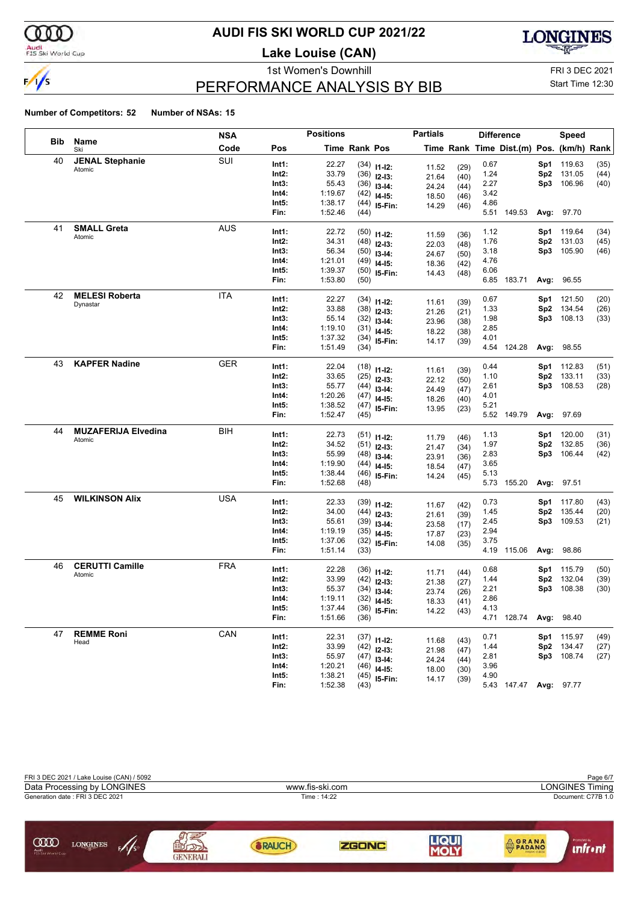

#### Audi<br>FIS Ski World Cup

#### **AUDI FIS SKI WORLD CUP 2021/22**

**Lake Louise (CAN)**



### PERFORMANCE ANALYSIS BY BIB

1st Women's Downhill FRI 3 DEC 2021 Start Time 12:30

|            |                            | <b>NSA</b> |       | <b>Positions</b> |                      |                | <b>Partials</b> |              |      | <b>Difference</b>                        |                 | Speed      |      |
|------------|----------------------------|------------|-------|------------------|----------------------|----------------|-----------------|--------------|------|------------------------------------------|-----------------|------------|------|
| <b>Bib</b> | Name<br>Ski                | Code       | Pos   |                  | <b>Time Rank Pos</b> |                |                 |              |      | Time Rank Time Dist.(m) Pos. (km/h) Rank |                 |            |      |
| 40         | <b>JENAL Stephanie</b>     | SUI        | Int1: | 22.27            |                      | $(34)$ 11-12:  |                 | (29)         | 0.67 |                                          | Sp1             | 119.63     | (35) |
|            | Atomic                     |            | Int2: | 33.79            |                      | $(36)$ 12-13:  | 11.52<br>21.64  | (40)         | 1.24 |                                          | Sp <sub>2</sub> | 131.05     | (44) |
|            |                            |            | Int3: | 55.43            |                      | $(36)$ 13-14:  | 24.24           | (44)         | 2.27 |                                          | Sp3             | 106.96     | (40) |
|            |                            |            | Int4: | 1:19.67          |                      | $(42)$ 14-15:  | 18.50           | (46)         | 3.42 |                                          |                 |            |      |
|            |                            |            | Int5: | 1:38.17          |                      | $(44)$ 15-Fin: | 14.29           | (46)         | 4.86 |                                          |                 |            |      |
|            |                            |            | Fin:  | 1:52.46          | (44)                 |                |                 |              |      | 5.51 149.53                              |                 | Avg: 97.70 |      |
| 41         | <b>SMALL Greta</b>         | AUS        | Int1: | 22.72            |                      | $(50)$ 11-12:  |                 |              | 1.12 |                                          | Sp1             | 119.64     | (34) |
|            | Atomic                     |            | Int2: | 34.31            |                      | $(48)$ 12-13:  | 11.59<br>22.03  | (36)         | 1.76 |                                          | Sp <sub>2</sub> | 131.03     | (45) |
|            |                            |            | Int3: | 56.34            |                      | $(50)$ 13-14:  | 24.67           | (48)<br>(50) | 3.18 |                                          | Sp3             | 105.90     | (46) |
|            |                            |            | Int4: | 1:21.01          |                      | $(49)$ 14-15:  | 18.36           | (42)         | 4.76 |                                          |                 |            |      |
|            |                            |            | Int5: | 1:39.37          |                      | $(50)$ 15-Fin: | 14.43           | (48)         | 6.06 |                                          |                 |            |      |
|            |                            |            | Fin:  | 1:53.80          | (50)                 |                |                 |              | 6.85 | 183.71                                   | Avg:            | 96.55      |      |
| 42         | <b>MELESI Roberta</b>      | ITA        | Int1: | 22.27            |                      | $(34)$ 11-12:  |                 |              | 0.67 |                                          | Sp1             | 121.50     | (20) |
|            | Dynastar                   |            | Int2: | 33.88            |                      | $(38)$ 12-13:  | 11.61           | (39)         | 1.33 |                                          | Sp <sub>2</sub> | 134.54     | (26) |
|            |                            |            | Int3: | 55.14            |                      | $(32)$ 13-14:  | 21.26<br>23.96  | (21)         | 1.98 |                                          | Sp3             | 108.13     | (33) |
|            |                            |            | Int4: | 1:19.10          |                      | $(31)$ 14-15:  | 18.22           | (38)<br>(38) | 2.85 |                                          |                 |            |      |
|            |                            |            | Int5: | 1:37.32          |                      | $(34)$ 15-Fin: | 14.17           | (39)         | 4.01 |                                          |                 |            |      |
|            |                            |            | Fin:  | 1:51.49          | (34)                 |                |                 |              |      | 4.54 124.28                              | Avg:            | 98.55      |      |
| 43         | <b>KAPFER Nadine</b>       | GER        | Int1: | 22.04            |                      | $(18)$ 11-12:  |                 |              | 0.44 |                                          | Sp1             | 112.83     | (51) |
|            |                            |            | Int2: | 33.65            |                      | $(25)$ 12-13:  | 11.61           | (39)         | 1.10 |                                          | Sp <sub>2</sub> | 133.11     | (33) |
|            |                            |            | Int3: | 55.77            |                      | $(44)$ 13-14:  | 22.12           | (50)         | 2.61 |                                          | Sp3             | 108.53     | (28) |
|            |                            |            | Int4: | 1:20.26          |                      | $(47)$ 14-15:  | 24.49<br>18.26  | (47)         | 4.01 |                                          |                 |            |      |
|            |                            |            | Int5: | 1:38.52          |                      | $(47)$ 15-Fin: | 13.95           | (40)<br>(23) | 5.21 |                                          |                 |            |      |
|            |                            |            | Fin:  | 1:52.47          | (45)                 |                |                 |              |      | 5.52 149.79                              | Avg:            | 97.69      |      |
| 44         | <b>MUZAFERIJA Elvedina</b> | BIH        | Int1: | 22.73            |                      | $(51)$ 11-12:  |                 |              | 1.13 |                                          | Sp1             | 120.00     | (31) |
|            | Atomic                     |            | Int2: | 34.52            |                      | $(51)$ 12-13:  | 11.79           | (46)         | 1.97 |                                          | Sp <sub>2</sub> | 132.85     | (36) |
|            |                            |            | Int3: | 55.99            |                      | $(48)$ 13-14:  | 21.47           | (34)         | 2.83 |                                          | Sp3             | 106.44     | (42) |
|            |                            |            | Int4: | 1:19.90          |                      | $(44)$ 14-15:  | 23.91<br>18.54  | (36)         | 3.65 |                                          |                 |            |      |
|            |                            |            | Int5: | 1:38.44          |                      | $(46)$ 15-Fin: | 14.24           | (47)<br>(45) | 5.13 |                                          |                 |            |      |
|            |                            |            | Fin:  | 1:52.68          | (48)                 |                |                 |              |      | 5.73 155.20                              |                 | Avg: 97.51 |      |
| 45         | <b>WILKINSON Alix</b>      | <b>USA</b> | Int1: | 22.33            |                      | $(39)$ 11-12:  |                 |              | 0.73 |                                          | Sp1             | 117.80     | (43) |
|            |                            |            | Int2: | 34.00            |                      | $(44)$ 12-13:  | 11.67           | (42)         | 1.45 |                                          | Sp <sub>2</sub> | 135.44     | (20) |
|            |                            |            | Int3: | 55.61            |                      | $(39)$ 13-14:  | 21.61           | (39)         | 2.45 |                                          | Sp3             | 109.53     | (21) |
|            |                            |            | Int4: | 1:19.19          |                      | $(35)$ 14-15:  | 23.58<br>17.87  | (17)         | 2.94 |                                          |                 |            |      |
|            |                            |            | Int5: | 1:37.06          |                      | $(32)$ 15-Fin: | 14.08           | (23)<br>(35) | 3.75 |                                          |                 |            |      |
|            |                            |            | Fin:  | 1:51.14          | (33)                 |                |                 |              | 4.19 | 115.06                                   | Avg:            | 98.86      |      |
| 46         | <b>CERUTTI Camille</b>     | <b>FRA</b> | Int1: | 22.28            |                      | $(36)$ 11-12:  |                 |              | 0.68 |                                          | Sp1             | 115.79     | (50) |
|            | Atomic                     |            | Int2: | 33.99            |                      | $(42)$ 12-13:  | 11.71           | (44)         | 1.44 |                                          | Sp <sub>2</sub> | 132.04     | (39) |
|            |                            |            | Int3: | 55.37            |                      | $(34)$ 13-14:  | 21.38           | (27)         | 2.21 |                                          | Sp3             | 108.38     | (30) |
|            |                            |            | Int4: | 1:19.11          |                      | $(32)$ 14-15:  | 23.74           | (26)         | 2.86 |                                          |                 |            |      |
|            |                            |            | Int5: | 1:37.44          |                      | $(36)$ 15-Fin: | 18.33<br>14.22  | (41)<br>(43) | 4.13 |                                          |                 |            |      |
|            |                            |            | Fin:  | 1:51.66          | (36)                 |                |                 |              |      | 4.71 128.74                              |                 | Avg: 98.40 |      |
| 47         | <b>REMME Roni</b>          | CAN        | Int1: | 22.31            |                      | $(37)$ 11-12:  |                 |              | 0.71 |                                          |                 | Sp1 115.97 | (49) |
|            | Head                       |            | Int2: | 33.99            |                      | $(42)$ 12-13:  | 11.68           | (43)         | 1.44 |                                          | Sp2             | 134.47     | (27) |
|            |                            |            | Int3: | 55.97            |                      | $(47)$ 13-14:  | 21.98           | (47)         | 2.81 |                                          |                 | Sp3 108.74 | (27) |
|            |                            |            | Int4: | 1:20.21          |                      | $(46)$ 14-15:  | 24.24<br>18.00  | (44)         | 3.96 |                                          |                 |            |      |
|            |                            |            | Int5: | 1:38.21          |                      | $(45)$ 15-Fin: | 14.17           | (30)<br>(39) | 4.90 |                                          |                 |            |      |
|            |                            |            | Fin:  | 1:52.38          | (43)                 |                |                 |              |      | 5.43 147.47 Avg: 97.77                   |                 |            |      |

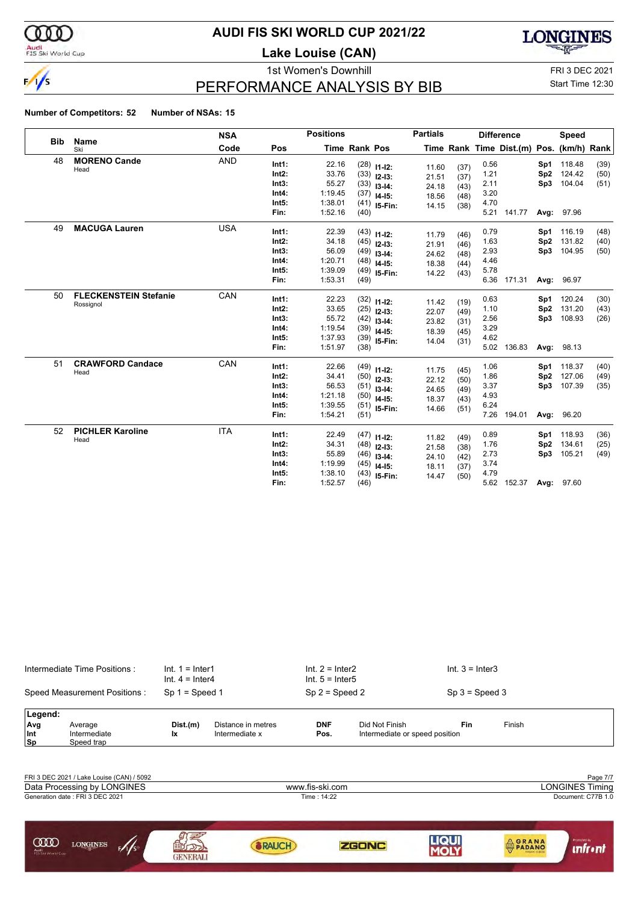

#### Audi<br>FIS Ski World Cup

### **AUDI FIS SKI WORLD CUP 2021/22**

**Lake Louise (CAN)**



## PERFORMANCE ANALYSIS BY BIB

1st Women's Downhill FRI 3 DEC 2021 Start Time 12:30

|            |                                           | <b>NSA</b> |                                                   | <b>Positions</b>                                         |                              |                                                                                    | <b>Partials</b>                           |                                      |                                              | <b>Difference</b>                        |                           | Speed                                        |                      |
|------------|-------------------------------------------|------------|---------------------------------------------------|----------------------------------------------------------|------------------------------|------------------------------------------------------------------------------------|-------------------------------------------|--------------------------------------|----------------------------------------------|------------------------------------------|---------------------------|----------------------------------------------|----------------------|
| <b>Bib</b> | Name<br>Ski                               | Code       | Pos                                               |                                                          | <b>Time Rank Pos</b>         |                                                                                    |                                           |                                      |                                              | Time Rank Time Dist.(m) Pos. (km/h) Rank |                           |                                              |                      |
| 48         | <b>MORENO Cande</b><br>Head               | <b>AND</b> | Int1:<br>Int2:<br>Int3:<br>Int4:<br>Int5:<br>Fin: | 22.16<br>33.76<br>55.27<br>1:19.45<br>1:38.01<br>1:52.16 | (37)<br>(40)                 | $(28)$ 11-12:<br>$(33)$ 12-13:<br>$(33)$ 13-14:<br>$14 - 15$ :<br>$(41)$ 15-Fin:   | 11.60<br>21.51<br>24.18<br>18.56<br>14.15 | (37)<br>(37)<br>(43)<br>(48)<br>(38) | 0.56<br>1.21<br>2.11<br>3.20<br>4.70<br>5.21 | 141.77                                   | Sp2<br>Sp3                | Sp1 118.48<br>124.42<br>104.04<br>Avg: 97.96 | (39)<br>(50)<br>(51) |
| 49         | <b>MACUGA Lauren</b>                      | <b>USA</b> | Int1:<br>Int2:<br>Int3:<br>Int4:<br>Int5:<br>Fin: | 22.39<br>34.18<br>56.09<br>1:20.71<br>1:39.09<br>1:53.31 | (49)                         | $(43)$ 11-12:<br>$(45)$ 12-13:<br>$(49)$ 13-14:<br>$(48)$ 14-15:<br>$(49)$ 15-Fin: | 11.79<br>21.91<br>24.62<br>18.38<br>14.22 | (46)<br>(46)<br>(48)<br>(44)<br>(43) | 0.79<br>1.63<br>2.93<br>4.46<br>5.78<br>6.36 | 171.31                                   | Sp1<br>Sp2<br>Sp3<br>Avg: | 116.19<br>131.82<br>104.95<br>96.97          | (48)<br>(40)<br>(50) |
| 50         | <b>FLECKENSTEIN Stefanie</b><br>Rossignol | CAN        | Int1:<br>Int2:<br>Int3:<br>Int4:<br>Int5:<br>Fin: | 22.23<br>33.65<br>55.72<br>1:19.54<br>1:37.93<br>1:51.97 | (38)                         | $(32)$ 11-12:<br>$(25)$ 12-13:<br>$(42)$ 13-14:<br>$(39)$ 14-15:<br>$(39)$ 15-Fin: | 11.42<br>22.07<br>23.82<br>18.39<br>14.04 | (19)<br>(49)<br>(31)<br>(45)<br>(31) | 0.63<br>1.10<br>2.56<br>3.29<br>4.62<br>5.02 | 136.83                                   | Sp1<br>Sp2<br>Sp3<br>Avg: | 120.24<br>131.20<br>108.93<br>98.13          | (30)<br>(43)<br>(26) |
| 51         | <b>CRAWFORD Candace</b><br>Head           | CAN        | Int1:<br>Int2:<br>Int3:<br>Int4:<br>Int5:<br>Fin: | 22.66<br>34.41<br>56.53<br>1:21.18<br>1:39.55<br>1:54.21 | (51)                         | $(49)$ 11-12:<br>$(50)$ 12-13:<br>$(51)$ 13-14:<br>$(50)$ 14-15:<br>$(51)$ 15-Fin: | 11.75<br>22.12<br>24.65<br>18.37<br>14.66 | (45)<br>(50)<br>(49)<br>(43)<br>(51) | 1.06<br>1.86<br>3.37<br>4.93<br>6.24<br>7.26 | 194.01                                   | Sp1<br>Sp2<br>Avg:        | 118.37<br>127.06<br>Sp3 107.39<br>96.20      | (40)<br>(49)<br>(35) |
| 52         | <b>PICHLER Karoline</b><br>Head           | <b>ITA</b> | Int1:<br>Int2:<br>Int3:<br>Int4:<br>Int5:<br>Fin: | 22.49<br>34.31<br>55.89<br>1:19.99<br>1:38.10<br>1:52.57 | (46)<br>(45)<br>(43)<br>(46) | $(47)$ 11-12:<br>$(48)$ 12-13:<br>$13 - 14$ :<br>$14 - 15$ :<br>15-Fin:            | 11.82<br>21.58<br>24.10<br>18.11<br>14.47 | (49)<br>(38)<br>(42)<br>(37)<br>(50) | 0.89<br>1.76<br>2.73<br>3.74<br>4.79<br>5.62 | 152.37                                   | Sp1<br>Sp2<br>Sp3         | 118.93<br>134.61<br>105.21<br>Avg: 97.60     | (36)<br>(25)<br>(49) |

|                              | Intermediate Time Positions:<br>Speed Measurement Positions: |                | $Int. 1 = Inter1$<br>Int. $4 =$ Inter4<br>$Sp 1 = Speed 1$ | Int. $2 =$ Inter2<br>Int. $5 =$ Inter $5$<br>$Sp 2 = Speed 2$ |                                                  | Int. $3 =$ Inter3<br>$Sp 3 = Speed 3$ |        |  |  |  |
|------------------------------|--------------------------------------------------------------|----------------|------------------------------------------------------------|---------------------------------------------------------------|--------------------------------------------------|---------------------------------------|--------|--|--|--|
| Legend:<br>Avg<br>Int<br> Sp | Average<br>Intermediate<br>Speed trap                        | Dist.(m)<br>Ιx | Distance in metres<br>Intermediate x                       | <b>DNF</b><br>Pos.                                            | Did Not Finish<br>Intermediate or speed position | Fin                                   | Finish |  |  |  |
|                              |                                                              |                |                                                            |                                                               |                                                  |                                       |        |  |  |  |

| FRI 3 DEC 2021 / Lake Louise (CAN) / 5092                           |                 |                 |             |                                         | Page 7/7                 |  |  |  |
|---------------------------------------------------------------------|-----------------|-----------------|-------------|-----------------------------------------|--------------------------|--|--|--|
| Data Processing by LONGINES                                         |                 | www.fis-ski.com |             | <b>LONGINES Timing</b>                  |                          |  |  |  |
| Generation date: FRI 3 DEC 2021                                     |                 |                 | Time: 14:22 |                                         | Document: C77B 1.0       |  |  |  |
|                                                                     |                 |                 |             |                                         |                          |  |  |  |
| <b>COO</b><br><b>LONGINES</b><br>F/1/S<br>Audi<br>FIS Ski World Cup | <b>GENERALI</b> |                 | ZGONC       | <b>AGRANA</b><br>PADANO<br>HALLAN CHEES | Promoted by<br>intr • ni |  |  |  |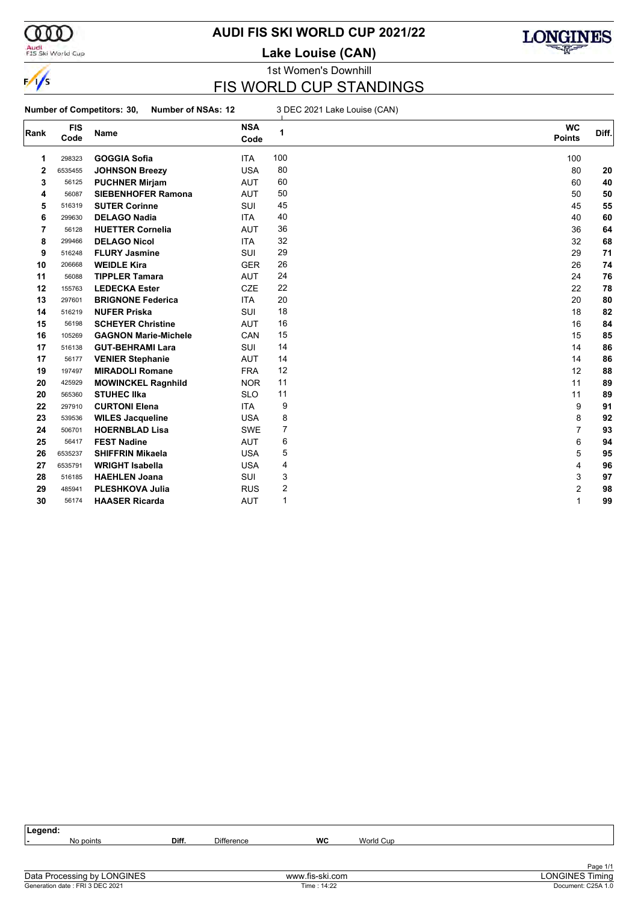

#### Audi<br>FIS Ski World Cup

#### **AUDI FIS SKI WORLD CUP 2021/22**

**Lake Louise (CAN)**



#### 1st Women's Downhill FIS WORLD CUP STANDINGS

#### **Number of Competitors: 30, Number of NSAs: 12** 3 DEC 2021 Lake Louise (CAN)

| Rank | <b>FIS</b><br>Code | Name                        | <b>NSA</b><br>Code | 1              | <b>WC</b><br><b>Points</b> | Diff. |
|------|--------------------|-----------------------------|--------------------|----------------|----------------------------|-------|
| 1    | 298323             | <b>GOGGIA Sofia</b>         | <b>ITA</b>         | 100            | 100                        |       |
| 2    | 6535455            | <b>JOHNSON Breezy</b>       | <b>USA</b>         | 80             | 80                         | 20    |
| 3    | 56125              | <b>PUCHNER Mirjam</b>       | <b>AUT</b>         | 60             | 60                         | 40    |
| 4    | 56087              | <b>SIEBENHOFER Ramona</b>   | <b>AUT</b>         | 50             | 50                         | 50    |
| 5    | 516319             | <b>SUTER Corinne</b>        | SUI                | 45             | 45                         | 55    |
| 6    | 299630             | <b>DELAGO Nadia</b>         | <b>ITA</b>         | 40             | 40                         | 60    |
| 7    | 56128              | <b>HUETTER Cornelia</b>     | <b>AUT</b>         | 36             | 36                         | 64    |
| 8    | 299466             | <b>DELAGO Nicol</b>         | <b>ITA</b>         | 32             | 32                         | 68    |
| 9    | 516248             | <b>FLURY Jasmine</b>        | <b>SUI</b>         | 29             | 29                         | 71    |
| 10   | 206668             | <b>WEIDLE Kira</b>          | <b>GER</b>         | 26             | 26                         | 74    |
| 11   | 56088              | <b>TIPPLER Tamara</b>       | <b>AUT</b>         | 24             | 24                         | 76    |
| 12   | 155763             | <b>LEDECKA Ester</b>        | <b>CZE</b>         | 22             | 22                         | 78    |
| 13   | 297601             | <b>BRIGNONE Federica</b>    | <b>ITA</b>         | 20             | 20                         | 80    |
| 14   | 516219             | <b>NUFER Priska</b>         | SUI                | 18             | 18                         | 82    |
| 15   | 56198              | <b>SCHEYER Christine</b>    | <b>AUT</b>         | 16             | 16                         | 84    |
| 16   | 105269             | <b>GAGNON Marie-Michele</b> | CAN                | 15             | 15                         | 85    |
| 17   | 516138             | <b>GUT-BEHRAMI Lara</b>     | <b>SUI</b>         | 14             | 14                         | 86    |
| 17   | 56177              | <b>VENIER Stephanie</b>     | <b>AUT</b>         | 14             | 14                         | 86    |
| 19   | 197497             | <b>MIRADOLI Romane</b>      | <b>FRA</b>         | 12             | 12                         | 88    |
| 20   | 425929             | <b>MOWINCKEL Ragnhild</b>   | <b>NOR</b>         | 11             | 11                         | 89    |
| 20   | 565360             | <b>STUHEC IIka</b>          | <b>SLO</b>         | 11             | 11                         | 89    |
| 22   | 297910             | <b>CURTONI Elena</b>        | <b>ITA</b>         | 9              | 9                          | 91    |
| 23   | 539536             | <b>WILES Jacqueline</b>     | <b>USA</b>         | 8              | 8                          | 92    |
| 24   | 506701             | <b>HOERNBLAD Lisa</b>       | <b>SWE</b>         | $\overline{7}$ | $\overline{7}$             | 93    |
| 25   | 56417              | <b>FEST Nadine</b>          | <b>AUT</b>         | 6              | 6                          | 94    |
| 26   | 6535237            | <b>SHIFFRIN Mikaela</b>     | <b>USA</b>         | 5              | 5                          | 95    |
| 27   | 6535791            | <b>WRIGHT Isabella</b>      | <b>USA</b>         | 4              | 4                          | 96    |
| 28   | 516185             | <b>HAEHLEN Joana</b>        | SUI                | 3              | 3                          | 97    |
| 29   | 485941             | <b>PLESHKOVA Julia</b>      | <b>RUS</b>         | 2              | 2                          | 98    |
| 30   | 56174              | <b>HAASER Ricarda</b>       | <b>AUT</b>         | 1              | 1                          | 99    |

| Legend: |           |       |                   |    |           |          |
|---------|-----------|-------|-------------------|----|-----------|----------|
| . .     | No points | Diff. | <b>Difference</b> | WC | World Cup |          |
|         |           |       |                   |    |           |          |
|         |           |       |                   |    |           | Page 1/1 |
| ___     | .         |       |                   |    |           | .        |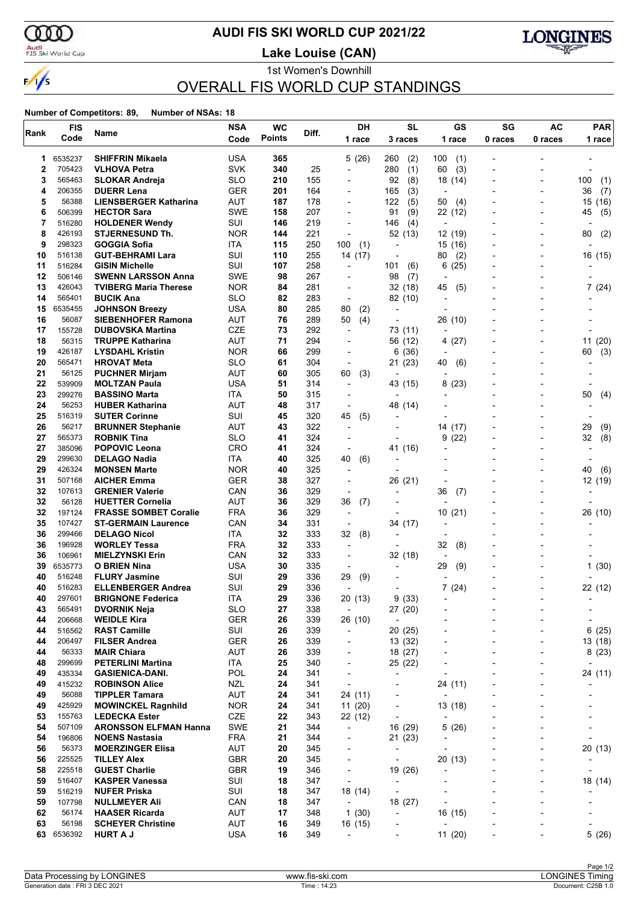

#### **AUDI FIS SKI WORLD CUP 2021/22**

Audi<br>FIS Ski World Cup

1st Women's Downhill **Lake Louise (CAN)**



### OVERALL FIS WORLD CUP STANDINGS

| Rank     | <b>FIS</b>       | Name                                                       | <b>NSA</b>               | <b>WC</b>     | Diff.      | DH                                         | <b>SL</b>                                            | GS                       | SG      | AC      | <b>PAR</b>               |
|----------|------------------|------------------------------------------------------------|--------------------------|---------------|------------|--------------------------------------------|------------------------------------------------------|--------------------------|---------|---------|--------------------------|
|          | Code             |                                                            | Code                     | <b>Points</b> |            | 1 race                                     | 3 races                                              | 1 race                   | 0 races | 0 races | 1 race                   |
| 1        | 6535237          | <b>SHIFFRIN Mikaela</b>                                    | <b>USA</b>               | 365           |            | 5(26)                                      | 260<br>(2)                                           | 100<br>(1)               |         |         |                          |
| 2        | 705423           | <b>VLHOVA Petra</b>                                        | <b>SVK</b>               | 340           | 25         | $\overline{\phantom{a}}$                   | 280<br>(1)                                           | 60<br>(3)                |         |         |                          |
| 3        | 565463           | <b>SLOKAR Andreja</b>                                      | <b>SLO</b>               | 210           | 155        | -                                          | 92<br>(8)                                            | 18 (14)                  |         |         | 100<br>(1)               |
| 4        | 206355           | <b>DUERR Lena</b>                                          | <b>GER</b>               | 201           | 164        | $\overline{a}$                             | (3)<br>165                                           | $\overline{\phantom{a}}$ |         |         | (7)<br>36                |
| 5        | 56388            | <b>LIENSBERGER Katharina</b>                               | <b>AUT</b>               | 187           | 178        | $\blacksquare$                             | 122<br>(5)                                           | 50<br>(4)                |         |         | 15<br>(16)               |
| 6        | 506399           | <b>HECTOR Sara</b>                                         | <b>SWE</b>               | 158           | 207        | -                                          | (9)<br>91                                            | 22 (12)                  |         |         | 45<br>(5)                |
| 7        | 516280           | <b>HOLDENER Wendy</b>                                      | SUI                      | 146           | 219        | $\overline{\phantom{a}}$                   | 146<br>(4)                                           | $\overline{\phantom{a}}$ |         |         |                          |
| 8        | 426193           | <b>STJERNESUND Th.</b>                                     | <b>NOR</b>               | 144           | 221        | $\overline{a}$                             | 52 (13)                                              | 12 (19)                  |         |         | (2)<br>80                |
| 9        | 298323           | GOGGIA Sofia                                               | ITA                      | 115           | 250        | 100<br>(1)                                 | $\overline{a}$                                       | 15<br>(16)               |         |         |                          |
| 10       | 516138           | <b>GUT-BEHRAMI Lara</b>                                    | SUI                      | 110           | 255        | 14 (17)                                    | $\overline{\phantom{a}}$                             | (2)<br>80                |         |         | 16 (15)                  |
| 11       | 516284           | <b>GISIN Michelle</b>                                      | SUI                      | 107           | 258        | ÷,                                         | 101<br>(6)                                           | (25)<br>6                |         |         |                          |
| 12<br>13 | 506146<br>426043 | <b>SWENN LARSSON Anna</b>                                  | <b>SWE</b>               | 98            | 267        | $\overline{a}$                             | 98<br>(7)                                            | $\overline{\phantom{a}}$ |         |         |                          |
| 14       | 565401           | <b>TVIBERG Maria Therese</b><br><b>BUCIK Ana</b>           | <b>NOR</b><br><b>SLO</b> | 84<br>82      | 281<br>283 | $\overline{\phantom{a}}$<br>$\overline{a}$ | 32 (18)<br>82 (10)                                   | 45<br>(5)<br>٠           |         |         | 7(24)                    |
| 15       | 6535455          | <b>JOHNSON Breezy</b>                                      | <b>USA</b>               | 80            | 285        | 80<br>(2)                                  |                                                      |                          |         |         |                          |
| 16       | 56087            | <b>SIEBENHOFER Ramona</b>                                  | <b>AUT</b>               | 76            | 289        | 50<br>(4)                                  |                                                      | 26 (10)                  |         |         |                          |
| 17       | 155728           | <b>DUBOVSKA Martina</b>                                    | <b>CZE</b>               | 73            | 292        | ÷,                                         | 73 (11)                                              | ٠                        |         |         |                          |
| 18       | 56315            | <b>TRUPPE Katharina</b>                                    | AUT                      | 71            | 294        | $\overline{a}$                             | 56 (12)                                              | (27)<br>4                |         |         | 11<br>(20)               |
| 19       | 426187           | <b>LYSDAHL Kristin</b>                                     | <b>NOR</b>               | 66            | 299        | $\overline{\phantom{a}}$                   | 6 (36)                                               |                          |         |         | (3)<br>60                |
| 20       | 565471           | <b>HROVAT Meta</b>                                         | <b>SLO</b>               | 61            | 304        | $\overline{a}$                             | 21(23)                                               | 40<br>(6)                |         |         |                          |
| 21       | 56125            | <b>PUCHNER Mirjam</b>                                      | AUT                      | 60            | 305        | 60<br>(3)                                  |                                                      |                          |         |         |                          |
| 22       | 539909           | <b>MOLTZAN Paula</b>                                       | <b>USA</b>               | 51            | 314        | $\blacksquare$                             | 43 (15)                                              | 8<br>(23)                |         |         |                          |
| 23       | 299276           | <b>BASSINO Marta</b>                                       | ITA                      | 50            | 315        | $\overline{a}$                             |                                                      |                          |         |         | (4)<br>50                |
| 24       | 56253            | <b>HUBER Katharina</b>                                     | AUT                      | 48            | 317        | ÷                                          | 48 (14)                                              |                          |         |         |                          |
| 25       | 516319           | <b>SUTER Corinne</b>                                       | SUI                      | 45            | 320        | 45<br>(5)                                  |                                                      |                          |         |         |                          |
| 26       | 56217            | <b>BRUNNER Stephanie</b>                                   | AUT                      | 43            | 322        | $\overline{a}$                             |                                                      | 14 (17)                  |         |         | 29<br>(9)                |
| 27       | 565373           | <b>ROBNIK Tina</b>                                         | <b>SLO</b>               | 41            | 324        | $\overline{\phantom{a}}$                   |                                                      | (22)<br>9                |         |         | (8)<br>32                |
| 27       | 385096           | <b>POPOVIC Leona</b>                                       | CRO                      | 41            | 324        | $\overline{\phantom{a}}$                   | 41 (16)                                              |                          |         |         |                          |
| 29       | 299630           | <b>DELAGO Nadia</b>                                        | ITA                      | 40            | 325        | 40<br>(6)                                  | ÷                                                    |                          |         |         |                          |
| 29       | 426324           | <b>MONSEN Marte</b>                                        | <b>NOR</b>               | 40            | 325        | $\overline{a}$                             |                                                      |                          |         |         | 40<br>(6)                |
| 31       | 507168           | <b>AICHER Emma</b>                                         | <b>GER</b>               | 38            | 327        | $\overline{\phantom{a}}$                   | 26 (21)                                              |                          |         |         | 12 (19)                  |
| 32       | 107613           | <b>GRENIER Valerie</b>                                     | CAN                      | 36            | 329        | ÷                                          |                                                      | 36<br>(7)                |         |         |                          |
| 32       | 56128            | <b>HUETTER Cornelia</b>                                    | AUT<br><b>FRA</b>        | 36            | 329        | 36<br>(7)                                  |                                                      |                          |         |         |                          |
| 32<br>35 | 197124<br>107427 | <b>FRASSE SOMBET Coralie</b><br><b>ST-GERMAIN Laurence</b> | CAN                      | 36<br>34      | 329<br>331 | $\overline{\phantom{a}}$<br>÷,             |                                                      | 10<br>(21)               |         |         | 26 (10)                  |
| 36       | 299466           | <b>DELAGO Nicol</b>                                        | ITA                      | 32            | 333        | 32<br>(8)                                  | 34 (17)                                              |                          |         |         |                          |
| 36       | 196928           | <b>WORLEY Tessa</b>                                        | <b>FRA</b>               | 32            | 333        | $\blacksquare$                             |                                                      | 32<br>(8)                |         |         |                          |
| 36       | 106961           | <b>MIELZYNSKI Erin</b>                                     | CAN                      | 32            | 333        | $\overline{a}$                             | 32 (18)                                              | $\overline{a}$           |         |         |                          |
| 39       | 6535773          | O BRIEN Nina                                               | <b>USA</b>               | 30            | 335        |                                            |                                                      | 29<br>(9)                |         |         | 1(30)                    |
| 40       | 516248           | <b>FLURY Jasmine</b>                                       | SUI                      | 29            | 336        | 29<br>(9)                                  |                                                      |                          |         |         |                          |
| 40       | 516283           | <b>ELLENBERGER Andrea</b>                                  | SUI                      | 29            | 336        | $\blacksquare$                             |                                                      | (24)<br>7                |         |         | 22 (12)                  |
| 40       | 297601           | <b>BRIGNONE Federica</b>                                   | ITA                      | 29            | 336        | 20 (13)                                    | (33)<br>9                                            |                          |         |         |                          |
| 43       | 565491           | <b>DVORNIK Neja</b>                                        | <b>SLO</b>               | 27            | 338        | $\overline{\phantom{a}}$                   | 27 (20)                                              |                          |         |         |                          |
| 44       | 206668           | <b>WEIDLE Kira</b>                                         | GER                      | 26            | 339        | 26 (10)                                    | $\overline{\phantom{a}}$                             |                          |         |         | ٠                        |
| 44       | 516562           | <b>RAST Camille</b>                                        | SUI                      | 26            | 339        | $\overline{\phantom{a}}$                   | 20(25)                                               |                          |         |         | 6(25)                    |
| 44       | 206497           | <b>FILSER Andrea</b>                                       | <b>GER</b>               | 26            | 339        | -                                          | 13 (32)                                              |                          |         |         | 13 (18)                  |
| 44       | 56333            | <b>MAIR Chiara</b>                                         | <b>AUT</b>               | 26            | 339        | $\overline{\phantom{a}}$                   | 18 (27)                                              | -                        |         |         | 8(23)                    |
| 48       | 299699           | <b>PETERLINI Martina</b>                                   | ITA                      | 25            | 340        | -                                          | 25 (22)                                              |                          | Ĭ.      |         |                          |
| 49       | 435334           | <b>GASIENICA-DANI.</b>                                     | POL                      | 24            | 341        | $\overline{\phantom{a}}$                   | $\overline{a}$                                       | $\overline{a}$           |         |         | 24 (11)                  |
| 49       | 415232           | <b>ROBINSON Alice</b>                                      | <b>NZL</b>               | 24            | 341        | $\overline{\phantom{a}}$                   |                                                      | 24 (11)                  | L,      |         | $\overline{\phantom{0}}$ |
| 49       | 56088            | <b>TIPPLER Tamara</b>                                      | AUT                      | 24            | 341        | 24 (11)                                    | ٠                                                    | $\overline{\phantom{a}}$ |         |         |                          |
| 49<br>53 | 425929<br>155763 | <b>MOWINCKEL Ragnhild</b>                                  | <b>NOR</b><br>CZE        | 24<br>22      | 341<br>343 | 11(20)<br>22 (12)                          | $\overline{\phantom{a}}$<br>$\overline{\phantom{a}}$ | 13(18)                   |         |         |                          |
| 54       | 507109           | <b>LEDECKA Ester</b><br><b>ARONSSON ELFMAN Hanna</b>       | <b>SWE</b>               | 21            | 344        | $\overline{\phantom{a}}$                   | 16 (29)                                              | 5(26)                    |         |         |                          |
| 54       | 196806           | <b>NOENS Nastasia</b>                                      | <b>FRA</b>               | 21            | 344        | -                                          | 21(23)                                               |                          |         |         |                          |
| 56       | 56373            | <b>MOERZINGER Elisa</b>                                    | AUT                      | 20            | 345        | $\overline{\phantom{a}}$                   | $\overline{\phantom{a}}$                             | $\overline{\phantom{a}}$ |         |         | 20 (13)                  |
| 56       | 225525           | <b>TILLEY Alex</b>                                         | GBR                      | 20            | 345        | $\overline{a}$                             | $\overline{\phantom{a}}$                             | 20 (13)                  |         |         |                          |
| 58       | 225518           | <b>GUEST Charlie</b>                                       | <b>GBR</b>               | 19            | 346        | $\overline{\phantom{a}}$                   | 19 (26)                                              | $\overline{\phantom{a}}$ |         |         |                          |
| 59       | 516407           | <b>KASPER Vanessa</b>                                      | SUI                      | 18            | 347        | $\overline{\phantom{a}}$                   | $\overline{\phantom{a}}$                             |                          |         |         | 18 (14)                  |
| 59       | 516219           | <b>NUFER Priska</b>                                        | SUI                      | 18            | 347        | 18 (14)                                    | $\overline{\phantom{a}}$                             |                          |         |         |                          |
| 59       | 107798           | <b>NULLMEYER Ali</b>                                       | CAN                      | 18            | 347        | $\overline{\phantom{a}}$                   | 18 (27)                                              |                          |         |         |                          |
| 62       | 56174            | <b>HAASER Ricarda</b>                                      | <b>AUT</b>               | 17            | 348        | 1(30)                                      | $\overline{\phantom{a}}$                             | 16 (15)                  |         |         |                          |
| 63       | 56198            | <b>SCHEYER Christine</b>                                   | AUT                      | 16            | 349        | 16 (15)                                    | ٠                                                    | $\overline{a}$           |         |         |                          |
| 63       | 6536392          | <b>HURT A J</b>                                            | <b>USA</b>               | 16            | 349        | $\overline{\phantom{a}}$                   | ٠                                                    | 11(20)                   |         |         | 5(26)                    |
|          |                  |                                                            |                          |               |            |                                            |                                                      |                          |         |         |                          |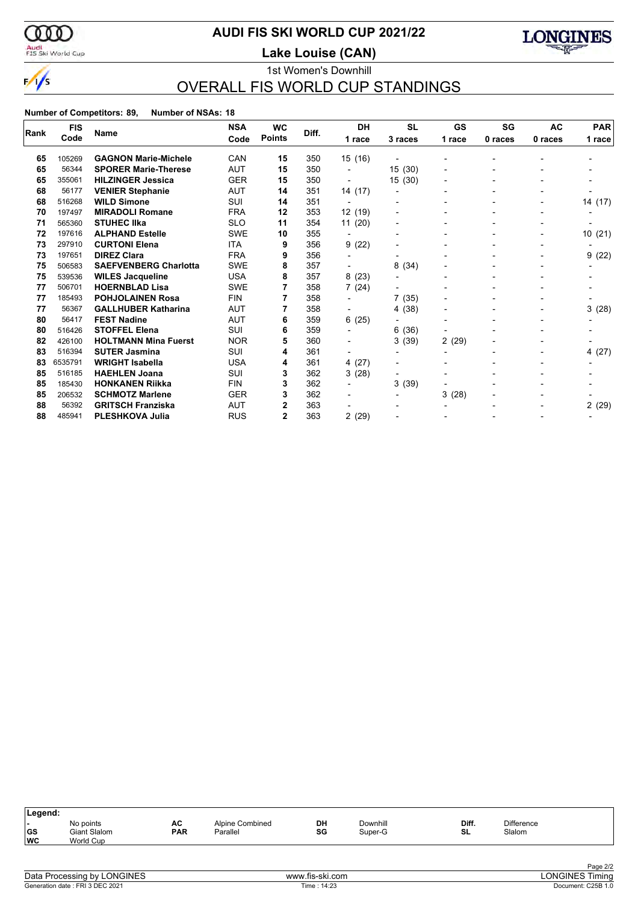

#### Audi<br>FIS Ski World Cup

### **AUDI FIS SKI WORLD CUP 2021/22**

**Lake Louise (CAN)**



#### 1st Women's Downhill OVERALL FIS WORLD CUP STANDINGS

|      | <b>FIS</b> | <b>Name</b>                  | <b>NSA</b> | <b>WC</b>     | Diff. | <b>DH</b>                | <b>SL</b>                | <b>GS</b> | SG             | AC      | <b>PAR</b> |
|------|------------|------------------------------|------------|---------------|-------|--------------------------|--------------------------|-----------|----------------|---------|------------|
| Rank | Code       |                              | Code       | <b>Points</b> |       | 1 race                   | 3 races                  | 1 race    | 0 races        | 0 races | 1 race     |
|      |            |                              | CAN        |               |       |                          |                          |           |                |         |            |
| 65   | 105269     | <b>GAGNON Marie-Michele</b>  |            | 15            | 350   | 15 (16)                  |                          |           |                |         |            |
| 65   | 56344      | <b>SPORER Marie-Therese</b>  | <b>AUT</b> | 15            | 350   |                          | 15(30)                   |           |                |         |            |
| 65   | 355061     | <b>HILZINGER Jessica</b>     | <b>GER</b> | 15            | 350   |                          | 15(30)                   |           |                |         |            |
| 68   | 56177      | <b>VENIER Stephanie</b>      | AUT        | 14            | 351   | 14 (17)                  |                          |           |                |         |            |
| 68   | 516268     | <b>WILD Simone</b>           | SUI        | 14            | 351   |                          |                          |           | $\blacksquare$ |         | 14 (17)    |
| 70   | 197497     | <b>MIRADOLI Romane</b>       | <b>FRA</b> | 12            | 353   | 12 (19)                  |                          |           |                |         |            |
| 71   | 565360     | <b>STUHEC IIka</b>           | <b>SLO</b> | 11            | 354   | 11(20)                   |                          |           |                |         |            |
| 72   | 197616     | <b>ALPHAND Estelle</b>       | <b>SWE</b> | 10            | 355   |                          | $\blacksquare$           |           | -              |         | 10(21)     |
| 73   | 297910     | <b>CURTONI Elena</b>         | <b>ITA</b> | 9             | 356   | 9(22)                    |                          |           |                |         |            |
| 73   | 197651     | <b>DIREZ Clara</b>           | <b>FRA</b> | 9             | 356   |                          |                          |           |                |         | 9(22)      |
| 75   | 506583     | <b>SAEFVENBERG Charlotta</b> | SWE        | 8             | 357   | $\overline{\phantom{a}}$ | 8(34)                    |           |                |         |            |
| 75   | 539536     | <b>WILES Jacqueline</b>      | <b>USA</b> | 8             | 357   | 8(23)                    |                          |           |                |         |            |
| 77   | 506701     | <b>HOERNBLAD Lisa</b>        | SWE        |               | 358   | 7(24)                    |                          |           |                |         |            |
| 77   | 185493     | <b>POHJOLAINEN Rosa</b>      | <b>FIN</b> |               | 358   |                          | 7(35)                    |           |                |         |            |
| 77   | 56367      | <b>GALLHUBER Katharina</b>   | <b>AUT</b> |               | 358   |                          | 4 (38)                   |           |                |         | 3(28)      |
| 80   | 56417      | <b>FEST Nadine</b>           | <b>AUT</b> | 6             | 359   | 6(25)                    |                          |           |                |         |            |
| 80   | 516426     | <b>STOFFEL Elena</b>         | SUI        | 6             | 359   |                          | 6(36)                    |           |                |         |            |
| 82   | 426100     | <b>HOLTMANN Mina Fuerst</b>  | <b>NOR</b> | 5             | 360   |                          | 3(39)                    | 2(29)     |                |         |            |
| 83   | 516394     | <b>SUTER Jasmina</b>         | SUI        | 4             | 361   |                          |                          |           |                |         | 4(27)      |
| 83   | 6535791    | <b>WRIGHT Isabella</b>       | <b>USA</b> | 4             | 361   | 4(27)                    | -                        |           | -              |         |            |
| 85   | 516185     | <b>HAEHLEN Joana</b>         | SUI        | 3             | 362   | 3(28)                    |                          |           |                |         |            |
| 85   | 185430     | <b>HONKANEN Riikka</b>       | <b>FIN</b> | 3             | 362   |                          | 3(39)                    |           |                |         |            |
| 85   | 206532     | <b>SCHMOTZ Marlene</b>       | <b>GER</b> | 3             | 362   |                          | $\overline{\phantom{0}}$ | 3(28)     |                |         |            |
| 88   | 56392      | <b>GRITSCH Franziska</b>     | AUT        | 2             | 363   |                          |                          |           |                |         | 2(29)      |
| 88   | 485941     | <b>PLESHKOVA Julia</b>       | <b>RUS</b> | $\mathbf{2}$  | 363   | 2(29)                    |                          |           |                |         |            |
|      |            |                              |            |               |       |                          |                          |           |                |         |            |

| Legend:           |                                               |                  |                             |          |                     |                    |                             |  |
|-------------------|-----------------------------------------------|------------------|-----------------------------|----------|---------------------|--------------------|-----------------------------|--|
| . ا<br> GS<br> wc | No points<br><b>Giant Slalom</b><br>World Cup | AC<br><b>PAR</b> | Alpine Combined<br>Parallel | DH<br>SG | Downhill<br>Super-G | Diff.<br><b>SL</b> | <b>Difference</b><br>Slalom |  |
|                   |                                               |                  |                             |          |                     |                    |                             |  |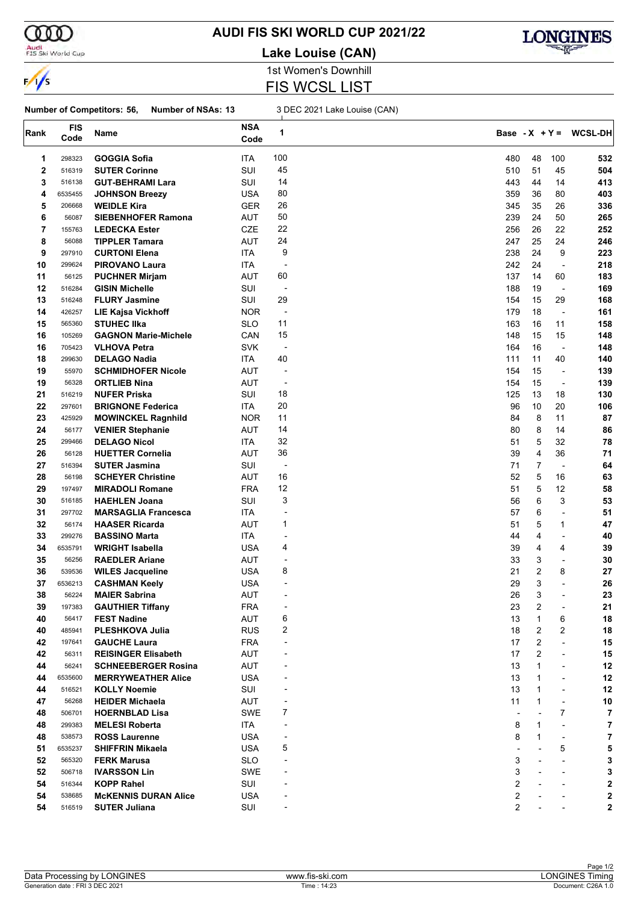

#### Audi<br>FIS Ski World Cup

#### **AUDI FIS SKI WORLD CUP 2021/22**

**Lake Louise (CAN)**



1st Women's Downhill FIS WCSL LIST

#### **Number of Competitors: 56, Number of NSAs: 13** 3 DEC 2021 Lake Louise (CAN)

| Rank | <b>FIS</b><br>Code | Name                        | <b>NSA</b><br>Code | 1                            |     |              |                          | Base $-X + Y = WCSL-DH$ |
|------|--------------------|-----------------------------|--------------------|------------------------------|-----|--------------|--------------------------|-------------------------|
| 1    | 298323             | GOGGIA Sofia                | ITA                | 100                          | 480 | 48           | 100                      | 532                     |
| 2    | 516319             | <b>SUTER Corinne</b>        | SUI                | 45                           | 510 | 51           | 45                       | 504                     |
| 3    | 516138             | <b>GUT-BEHRAMI Lara</b>     | SUI                | 14                           | 443 | 44           | 14                       | 413                     |
| 4    | 6535455            | <b>JOHNSON Breezy</b>       | <b>USA</b>         | 80                           | 359 | 36           | 80                       | 403                     |
| 5    | 206668             | <b>WEIDLE Kira</b>          | <b>GER</b>         | 26                           | 345 | 35           | 26                       | 336                     |
| 6    | 56087              | <b>SIEBENHOFER Ramona</b>   | <b>AUT</b>         | 50                           | 239 | 24           | 50                       | 265                     |
| 7    | 155763             | <b>LEDECKA Ester</b>        | <b>CZE</b>         | 22                           | 256 | 26           | 22                       | 252                     |
| 8    | 56088              | <b>TIPPLER Tamara</b>       | <b>AUT</b>         | 24                           | 247 | 25           | 24                       | 246                     |
| 9    | 297910             | <b>CURTONI Elena</b>        | ITA                | 9                            | 238 | 24           | 9                        | 223                     |
| 10   | 299624             | <b>PIROVANO Laura</b>       | ITA                | -                            | 242 | 24           | $\overline{\phantom{a}}$ | 218                     |
| 11   | 56125              | <b>PUCHNER Mirjam</b>       | AUT                | 60                           | 137 | 14           | 60                       | 183                     |
| 12   | 516284             | <b>GISIN Michelle</b>       | SUI                | $\overline{\phantom{a}}$     | 188 | 19           | $\overline{\phantom{a}}$ | 169                     |
| 13   | 516248             | <b>FLURY Jasmine</b>        | SUI                | 29                           | 154 | 15           | 29                       | 168                     |
| 14   | 426257             | <b>LIE Kajsa Vickhoff</b>   | <b>NOR</b>         | $\overline{\phantom{a}}$     | 179 | 18           | $\overline{\phantom{a}}$ | 161                     |
| 15   | 565360             | <b>STUHEC IIka</b>          | <b>SLO</b>         | 11                           | 163 | 16           | 11                       | 158                     |
| 16   | 105269             | <b>GAGNON Marie-Michele</b> | CAN                | 15                           | 148 | 15           | 15                       | 148                     |
| 16   | 705423             | <b>VLHOVA Petra</b>         | <b>SVK</b>         | $\overline{\phantom{a}}$     | 164 | 16           | $\overline{\phantom{a}}$ | 148                     |
| 18   | 299630             | <b>DELAGO Nadia</b>         | ITA                | 40                           | 111 | 11           | 40                       | 140                     |
| 19   | 55970              | <b>SCHMIDHOFER Nicole</b>   | <b>AUT</b>         | $\overline{a}$               | 154 | 15           | $\overline{\phantom{a}}$ | 139                     |
| 19   | 56328              | <b>ORTLIEB Nina</b>         | <b>AUT</b>         | $\overline{\phantom{a}}$     | 154 | 15           | $\overline{a}$           | 139                     |
| 21   | 516219             | <b>NUFER Priska</b>         | SUI                | 18                           | 125 | 13           | 18                       | 130                     |
| 22   | 297601             | <b>BRIGNONE Federica</b>    | ITA                | 20                           | 96  | 10           | 20                       | 106                     |
| 23   | 425929             | <b>MOWINCKEL Ragnhild</b>   | <b>NOR</b>         | 11                           | 84  | 8            | 11                       | 87                      |
| 24   | 56177              | <b>VENIER Stephanie</b>     | AUT                | 14                           | 80  | 8            | 14                       | 86                      |
| 25   | 299466             | <b>DELAGO Nicol</b>         | ITA                | 32                           | 51  | 5            | 32                       | 78                      |
| 26   | 56128              | <b>HUETTER Cornelia</b>     | AUT                | 36                           | 39  | 4            | 36                       | 71                      |
| 27   | 516394             | <b>SUTER Jasmina</b>        | SUI                | $\overline{\phantom{a}}$     | 71  | 7            | ÷,                       | 64                      |
| 28   | 56198              | <b>SCHEYER Christine</b>    | <b>AUT</b>         | 16                           | 52  | 5            | 16                       | 63                      |
| 29   | 197497             | <b>MIRADOLI Romane</b>      | <b>FRA</b>         | 12                           | 51  | 5            | 12                       | 58                      |
| 30   | 516185             | <b>HAEHLEN Joana</b>        | SUI                | 3                            | 56  | 6            | 3                        | 53                      |
| 31   | 297702             | <b>MARSAGLIA Francesca</b>  | ITA                | ٠                            | 57  | 6            | ÷,                       | 51                      |
| 32   | 56174              | <b>HAASER Ricarda</b>       | <b>AUT</b>         | 1                            | 51  | 5            | $\mathbf{1}$             | 47                      |
| 33   | 299276             | <b>BASSINO Marta</b>        | ITA                | $\blacksquare$               | 44  | 4            | $\overline{\phantom{a}}$ | 40                      |
| 34   | 6535791            | <b>WRIGHT Isabella</b>      | USA                | 4                            | 39  | 4            | 4                        | 39                      |
| 35   | 56256              | <b>RAEDLER Ariane</b>       | AUT                | $\overline{a}$               | 33  | 3            | $\overline{\phantom{a}}$ | 30                      |
| 36   | 539536             | <b>WILES Jacqueline</b>     | <b>USA</b>         | 8                            | 21  | 2            | 8                        | 27                      |
| 37   | 6536213            | <b>CASHMAN Keely</b>        | <b>USA</b>         | -                            | 29  | 3            | L,                       | 26                      |
| 38   | 56224              | <b>MAIER Sabrina</b>        | AUT                |                              | 26  | 3            |                          | 23                      |
| 39   | 197383             | <b>GAUTHIER Tiffany</b>     | <b>FRA</b>         |                              | 23  | 2            |                          | 21                      |
| 40   | 56417              | <b>FEST Nadine</b>          | AUT                | 6                            | 13  | 1            | 6                        | 18                      |
| 40   | 485941             | PLESHKOVA Julia             | <b>RUS</b>         | 2                            | 18  | 2            | 2                        | 18                      |
| 42   | 197641             | <b>GAUCHE Laura</b>         | <b>FRA</b>         | $\qquad \qquad \blacksquare$ | 17  | 2            | ÷,                       | 15                      |
| 42   | 56311              | <b>REISINGER Elisabeth</b>  | <b>AUT</b>         |                              | 17  | 2            | $\overline{\phantom{a}}$ | 15                      |
| 44   | 56241              | <b>SCHNEEBERGER Rosina</b>  | <b>AUT</b>         |                              | 13  | 1            | -                        | 12                      |
| 44   | 6535600            | <b>MERRYWEATHER Alice</b>   | <b>USA</b>         |                              | 13  | 1            | $\overline{a}$           | 12                      |
| 44   | 516521             | <b>KOLLY Noemie</b>         | SUI                |                              | 13  | $\mathbf{1}$ | $\overline{\phantom{a}}$ | 12                      |
| 47   | 56268              | <b>HEIDER Michaela</b>      | AUT                | -                            | 11  | $\mathbf{1}$ | $\overline{\phantom{a}}$ | 10                      |
| 48   | 506701             | <b>HOERNBLAD Lisa</b>       | <b>SWE</b>         | 7                            |     |              | 7                        | 7                       |
| 48   | 299383             | <b>MELESI Roberta</b>       | ITA                |                              | 8   | $\mathbf{1}$ | ÷,                       | 7                       |
| 48   | 538573             | <b>ROSS Laurenne</b>        | <b>USA</b>         |                              | 8   | 1            | $\overline{\phantom{a}}$ | 7                       |
| 51   | 6535237            | <b>SHIFFRIN Mikaela</b>     | <b>USA</b>         | 5                            |     |              | 5                        | 5                       |
| 52   | 565320             | <b>FERK Marusa</b>          | <b>SLO</b>         |                              | 3   |              | $\blacksquare$           | 3                       |
| 52   | 506718             | <b>IVARSSON Lin</b>         | SWE                |                              | 3   |              | $\overline{\phantom{a}}$ | 3                       |
| 54   | 516344             | <b>KOPP Rahel</b>           | SUI                |                              | 2   |              |                          | 2                       |
| 54   | 538685             | <b>MCKENNIS DURAN Alice</b> | <b>USA</b>         |                              | 2   |              |                          | 2                       |
| 54   | 516519             | <b>SUTER Juliana</b>        | SUI                |                              | 2   |              |                          | 2                       |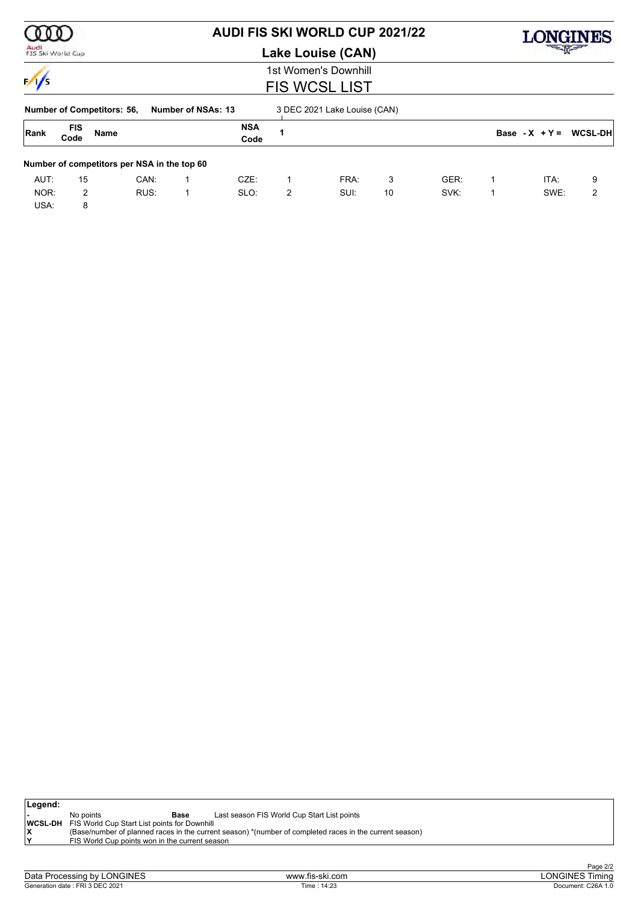|                           |                    |                                             |      |                           | <b>AUDI FIS SKI WORLD CUP 2021/22</b> |   | <b>IGINES</b>                |       |      |   |                  |                |
|---------------------------|--------------------|---------------------------------------------|------|---------------------------|---------------------------------------|---|------------------------------|-------|------|---|------------------|----------------|
| Audi<br>FIS Ski World Cup |                    |                                             |      |                           | Lake Louise (CAN)                     |   |                              | 一个人的人 |      |   |                  |                |
|                           |                    |                                             |      |                           |                                       |   | 1st Women's Downhill         |       |      |   |                  |                |
| $\frac{1}{s}$             |                    |                                             |      |                           |                                       |   | <b>FIS WCSL LIST</b>         |       |      |   |                  |                |
|                           |                    | <b>Number of Competitors: 56,</b>           |      | <b>Number of NSAs: 13</b> |                                       |   | 3 DEC 2021 Lake Louise (CAN) |       |      |   |                  |                |
| Rank                      | <b>FIS</b><br>Code | <b>Name</b>                                 |      |                           | <b>NSA</b><br>Code                    | 1 |                              |       |      |   | Base - $X + Y =$ | <b>WCSL-DH</b> |
|                           |                    | Number of competitors per NSA in the top 60 |      |                           |                                       |   |                              |       |      |   |                  |                |
| AUT:                      | 15                 |                                             | CAN: |                           | $CZE$ :                               | 1 | FRA:                         | 3     | GER: | 1 | ITA:             | 9              |
| NOR:                      | 2                  |                                             | RUS: |                           | SLO:                                  | 2 | SUI:                         | 10    | SVK: | 1 | SWE:             | 2              |
| USA:                      | 8                  |                                             |      |                           |                                       |   |                              |       |      |   |                  |                |

| ∣Legend: |                                                              |                                                                                                         |
|----------|--------------------------------------------------------------|---------------------------------------------------------------------------------------------------------|
|          | No points<br>Base                                            | Last season FIS World Cup Start List points                                                             |
|          | <b>IWCSL-DH</b> FIS World Cup Start List points for Downhill |                                                                                                         |
|          |                                                              | (Base/number of planned races in the current season) *(number of completed races in the current season) |
|          | FIS World Cup points won in the current season               |                                                                                                         |
|          |                                                              |                                                                                                         |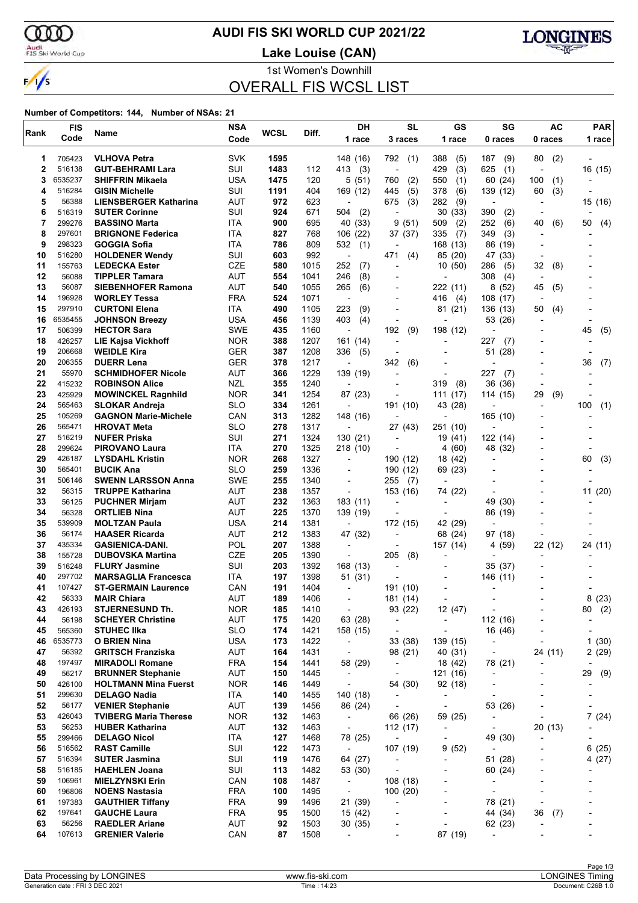$\alpha$ Audi<br>FIS Ski World Cup

 $\frac{1}{\sqrt{2}}$ 

### **AUDI FIS SKI WORLD CUP 2021/22**

**Lake Louise (CAN)**



1st Women's Downhill

OVERALL FIS WCSL LIST

| Rank     | <b>FIS</b>      | Name                                             | <b>NSA</b>        | <b>WCSL</b> | Diff.        | DH                                   | <b>SL</b>                                            | GS                                  | SG                                  | <b>AC</b>                | <b>PAR</b>               |
|----------|-----------------|--------------------------------------------------|-------------------|-------------|--------------|--------------------------------------|------------------------------------------------------|-------------------------------------|-------------------------------------|--------------------------|--------------------------|
|          | Code            |                                                  | Code              |             |              | 1 race                               | 3 races                                              | 1 race                              | 0 races                             | 0 races                  | 1 race                   |
| 1        | 705423          | <b>VLHOVA Petra</b>                              | <b>SVK</b>        | 1595        |              | 148 (16)                             | 792<br>(1)                                           | 388<br>(5)                          | 187<br>(9)                          | 80<br>(2)                |                          |
| 2        | 516138          | <b>GUT-BEHRAMI Lara</b>                          | SUI               | 1483        | 112          | 413<br>(3)                           | ÷,                                                   | 429<br>(3)                          | 625<br>(1)                          | $\overline{a}$           | 16 (15)                  |
| 3        | 6535237         | <b>SHIFFRIN Mikaela</b>                          | USA               | 1475        | 120          | 5 (51)                               | 760<br>(2)                                           | 550<br>(1)                          | 60 (24)                             | 100<br>(1)               |                          |
| 4        | 516284          | <b>GISIN Michelle</b>                            | SUI               | 1191        | 404          | 169 (12)                             | (5)<br>445                                           | 378<br>(6)                          | 139 (12)                            | (3)<br>60                |                          |
| 5        | 56388           | <b>LIENSBERGER Katharina</b>                     | AUT               | 972         | 623          |                                      | 675<br>(3)                                           | 282<br>(9)                          | ÷                                   |                          | 15 (16)                  |
| 6        | 516319          | <b>SUTER Corinne</b>                             | SUI               | 924         | 671          | 504<br>(2)                           | $\overline{a}$                                       | 30<br>(33)                          | 390<br>(2)                          |                          |                          |
| 7        | 299276          | <b>BASSINO Marta</b>                             | ITA               | 900         | 695          | 40 (33)                              | 9<br>(51)                                            | 509<br>(2)                          | 252<br>(6)                          | 40<br>(6)                | 50<br>(4)                |
| 8        | 297601          | <b>BRIGNONE Federica</b>                         | ITA               | 827         | 768          | 106 (22)                             | 37 (37)                                              | 335<br>(7)                          | (3)<br>349                          |                          |                          |
| 9        | 298323          | <b>GOGGIA Sofia</b>                              | ITA               | 786         | 809          | 532<br>(1)                           |                                                      | 168 (13)                            | 86 (19)                             |                          |                          |
| 10       | 516280          | <b>HOLDENER Wendy</b>                            | SUI               | 603         | 992          | $\overline{\phantom{a}}$             | 471<br>(4)                                           | 85 (20)                             | 47 (33)                             |                          |                          |
| 11       | 155763          | <b>LEDECKA Ester</b>                             | <b>CZE</b>        | 580         | 1015         | 252<br>(7)                           | $\overline{a}$                                       | 10(50)                              | 286<br>(5)                          | 32<br>(8)                |                          |
| 12<br>13 | 56088<br>56087  | <b>TIPPLER Tamara</b>                            | AUT<br><b>AUT</b> | 554         | 1041         | 246<br>(8)                           |                                                      | $\overline{a}$                      | 308<br>(4)                          |                          |                          |
| 14       | 196928          | <b>SIEBENHOFER Ramona</b><br><b>WORLEY Tessa</b> | <b>FRA</b>        | 540<br>524  | 1055<br>1071 | 265<br>(6)<br>$\overline{a}$         |                                                      | 222 (11)<br>416                     | 8(52)<br>108(17)                    | 45<br>(5)                |                          |
| 15       | 297910          | <b>CURTONI Elena</b>                             | ITA               | 490         | 1105         | 223<br>(9)                           | ٠                                                    | (4)<br>81 (21)                      | 136 (13)                            | (4)<br>50                |                          |
| 16       | 6535455         | <b>JOHNSON Breezy</b>                            | USA               | 456         | 1139         | 403<br>(4)                           |                                                      | $\overline{\phantom{a}}$            | 53 (26)                             |                          |                          |
| 17       | 506399          | <b>HECTOR Sara</b>                               | <b>SWE</b>        | 435         | 1160         | ÷,                                   | 192<br>(9)                                           | 198 (12)                            |                                     |                          | 45<br>(5)                |
| 18       | 426257          | <b>LIE Kajsa Vickhoff</b>                        | <b>NOR</b>        | 388         | 1207         | 161 (14)                             | $\overline{a}$                                       |                                     | 227<br>(7)                          |                          |                          |
| 19       | 206668          | <b>WEIDLE Kira</b>                               | <b>GER</b>        | 387         | 1208         | 336<br>(5)                           |                                                      |                                     | 51<br>(28)                          |                          |                          |
| 20       | 206355          | <b>DUERR Lena</b>                                | <b>GER</b>        | 378         | 1217         | $\overline{\phantom{a}}$             | 342<br>(6)                                           |                                     |                                     |                          | 36<br>(7)                |
| 21       | 55970           | <b>SCHMIDHOFER Nicole</b>                        | AUT               | 366         | 1229         | 139 (19)                             | $\overline{a}$                                       | $\overline{a}$                      | 227<br>(7)                          |                          |                          |
| 22       | 415232          | <b>ROBINSON Alice</b>                            | <b>NZL</b>        | 355         | 1240         | $\overline{\phantom{a}}$             |                                                      | 319<br>(8)                          | 36 (36)                             |                          |                          |
| 23       | 425929          | <b>MOWINCKEL Ragnhild</b>                        | <b>NOR</b>        | 341         | 1254         | 87 (23)                              |                                                      | (17)<br>111                         | 114 (15)                            | (9)<br>29                |                          |
| 24       | 565463          | <b>SLOKAR Andreja</b>                            | <b>SLO</b>        | 334         | 1261         | $\overline{\phantom{a}}$             | 191 (10)                                             | 43 (28)                             |                                     | $\overline{\phantom{a}}$ | 100<br>(1)               |
| 25       | 105269          | <b>GAGNON Marie-Michele</b>                      | CAN               | 313         | 1282         | 148 (16)                             |                                                      | $\overline{\phantom{a}}$            | 165 (10)                            |                          |                          |
| 26       | 565471          | <b>HROVAT Meta</b>                               | <b>SLO</b>        | 278         | 1317         |                                      | 27 (43)                                              | 251 (10)                            |                                     |                          |                          |
| 27       | 516219          | <b>NUFER Priska</b>                              | SUI               | 271         | 1324         | 130 (21)                             | $\overline{a}$                                       | 19 (41)                             | 122 (14)                            |                          |                          |
| 28       | 299624          | <b>PIROVANO Laura</b>                            | ITA               | 270         | 1325         | 218 (10)                             |                                                      | 4 (60)                              | 48 (32)                             |                          |                          |
| 29       | 426187          | <b>LYSDAHL Kristin</b>                           | <b>NOR</b>        | 268         | 1327         | $\overline{\phantom{a}}$             | 190 (12)                                             | 18 (42)                             | -                                   |                          | (3)<br>60                |
| 30       | 565401          | <b>BUCIK Ana</b>                                 | <b>SLO</b>        | 259         | 1336         |                                      | 190 (12)                                             | 69 (23)                             |                                     |                          |                          |
| 31       | 506146          | <b>SWENN LARSSON Anna</b>                        | <b>SWE</b>        | 255         | 1340         | $\overline{\phantom{0}}$             | 255<br>(7)                                           | $\overline{\phantom{a}}$            |                                     |                          |                          |
| 32<br>33 | 56315           | <b>TRUPPE Katharina</b>                          | <b>AUT</b>        | 238         | 1357         | $\overline{\phantom{a}}$             | 153 (16)                                             | 74 (22)                             |                                     |                          | 11 (20)                  |
| 34       | 56125<br>56328  | <b>PUCHNER Mirjam</b>                            | AUT<br><b>AUT</b> | 232<br>225  | 1363<br>1370 | 183 (11)                             | $\overline{a}$                                       |                                     | 49 (30)                             |                          |                          |
| 35       | 539909          | <b>ORTLIEB Nina</b><br><b>MOLTZAN Paula</b>      | <b>USA</b>        | 214         | 1381         | 139 (19)<br>$\overline{\phantom{a}}$ | 172 (15)                                             | 42 (29)                             | 86 (19)                             |                          |                          |
| 36       | 56174           | <b>HAASER Ricarda</b>                            | AUT               | 212         | 1383         | 47 (32)                              | -                                                    | 68 (24)                             | 97 (18)                             |                          |                          |
| 37       | 435334          | <b>GASIENICA-DANI.</b>                           | POL               | 207         | 1388         | $\blacksquare$                       |                                                      | 157 (14)                            | 4 (59)                              | 22 (12)                  | 24 (11)                  |
| 38       | 155728          | <b>DUBOVSKA Martina</b>                          | <b>CZE</b>        | 205         | 1390         | $\overline{\phantom{a}}$             | 205<br>(8)                                           |                                     |                                     |                          |                          |
| 39       | 516248          | <b>FLURY Jasmine</b>                             | SUI               | 203         | 1392         | 168 (13)                             | ٠                                                    |                                     | 35 (37)                             |                          |                          |
| 40       | 297702          | <b>MARSAGLIA Francesca</b>                       | ITA               | 197         | 1398         | 51 (31)                              |                                                      |                                     | 146 (11)                            |                          |                          |
| 41       | 107427          | <b>ST-GERMAIN Laurence</b>                       | CAN               | 191         | 1404         | $\overline{\phantom{0}}$             | 191 (10)                                             |                                     |                                     |                          |                          |
| 42       | 56333           | <b>MAIR Chiara</b>                               | AUT               | 189         | 1406         |                                      | 181 (14)                                             |                                     |                                     |                          | 8(23)                    |
| 43       | 426193          | <b>STJERNESUND Th.</b>                           | <b>NOR</b>        | 185         | 1410         | $\overline{\phantom{a}}$             | 93 (22)                                              | 12 (47)                             | $\overline{\phantom{a}}$            |                          | 80<br>(2)                |
| 44       | 56198           | <b>SCHEYER Christine</b>                         | AUT               | 175         | 1420         | 63 (28)                              | $\overline{\phantom{a}}$                             | $\overline{\phantom{a}}$            | 112 (16)                            |                          | $\overline{\phantom{a}}$ |
| 45       | 565360          | <b>STUHEC IIka</b>                               | <b>SLO</b>        | 174         | 1421         | 158 (15)                             | $\overline{\phantom{a}}$                             | $\overline{a}$                      | 16 (46)                             | ٠                        | -                        |
| 46       | 6535773         | <b>O BRIEN Nina</b>                              | <b>USA</b>        | 173         | 1422         | $\overline{\phantom{a}}$             | 33 (38)                                              | 139 (15)                            | $\overline{\phantom{a}}$            | $\overline{\phantom{a}}$ | 1(30)                    |
| 47       | 56392           | <b>GRITSCH Franziska</b>                         | <b>AUT</b>        | 164         | 1431         | $\overline{\phantom{a}}$             | 98 (21)                                              | 40 (31)                             | $\overline{\phantom{a}}$            | 24 (11)                  | 2(29)                    |
| 48       | 197497          | <b>MIRADOLI Romane</b>                           | <b>FRA</b>        | 154         | 1441         | 58 (29)                              | $\overline{\phantom{a}}$                             | 18 (42)                             | 78 (21)                             |                          |                          |
| 49       | 56217           | <b>BRUNNER Stephanie</b>                         | AUT               | 150         | 1445         | $\overline{\phantom{a}}$             | $\overline{\phantom{a}}$                             | 121 (16)                            | $\overline{\phantom{a}}$            |                          | (9)<br>29                |
| 50       | 426100          | <b>HOLTMANN Mina Fuerst</b>                      | <b>NOR</b>        | 146         | 1449         | $\overline{\phantom{a}}$             | 54 (30)                                              | 92 (18)                             | $\overline{a}$                      |                          | $\overline{\phantom{a}}$ |
| 51<br>52 | 299630<br>56177 | <b>DELAGO Nadia</b><br><b>VENIER Stephanie</b>   | ITA<br>AUT        | 140<br>139  | 1455<br>1456 | 140 (18)<br>86 (24)                  | $\overline{\phantom{a}}$<br>$\overline{\phantom{a}}$ | $\overline{\phantom{a}}$            | $\overline{\phantom{a}}$            |                          | -                        |
| 53       | 426043          | <b>TVIBERG Maria Therese</b>                     | <b>NOR</b>        | 132         | 1463         | $\overline{\phantom{a}}$             | 66 (26)                                              | $\overline{\phantom{a}}$<br>59 (25) | 53 (26)<br>$\overline{\phantom{a}}$ | $\overline{\phantom{a}}$ | 7(24)                    |
| 53       | 56253           | <b>HUBER Katharina</b>                           | AUT               | 132         | 1463         | $\overline{\phantom{a}}$             | 112 (17)                                             |                                     | $\overline{\phantom{a}}$            | 20 (13)                  |                          |
| 55       | 299466          | <b>DELAGO Nicol</b>                              | ITA               | 127         | 1468         | 78 (25)                              | $\overline{\phantom{a}}$                             | $\overline{\phantom{a}}$            | 49 (30)                             |                          |                          |
| 56       | 516562          | <b>RAST Camille</b>                              | SUI               | 122         | 1473         | $\overline{\phantom{a}}$             | 107 (19)                                             | 9(52)                               | $\overline{\phantom{a}}$            |                          | 6(25)                    |
| 57       | 516394          | <b>SUTER Jasmina</b>                             | SUI               | 119         | 1476         | 64 (27)                              | $\overline{\phantom{a}}$                             | $\overline{a}$                      | 51 (28)                             |                          | 4 (27)                   |
| 58       | 516185          | <b>HAEHLEN Joana</b>                             | SUI               | 113         | 1482         | 53 (30)                              |                                                      |                                     | 60 (24)                             |                          |                          |
| 59       | 106961          | <b>MIELZYNSKI Erin</b>                           | CAN               | 108         | 1487         | $\overline{\phantom{a}}$             | 108(18)                                              | $\overline{a}$                      | $\overline{\phantom{a}}$            | $\overline{\phantom{0}}$ |                          |
| 60       | 196806          | <b>NOENS Nastasia</b>                            | <b>FRA</b>        | 100         | 1495         | $\overline{\phantom{a}}$             | 100 (20)                                             |                                     | $\centerdot$                        | ٠                        |                          |
| 61       | 197383          | <b>GAUTHIER Tiffany</b>                          | <b>FRA</b>        | 99          | 1496         | 21 (39)                              | $\overline{a}$                                       |                                     | 78 (21)                             | $\overline{a}$           |                          |
| 62       | 197641          | <b>GAUCHE Laura</b>                              | <b>FRA</b>        | 95          | 1500         | 15 (42)                              |                                                      | $\overline{a}$                      | 44 (34)                             | 36<br>(7)                | -                        |
| 63       | 56256           | <b>RAEDLER Ariane</b>                            | AUT               | 92          | 1503         | 30(35)                               |                                                      |                                     | 62 (23)                             |                          |                          |
| 64       | 107613          | <b>GRENIER Valerie</b>                           | CAN               | 87          | 1508         | $\overline{\phantom{0}}$             |                                                      | 87 (19)                             | $\overline{\phantom{a}}$            |                          |                          |
|          |                 |                                                  |                   |             |              |                                      |                                                      |                                     |                                     |                          |                          |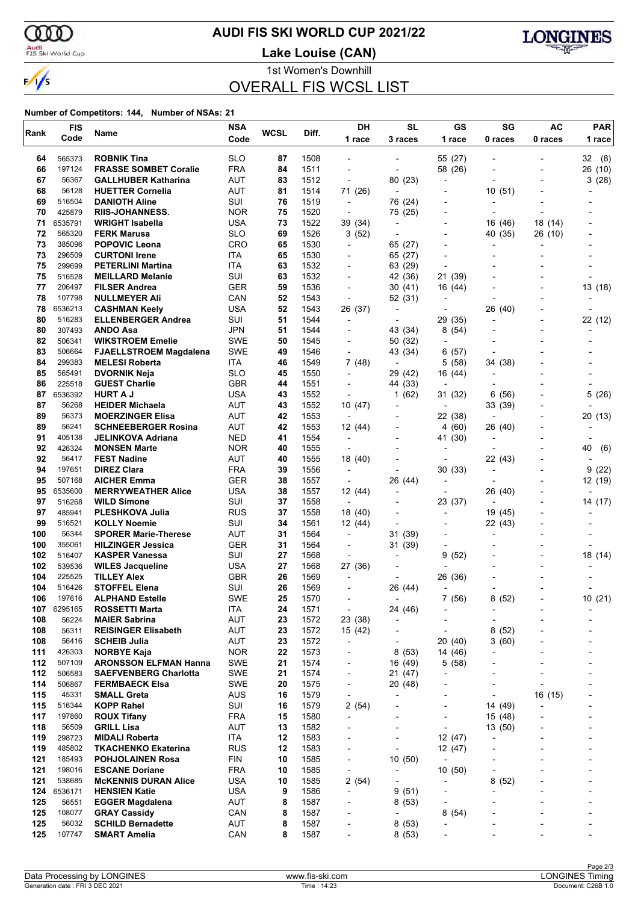

#### **AUDI FIS SKI WORLD CUP 2021/22**

**Lake Louise (CAN)**



1st Women's Downhill

### OVERALL FIS WCSL LIST

|            | <b>FIS</b>       |                                                              | <b>NSA</b>               | <b>WCSL</b> |              | <b>DH</b>                                            | <b>SL</b>                 | GS                                | SG                                  | <b>AC</b> | <b>PAR</b> |
|------------|------------------|--------------------------------------------------------------|--------------------------|-------------|--------------|------------------------------------------------------|---------------------------|-----------------------------------|-------------------------------------|-----------|------------|
| Rank       | Code             | Name                                                         | Code                     |             | Diff.        | 1 race                                               | 3 races                   | 1 race                            | 0 races                             | 0 races   | 1 race     |
| 64         | 565373           | <b>ROBNIK Tina</b>                                           | <b>SLO</b>               | 87          | 1508         |                                                      |                           | 55 (27)                           |                                     |           | 32 (8)     |
| 66         | 197124           | <b>FRASSE SOMBET Coralie</b>                                 | <b>FRA</b>               | 84          | 1511         | $\overline{a}$                                       | $\blacksquare$            | 58 (26)                           |                                     |           | 26 (10)    |
| 67         | 56367            | <b>GALLHUBER Katharina</b>                                   | AUT                      | 83          | 1512         | $\overline{\phantom{a}}$                             | 80 (23)                   | $\overline{a}$                    |                                     |           | 3(28)      |
| 68         | 56128            | <b>HUETTER Cornelia</b>                                      | <b>AUT</b>               | 81          | 1514         | 71 (26)                                              | $\blacksquare$            |                                   | 10(51)                              |           |            |
| 69         | 516504           | <b>DANIOTH Aline</b>                                         | SUI                      | 76          | 1519         | $\overline{\phantom{a}}$                             | 76 (24)                   | ٠                                 |                                     |           |            |
| 70         | 425879           | <b>RIIS-JOHANNESS.</b>                                       | <b>NOR</b>               | 75          | 1520         | $\overline{\phantom{a}}$                             | 75 (25)                   |                                   |                                     |           |            |
| 71         | 6535791          | <b>WRIGHT Isabella</b>                                       | <b>USA</b>               | 73          | 1522         | 39 (34)                                              | $\overline{\phantom{a}}$  |                                   | 16 (46)                             | 18 (14)   |            |
| 72         | 565320           | <b>FERK Marusa</b>                                           | <b>SLO</b>               | 69          | 1526         | 3(52)                                                | $\overline{a}$            |                                   | 40 (35)                             | 26 (10)   |            |
| 73         | 385096           | <b>POPOVIC Leona</b>                                         | <b>CRO</b>               | 65          | 1530         | $\overline{\phantom{a}}$                             | 65 (27)                   |                                   |                                     |           |            |
| 73<br>75   | 296509<br>299699 | <b>CURTONI Irene</b>                                         | ITA<br><b>ITA</b>        | 65<br>63    | 1530<br>1532 |                                                      | 65 (27)<br>63 (29)        |                                   |                                     |           |            |
| 75         | 516528           | <b>PETERLINI Martina</b><br><b>MEILLARD Melanie</b>          | SUI                      | 63          | 1532         | $\overline{\phantom{a}}$                             | 42 (36)                   | $\overline{a}$<br>21 (39)         |                                     |           |            |
| 77         | 206497           | <b>FILSER Andrea</b>                                         | <b>GER</b>               | 59          | 1536         | $\overline{\phantom{a}}$                             | 30 (41)                   | 16 (44)                           |                                     |           | 13 (18)    |
| 78         | 107798           | <b>NULLMEYER Ali</b>                                         | CAN                      | 52          | 1543         | ÷,                                                   | 52 (31)                   | $\overline{a}$                    |                                     |           |            |
| 78         | 6536213          | <b>CASHMAN Keely</b>                                         | <b>USA</b>               | 52          | 1543         | 26 (37)                                              | $\overline{a}$            | ٠                                 | 26 (40)                             |           |            |
| 80         | 516283           | <b>ELLENBERGER Andrea</b>                                    | SUI                      | 51          | 1544         | $\blacksquare$                                       | $\blacksquare$            | 29<br>(35)                        | $\overline{\phantom{a}}$            |           | 22 (12)    |
| 80         | 307493           | <b>ANDO Asa</b>                                              | <b>JPN</b>               | 51          | 1544         |                                                      | 43 (34)                   | 8(54)                             |                                     |           | ٠          |
| 82         | 506341           | <b>WIKSTROEM Emelie</b>                                      | <b>SWE</b>               | 50          | 1545         |                                                      | 50 (32)                   | $\overline{\phantom{a}}$          |                                     |           |            |
| 83         | 506664           | <b>FJAELLSTROEM Magdalena</b>                                | <b>SWE</b>               | 49          | 1546         | $\overline{\phantom{a}}$                             | 43 (34)                   | (57)<br>6                         |                                     |           |            |
| 84         | 299383           | <b>MELESI Roberta</b>                                        | ITA                      | 46          | 1549         | 7(48)                                                | $\overline{a}$            | (58)<br>5                         | 34 (38)                             |           |            |
| 85         | 565491           | <b>DVORNIK Neja</b>                                          | <b>SLO</b>               | 45          | 1550         | $\overline{\phantom{a}}$                             | 29 (42)                   | 16 (44)                           |                                     |           |            |
| 86         | 225518           | <b>GUEST Charlie</b>                                         | <b>GBR</b>               | 44          | 1551         |                                                      | 44 (33)                   | $\overline{\phantom{0}}$          |                                     |           |            |
| 87         | 6536392          | <b>HURT A J</b>                                              | <b>USA</b>               | 43          | 1552         | $\overline{a}$                                       | 1(62)                     | 31 (32)                           | 6(56)                               |           | 5 (26)     |
| 87<br>89   | 56268<br>56373   | <b>HEIDER Michaela</b><br><b>MOERZINGER Elisa</b>            | AUT<br><b>AUT</b>        | 43<br>42    | 1552<br>1553 | 10(47)                                               | $\overline{a}$            | $\overline{\phantom{a}}$          | 33 (39)                             |           |            |
| 89         | 56241            | <b>SCHNEEBERGER Rosina</b>                                   | AUT                      | 42          | 1553         | $\overline{\phantom{a}}$<br>12 (44)                  |                           | 22 (38)<br>4(60)                  | $\overline{\phantom{a}}$<br>26 (40) |           | 20 (13)    |
| 91         | 405138           | JELINKOVA Adriana                                            | <b>NED</b>               | 41          | 1554         | $\overline{\phantom{a}}$                             |                           | 41 (30)                           |                                     |           |            |
| 92         | 426324           | <b>MONSEN Marte</b>                                          | <b>NOR</b>               | 40          | 1555         | $\overline{\phantom{a}}$                             |                           |                                   |                                     |           | 40<br>(6)  |
| 92         | 56417            | <b>FEST Nadine</b>                                           | <b>AUT</b>               | 40          | 1555         | 18 (40)                                              |                           | $\blacksquare$                    | 22 (43)                             |           |            |
| 94         | 197651           | <b>DIREZ Clara</b>                                           | <b>FRA</b>               | 39          | 1556         | $\overline{\phantom{a}}$                             | $\blacksquare$            | 30(33)                            | $\overline{a}$                      |           | 9<br>(22)  |
| 95         | 507168           | <b>AICHER Emma</b>                                           | <b>GER</b>               | 38          | 1557         | $\overline{\phantom{a}}$                             | 26 (44)                   | $\blacksquare$                    |                                     |           | 12 (19)    |
| 95         | 6535600          | <b>MERRYWEATHER Alice</b>                                    | <b>USA</b>               | 38          | 1557         | 12 (44)                                              | $\overline{a}$            | $\overline{a}$                    | 26 (40)                             |           |            |
| 97         | 516268           | <b>WILD Simone</b>                                           | SUI                      | 37          | 1558         | $\overline{\phantom{a}}$                             |                           | 23 (37)                           |                                     |           | 14 (17)    |
| 97         | 485941           | <b>PLESHKOVA Julia</b>                                       | <b>RUS</b>               | 37          | 1558         | 18 (40)                                              |                           |                                   | 19 (45)                             |           |            |
| 99         | 516521           | <b>KOLLY Noemie</b>                                          | SUI                      | 34          | 1561         | 12 (44)                                              | $\blacksquare$            |                                   | 22 (43)                             |           |            |
| 100<br>100 | 56344<br>355061  | <b>SPORER Marie-Therese</b><br><b>HILZINGER Jessica</b>      | AUT<br><b>GER</b>        | 31<br>31    | 1564<br>1564 | $\overline{\phantom{a}}$<br>$\overline{\phantom{a}}$ | 31 (39)                   |                                   | $\overline{a}$                      |           |            |
| 102        | 516407           | <b>KASPER Vanessa</b>                                        | SUI                      | 27          | 1568         | $\overline{a}$                                       | 31 (39)<br>$\overline{a}$ | 9<br>(52)                         |                                     |           | 18 (14)    |
| 102        | 539536           | <b>WILES Jacqueline</b>                                      | USA                      | 27          | 1568         | 27 (36)                                              |                           |                                   |                                     |           |            |
| 104        | 225525           | <b>TILLEY Alex</b>                                           | <b>GBR</b>               | 26          | 1569         | $\overline{\phantom{a}}$                             |                           | 26 (36)                           |                                     |           |            |
| 104        | 516426           | <b>STOFFEL Elena</b>                                         | SUI                      | 26          | 1569         |                                                      | 26 (44)                   | $\overline{\phantom{a}}$          |                                     |           |            |
| 106        | 197616           | <b>ALPHAND Estelle</b>                                       | <b>SWE</b>               | 25          | 1570         |                                                      | $\overline{a}$            | 7(56)                             | 8(52)                               |           | 10 (21)    |
| 107        | 6295165          | ROSSETTI Marta                                               | ITA                      | 24          | 1571         | $\overline{\phantom{a}}$                             | 24 (46)                   |                                   | $\overline{\phantom{0}}$            |           |            |
| 108        | 56224            | <b>MAIER Sabrina</b>                                         | AUT                      | 23          | 1572         | 23 (38)                                              | $\overline{\phantom{a}}$  |                                   | Ĭ.                                  |           |            |
| 108        | 56311            | <b>REISINGER Elisabeth</b>                                   | AUT                      | 23          | 1572         | 15 (42)                                              | ٠                         | $\overline{\phantom{0}}$          | 8<br>(52)                           |           |            |
| 108        | 56416            | <b>SCHEIB Julia</b>                                          | <b>AUT</b>               | 23          | 1572         | $\overline{\phantom{a}}$                             | $\overline{\phantom{a}}$  | 20 (40)                           | 3(60)                               |           |            |
| 111        | 426303           | <b>NORBYE Kaja</b>                                           | <b>NOR</b>               | 22          | 1573         | $\overline{a}$                                       | 8(53)                     | 14 (46)                           | L,                                  |           |            |
| 112<br>112 | 507109<br>506583 | <b>ARONSSON ELFMAN Hanna</b><br><b>SAEFVENBERG Charlotta</b> | <b>SWE</b><br><b>SWE</b> | 21<br>21    | 1574<br>1574 | -<br>$\blacksquare$                                  | 16 (49)<br>21 (47)        | 5(58)<br>$\overline{\phantom{0}}$ |                                     |           |            |
| 114        | 506867           | <b>FERMBAECK Elsa</b>                                        | SWE                      | 20          | 1575         | $\overline{\phantom{a}}$                             | 20 (48)                   | $\overline{\phantom{0}}$          | L,                                  |           |            |
| 115        | 45331            | <b>SMALL Greta</b>                                           | <b>AUS</b>               | 16          | 1579         | $\overline{\phantom{a}}$                             | $\overline{a}$            |                                   | $\overline{\phantom{a}}$            | 16 (15)   |            |
| 115        | 516344           | KOPP Rahel                                                   | SUI                      | 16          | 1579         | 2(54)                                                |                           |                                   | 14 (49)                             |           |            |
| 117        | 197860           | <b>ROUX Tifany</b>                                           | <b>FRA</b>               | 15          | 1580         | $\overline{\phantom{a}}$                             |                           | $\overline{\phantom{0}}$          | 15 (48)                             |           |            |
| 118        | 56509            | <b>GRILL Lisa</b>                                            | AUT                      | 13          | 1582         | -                                                    | ٠                         | -                                 | 13 (50)                             |           |            |
| 119        | 298723           | <b>MIDALI Roberta</b>                                        | ITA                      | 12          | 1583         | $\overline{a}$                                       |                           | 12 (47)                           | ٠                                   |           |            |
| 119        | 485802           | <b>TKACHENKO Ekaterina</b>                                   | <b>RUS</b>               | 12          | 1583         | $\blacksquare$                                       | ÷,                        | 12 (47)                           |                                     |           |            |
| 121        | 185493           | <b>POHJOLAINEN Rosa</b>                                      | <b>FIN</b>               | 10          | 1585         | -                                                    | 10(50)                    | $\overline{\phantom{a}}$          |                                     |           |            |
| 121        | 198016           | <b>ESCANE Doriane</b>                                        | <b>FRA</b>               | 10          | 1585         | $\overline{\phantom{a}}$                             | $\overline{a}$            | 10(50)                            | $\overline{\phantom{a}}$            |           |            |
| 121        | 538685           | <b>McKENNIS DURAN Alice</b>                                  | <b>USA</b>               | 10          | 1585         | 2(54)                                                | $\overline{\phantom{a}}$  | -                                 | 8(52)                               |           |            |
| 124        | 6536171          | <b>HENSIEN Katie</b>                                         | USA                      | 9           | 1586         | $\overline{\phantom{a}}$                             | 9(51)                     | -                                 | ÷,                                  |           |            |
| 125<br>125 | 56551            | <b>EGGER Magdalena</b><br><b>GRAY Cassidy</b>                | <b>AUT</b><br>CAN        | 8<br>8      | 1587<br>1587 | -<br>$\overline{\phantom{a}}$                        | 8(53)<br>$\overline{a}$   |                                   |                                     |           |            |
| 125        | 108077<br>56032  | <b>SCHILD Bernadette</b>                                     | AUT                      | 8           | 1587         | -                                                    | 8(53)                     | 8<br>(54)                         |                                     |           |            |
| 125        | 107747           | <b>SMART Amelia</b>                                          | CAN                      | 8           | 1587         | $\overline{a}$                                       | 8(53)                     |                                   |                                     |           |            |
|            |                  |                                                              |                          |             |              |                                                      |                           |                                   |                                     |           |            |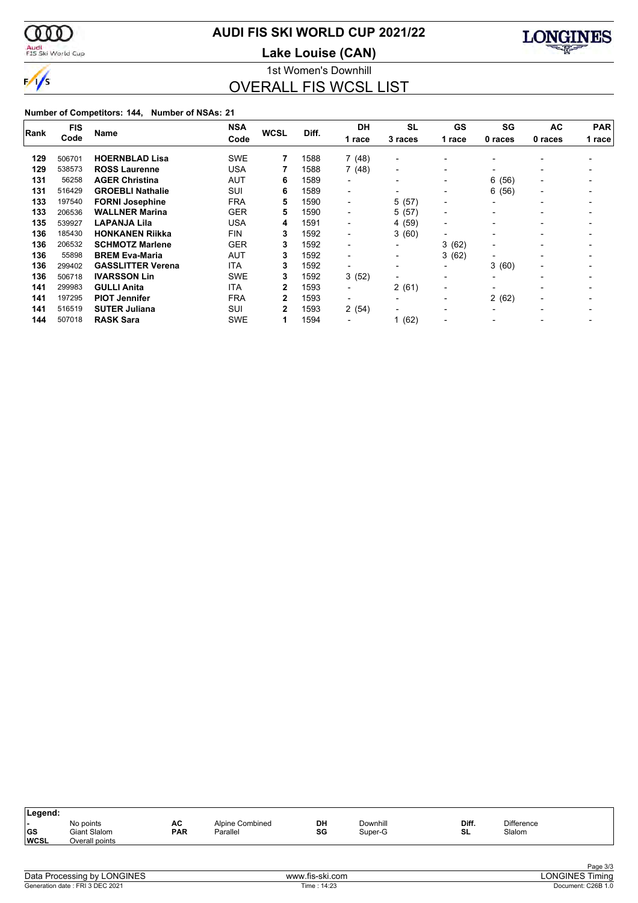

### **AUDI FIS SKI WORLD CUP 2021/22**

Audi<br>FIS Ski World Cup

**Lake Louise (CAN)**



1st Women's Downhill OVERALL FIS WCSL LIST

| Rank | <b>FIS</b> |                          | <b>NSA</b> | <b>WCSL</b> | Diff. | <b>DH</b>                | <b>SL</b>                | GS                       | SG                       | AC                       | <b>PAR</b> |  |
|------|------------|--------------------------|------------|-------------|-------|--------------------------|--------------------------|--------------------------|--------------------------|--------------------------|------------|--|
|      | Code       | Name                     | Code       |             |       | 1 race                   | 3 races                  | 1 race                   | 0 races                  | 0 races                  | 1 race     |  |
| 129  | 506701     | <b>HOERNBLAD Lisa</b>    | <b>SWE</b> |             | 1588  | 7(48)                    | $\overline{\phantom{0}}$ | $\blacksquare$           |                          |                          |            |  |
| 129  | 538573     | <b>ROSS Laurenne</b>     | USA        |             | 1588  | 7(48)                    | $\blacksquare$           | $\blacksquare$           | $\overline{\phantom{a}}$ |                          |            |  |
| 131  | 56258      | <b>AGER Christina</b>    | AUT        | 6           | 1589  | $\blacksquare$           | $\overline{\phantom{a}}$ | $\overline{\phantom{a}}$ | 6<br>(56)                | $\overline{\phantom{0}}$ |            |  |
| 131  | 516429     | <b>GROEBLI Nathalie</b>  | SUI        | 6           | 1589  | $\blacksquare$           | $\overline{\phantom{0}}$ | $\blacksquare$           | 6<br>(56)                | $\overline{\phantom{0}}$ |            |  |
| 133  | 197540     | <b>FORNI Josephine</b>   | <b>FRA</b> | 5           | 1590  | $\overline{\phantom{0}}$ | 5(57)                    | $\overline{\phantom{0}}$ | $\overline{\phantom{a}}$ |                          |            |  |
| 133  | 206536     | <b>WALLNER Marina</b>    | <b>GER</b> | 5           | 1590  | $\blacksquare$           | 5(57)                    | $\overline{\phantom{a}}$ |                          |                          |            |  |
| 135  | 539927     | <b>LAPANJA Lila</b>      | <b>USA</b> | 4           | 1591  | $\blacksquare$           | 4 (59)                   | $\overline{\phantom{a}}$ |                          |                          |            |  |
| 136  | 185430     | <b>HONKANEN Riikka</b>   | <b>FIN</b> | 3           | 1592  | -                        | 3(60)                    | $\blacksquare$           |                          |                          |            |  |
| 136  | 206532     | <b>SCHMOTZ Marlene</b>   | <b>GER</b> | 3           | 1592  | -                        |                          | 3(62)                    | $\overline{\phantom{a}}$ |                          |            |  |
| 136  | 55898      | <b>BREM Eva-Maria</b>    | <b>AUT</b> | 3           | 1592  | $\overline{\phantom{0}}$ | $\overline{\phantom{a}}$ | 3(62)                    |                          |                          |            |  |
| 136  | 299402     | <b>GASSLITTER Verena</b> | <b>ITA</b> | 3           | 1592  |                          | $\overline{\phantom{0}}$ | $\overline{\phantom{0}}$ | 3(60)                    | $\overline{\phantom{0}}$ |            |  |
| 136  | 506718     | <b>IVARSSON Lin</b>      | <b>SWE</b> | 3           | 1592  | 3(52)                    | $\overline{\phantom{0}}$ | $\blacksquare$           |                          |                          |            |  |
| 141  | 299983     | <b>GULLI Anita</b>       | <b>ITA</b> | 2           | 1593  | $\overline{a}$           | 2(61)                    | $\overline{\phantom{0}}$ |                          |                          |            |  |
| 141  | 197295     | <b>PIOT Jennifer</b>     | <b>FRA</b> | 2           | 1593  | $\blacksquare$           | $\overline{\phantom{0}}$ | $\overline{\phantom{a}}$ | 2(62)                    | $\overline{\phantom{0}}$ |            |  |
| 141  | 516519     | <b>SUTER Juliana</b>     | SUI        | 2           | 1593  | 2(54)                    | $\overline{\phantom{0}}$ | $\overline{\phantom{0}}$ |                          |                          |            |  |
| 144  | 507018     | <b>RASK Sara</b>         | <b>SWE</b> | 1           | 1594  |                          | 1(62)                    |                          |                          |                          |            |  |

| Legend:                  |                                             |                  |                             |          |                     |             |                             |  |
|--------------------------|---------------------------------------------|------------------|-----------------------------|----------|---------------------|-------------|-----------------------------|--|
| <b>GS</b><br><b>WCSL</b> | No points<br>Giant Slalom<br>Overall points | AC<br><b>PAR</b> | Alpine Combined<br>Parallel | DH<br>SG | Downhill<br>Super-G | Diff.<br>SL | <b>Difference</b><br>Slalom |  |
|                          |                                             |                  |                             |          |                     |             |                             |  |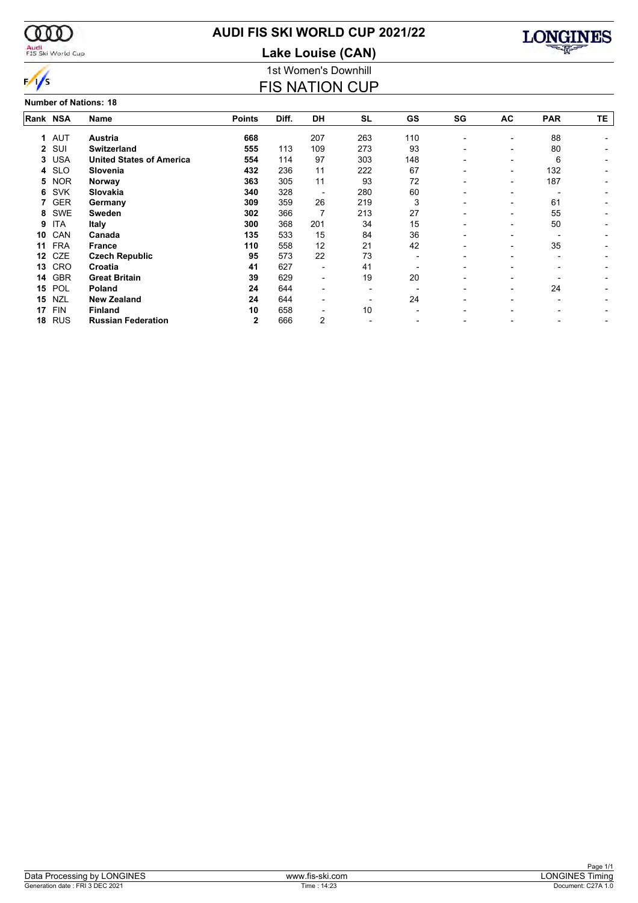

#### Audi<br>FIS Ski World Cup

### **AUDI FIS SKI WORLD CUP 2021/22**

1st Women's Downhill **Lake Louise (CAN)**

FIS NATION CUP



|          | <b>Number of Nations: 18</b> |                                 |               |       |           |                          |     |                          |                          |                          |                          |  |  |  |  |
|----------|------------------------------|---------------------------------|---------------|-------|-----------|--------------------------|-----|--------------------------|--------------------------|--------------------------|--------------------------|--|--|--|--|
| Rank NSA |                              | <b>Name</b>                     | <b>Points</b> | Diff. | <b>DH</b> | <b>SL</b>                | GS  | SG                       | AC                       | <b>PAR</b>               | TE                       |  |  |  |  |
|          | 1 AUT                        | Austria                         | 668           |       | 207       | 263                      | 110 | $\overline{\phantom{a}}$ | $\overline{\phantom{a}}$ | 88                       |                          |  |  |  |  |
| 2        | SUI                          | <b>Switzerland</b>              | 555           | 113   | 109       | 273                      | 93  |                          | $\overline{\phantom{a}}$ | 80                       |                          |  |  |  |  |
| 3        | <b>USA</b>                   | <b>United States of America</b> | 554           | 114   | 97        | 303                      | 148 |                          | $\overline{\phantom{0}}$ | 6                        | -                        |  |  |  |  |
| 4        | <b>SLO</b>                   | Slovenia                        | 432           | 236   | 11        | 222                      | 67  | $\overline{\phantom{0}}$ | $\overline{\phantom{a}}$ | 132                      |                          |  |  |  |  |
| 5        | <b>NOR</b>                   | Norway                          | 363           | 305   | 11        | 93                       | 72  | $\overline{\phantom{0}}$ | $\overline{\phantom{a}}$ | 187                      |                          |  |  |  |  |
| 6        | <b>SVK</b>                   | Slovakia                        | 340           | 328   | ۰         | 280                      | 60  |                          | $\overline{\phantom{0}}$ |                          |                          |  |  |  |  |
|          | <b>GER</b>                   | Germany                         | 309           | 359   | 26        | 219                      | 3   | $\overline{\phantom{0}}$ | $\overline{\phantom{0}}$ | 61                       | $\overline{\phantom{a}}$ |  |  |  |  |
| 8        | <b>SWE</b>                   | <b>Sweden</b>                   | 302           | 366   | 7         | 213                      | 27  | $\overline{\phantom{0}}$ | $\overline{\phantom{0}}$ | 55                       |                          |  |  |  |  |
| 9        | ITA                          | <b>Italy</b>                    | 300           | 368   | 201       | 34                       | 15  |                          | $\overline{\phantom{0}}$ | 50                       |                          |  |  |  |  |
| 10       | CAN                          | Canada                          | 135           | 533   | 15        | 84                       | 36  |                          | $\overline{\phantom{0}}$ |                          |                          |  |  |  |  |
| 11       | <b>FRA</b>                   | <b>France</b>                   | 110           | 558   | 12        | 21                       | 42  |                          | $\overline{\phantom{a}}$ | 35                       |                          |  |  |  |  |
| 12       | <b>CZE</b>                   | <b>Czech Republic</b>           | 95            | 573   | 22        | 73                       | ۰   | $\overline{\phantom{0}}$ | $\overline{\phantom{0}}$ | $\overline{\phantom{0}}$ |                          |  |  |  |  |
| 13       | <b>CRO</b>                   | Croatia                         | 41            | 627   | -         | 41                       |     |                          |                          |                          |                          |  |  |  |  |
| 14       | <b>GBR</b>                   | <b>Great Britain</b>            | 39            | 629   | -         | 19                       | 20  |                          |                          |                          |                          |  |  |  |  |
| 15       | POL                          | <b>Poland</b>                   | 24            | 644   | -         |                          |     |                          | $\overline{\phantom{0}}$ | 24                       |                          |  |  |  |  |
| 15       | <b>NZL</b>                   | <b>New Zealand</b>              | 24            | 644   | -         | $\overline{\phantom{0}}$ | 24  |                          | $\overline{\phantom{0}}$ | $\overline{\phantom{0}}$ |                          |  |  |  |  |
| 17       | <b>FIN</b>                   | <b>Finland</b>                  | 10            | 658   |           | 10                       |     |                          |                          |                          |                          |  |  |  |  |
| 18       | <b>RUS</b>                   | <b>Russian Federation</b>       | $\mathbf{2}$  | 666   | 2         |                          |     |                          |                          |                          | -                        |  |  |  |  |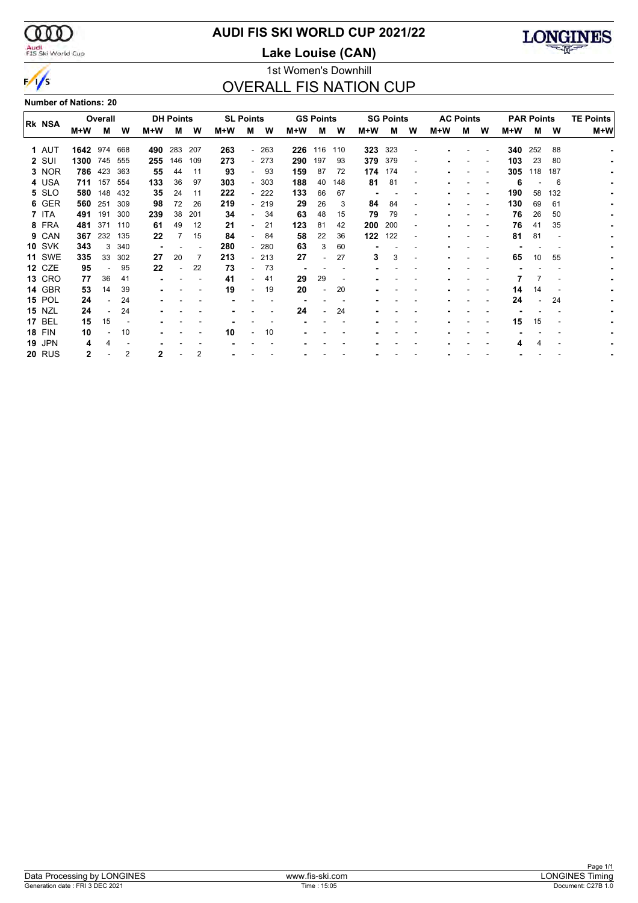$\infty$ Audi<br>FIS Ski World Cup

 $\frac{1}{s}$ 

### **AUDI FIS SKI WORLD CUP 2021/22**

**Lake Louise (CAN)**



#### 1st Women's Downhill OVERALL FIS NATION CUP

**Number of Nations: 20**

| <b>RK NSA</b> |      | Overall |     |     | <b>DH Points</b> |     | <b>SL Points</b> |     |        |     | <b>GS Points</b> |     |     | <b>SG Points</b> |   | <b>AC Points</b> |   |   |     | <b>PAR Points</b> |     | <b>TE Points</b> |
|---------------|------|---------|-----|-----|------------------|-----|------------------|-----|--------|-----|------------------|-----|-----|------------------|---|------------------|---|---|-----|-------------------|-----|------------------|
|               | M+W  | М       | W   | M+W | м                | W   | M+W              | м   | W      | M+W | м                | W   | M+W | м                | W | M+W              | М | W | M+W | м                 | W   | M+W              |
| 1 AUT         | 1642 | 974     | 668 | 490 | 283              | 207 | 263              |     | $-263$ | 226 | 116              | 110 | 323 | 323              |   |                  |   |   | 340 | 252               | 88  |                  |
| 2 SUI         | 1300 | 745     | 555 | 255 | 146              | 109 | 273              |     | $-273$ | 290 | 197              | 93  | 379 | 379              |   |                  |   |   | 103 | 23                | 80  |                  |
| 3 NOR         |      | 786 423 | 363 | 55  | 44               | 11  | 93               | . . | 93     | 159 | 87               | 72  | 174 | 174              |   |                  |   |   | 305 | 118               | 187 |                  |
| 4 USA         | 711  | 157     | 554 | 133 | 36               | 97  | 303              |     | $-303$ | 188 | 40               | 148 | 81  | 81               | ٠ |                  |   |   | 6   |                   | 6   |                  |
| 5 SLO         | 580  | 148     | 432 | 35  | 24               | 11  | 222              |     | - 222  | 133 | 66               | 67  |     |                  |   |                  |   |   | 190 | 58                | 132 |                  |
| 6 GER         | 560  | 251     | 309 | 98  | 72               | 26  | 219              |     | - 219  | 29  | 26               | 3   | 84  | 84               |   |                  |   |   | 130 | 69                | 61  |                  |
| 7 ITA         | 491  | 191     | 300 | 239 | 38               | 201 | 34               |     | 34     | 63  | 48               | 15  | 79  | 79               |   |                  |   |   | 76  | 26                | 50  |                  |
| 8 FRA         | 481  | 371     | 110 | 61  | 49               | 12  | 21               |     | 21     | 123 | 81               | 42  | 200 | 200              |   |                  |   |   | 76  | 41                | 35  |                  |
| 9 CAN         | 367  | 232     | 135 | 22  |                  | 15  | 84               |     | 84     | 58  | 22               | 36  | 122 | 122              | ٠ |                  |   |   | 81  | 81                |     |                  |
| <b>10 SVK</b> | 343  | 3       | 340 |     |                  |     | 280              |     | $-280$ | 63  | 3                | 60  |     |                  |   |                  |   |   |     |                   |     |                  |
| <b>11 SWE</b> | 335  | 33      | 302 | 27  | 20               | 7   | 213              |     | $-213$ | 27  |                  | 27  | 3   | 3                |   |                  |   |   | 65  | 10                | 55  |                  |
| 12 CZE        | 95   |         | 95  | 22  |                  | 22  | 73               |     | 73     |     |                  |     |     |                  |   |                  |   |   |     |                   |     |                  |
| <b>13 CRO</b> | 77   | 36      | 41  |     |                  |     | 41               |     | 41     | 29  | 29               |     |     |                  |   |                  |   |   |     |                   |     |                  |
| 14 GBR        | 53   | 14      | 39  |     |                  |     | 19               |     | 19     | 20  | -                | 20  |     |                  |   |                  |   |   | 14  | 14                |     |                  |
| <b>15 POL</b> | 24   |         | 24  |     |                  |     |                  |     |        |     |                  |     |     |                  |   |                  |   |   | 24  |                   | 24  |                  |
| <b>15 NZL</b> | 24   |         | 24  |     |                  |     |                  |     |        | 24  |                  | 24  |     |                  |   |                  |   |   |     |                   |     |                  |
| <b>17 BEL</b> | 15   | 15      |     |     |                  |     |                  |     |        |     |                  |     |     |                  |   |                  |   |   | 15  | 15                |     |                  |
| <b>18 FIN</b> | 10   |         | 10  |     |                  |     | 10               |     | 10     |     |                  |     |     |                  |   |                  |   |   |     |                   |     |                  |
| <b>19 JPN</b> | 4    | 4       |     |     |                  |     |                  |     |        |     |                  |     |     |                  |   |                  |   |   |     |                   |     |                  |
| <b>20 RUS</b> | 2    |         | 2   | 2   |                  | 2   |                  |     |        |     |                  |     |     |                  |   |                  |   |   |     |                   |     |                  |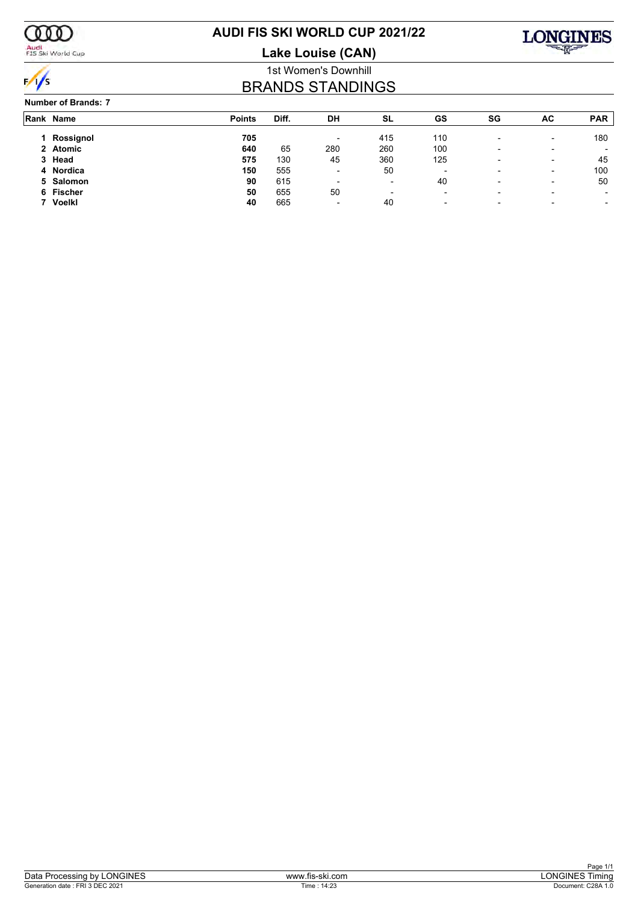

Audi<br>FIS Ski World Cup

### **AUDI FIS SKI WORLD CUP 2021/22**

**Lake Louise (CAN)**



#### 1st Women's Downhill BRANDS STANDINGS

#### **Number of Brands: 7**

| Rank Name     | <b>Points</b> | Diff. | DH                       | SL                       | GS                       | SG                       | AC                       | <b>PAR</b>               |
|---------------|---------------|-------|--------------------------|--------------------------|--------------------------|--------------------------|--------------------------|--------------------------|
| Rossignol     | 705           |       | $\overline{\phantom{0}}$ | 415                      | 110                      |                          | -                        | 180                      |
| 2 Atomic      | 640           | 65    | 280                      | 260                      | 100                      | $\overline{\phantom{a}}$ | -                        |                          |
| 3 Head        | 575           | 130   | 45                       | 360                      | 125                      |                          | $\overline{\phantom{0}}$ | 45                       |
| 4 Nordica     | 150           | 555   | $\overline{\phantom{0}}$ | 50                       | $\overline{\phantom{0}}$ | $\overline{\phantom{0}}$ | -                        | 100                      |
| 5 Salomon     | 90            | 615   | $\overline{\phantom{0}}$ | ٠                        | 40                       | $\overline{\phantom{0}}$ | -                        | 50                       |
| 6 Fischer     | 50            | 655   | 50                       | $\overline{\phantom{a}}$ | $\overline{\phantom{a}}$ | $\overline{\phantom{a}}$ | -                        | $\overline{\phantom{a}}$ |
| <b>Voelkl</b> | 40            | 665   | $\overline{\phantom{0}}$ | 40                       | $\overline{\phantom{0}}$ | $\overline{\phantom{a}}$ |                          | $\overline{\phantom{a}}$ |
|               |               |       |                          |                          |                          |                          |                          |                          |